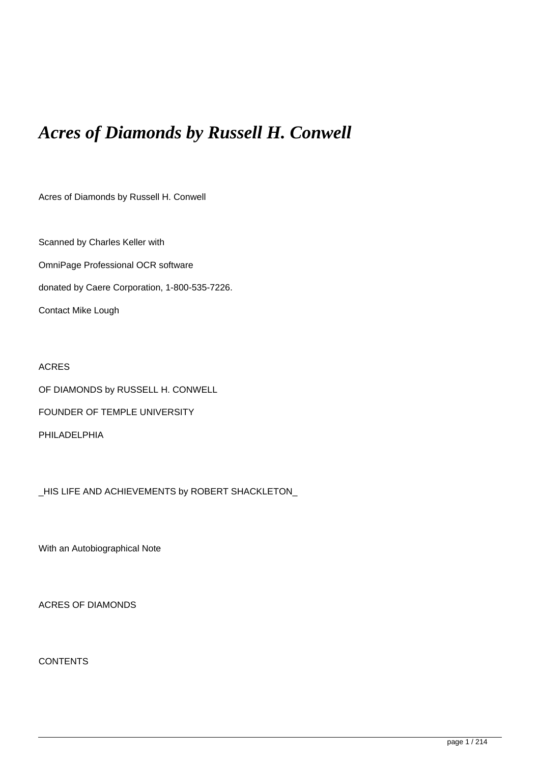# *Acres of Diamonds by Russell H. Conwell*

Acres of Diamonds by Russell H. Conwell

Scanned by Charles Keller with OmniPage Professional OCR software donated by Caere Corporation, 1-800-535-7226. Contact Mike Lough

# ACRES

OF DIAMONDS by RUSSELL H. CONWELL FOUNDER OF TEMPLE UNIVERSITY

PHILADELPHIA

\_HIS LIFE AND ACHIEVEMENTS by ROBERT SHACKLETON\_

With an Autobiographical Note

ACRES OF DIAMONDS

**CONTENTS**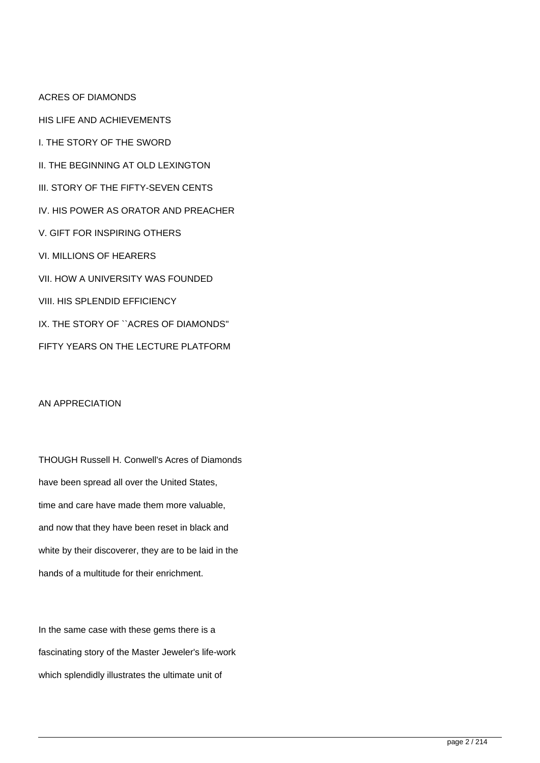ACRES OF DIAMONDS HIS LIFE AND ACHIEVEMENTS I. THE STORY OF THE SWORD II. THE BEGINNING AT OLD LEXINGTON III. STORY OF THE FIFTY-SEVEN CENTS IV. HIS POWER AS ORATOR AND PREACHER V. GIFT FOR INSPIRING OTHERS VI. MILLIONS OF HEARERS VII. HOW A UNIVERSITY WAS FOUNDED VIII. HIS SPLENDID EFFICIENCY IX. THE STORY OF ``ACRES OF DIAMONDS'' FIFTY YEARS ON THE LECTURE PLATFORM

## AN APPRECIATION

THOUGH Russell H. Conwell's Acres of Diamonds have been spread all over the United States, time and care have made them more valuable, and now that they have been reset in black and white by their discoverer, they are to be laid in the hands of a multitude for their enrichment.

In the same case with these gems there is a fascinating story of the Master Jeweler's life-work which splendidly illustrates the ultimate unit of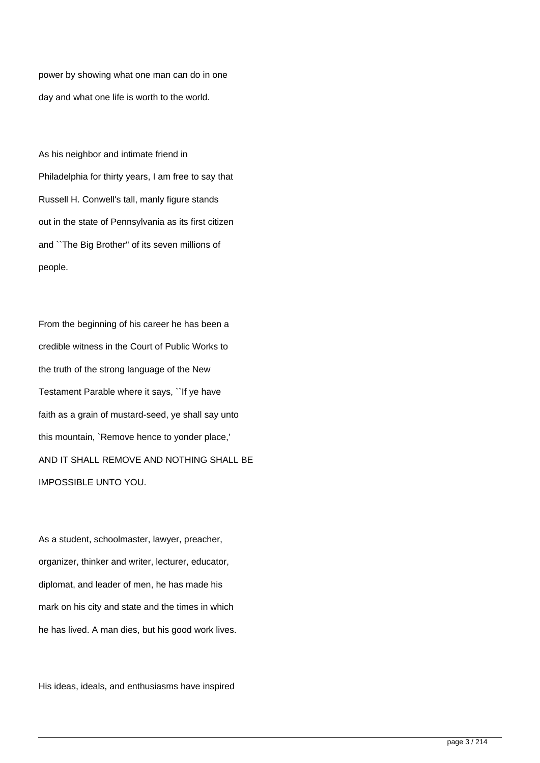power by showing what one man can do in one day and what one life is worth to the world.

As his neighbor and intimate friend in Philadelphia for thirty years, I am free to say that Russell H. Conwell's tall, manly figure stands out in the state of Pennsylvania as its first citizen and ``The Big Brother'' of its seven millions of people.

From the beginning of his career he has been a credible witness in the Court of Public Works to the truth of the strong language of the New Testament Parable where it says, ``If ye have faith as a grain of mustard-seed, ye shall say unto this mountain, `Remove hence to yonder place,' AND IT SHALL REMOVE AND NOTHING SHALL BE IMPOSSIBLE UNTO YOU.

As a student, schoolmaster, lawyer, preacher, organizer, thinker and writer, lecturer, educator, diplomat, and leader of men, he has made his mark on his city and state and the times in which he has lived. A man dies, but his good work lives.

His ideas, ideals, and enthusiasms have inspired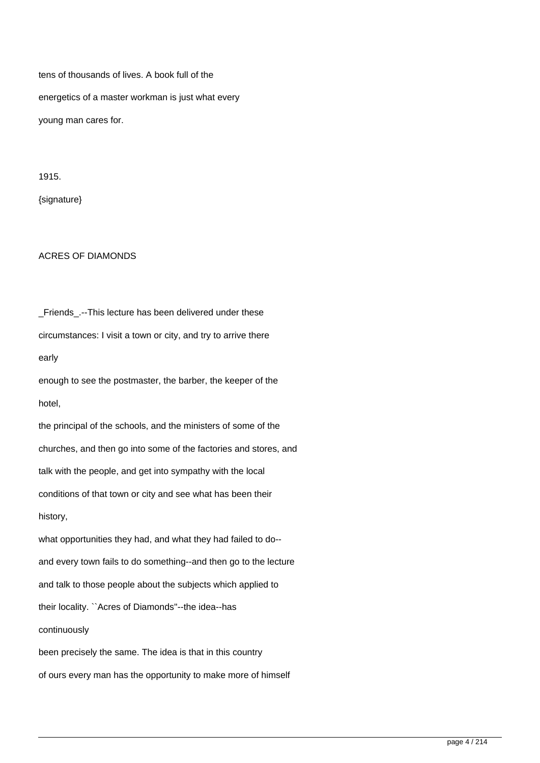tens of thousands of lives. A book full of the energetics of a master workman is just what every young man cares for.

1915.

{signature}

### ACRES OF DIAMONDS

Friends.--This lecture has been delivered under these circumstances: I visit a town or city, and try to arrive there early enough to see the postmaster, the barber, the keeper of the hotel, the principal of the schools, and the ministers of some of the churches, and then go into some of the factories and stores, and talk with the people, and get into sympathy with the local conditions of that town or city and see what has been their history, what opportunities they had, and what they had failed to do- and every town fails to do something--and then go to the lecture and talk to those people about the subjects which applied to their locality. ``Acres of Diamonds''--the idea--has continuously been precisely the same. The idea is that in this country of ours every man has the opportunity to make more of himself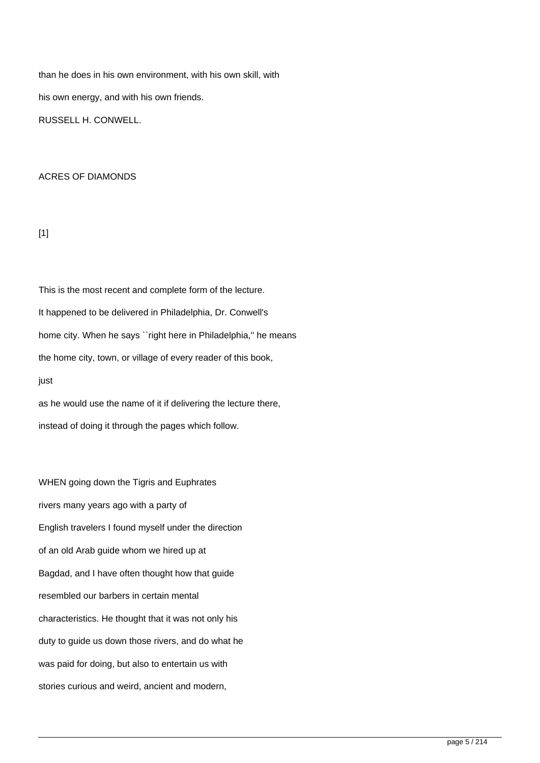than he does in his own environment, with his own skill, with his own energy, and with his own friends. RUSSELL H. CONWELL.

### ACRES OF DIAMONDS

 $[1]$ 

This is the most recent and complete form of the lecture. It happened to be delivered in Philadelphia, Dr. Conwell's home city. When he says ``right here in Philadelphia," he means the home city, town, or village of every reader of this book, just

as he would use the name of it if delivering the lecture there, instead of doing it through the pages which follow.

WHEN going down the Tigris and Euphrates rivers many years ago with a party of English travelers I found myself under the direction of an old Arab guide whom we hired up at Bagdad, and I have often thought how that guide resembled our barbers in certain mental characteristics. He thought that it was not only his duty to guide us down those rivers, and do what he was paid for doing, but also to entertain us with stories curious and weird, ancient and modern,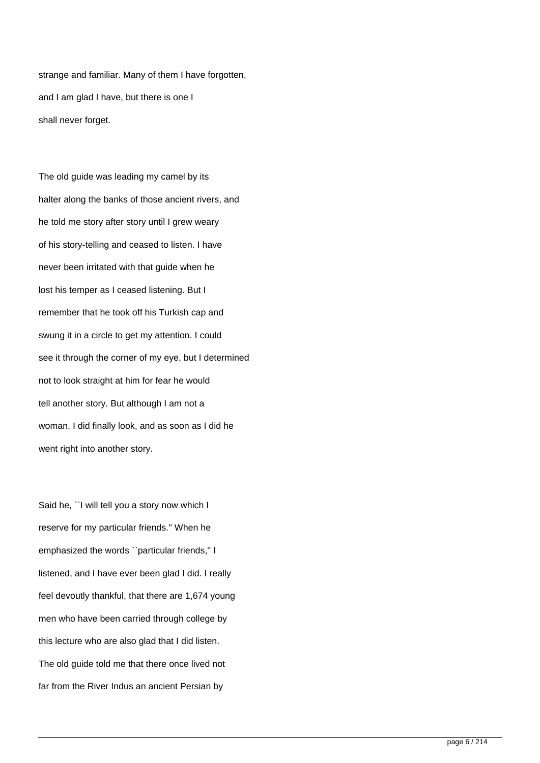strange and familiar. Many of them I have forgotten, and I am glad I have, but there is one I shall never forget.

The old guide was leading my camel by its halter along the banks of those ancient rivers, and he told me story after story until I grew weary of his story-telling and ceased to listen. I have never been irritated with that guide when he lost his temper as I ceased listening. But I remember that he took off his Turkish cap and swung it in a circle to get my attention. I could see it through the corner of my eye, but I determined not to look straight at him for fear he would tell another story. But although I am not a woman, I did finally look, and as soon as I did he went right into another story.

Said he, ``I will tell you a story now which I reserve for my particular friends.'' When he emphasized the words ``particular friends,'' I listened, and I have ever been glad I did. I really feel devoutly thankful, that there are 1,674 young men who have been carried through college by this lecture who are also glad that I did listen. The old guide told me that there once lived not far from the River Indus an ancient Persian by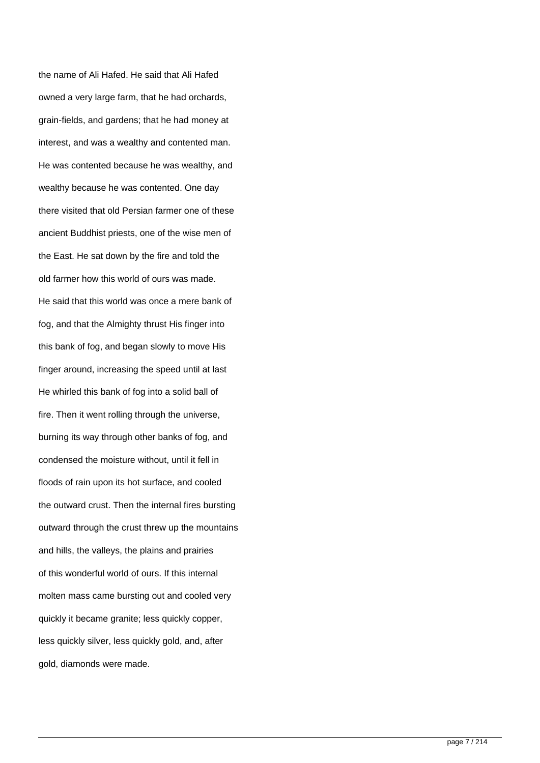the name of Ali Hafed. He said that Ali Hafed owned a very large farm, that he had orchards, grain-fields, and gardens; that he had money at interest, and was a wealthy and contented man. He was contented because he was wealthy, and wealthy because he was contented. One day there visited that old Persian farmer one of these ancient Buddhist priests, one of the wise men of the East. He sat down by the fire and told the old farmer how this world of ours was made. He said that this world was once a mere bank of fog, and that the Almighty thrust His finger into this bank of fog, and began slowly to move His finger around, increasing the speed until at last He whirled this bank of fog into a solid ball of fire. Then it went rolling through the universe, burning its way through other banks of fog, and condensed the moisture without, until it fell in floods of rain upon its hot surface, and cooled the outward crust. Then the internal fires bursting outward through the crust threw up the mountains and hills, the valleys, the plains and prairies of this wonderful world of ours. If this internal molten mass came bursting out and cooled very quickly it became granite; less quickly copper, less quickly silver, less quickly gold, and, after gold, diamonds were made.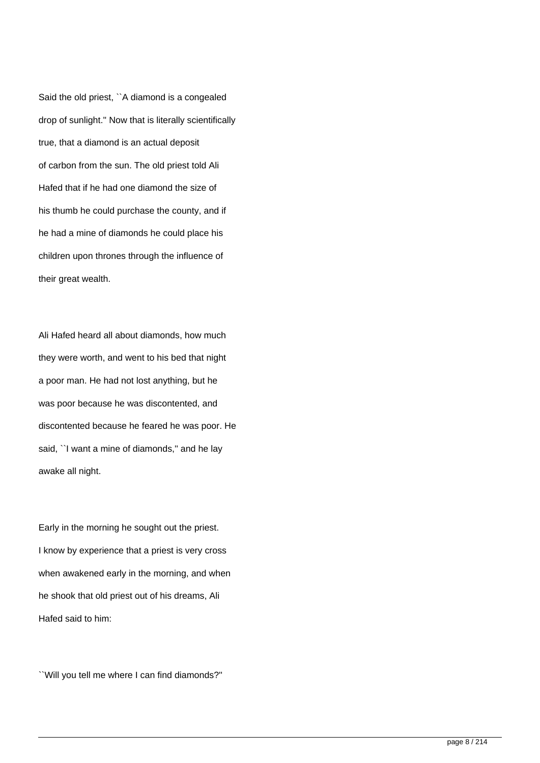Said the old priest, ``A diamond is a congealed drop of sunlight.'' Now that is literally scientifically true, that a diamond is an actual deposit of carbon from the sun. The old priest told Ali Hafed that if he had one diamond the size of his thumb he could purchase the county, and if he had a mine of diamonds he could place his children upon thrones through the influence of their great wealth.

Ali Hafed heard all about diamonds, how much they were worth, and went to his bed that night a poor man. He had not lost anything, but he was poor because he was discontented, and discontented because he feared he was poor. He said, "I want a mine of diamonds," and he lay awake all night.

Early in the morning he sought out the priest. I know by experience that a priest is very cross when awakened early in the morning, and when he shook that old priest out of his dreams, Ali Hafed said to him:

``Will you tell me where I can find diamonds?''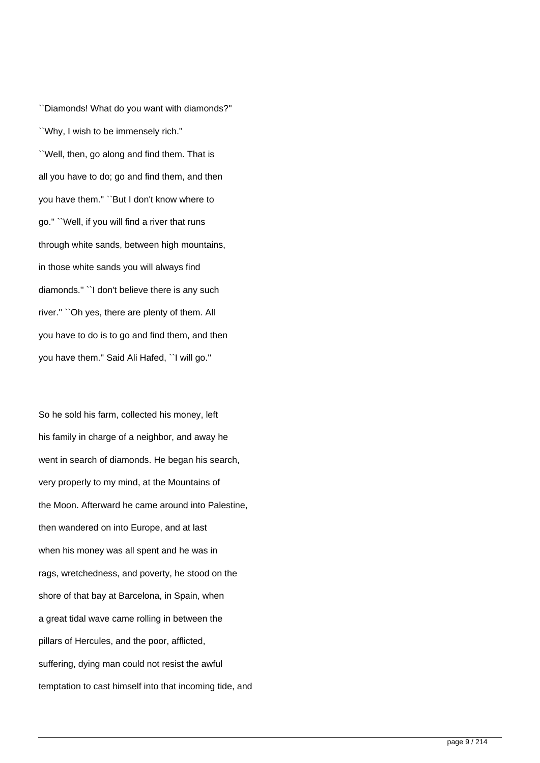``Diamonds! What do you want with diamonds?'' ``Why, I wish to be immensely rich.'' ``Well, then, go along and find them. That is all you have to do; go and find them, and then you have them.'' ``But I don't know where to go.'' ``Well, if you will find a river that runs through white sands, between high mountains, in those white sands you will always find diamonds.'' ``I don't believe there is any such river.'' ``Oh yes, there are plenty of them. All you have to do is to go and find them, and then you have them.'' Said Ali Hafed, ``I will go.''

So he sold his farm, collected his money, left his family in charge of a neighbor, and away he went in search of diamonds. He began his search, very properly to my mind, at the Mountains of the Moon. Afterward he came around into Palestine, then wandered on into Europe, and at last when his money was all spent and he was in rags, wretchedness, and poverty, he stood on the shore of that bay at Barcelona, in Spain, when a great tidal wave came rolling in between the pillars of Hercules, and the poor, afflicted, suffering, dying man could not resist the awful temptation to cast himself into that incoming tide, and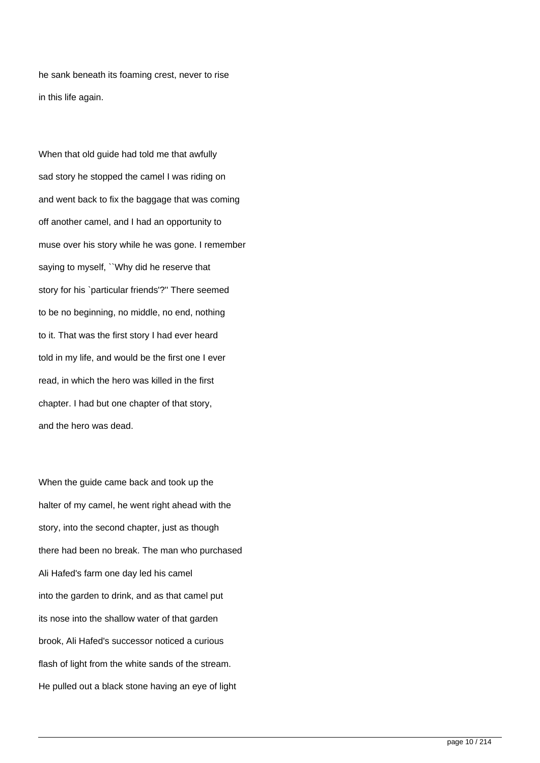he sank beneath its foaming crest, never to rise in this life again.

When that old guide had told me that awfully sad story he stopped the camel I was riding on and went back to fix the baggage that was coming off another camel, and I had an opportunity to muse over his story while he was gone. I remember saying to myself, ``Why did he reserve that story for his `particular friends'?'' There seemed to be no beginning, no middle, no end, nothing to it. That was the first story I had ever heard told in my life, and would be the first one I ever read, in which the hero was killed in the first chapter. I had but one chapter of that story, and the hero was dead.

When the guide came back and took up the halter of my camel, he went right ahead with the story, into the second chapter, just as though there had been no break. The man who purchased Ali Hafed's farm one day led his camel into the garden to drink, and as that camel put its nose into the shallow water of that garden brook, Ali Hafed's successor noticed a curious flash of light from the white sands of the stream. He pulled out a black stone having an eye of light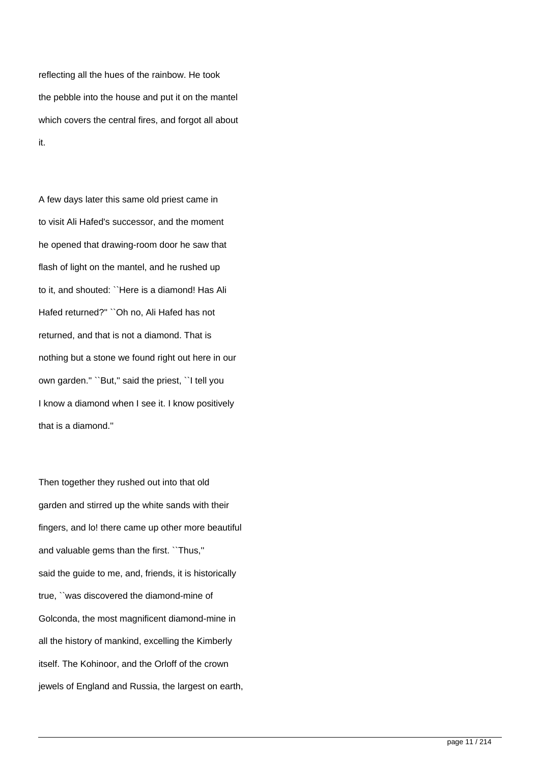reflecting all the hues of the rainbow. He took the pebble into the house and put it on the mantel which covers the central fires, and forgot all about it.

A few days later this same old priest came in to visit Ali Hafed's successor, and the moment he opened that drawing-room door he saw that flash of light on the mantel, and he rushed up to it, and shouted: ``Here is a diamond! Has Ali Hafed returned?'' ``Oh no, Ali Hafed has not returned, and that is not a diamond. That is nothing but a stone we found right out here in our own garden.'' ``But,'' said the priest, ``I tell you I know a diamond when I see it. I know positively that is a diamond.''

Then together they rushed out into that old garden and stirred up the white sands with their fingers, and lo! there came up other more beautiful and valuable gems than the first. ``Thus,'' said the guide to me, and, friends, it is historically true, ``was discovered the diamond-mine of Golconda, the most magnificent diamond-mine in all the history of mankind, excelling the Kimberly itself. The Kohinoor, and the Orloff of the crown jewels of England and Russia, the largest on earth,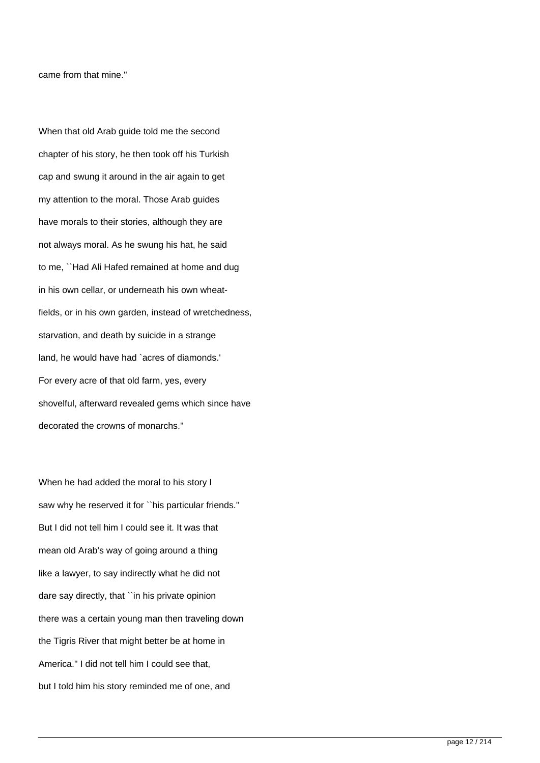came from that mine.''

When that old Arab guide told me the second chapter of his story, he then took off his Turkish cap and swung it around in the air again to get my attention to the moral. Those Arab guides have morals to their stories, although they are not always moral. As he swung his hat, he said to me, ``Had Ali Hafed remained at home and dug in his own cellar, or underneath his own wheatfields, or in his own garden, instead of wretchedness, starvation, and death by suicide in a strange land, he would have had `acres of diamonds.' For every acre of that old farm, yes, every shovelful, afterward revealed gems which since have decorated the crowns of monarchs.''

When he had added the moral to his story I saw why he reserved it for ``his particular friends." But I did not tell him I could see it. It was that mean old Arab's way of going around a thing like a lawyer, to say indirectly what he did not dare say directly, that ``in his private opinion there was a certain young man then traveling down the Tigris River that might better be at home in America.'' I did not tell him I could see that, but I told him his story reminded me of one, and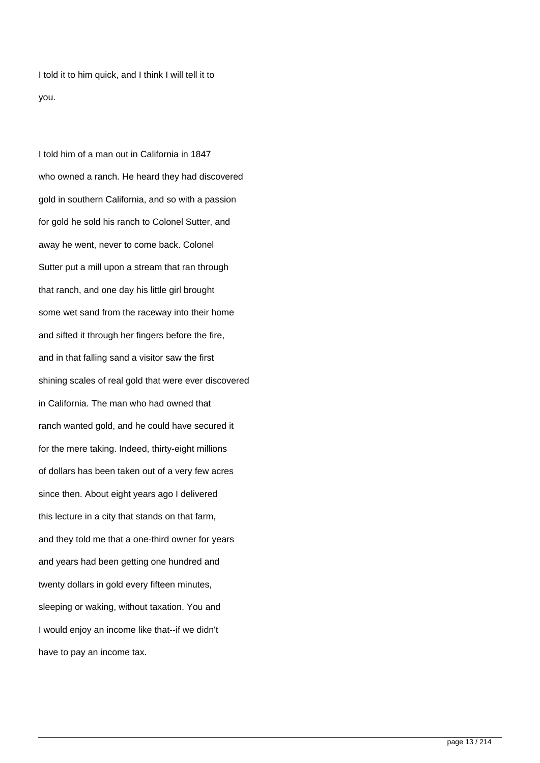I told it to him quick, and I think I will tell it to you.

I told him of a man out in California in 1847 who owned a ranch. He heard they had discovered gold in southern California, and so with a passion for gold he sold his ranch to Colonel Sutter, and away he went, never to come back. Colonel Sutter put a mill upon a stream that ran through that ranch, and one day his little girl brought some wet sand from the raceway into their home and sifted it through her fingers before the fire, and in that falling sand a visitor saw the first shining scales of real gold that were ever discovered in California. The man who had owned that ranch wanted gold, and he could have secured it for the mere taking. Indeed, thirty-eight millions of dollars has been taken out of a very few acres since then. About eight years ago I delivered this lecture in a city that stands on that farm, and they told me that a one-third owner for years and years had been getting one hundred and twenty dollars in gold every fifteen minutes, sleeping or waking, without taxation. You and I would enjoy an income like that--if we didn't have to pay an income tax.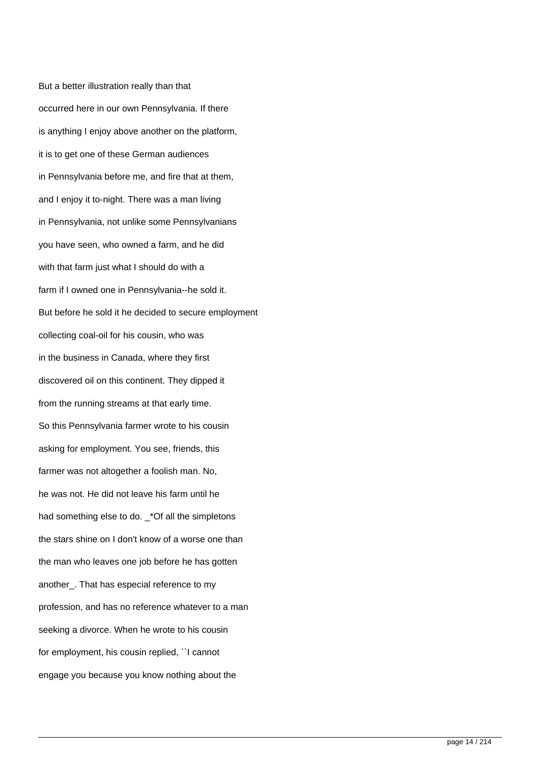But a better illustration really than that occurred here in our own Pennsylvania. If there is anything I enjoy above another on the platform, it is to get one of these German audiences in Pennsylvania before me, and fire that at them, and I enjoy it to-night. There was a man living in Pennsylvania, not unlike some Pennsylvanians you have seen, who owned a farm, and he did with that farm just what I should do with a farm if I owned one in Pennsylvania--he sold it. But before he sold it he decided to secure employment collecting coal-oil for his cousin, who was in the business in Canada, where they first discovered oil on this continent. They dipped it from the running streams at that early time. So this Pennsylvania farmer wrote to his cousin asking for employment. You see, friends, this farmer was not altogether a foolish man. No, he was not. He did not leave his farm until he had something else to do. \_\*Of all the simpletons the stars shine on I don't know of a worse one than the man who leaves one job before he has gotten another\_. That has especial reference to my profession, and has no reference whatever to a man seeking a divorce. When he wrote to his cousin for employment, his cousin replied, ``I cannot engage you because you know nothing about the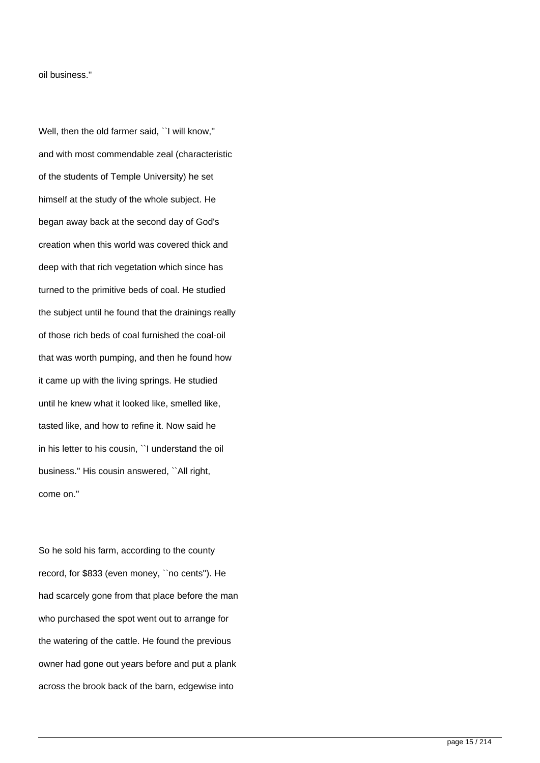oil business.''

Well, then the old farmer said, ``I will know,'' and with most commendable zeal (characteristic of the students of Temple University) he set himself at the study of the whole subject. He began away back at the second day of God's creation when this world was covered thick and deep with that rich vegetation which since has turned to the primitive beds of coal. He studied the subject until he found that the drainings really of those rich beds of coal furnished the coal-oil that was worth pumping, and then he found how it came up with the living springs. He studied until he knew what it looked like, smelled like, tasted like, and how to refine it. Now said he in his letter to his cousin, ``I understand the oil business.'' His cousin answered, ``All right, come on.''

So he sold his farm, according to the county record, for \$833 (even money, ``no cents''). He had scarcely gone from that place before the man who purchased the spot went out to arrange for the watering of the cattle. He found the previous owner had gone out years before and put a plank across the brook back of the barn, edgewise into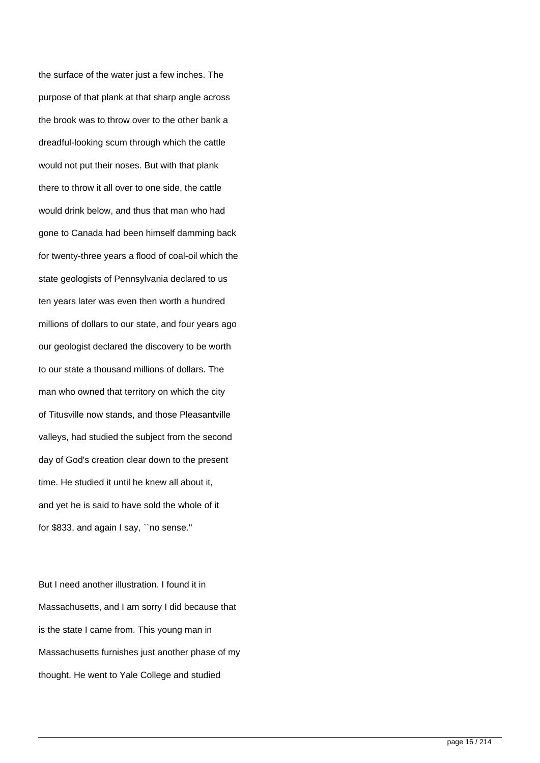the surface of the water just a few inches. The purpose of that plank at that sharp angle across the brook was to throw over to the other bank a dreadful-looking scum through which the cattle would not put their noses. But with that plank there to throw it all over to one side, the cattle would drink below, and thus that man who had gone to Canada had been himself damming back for twenty-three years a flood of coal-oil which the state geologists of Pennsylvania declared to us ten years later was even then worth a hundred millions of dollars to our state, and four years ago our geologist declared the discovery to be worth to our state a thousand millions of dollars. The man who owned that territory on which the city of Titusville now stands, and those Pleasantville valleys, had studied the subject from the second day of God's creation clear down to the present time. He studied it until he knew all about it, and yet he is said to have sold the whole of it for \$833, and again I say, ``no sense.''

But I need another illustration. I found it in Massachusetts, and I am sorry I did because that is the state I came from. This young man in Massachusetts furnishes just another phase of my thought. He went to Yale College and studied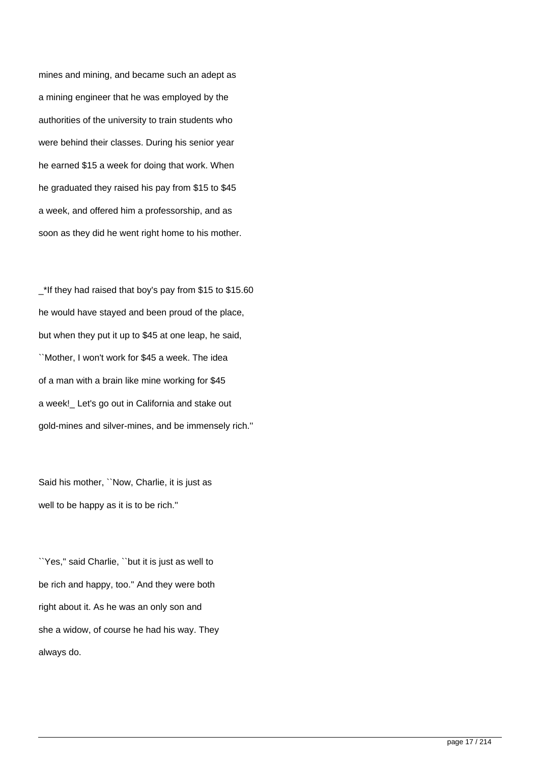mines and mining, and became such an adept as a mining engineer that he was employed by the authorities of the university to train students who were behind their classes. During his senior year he earned \$15 a week for doing that work. When he graduated they raised his pay from \$15 to \$45 a week, and offered him a professorship, and as soon as they did he went right home to his mother.

\_\*If they had raised that boy's pay from \$15 to \$15.60 he would have stayed and been proud of the place, but when they put it up to \$45 at one leap, he said, ``Mother, I won't work for \$45 a week. The idea of a man with a brain like mine working for \$45 a week!\_ Let's go out in California and stake out gold-mines and silver-mines, and be immensely rich.''

Said his mother, ``Now, Charlie, it is just as well to be happy as it is to be rich.''

``Yes,'' said Charlie, ``but it is just as well to be rich and happy, too.'' And they were both right about it. As he was an only son and she a widow, of course he had his way. They always do.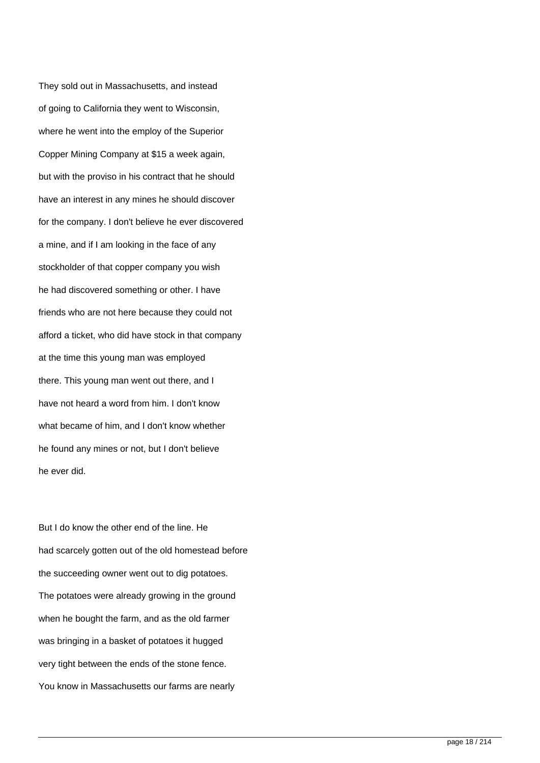They sold out in Massachusetts, and instead of going to California they went to Wisconsin, where he went into the employ of the Superior Copper Mining Company at \$15 a week again, but with the proviso in his contract that he should have an interest in any mines he should discover for the company. I don't believe he ever discovered a mine, and if I am looking in the face of any stockholder of that copper company you wish he had discovered something or other. I have friends who are not here because they could not afford a ticket, who did have stock in that company at the time this young man was employed there. This young man went out there, and I have not heard a word from him. I don't know what became of him, and I don't know whether he found any mines or not, but I don't believe he ever did.

But I do know the other end of the line. He had scarcely gotten out of the old homestead before the succeeding owner went out to dig potatoes. The potatoes were already growing in the ground when he bought the farm, and as the old farmer was bringing in a basket of potatoes it hugged very tight between the ends of the stone fence. You know in Massachusetts our farms are nearly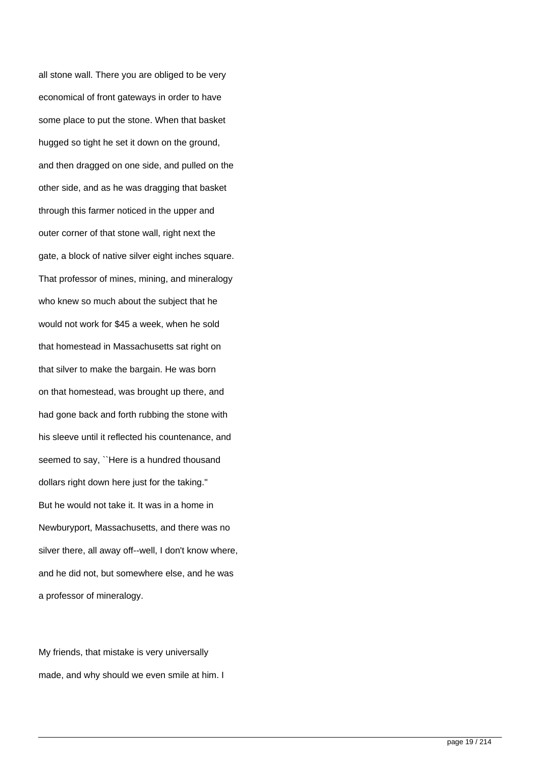all stone wall. There you are obliged to be very economical of front gateways in order to have some place to put the stone. When that basket hugged so tight he set it down on the ground, and then dragged on one side, and pulled on the other side, and as he was dragging that basket through this farmer noticed in the upper and outer corner of that stone wall, right next the gate, a block of native silver eight inches square. That professor of mines, mining, and mineralogy who knew so much about the subject that he would not work for \$45 a week, when he sold that homestead in Massachusetts sat right on that silver to make the bargain. He was born on that homestead, was brought up there, and had gone back and forth rubbing the stone with his sleeve until it reflected his countenance, and seemed to say, ``Here is a hundred thousand dollars right down here just for the taking.'' But he would not take it. It was in a home in Newburyport, Massachusetts, and there was no silver there, all away off--well, I don't know where, and he did not, but somewhere else, and he was a professor of mineralogy.

My friends, that mistake is very universally made, and why should we even smile at him. I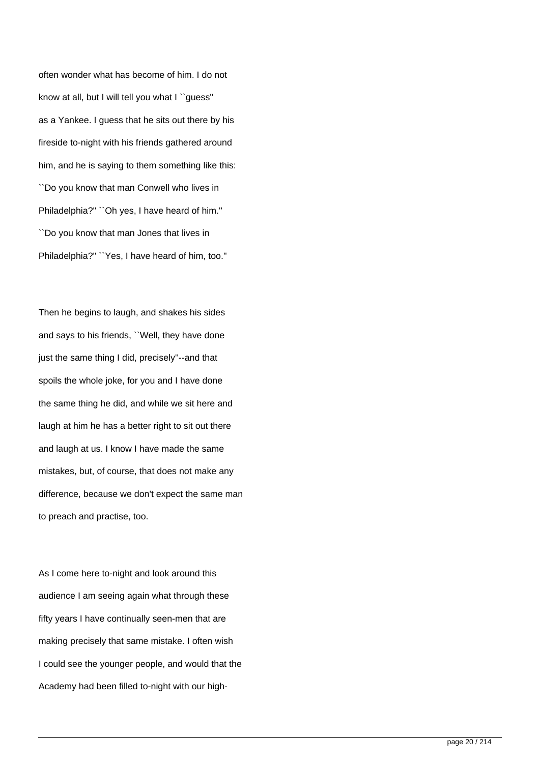often wonder what has become of him. I do not know at all, but I will tell you what I ``guess'' as a Yankee. I guess that he sits out there by his fireside to-night with his friends gathered around him, and he is saying to them something like this: ``Do you know that man Conwell who lives in Philadelphia?'' ``Oh yes, I have heard of him.'' ``Do you know that man Jones that lives in Philadelphia?'' ``Yes, I have heard of him, too.''

Then he begins to laugh, and shakes his sides and says to his friends, ``Well, they have done just the same thing I did, precisely''--and that spoils the whole joke, for you and I have done the same thing he did, and while we sit here and laugh at him he has a better right to sit out there and laugh at us. I know I have made the same mistakes, but, of course, that does not make any difference, because we don't expect the same man to preach and practise, too.

As I come here to-night and look around this audience I am seeing again what through these fifty years I have continually seen-men that are making precisely that same mistake. I often wish I could see the younger people, and would that the Academy had been filled to-night with our high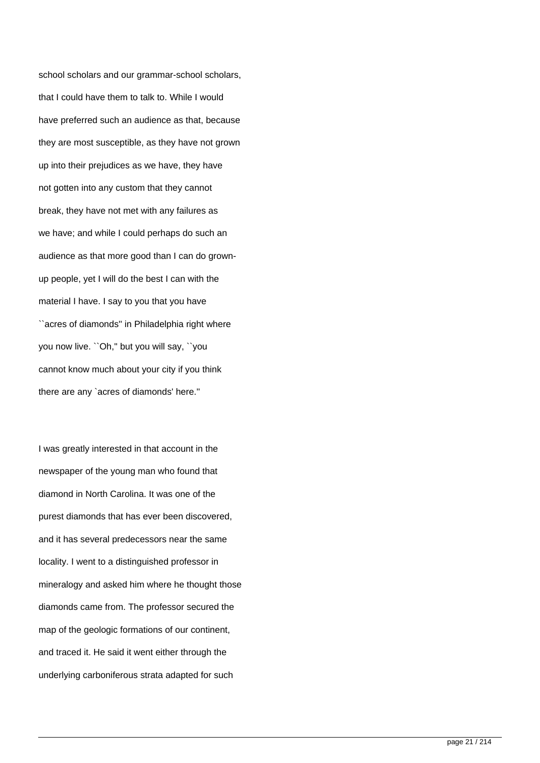school scholars and our grammar-school scholars, that I could have them to talk to. While I would have preferred such an audience as that, because they are most susceptible, as they have not grown up into their prejudices as we have, they have not gotten into any custom that they cannot break, they have not met with any failures as we have; and while I could perhaps do such an audience as that more good than I can do grownup people, yet I will do the best I can with the material I have. I say to you that you have ``acres of diamonds'' in Philadelphia right where you now live. ``Oh,'' but you will say, ``you cannot know much about your city if you think there are any `acres of diamonds' here.''

I was greatly interested in that account in the newspaper of the young man who found that diamond in North Carolina. It was one of the purest diamonds that has ever been discovered, and it has several predecessors near the same locality. I went to a distinguished professor in mineralogy and asked him where he thought those diamonds came from. The professor secured the map of the geologic formations of our continent, and traced it. He said it went either through the underlying carboniferous strata adapted for such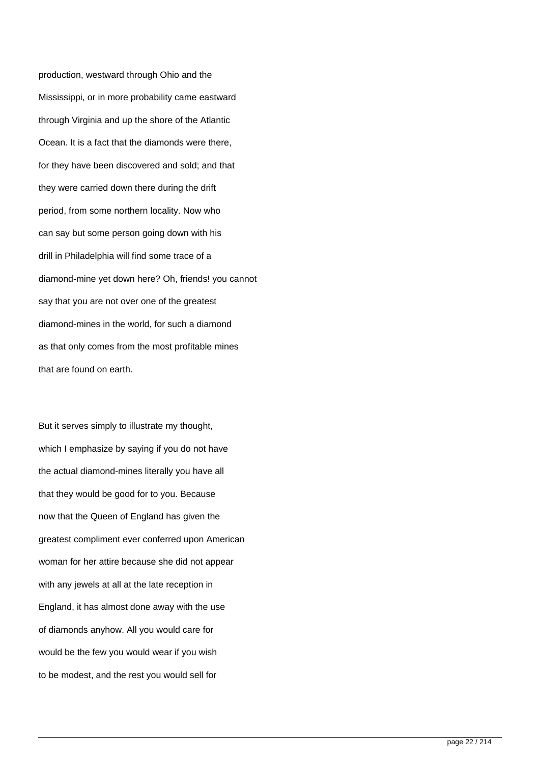production, westward through Ohio and the Mississippi, or in more probability came eastward through Virginia and up the shore of the Atlantic Ocean. It is a fact that the diamonds were there, for they have been discovered and sold; and that they were carried down there during the drift period, from some northern locality. Now who can say but some person going down with his drill in Philadelphia will find some trace of a diamond-mine yet down here? Oh, friends! you cannot say that you are not over one of the greatest diamond-mines in the world, for such a diamond as that only comes from the most profitable mines that are found on earth.

But it serves simply to illustrate my thought, which I emphasize by saying if you do not have the actual diamond-mines literally you have all that they would be good for to you. Because now that the Queen of England has given the greatest compliment ever conferred upon American woman for her attire because she did not appear with any jewels at all at the late reception in England, it has almost done away with the use of diamonds anyhow. All you would care for would be the few you would wear if you wish to be modest, and the rest you would sell for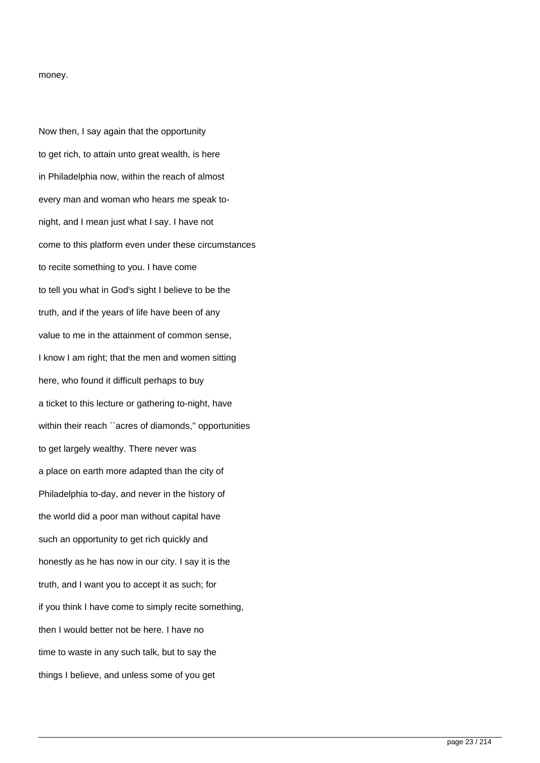#### money.

Now then, I say again that the opportunity to get rich, to attain unto great wealth, is here in Philadelphia now, within the reach of almost every man and woman who hears me speak tonight, and I mean just what I say. I have not come to this platform even under these circumstances to recite something to you. I have come to tell you what in God's sight I believe to be the truth, and if the years of life have been of any value to me in the attainment of common sense, I know I am right; that the men and women sitting here, who found it difficult perhaps to buy a ticket to this lecture or gathering to-night, have within their reach ``acres of diamonds," opportunities to get largely wealthy. There never was a place on earth more adapted than the city of Philadelphia to-day, and never in the history of the world did a poor man without capital have such an opportunity to get rich quickly and honestly as he has now in our city. I say it is the truth, and I want you to accept it as such; for if you think I have come to simply recite something, then I would better not be here. I have no time to waste in any such talk, but to say the things I believe, and unless some of you get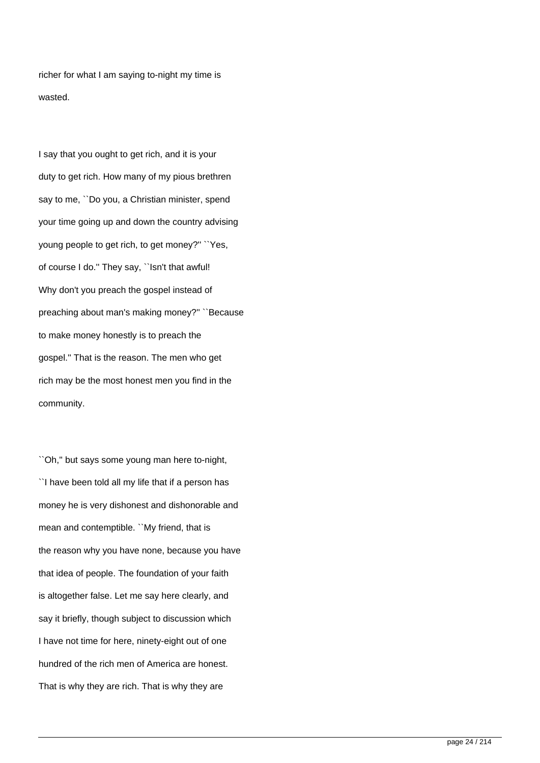richer for what I am saying to-night my time is wasted.

I say that you ought to get rich, and it is your duty to get rich. How many of my pious brethren say to me, ``Do you, a Christian minister, spend your time going up and down the country advising young people to get rich, to get money?'' ``Yes, of course I do.'' They say, ``Isn't that awful! Why don't you preach the gospel instead of preaching about man's making money?'' ``Because to make money honestly is to preach the gospel.'' That is the reason. The men who get rich may be the most honest men you find in the community.

``Oh,'' but says some young man here to-night, ``I have been told all my life that if a person has money he is very dishonest and dishonorable and mean and contemptible. ``My friend, that is the reason why you have none, because you have that idea of people. The foundation of your faith is altogether false. Let me say here clearly, and say it briefly, though subject to discussion which I have not time for here, ninety-eight out of one hundred of the rich men of America are honest. That is why they are rich. That is why they are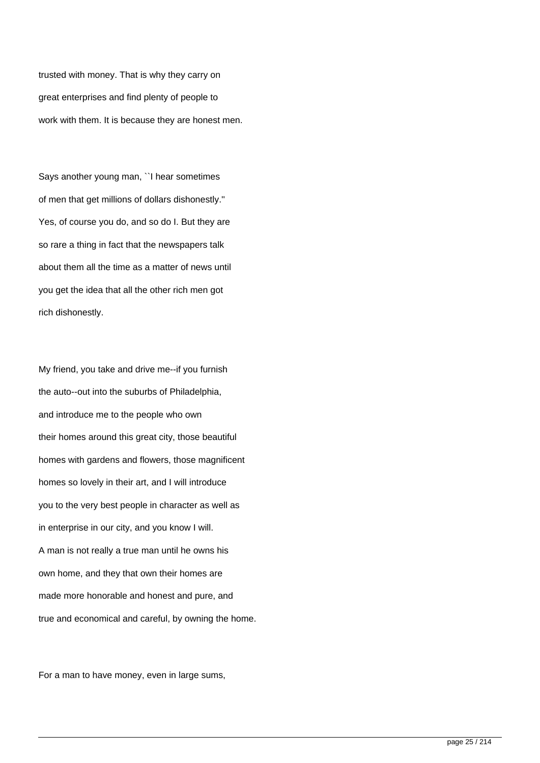trusted with money. That is why they carry on great enterprises and find plenty of people to work with them. It is because they are honest men.

Says another young man, ``I hear sometimes of men that get millions of dollars dishonestly.'' Yes, of course you do, and so do I. But they are so rare a thing in fact that the newspapers talk about them all the time as a matter of news until you get the idea that all the other rich men got rich dishonestly.

My friend, you take and drive me--if you furnish the auto--out into the suburbs of Philadelphia, and introduce me to the people who own their homes around this great city, those beautiful homes with gardens and flowers, those magnificent homes so lovely in their art, and I will introduce you to the very best people in character as well as in enterprise in our city, and you know I will. A man is not really a true man until he owns his own home, and they that own their homes are made more honorable and honest and pure, and true and economical and careful, by owning the home.

For a man to have money, even in large sums,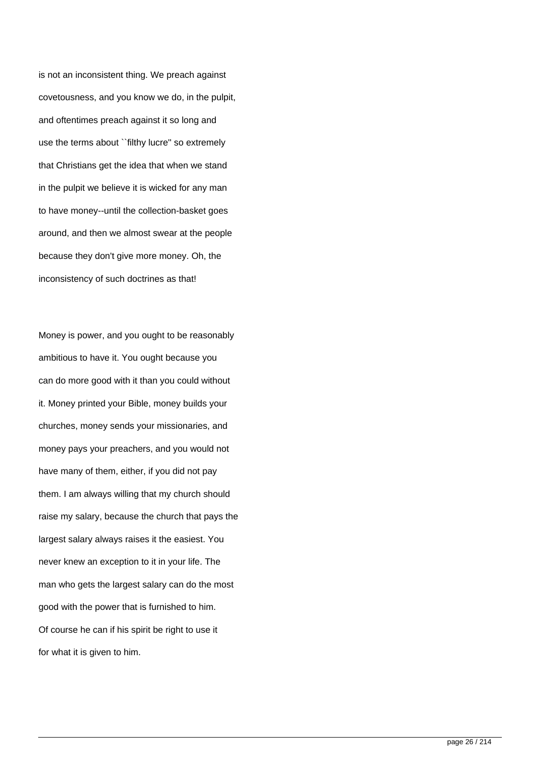is not an inconsistent thing. We preach against covetousness, and you know we do, in the pulpit, and oftentimes preach against it so long and use the terms about ``filthy lucre'' so extremely that Christians get the idea that when we stand in the pulpit we believe it is wicked for any man to have money--until the collection-basket goes around, and then we almost swear at the people because they don't give more money. Oh, the inconsistency of such doctrines as that!

Money is power, and you ought to be reasonably ambitious to have it. You ought because you can do more good with it than you could without it. Money printed your Bible, money builds your churches, money sends your missionaries, and money pays your preachers, and you would not have many of them, either, if you did not pay them. I am always willing that my church should raise my salary, because the church that pays the largest salary always raises it the easiest. You never knew an exception to it in your life. The man who gets the largest salary can do the most good with the power that is furnished to him. Of course he can if his spirit be right to use it for what it is given to him.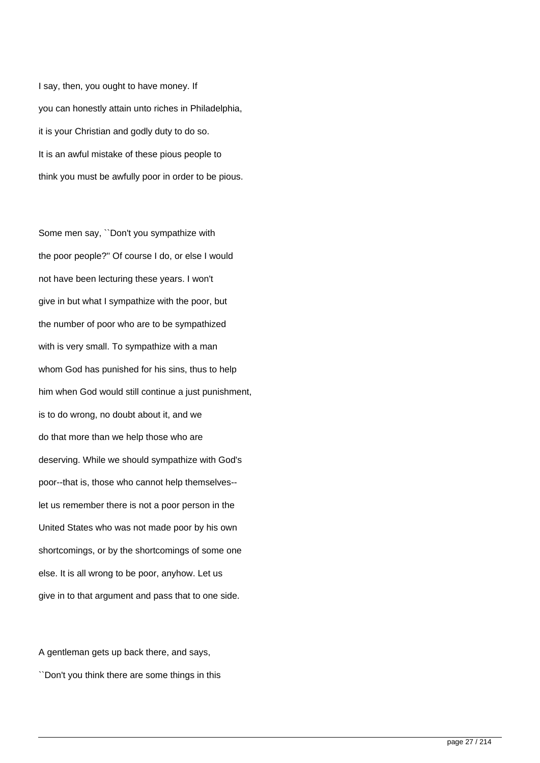I say, then, you ought to have money. If you can honestly attain unto riches in Philadelphia, it is your Christian and godly duty to do so. It is an awful mistake of these pious people to think you must be awfully poor in order to be pious.

Some men say, ``Don't you sympathize with the poor people?'' Of course I do, or else I would not have been lecturing these years. I won't give in but what I sympathize with the poor, but the number of poor who are to be sympathized with is very small. To sympathize with a man whom God has punished for his sins, thus to help him when God would still continue a just punishment, is to do wrong, no doubt about it, and we do that more than we help those who are deserving. While we should sympathize with God's poor--that is, those who cannot help themselves- let us remember there is not a poor person in the United States who was not made poor by his own shortcomings, or by the shortcomings of some one else. It is all wrong to be poor, anyhow. Let us give in to that argument and pass that to one side.

A gentleman gets up back there, and says, ``Don't you think there are some things in this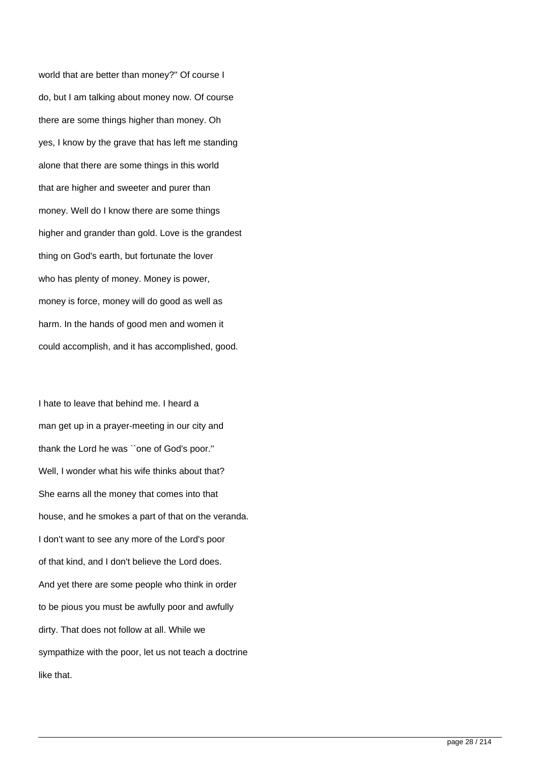world that are better than money?'' Of course I do, but I am talking about money now. Of course there are some things higher than money. Oh yes, I know by the grave that has left me standing alone that there are some things in this world that are higher and sweeter and purer than money. Well do I know there are some things higher and grander than gold. Love is the grandest thing on God's earth, but fortunate the lover who has plenty of money. Money is power, money is force, money will do good as well as harm. In the hands of good men and women it could accomplish, and it has accomplished, good.

I hate to leave that behind me. I heard a man get up in a prayer-meeting in our city and thank the Lord he was ``one of God's poor.'' Well, I wonder what his wife thinks about that? She earns all the money that comes into that house, and he smokes a part of that on the veranda. I don't want to see any more of the Lord's poor of that kind, and I don't believe the Lord does. And yet there are some people who think in order to be pious you must be awfully poor and awfully dirty. That does not follow at all. While we sympathize with the poor, let us not teach a doctrine like that.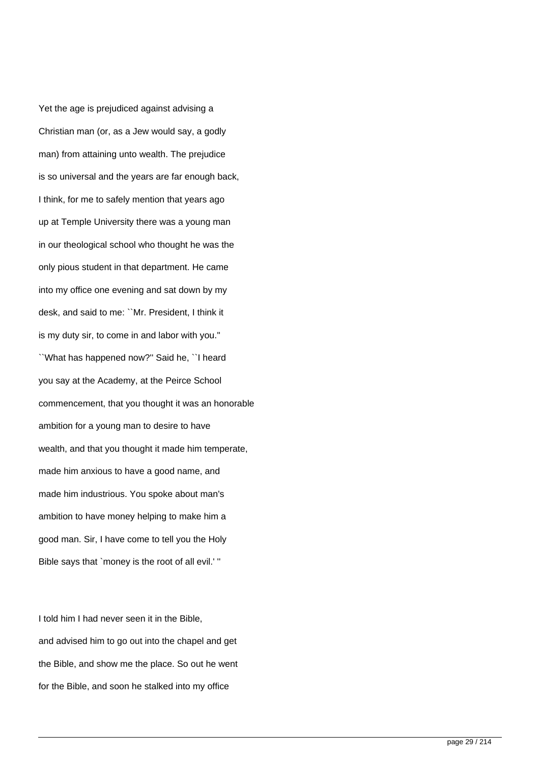Yet the age is prejudiced against advising a Christian man (or, as a Jew would say, a godly man) from attaining unto wealth. The prejudice is so universal and the years are far enough back, I think, for me to safely mention that years ago up at Temple University there was a young man in our theological school who thought he was the only pious student in that department. He came into my office one evening and sat down by my desk, and said to me: ``Mr. President, I think it is my duty sir, to come in and labor with you.'' ``What has happened now?'' Said he, ``I heard you say at the Academy, at the Peirce School commencement, that you thought it was an honorable ambition for a young man to desire to have wealth, and that you thought it made him temperate, made him anxious to have a good name, and made him industrious. You spoke about man's ambition to have money helping to make him a good man. Sir, I have come to tell you the Holy Bible says that `money is the root of all evil.' ''

I told him I had never seen it in the Bible, and advised him to go out into the chapel and get the Bible, and show me the place. So out he went for the Bible, and soon he stalked into my office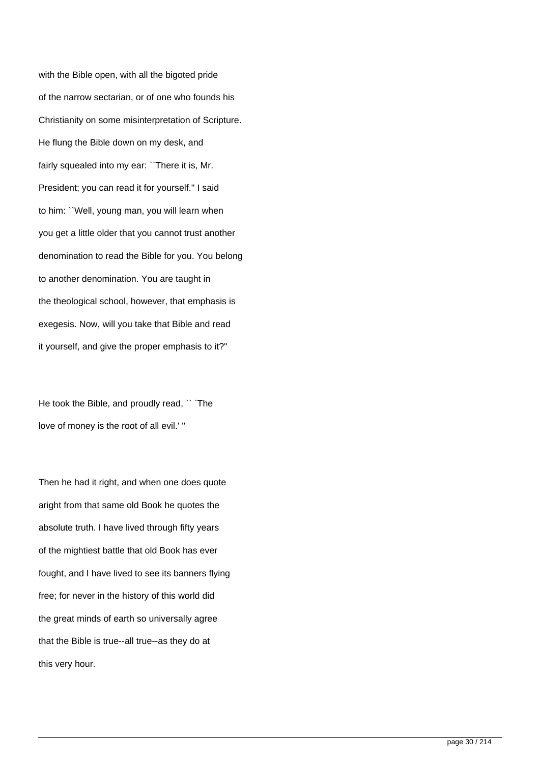with the Bible open, with all the bigoted pride of the narrow sectarian, or of one who founds his Christianity on some misinterpretation of Scripture. He flung the Bible down on my desk, and fairly squealed into my ear: "There it is, Mr. President; you can read it for yourself.'' I said to him: ``Well, young man, you will learn when you get a little older that you cannot trust another denomination to read the Bible for you. You belong to another denomination. You are taught in the theological school, however, that emphasis is exegesis. Now, will you take that Bible and read it yourself, and give the proper emphasis to it?''

He took the Bible, and proudly read, `` `The love of money is the root of all evil.' ''

Then he had it right, and when one does quote aright from that same old Book he quotes the absolute truth. I have lived through fifty years of the mightiest battle that old Book has ever fought, and I have lived to see its banners flying free; for never in the history of this world did the great minds of earth so universally agree that the Bible is true--all true--as they do at this very hour.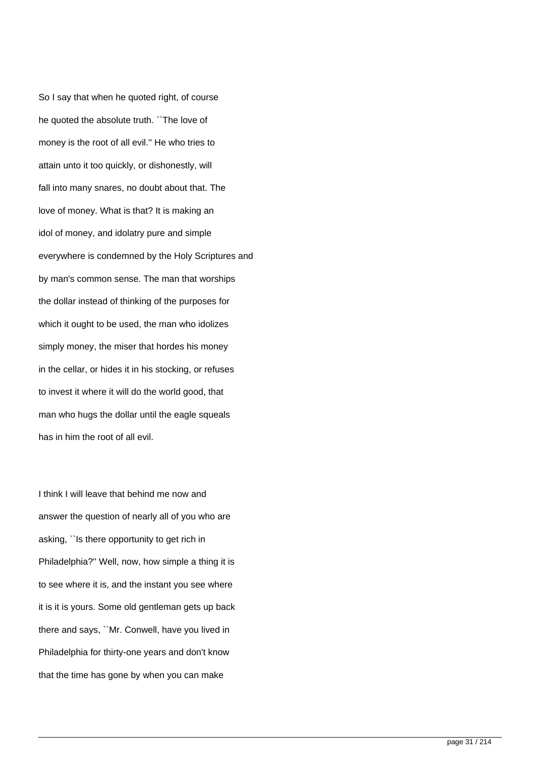So I say that when he quoted right, of course he quoted the absolute truth. ``The love of money is the root of all evil.'' He who tries to attain unto it too quickly, or dishonestly, will fall into many snares, no doubt about that. The love of money. What is that? It is making an idol of money, and idolatry pure and simple everywhere is condemned by the Holy Scriptures and by man's common sense. The man that worships the dollar instead of thinking of the purposes for which it ought to be used, the man who idolizes simply money, the miser that hordes his money in the cellar, or hides it in his stocking, or refuses to invest it where it will do the world good, that man who hugs the dollar until the eagle squeals has in him the root of all evil.

I think I will leave that behind me now and answer the question of nearly all of you who are asking, ``Is there opportunity to get rich in Philadelphia?'' Well, now, how simple a thing it is to see where it is, and the instant you see where it is it is yours. Some old gentleman gets up back there and says, ``Mr. Conwell, have you lived in Philadelphia for thirty-one years and don't know that the time has gone by when you can make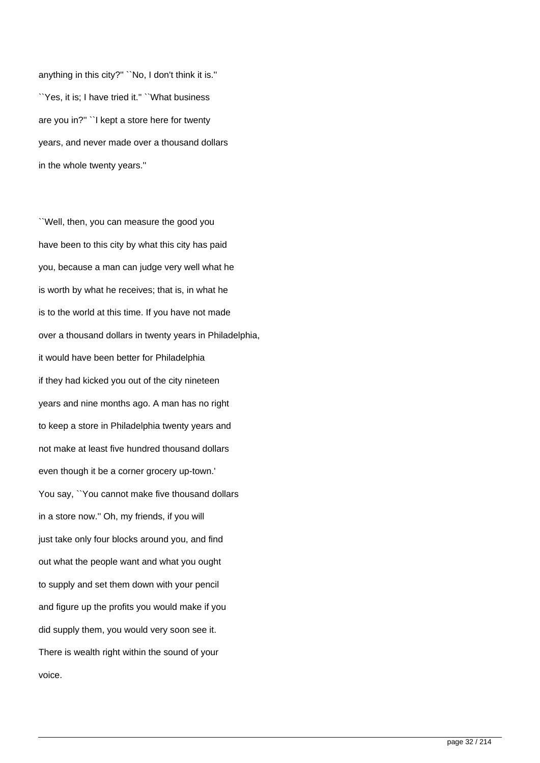anything in this city?'' ``No, I don't think it is.'' ``Yes, it is; I have tried it.'' ``What business are you in?'' ``I kept a store here for twenty years, and never made over a thousand dollars in the whole twenty years.''

``Well, then, you can measure the good you have been to this city by what this city has paid you, because a man can judge very well what he is worth by what he receives; that is, in what he is to the world at this time. If you have not made over a thousand dollars in twenty years in Philadelphia, it would have been better for Philadelphia if they had kicked you out of the city nineteen years and nine months ago. A man has no right to keep a store in Philadelphia twenty years and not make at least five hundred thousand dollars even though it be a corner grocery up-town.' You say, ``You cannot make five thousand dollars in a store now.'' Oh, my friends, if you will just take only four blocks around you, and find out what the people want and what you ought to supply and set them down with your pencil and figure up the profits you would make if you did supply them, you would very soon see it. There is wealth right within the sound of your voice.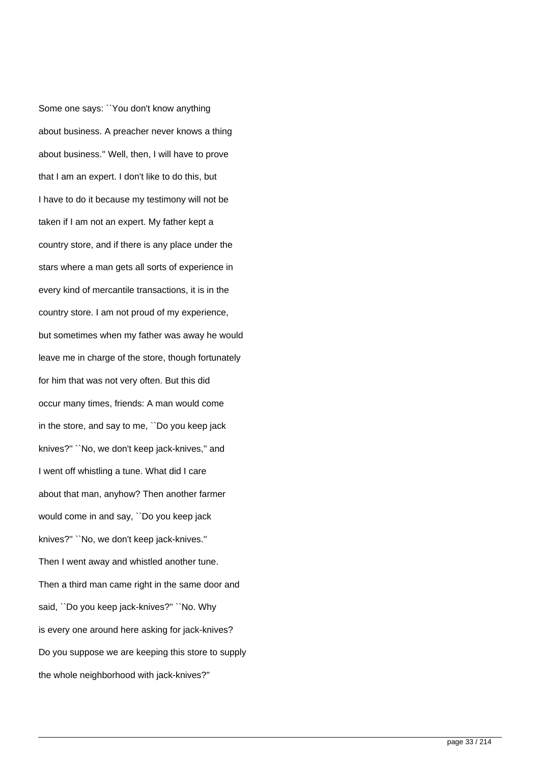Some one says: ``You don't know anything about business. A preacher never knows a thing about business.'' Well, then, I will have to prove that I am an expert. I don't like to do this, but I have to do it because my testimony will not be taken if I am not an expert. My father kept a country store, and if there is any place under the stars where a man gets all sorts of experience in every kind of mercantile transactions, it is in the country store. I am not proud of my experience, but sometimes when my father was away he would leave me in charge of the store, though fortunately for him that was not very often. But this did occur many times, friends: A man would come in the store, and say to me, ``Do you keep jack knives?'' ``No, we don't keep jack-knives,'' and I went off whistling a tune. What did I care about that man, anyhow? Then another farmer would come in and say, ``Do you keep jack knives?'' ``No, we don't keep jack-knives.'' Then I went away and whistled another tune. Then a third man came right in the same door and said, ``Do you keep jack-knives?'' ``No. Why is every one around here asking for jack-knives? Do you suppose we are keeping this store to supply the whole neighborhood with jack-knives?''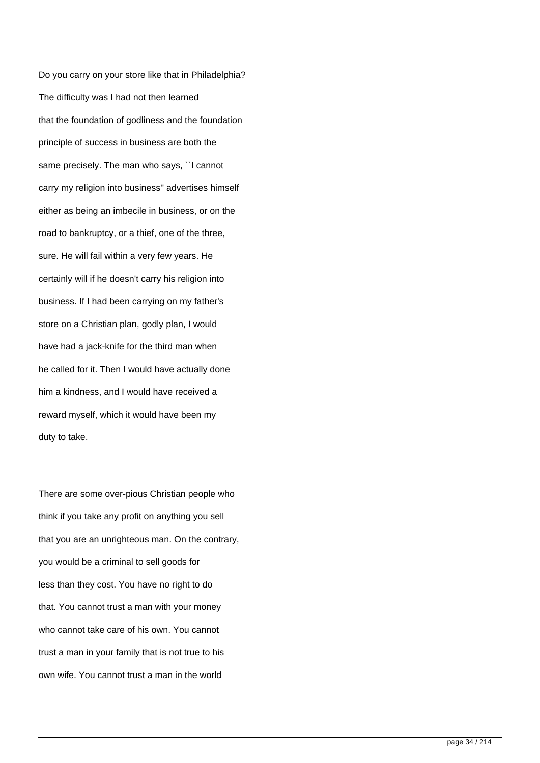Do you carry on your store like that in Philadelphia? The difficulty was I had not then learned that the foundation of godliness and the foundation principle of success in business are both the same precisely. The man who says, ``I cannot carry my religion into business'' advertises himself either as being an imbecile in business, or on the road to bankruptcy, or a thief, one of the three, sure. He will fail within a very few years. He certainly will if he doesn't carry his religion into business. If I had been carrying on my father's store on a Christian plan, godly plan, I would have had a jack-knife for the third man when he called for it. Then I would have actually done him a kindness, and I would have received a reward myself, which it would have been my duty to take.

There are some over-pious Christian people who think if you take any profit on anything you sell that you are an unrighteous man. On the contrary, you would be a criminal to sell goods for less than they cost. You have no right to do that. You cannot trust a man with your money who cannot take care of his own. You cannot trust a man in your family that is not true to his own wife. You cannot trust a man in the world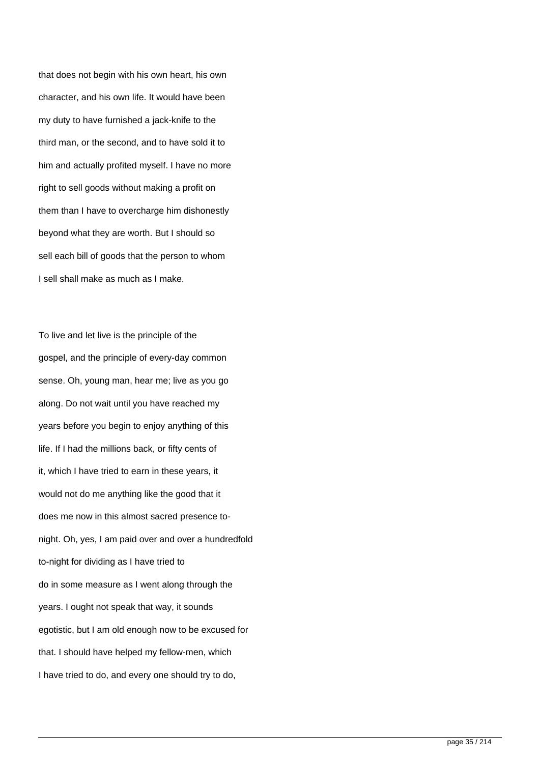that does not begin with his own heart, his own character, and his own life. It would have been my duty to have furnished a jack-knife to the third man, or the second, and to have sold it to him and actually profited myself. I have no more right to sell goods without making a profit on them than I have to overcharge him dishonestly beyond what they are worth. But I should so sell each bill of goods that the person to whom I sell shall make as much as I make.

To live and let live is the principle of the gospel, and the principle of every-day common sense. Oh, young man, hear me; live as you go along. Do not wait until you have reached my years before you begin to enjoy anything of this life. If I had the millions back, or fifty cents of it, which I have tried to earn in these years, it would not do me anything like the good that it does me now in this almost sacred presence tonight. Oh, yes, I am paid over and over a hundredfold to-night for dividing as I have tried to do in some measure as I went along through the years. I ought not speak that way, it sounds egotistic, but I am old enough now to be excused for that. I should have helped my fellow-men, which I have tried to do, and every one should try to do,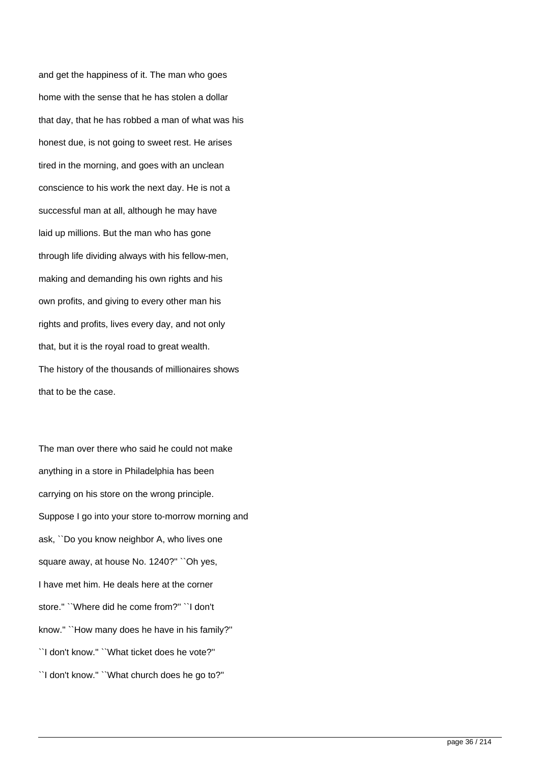and get the happiness of it. The man who goes home with the sense that he has stolen a dollar that day, that he has robbed a man of what was his honest due, is not going to sweet rest. He arises tired in the morning, and goes with an unclean conscience to his work the next day. He is not a successful man at all, although he may have laid up millions. But the man who has gone through life dividing always with his fellow-men, making and demanding his own rights and his own profits, and giving to every other man his rights and profits, lives every day, and not only that, but it is the royal road to great wealth. The history of the thousands of millionaires shows that to be the case.

The man over there who said he could not make anything in a store in Philadelphia has been carrying on his store on the wrong principle. Suppose I go into your store to-morrow morning and ask, ``Do you know neighbor A, who lives one square away, at house No. 1240?" "Oh yes, I have met him. He deals here at the corner store.'' ``Where did he come from?'' ``I don't know.'' ``How many does he have in his family?'' ``I don't know.'' ``What ticket does he vote?'' ``I don't know.'' ``What church does he go to?''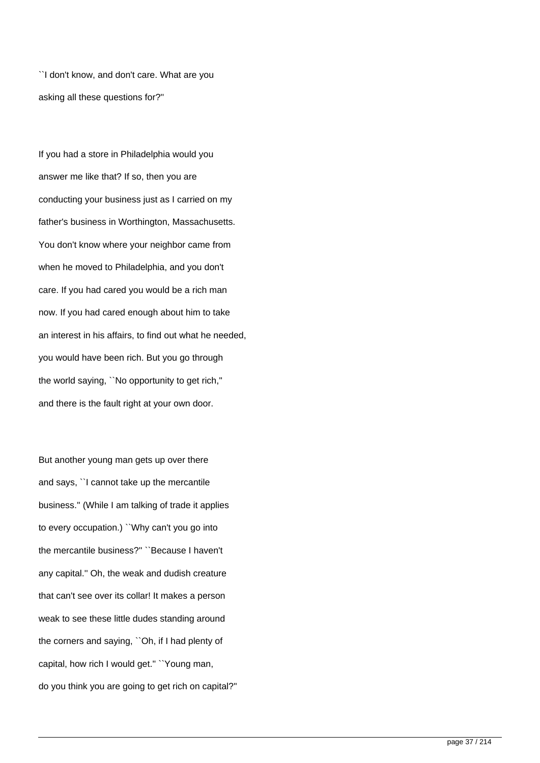``I don't know, and don't care. What are you asking all these questions for?''

If you had a store in Philadelphia would you answer me like that? If so, then you are conducting your business just as I carried on my father's business in Worthington, Massachusetts. You don't know where your neighbor came from when he moved to Philadelphia, and you don't care. If you had cared you would be a rich man now. If you had cared enough about him to take an interest in his affairs, to find out what he needed, you would have been rich. But you go through the world saying, ``No opportunity to get rich,'' and there is the fault right at your own door.

But another young man gets up over there and says, ``I cannot take up the mercantile business.'' (While I am talking of trade it applies to every occupation.) ``Why can't you go into the mercantile business?'' ``Because I haven't any capital.'' Oh, the weak and dudish creature that can't see over its collar! It makes a person weak to see these little dudes standing around the corners and saying, ``Oh, if I had plenty of capital, how rich I would get.'' ``Young man, do you think you are going to get rich on capital?''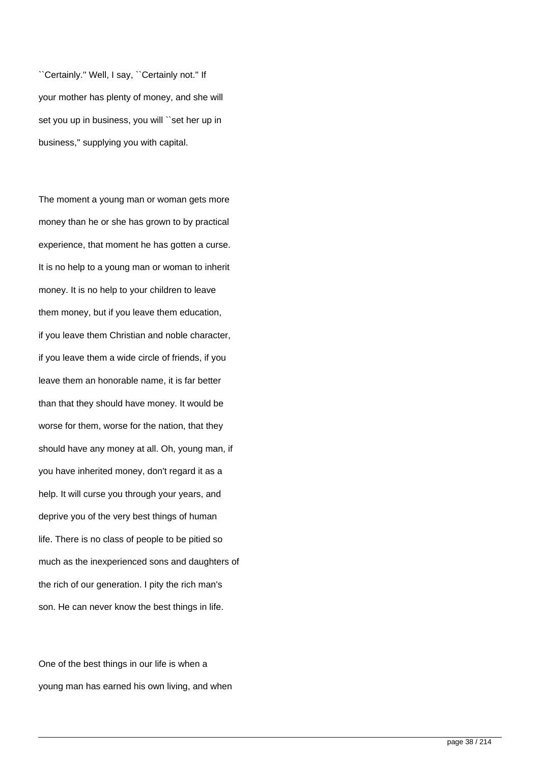``Certainly.'' Well, I say, ``Certainly not.'' If your mother has plenty of money, and she will set you up in business, you will "set her up in business,'' supplying you with capital.

The moment a young man or woman gets more money than he or she has grown to by practical experience, that moment he has gotten a curse. It is no help to a young man or woman to inherit money. It is no help to your children to leave them money, but if you leave them education, if you leave them Christian and noble character, if you leave them a wide circle of friends, if you leave them an honorable name, it is far better than that they should have money. It would be worse for them, worse for the nation, that they should have any money at all. Oh, young man, if you have inherited money, don't regard it as a help. It will curse you through your years, and deprive you of the very best things of human life. There is no class of people to be pitied so much as the inexperienced sons and daughters of the rich of our generation. I pity the rich man's son. He can never know the best things in life.

One of the best things in our life is when a young man has earned his own living, and when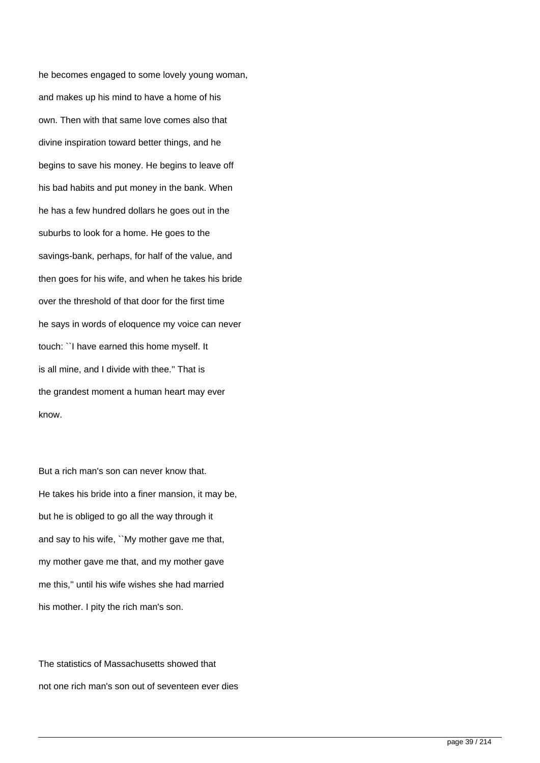he becomes engaged to some lovely young woman, and makes up his mind to have a home of his own. Then with that same love comes also that divine inspiration toward better things, and he begins to save his money. He begins to leave off his bad habits and put money in the bank. When he has a few hundred dollars he goes out in the suburbs to look for a home. He goes to the savings-bank, perhaps, for half of the value, and then goes for his wife, and when he takes his bride over the threshold of that door for the first time he says in words of eloquence my voice can never touch: ``I have earned this home myself. It is all mine, and I divide with thee.'' That is the grandest moment a human heart may ever know.

But a rich man's son can never know that. He takes his bride into a finer mansion, it may be, but he is obliged to go all the way through it and say to his wife, ``My mother gave me that, my mother gave me that, and my mother gave me this,'' until his wife wishes she had married his mother. I pity the rich man's son.

The statistics of Massachusetts showed that not one rich man's son out of seventeen ever dies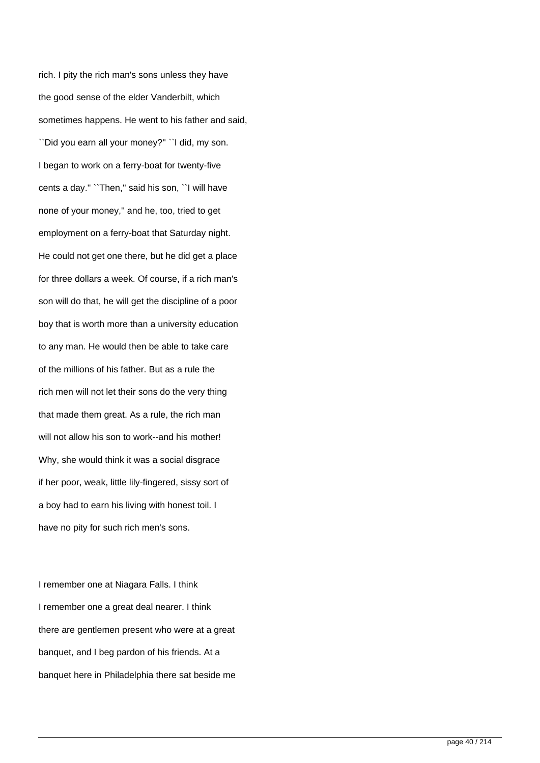rich. I pity the rich man's sons unless they have the good sense of the elder Vanderbilt, which sometimes happens. He went to his father and said, ``Did you earn all your money?'' ``I did, my son. I began to work on a ferry-boat for twenty-five cents a day.'' ``Then,'' said his son, ``I will have none of your money,'' and he, too, tried to get employment on a ferry-boat that Saturday night. He could not get one there, but he did get a place for three dollars a week. Of course, if a rich man's son will do that, he will get the discipline of a poor boy that is worth more than a university education to any man. He would then be able to take care of the millions of his father. But as a rule the rich men will not let their sons do the very thing that made them great. As a rule, the rich man will not allow his son to work--and his mother! Why, she would think it was a social disgrace if her poor, weak, little lily-fingered, sissy sort of a boy had to earn his living with honest toil. I have no pity for such rich men's sons.

I remember one at Niagara Falls. I think I remember one a great deal nearer. I think there are gentlemen present who were at a great banquet, and I beg pardon of his friends. At a banquet here in Philadelphia there sat beside me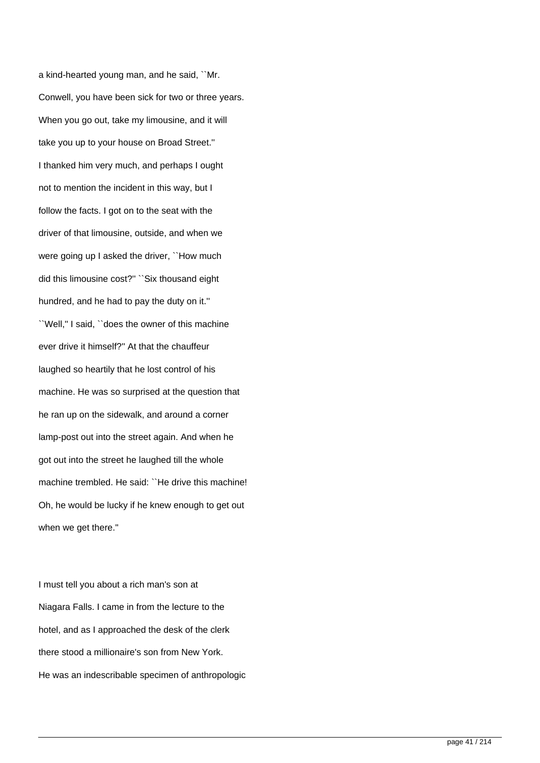a kind-hearted young man, and he said, ``Mr. Conwell, you have been sick for two or three years. When you go out, take my limousine, and it will take you up to your house on Broad Street.'' I thanked him very much, and perhaps I ought not to mention the incident in this way, but I follow the facts. I got on to the seat with the driver of that limousine, outside, and when we were going up I asked the driver, "How much did this limousine cost?'' ``Six thousand eight hundred, and he had to pay the duty on it.'' ``Well,'' I said, ``does the owner of this machine ever drive it himself?'' At that the chauffeur laughed so heartily that he lost control of his machine. He was so surprised at the question that he ran up on the sidewalk, and around a corner lamp-post out into the street again. And when he got out into the street he laughed till the whole machine trembled. He said: ``He drive this machine! Oh, he would be lucky if he knew enough to get out when we get there.''

I must tell you about a rich man's son at Niagara Falls. I came in from the lecture to the hotel, and as I approached the desk of the clerk there stood a millionaire's son from New York. He was an indescribable specimen of anthropologic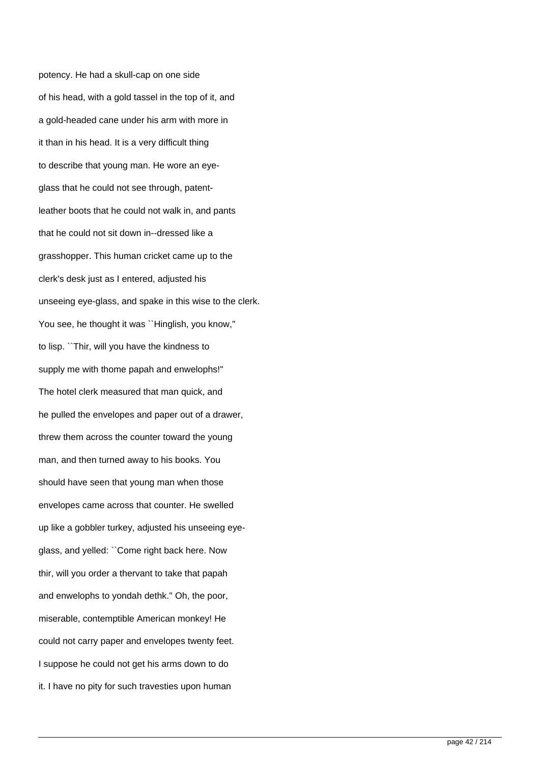potency. He had a skull-cap on one side of his head, with a gold tassel in the top of it, and a gold-headed cane under his arm with more in it than in his head. It is a very difficult thing to describe that young man. He wore an eyeglass that he could not see through, patentleather boots that he could not walk in, and pants that he could not sit down in--dressed like a grasshopper. This human cricket came up to the clerk's desk just as I entered, adjusted his unseeing eye-glass, and spake in this wise to the clerk. You see, he thought it was "Hinglish, you know," to lisp. ``Thir, will you have the kindness to supply me with thome papah and enwelophs!'' The hotel clerk measured that man quick, and he pulled the envelopes and paper out of a drawer, threw them across the counter toward the young man, and then turned away to his books. You should have seen that young man when those envelopes came across that counter. He swelled up like a gobbler turkey, adjusted his unseeing eyeglass, and yelled: ``Come right back here. Now thir, will you order a thervant to take that papah and enwelophs to yondah dethk.'' Oh, the poor, miserable, contemptible American monkey! He could not carry paper and envelopes twenty feet. I suppose he could not get his arms down to do it. I have no pity for such travesties upon human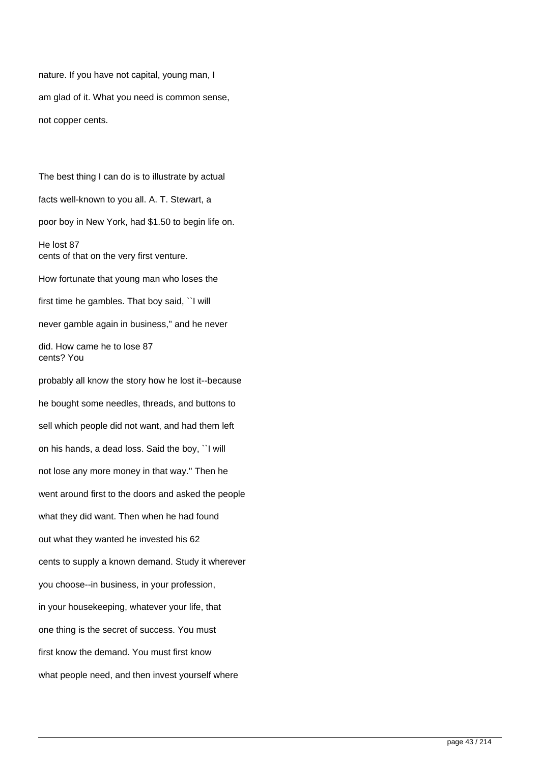nature. If you have not capital, young man, I am glad of it. What you need is common sense, not copper cents.

The best thing I can do is to illustrate by actual facts well-known to you all. A. T. Stewart, a poor boy in New York, had \$1.50 to begin life on. He lost 87 cents of that on the very first venture. How fortunate that young man who loses the first time he gambles. That boy said, ``I will never gamble again in business,'' and he never did. How came he to lose 87 cents? You probably all know the story how he lost it--because he bought some needles, threads, and buttons to

sell which people did not want, and had them left on his hands, a dead loss. Said the boy, ``I will not lose any more money in that way.'' Then he went around first to the doors and asked the people what they did want. Then when he had found out what they wanted he invested his 62 cents to supply a known demand. Study it wherever you choose--in business, in your profession, in your housekeeping, whatever your life, that one thing is the secret of success. You must first know the demand. You must first know what people need, and then invest yourself where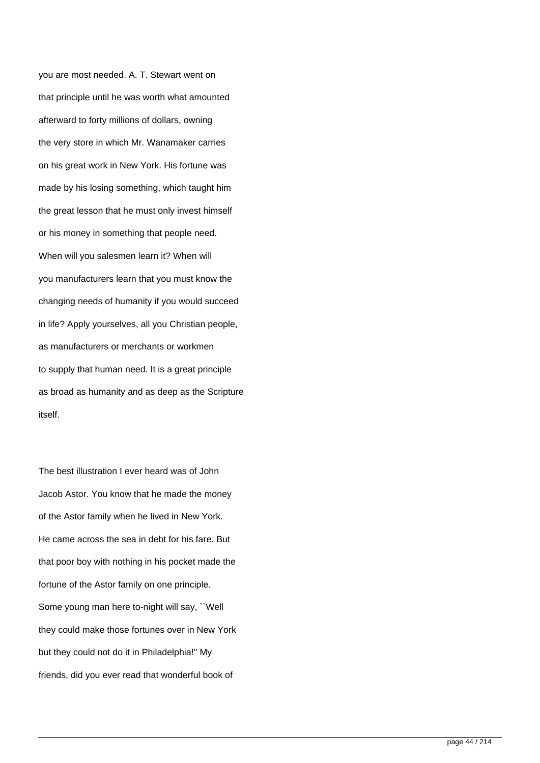you are most needed. A. T. Stewart went on that principle until he was worth what amounted afterward to forty millions of dollars, owning the very store in which Mr. Wanamaker carries on his great work in New York. His fortune was made by his losing something, which taught him the great lesson that he must only invest himself or his money in something that people need. When will you salesmen learn it? When will you manufacturers learn that you must know the changing needs of humanity if you would succeed in life? Apply yourselves, all you Christian people, as manufacturers or merchants or workmen to supply that human need. It is a great principle as broad as humanity and as deep as the Scripture itself.

The best illustration I ever heard was of John Jacob Astor. You know that he made the money of the Astor family when he lived in New York. He came across the sea in debt for his fare. But that poor boy with nothing in his pocket made the fortune of the Astor family on one principle. Some young man here to-night will say, ``Well they could make those fortunes over in New York but they could not do it in Philadelphia!'' My friends, did you ever read that wonderful book of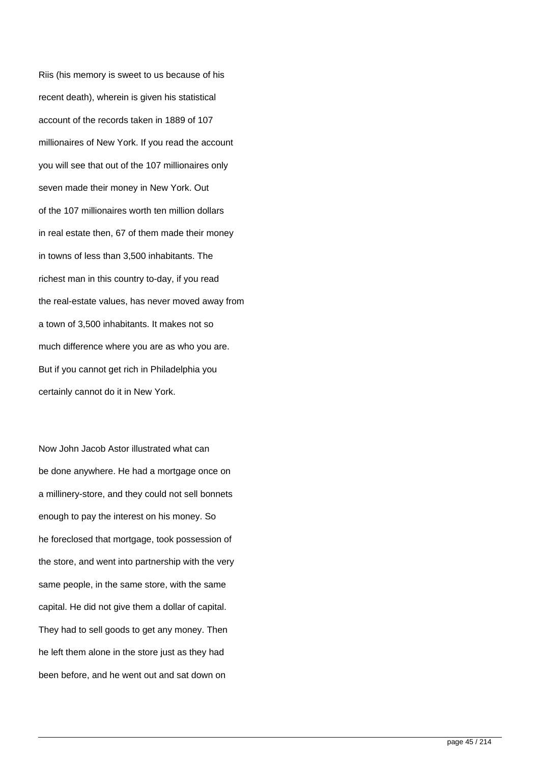Riis (his memory is sweet to us because of his recent death), wherein is given his statistical account of the records taken in 1889 of 107 millionaires of New York. If you read the account you will see that out of the 107 millionaires only seven made their money in New York. Out of the 107 millionaires worth ten million dollars in real estate then, 67 of them made their money in towns of less than 3,500 inhabitants. The richest man in this country to-day, if you read the real-estate values, has never moved away from a town of 3,500 inhabitants. It makes not so much difference where you are as who you are. But if you cannot get rich in Philadelphia you certainly cannot do it in New York.

Now John Jacob Astor illustrated what can be done anywhere. He had a mortgage once on a millinery-store, and they could not sell bonnets enough to pay the interest on his money. So he foreclosed that mortgage, took possession of the store, and went into partnership with the very same people, in the same store, with the same capital. He did not give them a dollar of capital. They had to sell goods to get any money. Then he left them alone in the store just as they had been before, and he went out and sat down on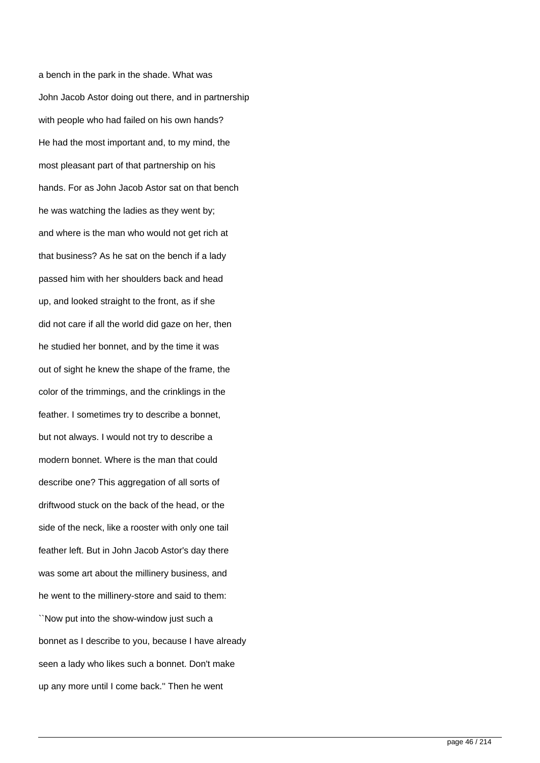a bench in the park in the shade. What was John Jacob Astor doing out there, and in partnership with people who had failed on his own hands? He had the most important and, to my mind, the most pleasant part of that partnership on his hands. For as John Jacob Astor sat on that bench he was watching the ladies as they went by; and where is the man who would not get rich at that business? As he sat on the bench if a lady passed him with her shoulders back and head up, and looked straight to the front, as if she did not care if all the world did gaze on her, then he studied her bonnet, and by the time it was out of sight he knew the shape of the frame, the color of the trimmings, and the crinklings in the feather. I sometimes try to describe a bonnet, but not always. I would not try to describe a modern bonnet. Where is the man that could describe one? This aggregation of all sorts of driftwood stuck on the back of the head, or the side of the neck, like a rooster with only one tail feather left. But in John Jacob Astor's day there was some art about the millinery business, and he went to the millinery-store and said to them: ``Now put into the show-window just such a bonnet as I describe to you, because I have already seen a lady who likes such a bonnet. Don't make up any more until I come back.'' Then he went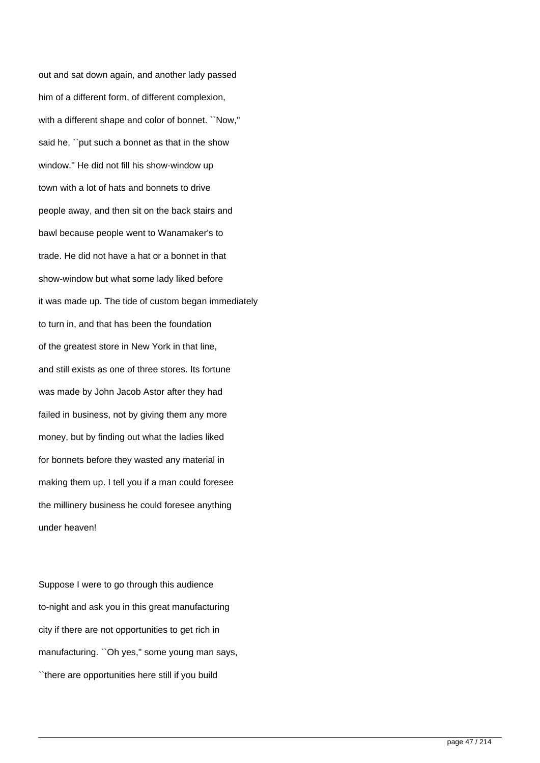out and sat down again, and another lady passed him of a different form, of different complexion, with a different shape and color of bonnet. ``Now,'' said he, ``put such a bonnet as that in the show window.'' He did not fill his show-window up town with a lot of hats and bonnets to drive people away, and then sit on the back stairs and bawl because people went to Wanamaker's to trade. He did not have a hat or a bonnet in that show-window but what some lady liked before it was made up. The tide of custom began immediately to turn in, and that has been the foundation of the greatest store in New York in that line, and still exists as one of three stores. Its fortune was made by John Jacob Astor after they had failed in business, not by giving them any more money, but by finding out what the ladies liked for bonnets before they wasted any material in making them up. I tell you if a man could foresee the millinery business he could foresee anything under heaven!

Suppose I were to go through this audience to-night and ask you in this great manufacturing city if there are not opportunities to get rich in manufacturing. '`Oh yes," some young man says, ``there are opportunities here still if you build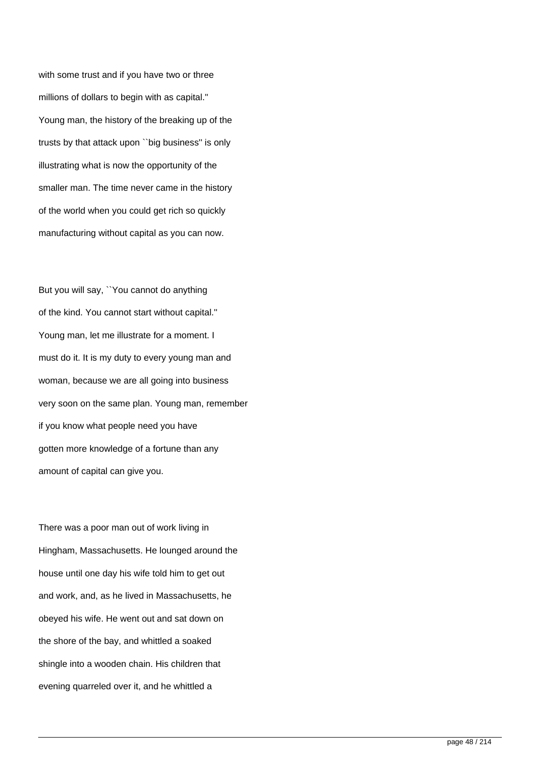with some trust and if you have two or three millions of dollars to begin with as capital.'' Young man, the history of the breaking up of the trusts by that attack upon ``big business'' is only illustrating what is now the opportunity of the smaller man. The time never came in the history of the world when you could get rich so quickly manufacturing without capital as you can now.

But you will say, ``You cannot do anything of the kind. You cannot start without capital.'' Young man, let me illustrate for a moment. I must do it. It is my duty to every young man and woman, because we are all going into business very soon on the same plan. Young man, remember if you know what people need you have gotten more knowledge of a fortune than any amount of capital can give you.

There was a poor man out of work living in Hingham, Massachusetts. He lounged around the house until one day his wife told him to get out and work, and, as he lived in Massachusetts, he obeyed his wife. He went out and sat down on the shore of the bay, and whittled a soaked shingle into a wooden chain. His children that evening quarreled over it, and he whittled a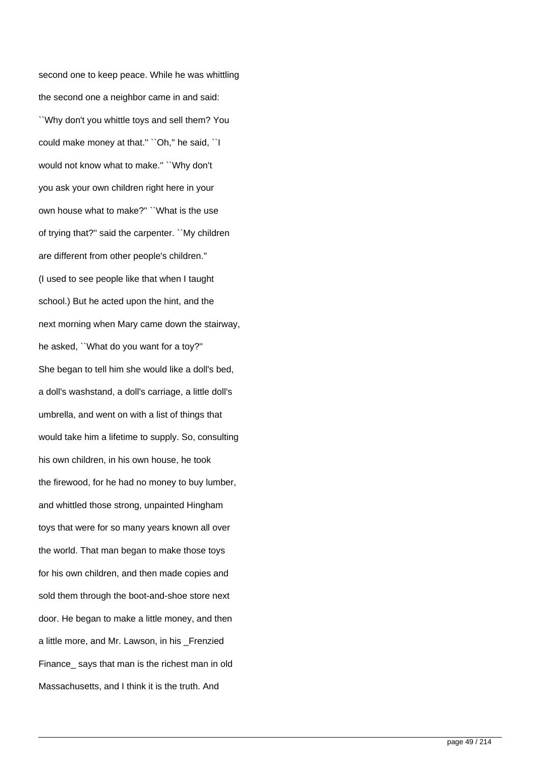second one to keep peace. While he was whittling the second one a neighbor came in and said: ``Why don't you whittle toys and sell them? You could make money at that." "Oh," he said, "I would not know what to make.'' ``Why don't you ask your own children right here in your own house what to make?'' ``What is the use of trying that?'' said the carpenter. ``My children are different from other people's children.'' (I used to see people like that when I taught school.) But he acted upon the hint, and the next morning when Mary came down the stairway, he asked, ``What do you want for a toy?'' She began to tell him she would like a doll's bed, a doll's washstand, a doll's carriage, a little doll's umbrella, and went on with a list of things that would take him a lifetime to supply. So, consulting his own children, in his own house, he took the firewood, for he had no money to buy lumber, and whittled those strong, unpainted Hingham toys that were for so many years known all over the world. That man began to make those toys for his own children, and then made copies and sold them through the boot-and-shoe store next door. He began to make a little money, and then a little more, and Mr. Lawson, in his Frenzied Finance says that man is the richest man in old Massachusetts, and I think it is the truth. And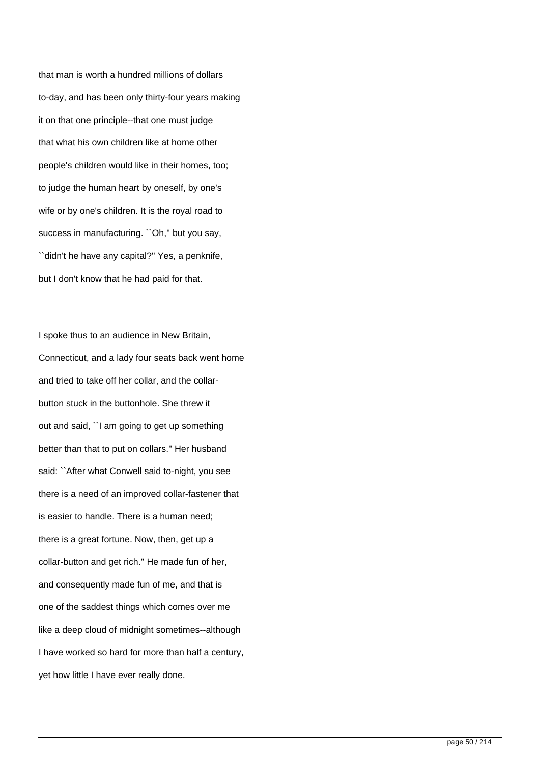that man is worth a hundred millions of dollars to-day, and has been only thirty-four years making it on that one principle--that one must judge that what his own children like at home other people's children would like in their homes, too; to judge the human heart by oneself, by one's wife or by one's children. It is the royal road to success in manufacturing. "Oh," but you say, ``didn't he have any capital?'' Yes, a penknife, but I don't know that he had paid for that.

I spoke thus to an audience in New Britain, Connecticut, and a lady four seats back went home and tried to take off her collar, and the collarbutton stuck in the buttonhole. She threw it out and said, ``I am going to get up something better than that to put on collars.'' Her husband said: ``After what Conwell said to-night, you see there is a need of an improved collar-fastener that is easier to handle. There is a human need; there is a great fortune. Now, then, get up a collar-button and get rich.'' He made fun of her, and consequently made fun of me, and that is one of the saddest things which comes over me like a deep cloud of midnight sometimes--although I have worked so hard for more than half a century, yet how little I have ever really done.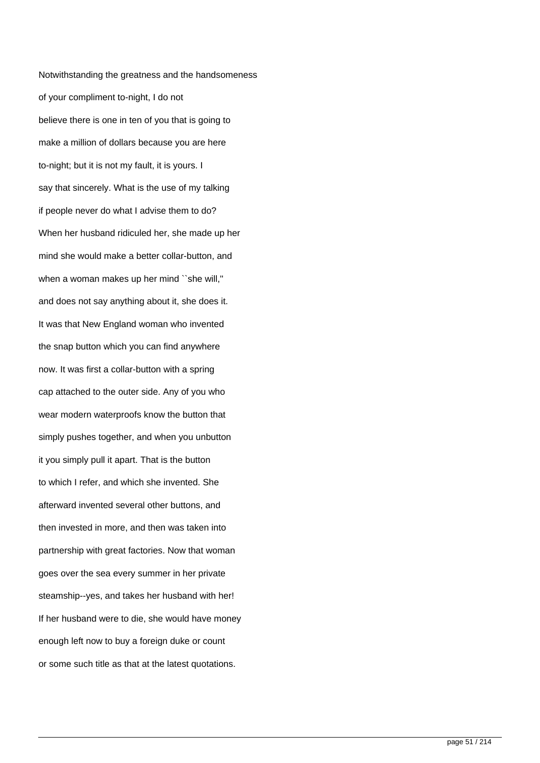Notwithstanding the greatness and the handsomeness of your compliment to-night, I do not believe there is one in ten of you that is going to make a million of dollars because you are here to-night; but it is not my fault, it is yours. I say that sincerely. What is the use of my talking if people never do what I advise them to do? When her husband ridiculed her, she made up her mind she would make a better collar-button, and when a woman makes up her mind ``she will,'' and does not say anything about it, she does it. It was that New England woman who invented the snap button which you can find anywhere now. It was first a collar-button with a spring cap attached to the outer side. Any of you who wear modern waterproofs know the button that simply pushes together, and when you unbutton it you simply pull it apart. That is the button to which I refer, and which she invented. She afterward invented several other buttons, and then invested in more, and then was taken into partnership with great factories. Now that woman goes over the sea every summer in her private steamship--yes, and takes her husband with her! If her husband were to die, she would have money enough left now to buy a foreign duke or count or some such title as that at the latest quotations.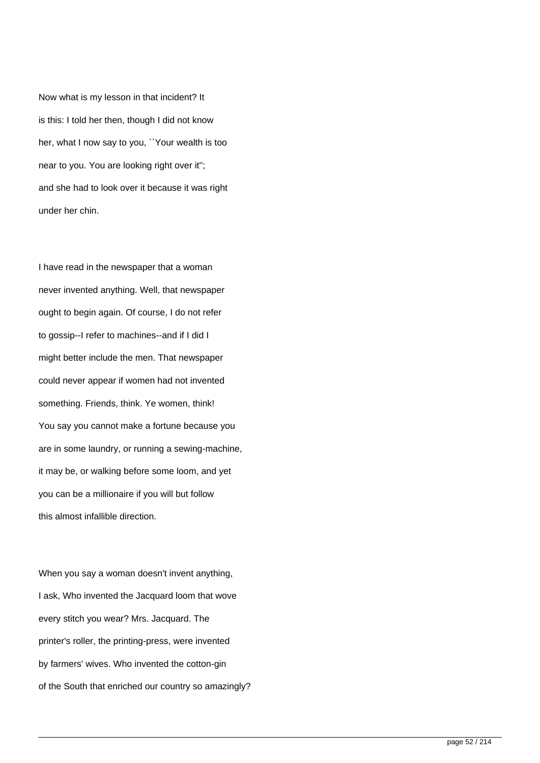Now what is my lesson in that incident? It is this: I told her then, though I did not know her, what I now say to you, ``Your wealth is too near to you. You are looking right over it''; and she had to look over it because it was right under her chin.

I have read in the newspaper that a woman never invented anything. Well, that newspaper ought to begin again. Of course, I do not refer to gossip--I refer to machines--and if I did I might better include the men. That newspaper could never appear if women had not invented something. Friends, think. Ye women, think! You say you cannot make a fortune because you are in some laundry, or running a sewing-machine, it may be, or walking before some loom, and yet you can be a millionaire if you will but follow this almost infallible direction.

When you say a woman doesn't invent anything, I ask, Who invented the Jacquard loom that wove every stitch you wear? Mrs. Jacquard. The printer's roller, the printing-press, were invented by farmers' wives. Who invented the cotton-gin of the South that enriched our country so amazingly?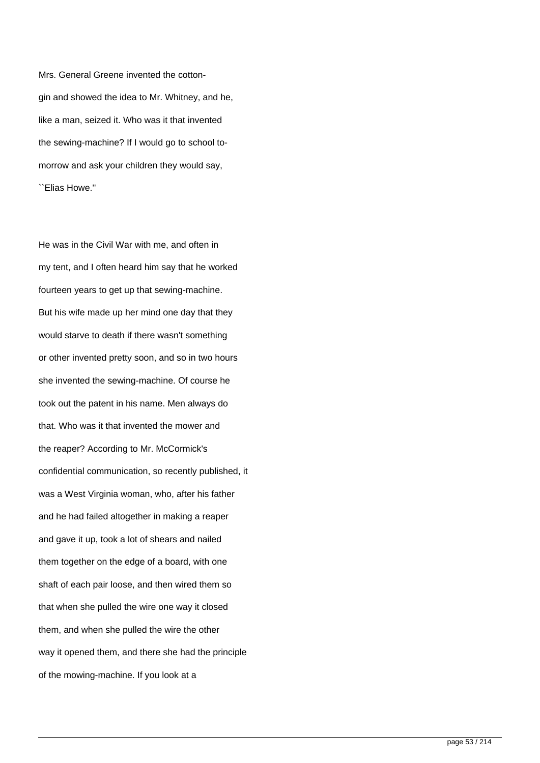Mrs. General Greene invented the cottongin and showed the idea to Mr. Whitney, and he, like a man, seized it. Who was it that invented the sewing-machine? If I would go to school tomorrow and ask your children they would say, ``Elias Howe.''

He was in the Civil War with me, and often in my tent, and I often heard him say that he worked fourteen years to get up that sewing-machine. But his wife made up her mind one day that they would starve to death if there wasn't something or other invented pretty soon, and so in two hours she invented the sewing-machine. Of course he took out the patent in his name. Men always do that. Who was it that invented the mower and the reaper? According to Mr. McCormick's confidential communication, so recently published, it was a West Virginia woman, who, after his father and he had failed altogether in making a reaper and gave it up, took a lot of shears and nailed them together on the edge of a board, with one shaft of each pair loose, and then wired them so that when she pulled the wire one way it closed them, and when she pulled the wire the other way it opened them, and there she had the principle of the mowing-machine. If you look at a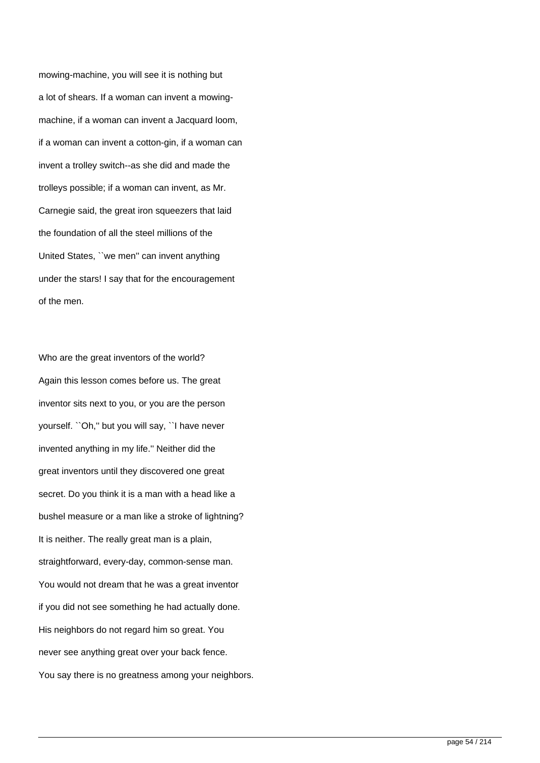mowing-machine, you will see it is nothing but a lot of shears. If a woman can invent a mowingmachine, if a woman can invent a Jacquard loom, if a woman can invent a cotton-gin, if a woman can invent a trolley switch--as she did and made the trolleys possible; if a woman can invent, as Mr. Carnegie said, the great iron squeezers that laid the foundation of all the steel millions of the United States, ``we men'' can invent anything under the stars! I say that for the encouragement of the men.

Who are the great inventors of the world? Again this lesson comes before us. The great inventor sits next to you, or you are the person yourself. ``Oh,'' but you will say, ``I have never invented anything in my life.'' Neither did the great inventors until they discovered one great secret. Do you think it is a man with a head like a bushel measure or a man like a stroke of lightning? It is neither. The really great man is a plain, straightforward, every-day, common-sense man. You would not dream that he was a great inventor if you did not see something he had actually done. His neighbors do not regard him so great. You never see anything great over your back fence. You say there is no greatness among your neighbors.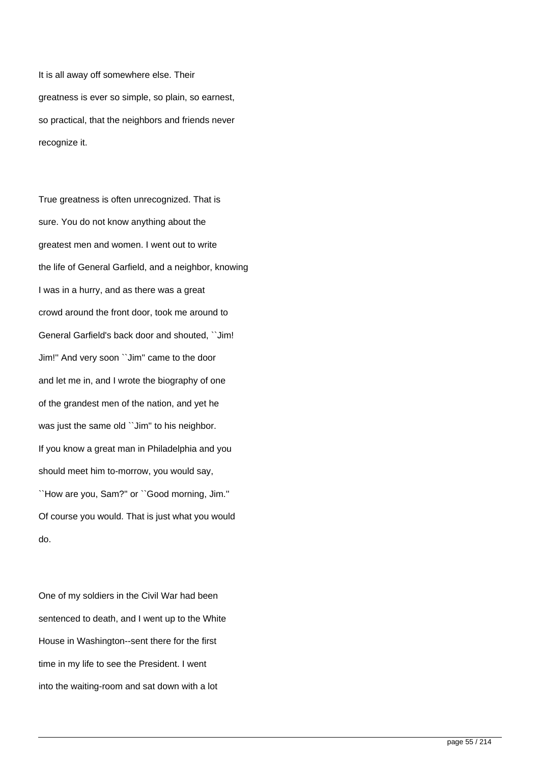It is all away off somewhere else. Their greatness is ever so simple, so plain, so earnest, so practical, that the neighbors and friends never recognize it.

True greatness is often unrecognized. That is sure. You do not know anything about the greatest men and women. I went out to write the life of General Garfield, and a neighbor, knowing I was in a hurry, and as there was a great crowd around the front door, took me around to General Garfield's back door and shouted, ``Jim! Jim!'' And very soon ``Jim'' came to the door and let me in, and I wrote the biography of one of the grandest men of the nation, and yet he was just the same old "Jim" to his neighbor. If you know a great man in Philadelphia and you should meet him to-morrow, you would say, ``How are you, Sam?'' or ``Good morning, Jim.'' Of course you would. That is just what you would do.

One of my soldiers in the Civil War had been sentenced to death, and I went up to the White House in Washington--sent there for the first time in my life to see the President. I went into the waiting-room and sat down with a lot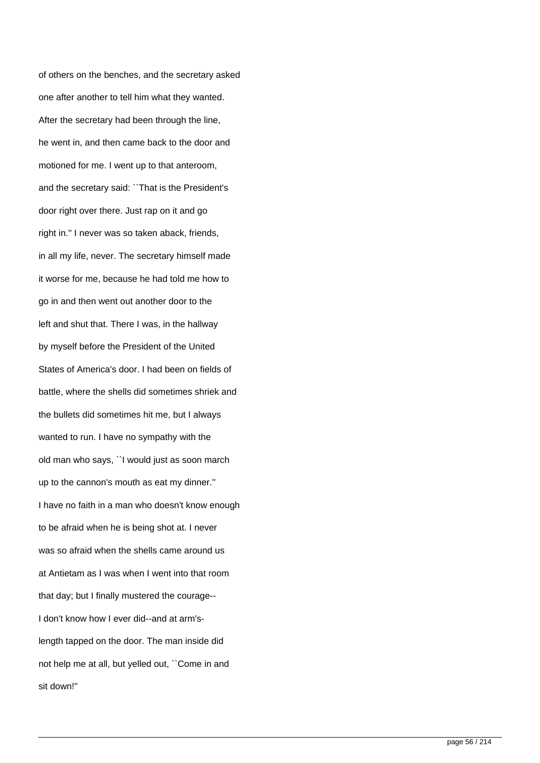of others on the benches, and the secretary asked one after another to tell him what they wanted. After the secretary had been through the line, he went in, and then came back to the door and motioned for me. I went up to that anteroom, and the secretary said: ``That is the President's door right over there. Just rap on it and go right in.'' I never was so taken aback, friends, in all my life, never. The secretary himself made it worse for me, because he had told me how to go in and then went out another door to the left and shut that. There I was, in the hallway by myself before the President of the United States of America's door. I had been on fields of battle, where the shells did sometimes shriek and the bullets did sometimes hit me, but I always wanted to run. I have no sympathy with the old man who says, ``I would just as soon march up to the cannon's mouth as eat my dinner.'' I have no faith in a man who doesn't know enough to be afraid when he is being shot at. I never was so afraid when the shells came around us at Antietam as I was when I went into that room that day; but I finally mustered the courage-- I don't know how I ever did--and at arm'slength tapped on the door. The man inside did not help me at all, but yelled out, ``Come in and sit down!''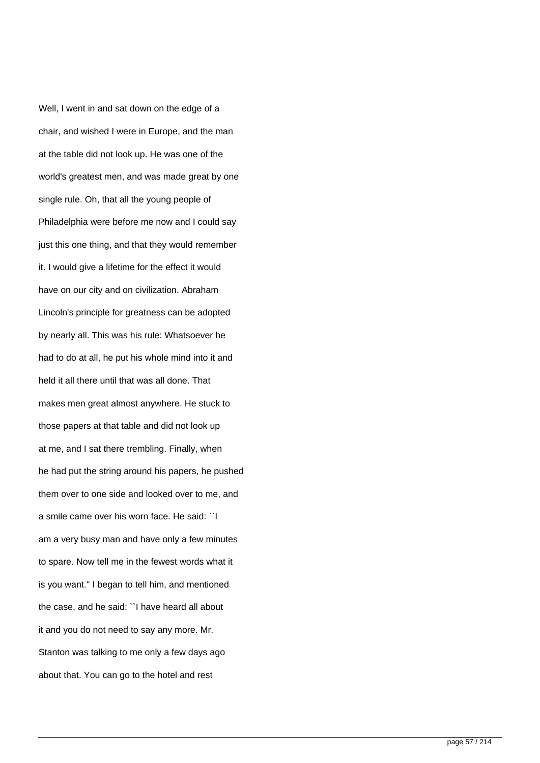Well, I went in and sat down on the edge of a chair, and wished I were in Europe, and the man at the table did not look up. He was one of the world's greatest men, and was made great by one single rule. Oh, that all the young people of Philadelphia were before me now and I could say just this one thing, and that they would remember it. I would give a lifetime for the effect it would have on our city and on civilization. Abraham Lincoln's principle for greatness can be adopted by nearly all. This was his rule: Whatsoever he had to do at all, he put his whole mind into it and held it all there until that was all done. That makes men great almost anywhere. He stuck to those papers at that table and did not look up at me, and I sat there trembling. Finally, when he had put the string around his papers, he pushed them over to one side and looked over to me, and a smile came over his worn face. He said: ``I am a very busy man and have only a few minutes to spare. Now tell me in the fewest words what it is you want.'' I began to tell him, and mentioned the case, and he said: ``I have heard all about it and you do not need to say any more. Mr. Stanton was talking to me only a few days ago about that. You can go to the hotel and rest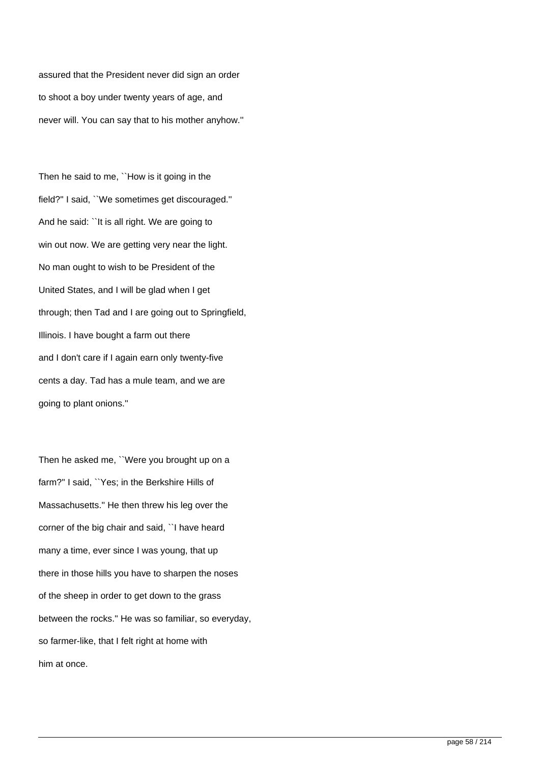assured that the President never did sign an order to shoot a boy under twenty years of age, and never will. You can say that to his mother anyhow.''

Then he said to me, ``How is it going in the field?'' I said, ``We sometimes get discouraged.'' And he said: ``It is all right. We are going to win out now. We are getting very near the light. No man ought to wish to be President of the United States, and I will be glad when I get through; then Tad and I are going out to Springfield, Illinois. I have bought a farm out there and I don't care if I again earn only twenty-five cents a day. Tad has a mule team, and we are going to plant onions.''

Then he asked me, ``Were you brought up on a farm?'' I said, ``Yes; in the Berkshire Hills of Massachusetts.'' He then threw his leg over the corner of the big chair and said, ``I have heard many a time, ever since I was young, that up there in those hills you have to sharpen the noses of the sheep in order to get down to the grass between the rocks.'' He was so familiar, so everyday, so farmer-like, that I felt right at home with him at once.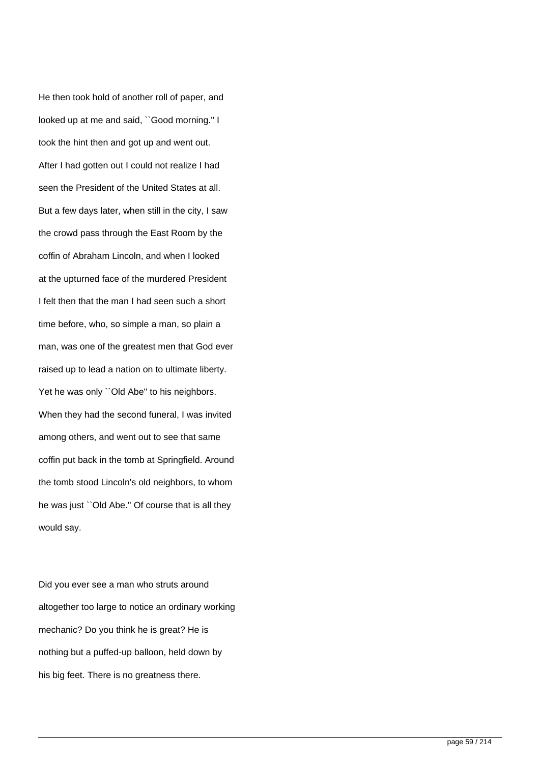He then took hold of another roll of paper, and looked up at me and said, ``Good morning.'' I took the hint then and got up and went out. After I had gotten out I could not realize I had seen the President of the United States at all. But a few days later, when still in the city, I saw the crowd pass through the East Room by the coffin of Abraham Lincoln, and when I looked at the upturned face of the murdered President I felt then that the man I had seen such a short time before, who, so simple a man, so plain a man, was one of the greatest men that God ever raised up to lead a nation on to ultimate liberty. Yet he was only "Old Abe" to his neighbors. When they had the second funeral, I was invited among others, and went out to see that same coffin put back in the tomb at Springfield. Around the tomb stood Lincoln's old neighbors, to whom he was just ``Old Abe.'' Of course that is all they would say.

Did you ever see a man who struts around altogether too large to notice an ordinary working mechanic? Do you think he is great? He is nothing but a puffed-up balloon, held down by his big feet. There is no greatness there.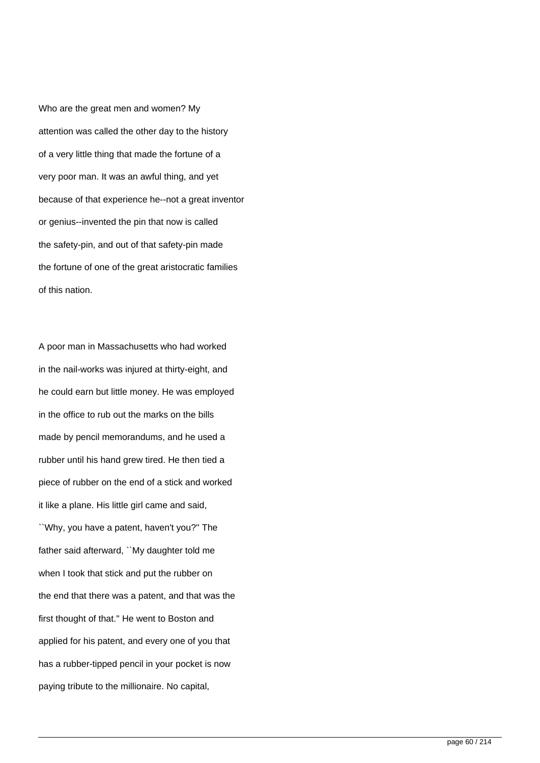Who are the great men and women? My attention was called the other day to the history of a very little thing that made the fortune of a very poor man. It was an awful thing, and yet because of that experience he--not a great inventor or genius--invented the pin that now is called the safety-pin, and out of that safety-pin made the fortune of one of the great aristocratic families of this nation.

A poor man in Massachusetts who had worked in the nail-works was injured at thirty-eight, and he could earn but little money. He was employed in the office to rub out the marks on the bills made by pencil memorandums, and he used a rubber until his hand grew tired. He then tied a piece of rubber on the end of a stick and worked it like a plane. His little girl came and said, ``Why, you have a patent, haven't you?'' The father said afterward, ``My daughter told me when I took that stick and put the rubber on the end that there was a patent, and that was the first thought of that.'' He went to Boston and applied for his patent, and every one of you that has a rubber-tipped pencil in your pocket is now paying tribute to the millionaire. No capital,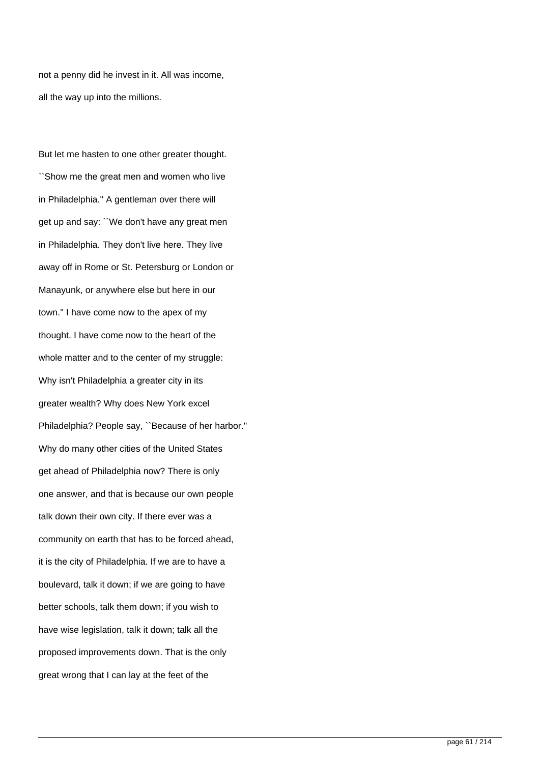not a penny did he invest in it. All was income, all the way up into the millions.

But let me hasten to one other greater thought. ``Show me the great men and women who live in Philadelphia.'' A gentleman over there will get up and say: ``We don't have any great men in Philadelphia. They don't live here. They live away off in Rome or St. Petersburg or London or Manayunk, or anywhere else but here in our town.'' I have come now to the apex of my thought. I have come now to the heart of the whole matter and to the center of my struggle: Why isn't Philadelphia a greater city in its greater wealth? Why does New York excel Philadelphia? People say, ``Because of her harbor.'' Why do many other cities of the United States get ahead of Philadelphia now? There is only one answer, and that is because our own people talk down their own city. If there ever was a community on earth that has to be forced ahead, it is the city of Philadelphia. If we are to have a boulevard, talk it down; if we are going to have better schools, talk them down; if you wish to have wise legislation, talk it down; talk all the proposed improvements down. That is the only great wrong that I can lay at the feet of the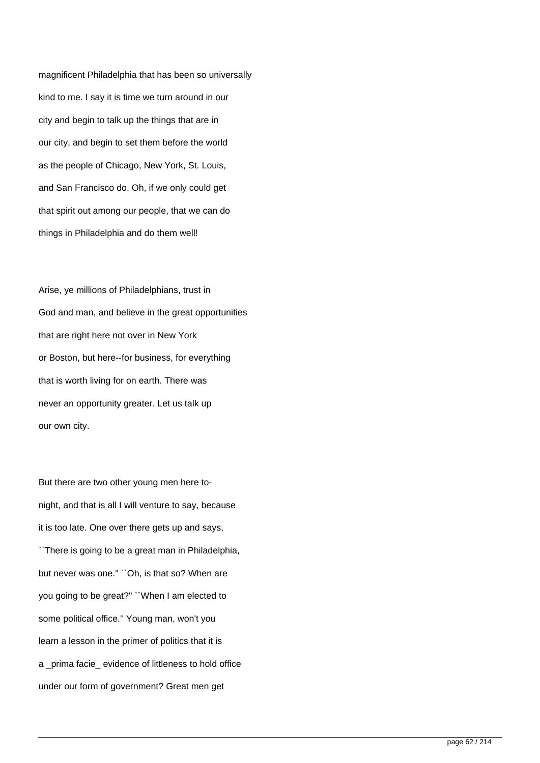magnificent Philadelphia that has been so universally kind to me. I say it is time we turn around in our city and begin to talk up the things that are in our city, and begin to set them before the world as the people of Chicago, New York, St. Louis, and San Francisco do. Oh, if we only could get that spirit out among our people, that we can do things in Philadelphia and do them well!

Arise, ye millions of Philadelphians, trust in God and man, and believe in the great opportunities that are right here not over in New York or Boston, but here--for business, for everything that is worth living for on earth. There was never an opportunity greater. Let us talk up our own city.

But there are two other young men here tonight, and that is all I will venture to say, because it is too late. One over there gets up and says, ``There is going to be a great man in Philadelphia, but never was one." "Oh, is that so? When are you going to be great?'' ``When I am elected to some political office.'' Young man, won't you learn a lesson in the primer of politics that it is a prima facie evidence of littleness to hold office under our form of government? Great men get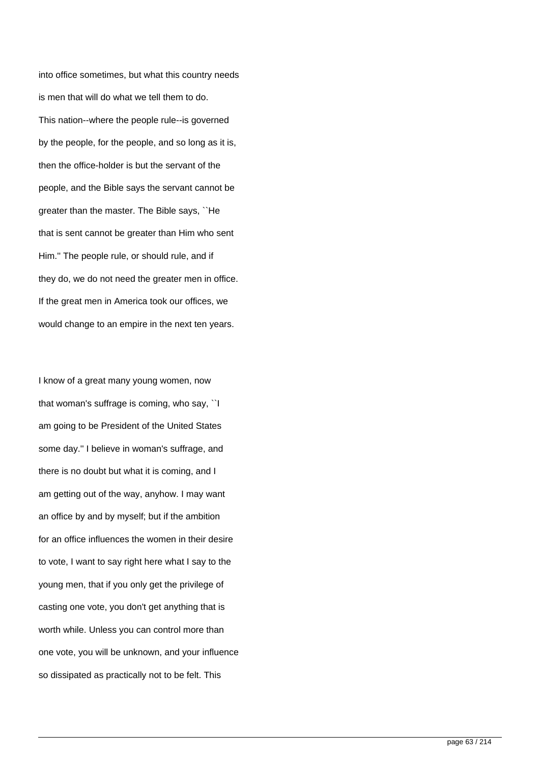into office sometimes, but what this country needs is men that will do what we tell them to do. This nation--where the people rule--is governed by the people, for the people, and so long as it is, then the office-holder is but the servant of the people, and the Bible says the servant cannot be greater than the master. The Bible says, ``He that is sent cannot be greater than Him who sent Him.'' The people rule, or should rule, and if they do, we do not need the greater men in office. If the great men in America took our offices, we would change to an empire in the next ten years.

I know of a great many young women, now that woman's suffrage is coming, who say, ``I am going to be President of the United States some day.'' I believe in woman's suffrage, and there is no doubt but what it is coming, and I am getting out of the way, anyhow. I may want an office by and by myself; but if the ambition for an office influences the women in their desire to vote, I want to say right here what I say to the young men, that if you only get the privilege of casting one vote, you don't get anything that is worth while. Unless you can control more than one vote, you will be unknown, and your influence so dissipated as practically not to be felt. This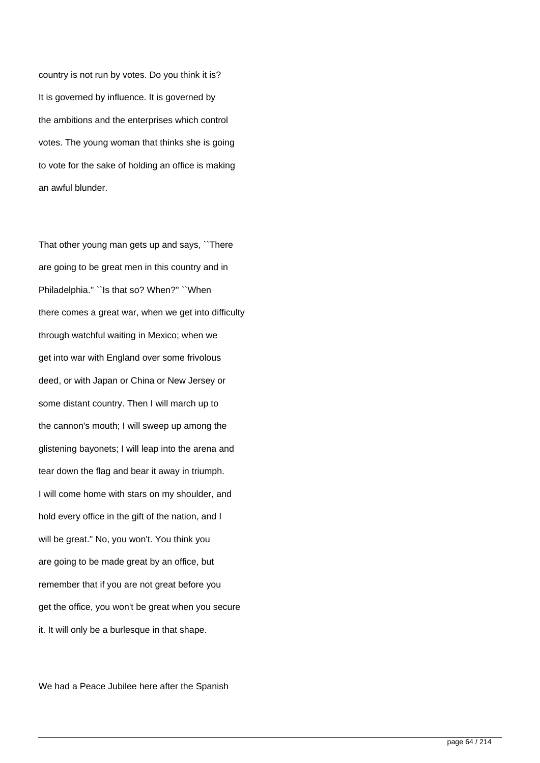country is not run by votes. Do you think it is? It is governed by influence. It is governed by the ambitions and the enterprises which control votes. The young woman that thinks she is going to vote for the sake of holding an office is making an awful blunder.

That other young man gets up and says, ``There are going to be great men in this country and in Philadelphia.'' ``Is that so? When?'' ``When there comes a great war, when we get into difficulty through watchful waiting in Mexico; when we get into war with England over some frivolous deed, or with Japan or China or New Jersey or some distant country. Then I will march up to the cannon's mouth; I will sweep up among the glistening bayonets; I will leap into the arena and tear down the flag and bear it away in triumph. I will come home with stars on my shoulder, and hold every office in the gift of the nation, and I will be great.'' No, you won't. You think you are going to be made great by an office, but remember that if you are not great before you get the office, you won't be great when you secure it. It will only be a burlesque in that shape.

We had a Peace Jubilee here after the Spanish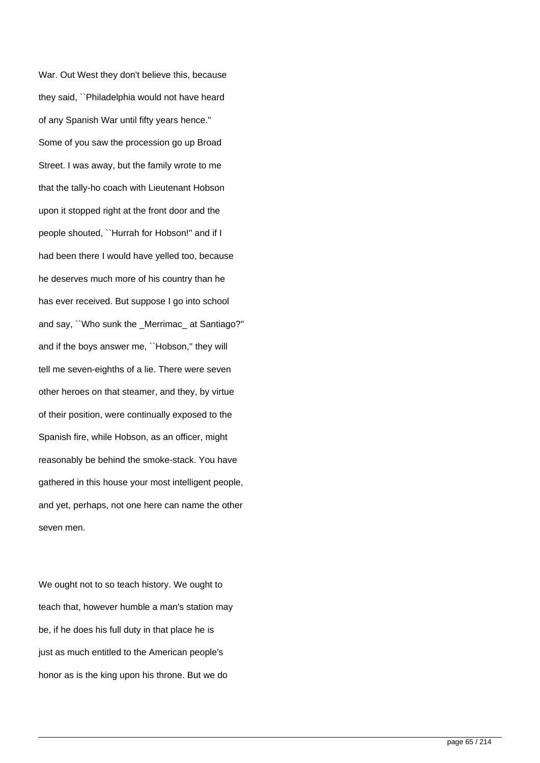War. Out West they don't believe this, because they said, ``Philadelphia would not have heard of any Spanish War until fifty years hence.'' Some of you saw the procession go up Broad Street. I was away, but the family wrote to me that the tally-ho coach with Lieutenant Hobson upon it stopped right at the front door and the people shouted, ``Hurrah for Hobson!'' and if I had been there I would have yelled too, because he deserves much more of his country than he has ever received. But suppose I go into school and say, ``Who sunk the Merrimac at Santiago?" and if the boys answer me, "Hobson," they will tell me seven-eighths of a lie. There were seven other heroes on that steamer, and they, by virtue of their position, were continually exposed to the Spanish fire, while Hobson, as an officer, might reasonably be behind the smoke-stack. You have gathered in this house your most intelligent people, and yet, perhaps, not one here can name the other seven men.

We ought not to so teach history. We ought to teach that, however humble a man's station may be, if he does his full duty in that place he is just as much entitled to the American people's honor as is the king upon his throne. But we do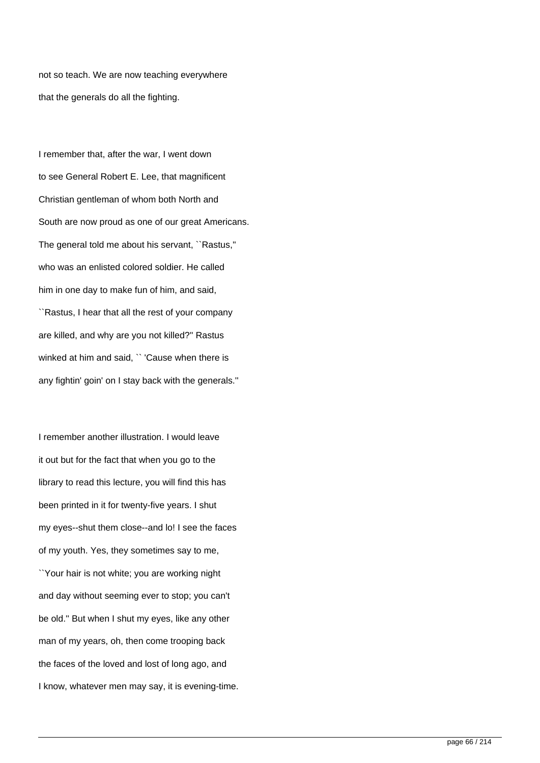not so teach. We are now teaching everywhere that the generals do all the fighting.

I remember that, after the war, I went down to see General Robert E. Lee, that magnificent Christian gentleman of whom both North and South are now proud as one of our great Americans. The general told me about his servant, ``Rastus,'' who was an enlisted colored soldier. He called him in one day to make fun of him, and said, ``Rastus, I hear that all the rest of your company are killed, and why are you not killed?'' Rastus winked at him and said, " 'Cause when there is any fightin' goin' on I stay back with the generals.''

I remember another illustration. I would leave it out but for the fact that when you go to the library to read this lecture, you will find this has been printed in it for twenty-five years. I shut my eyes--shut them close--and lo! I see the faces of my youth. Yes, they sometimes say to me, ``Your hair is not white; you are working night and day without seeming ever to stop; you can't be old.'' But when I shut my eyes, like any other man of my years, oh, then come trooping back the faces of the loved and lost of long ago, and I know, whatever men may say, it is evening-time.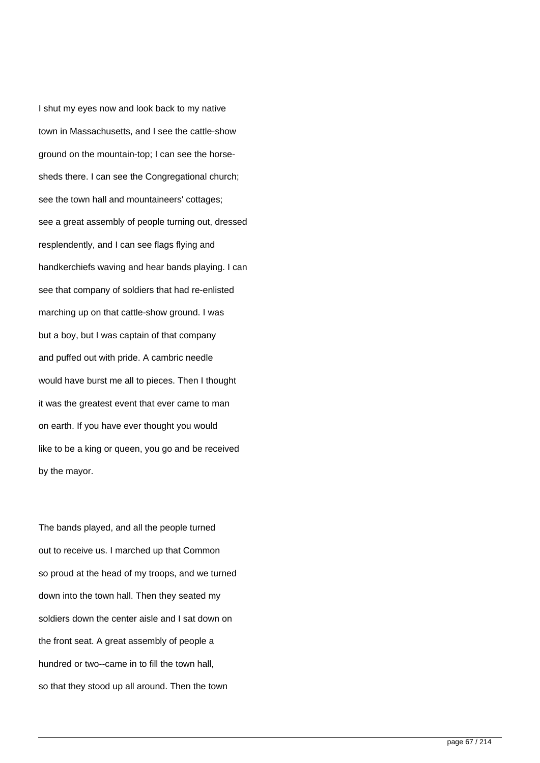I shut my eyes now and look back to my native town in Massachusetts, and I see the cattle-show ground on the mountain-top; I can see the horsesheds there. I can see the Congregational church; see the town hall and mountaineers' cottages; see a great assembly of people turning out, dressed resplendently, and I can see flags flying and handkerchiefs waving and hear bands playing. I can see that company of soldiers that had re-enlisted marching up on that cattle-show ground. I was but a boy, but I was captain of that company and puffed out with pride. A cambric needle would have burst me all to pieces. Then I thought it was the greatest event that ever came to man on earth. If you have ever thought you would like to be a king or queen, you go and be received by the mayor.

The bands played, and all the people turned out to receive us. I marched up that Common so proud at the head of my troops, and we turned down into the town hall. Then they seated my soldiers down the center aisle and I sat down on the front seat. A great assembly of people a hundred or two--came in to fill the town hall, so that they stood up all around. Then the town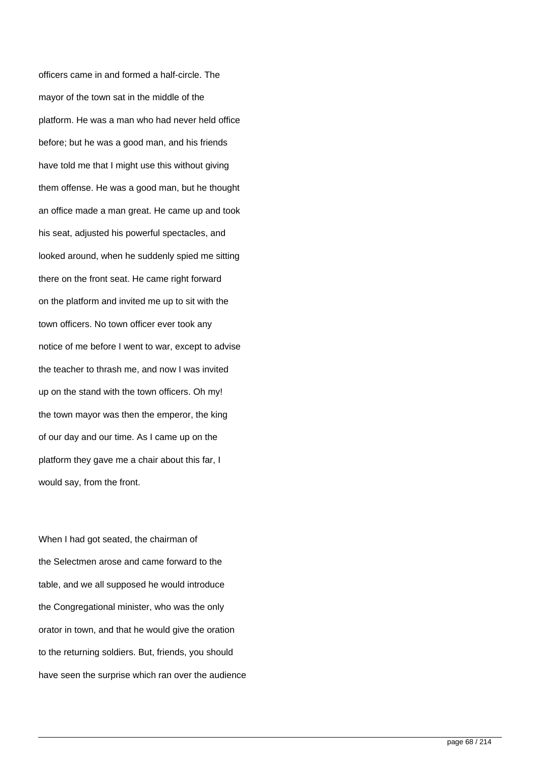officers came in and formed a half-circle. The mayor of the town sat in the middle of the platform. He was a man who had never held office before; but he was a good man, and his friends have told me that I might use this without giving them offense. He was a good man, but he thought an office made a man great. He came up and took his seat, adjusted his powerful spectacles, and looked around, when he suddenly spied me sitting there on the front seat. He came right forward on the platform and invited me up to sit with the town officers. No town officer ever took any notice of me before I went to war, except to advise the teacher to thrash me, and now I was invited up on the stand with the town officers. Oh my! the town mayor was then the emperor, the king of our day and our time. As I came up on the platform they gave me a chair about this far, I would say, from the front.

When I had got seated, the chairman of the Selectmen arose and came forward to the table, and we all supposed he would introduce the Congregational minister, who was the only orator in town, and that he would give the oration to the returning soldiers. But, friends, you should have seen the surprise which ran over the audience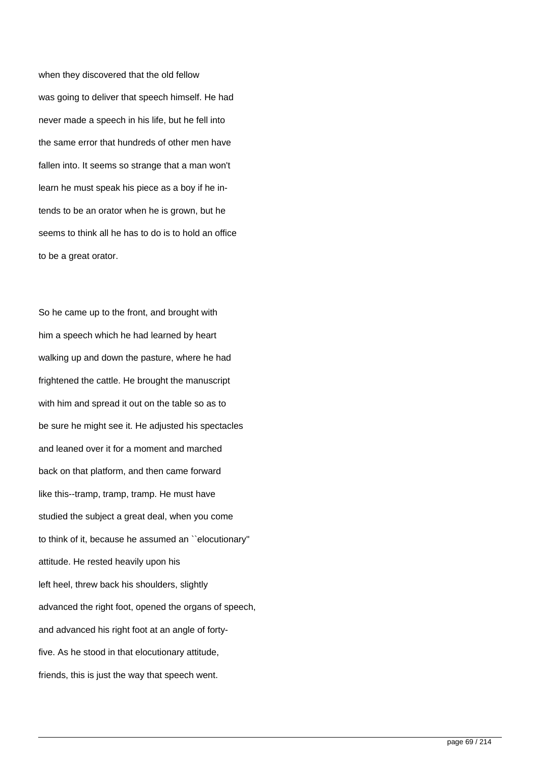when they discovered that the old fellow was going to deliver that speech himself. He had never made a speech in his life, but he fell into the same error that hundreds of other men have fallen into. It seems so strange that a man won't learn he must speak his piece as a boy if he intends to be an orator when he is grown, but he seems to think all he has to do is to hold an office to be a great orator.

So he came up to the front, and brought with him a speech which he had learned by heart walking up and down the pasture, where he had frightened the cattle. He brought the manuscript with him and spread it out on the table so as to be sure he might see it. He adjusted his spectacles and leaned over it for a moment and marched back on that platform, and then came forward like this--tramp, tramp, tramp. He must have studied the subject a great deal, when you come to think of it, because he assumed an ``elocutionary'' attitude. He rested heavily upon his left heel, threw back his shoulders, slightly advanced the right foot, opened the organs of speech, and advanced his right foot at an angle of fortyfive. As he stood in that elocutionary attitude, friends, this is just the way that speech went.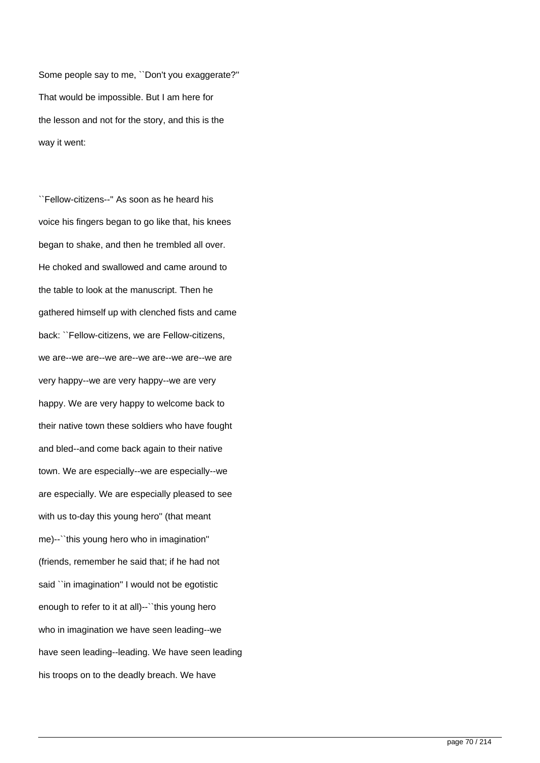Some people say to me, ``Don't you exaggerate?'' That would be impossible. But I am here for the lesson and not for the story, and this is the way it went:

``Fellow-citizens--'' As soon as he heard his voice his fingers began to go like that, his knees began to shake, and then he trembled all over. He choked and swallowed and came around to the table to look at the manuscript. Then he gathered himself up with clenched fists and came back: ``Fellow-citizens, we are Fellow-citizens, we are--we are--we are--we are--we are--we are very happy--we are very happy--we are very happy. We are very happy to welcome back to their native town these soldiers who have fought and bled--and come back again to their native town. We are especially--we are especially--we are especially. We are especially pleased to see with us to-day this young hero'' (that meant me)--``this young hero who in imagination'' (friends, remember he said that; if he had not said ``in imagination'' I would not be egotistic enough to refer to it at all)--``this young hero who in imagination we have seen leading--we have seen leading--leading. We have seen leading his troops on to the deadly breach. We have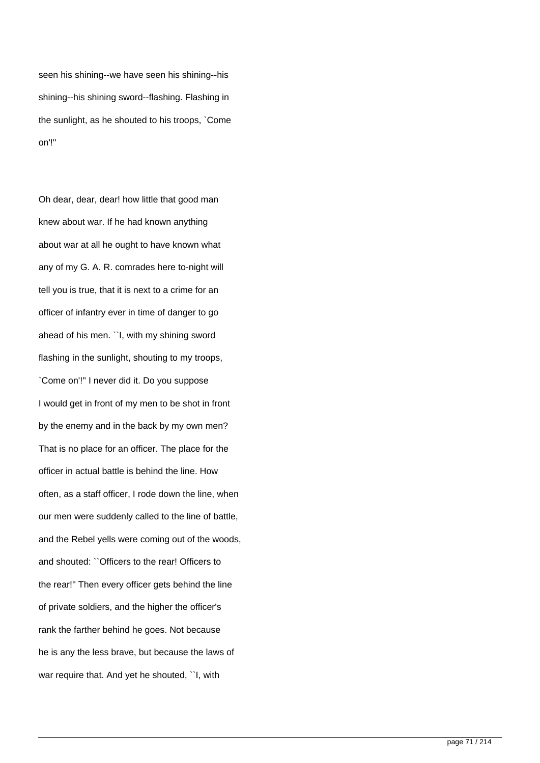seen his shining--we have seen his shining--his shining--his shining sword--flashing. Flashing in the sunlight, as he shouted to his troops, `Come on'!''

Oh dear, dear, dear! how little that good man knew about war. If he had known anything about war at all he ought to have known what any of my G. A. R. comrades here to-night will tell you is true, that it is next to a crime for an officer of infantry ever in time of danger to go ahead of his men. ``I, with my shining sword flashing in the sunlight, shouting to my troops, `Come on'!'' I never did it. Do you suppose I would get in front of my men to be shot in front by the enemy and in the back by my own men? That is no place for an officer. The place for the officer in actual battle is behind the line. How often, as a staff officer, I rode down the line, when our men were suddenly called to the line of battle, and the Rebel yells were coming out of the woods, and shouted: ``Officers to the rear! Officers to the rear!'' Then every officer gets behind the line of private soldiers, and the higher the officer's rank the farther behind he goes. Not because he is any the less brave, but because the laws of war require that. And yet he shouted, ``I, with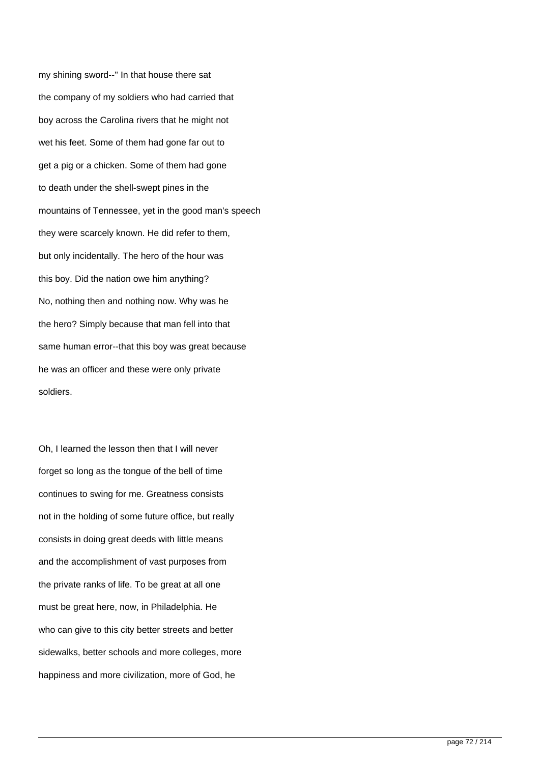my shining sword--'' In that house there sat the company of my soldiers who had carried that boy across the Carolina rivers that he might not wet his feet. Some of them had gone far out to get a pig or a chicken. Some of them had gone to death under the shell-swept pines in the mountains of Tennessee, yet in the good man's speech they were scarcely known. He did refer to them, but only incidentally. The hero of the hour was this boy. Did the nation owe him anything? No, nothing then and nothing now. Why was he the hero? Simply because that man fell into that same human error--that this boy was great because he was an officer and these were only private soldiers.

Oh, I learned the lesson then that I will never forget so long as the tongue of the bell of time continues to swing for me. Greatness consists not in the holding of some future office, but really consists in doing great deeds with little means and the accomplishment of vast purposes from the private ranks of life. To be great at all one must be great here, now, in Philadelphia. He who can give to this city better streets and better sidewalks, better schools and more colleges, more happiness and more civilization, more of God, he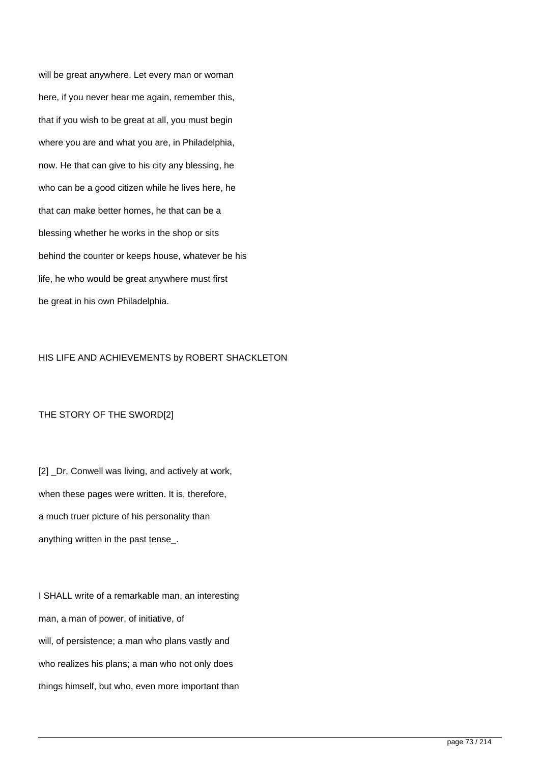will be great anywhere. Let every man or woman here, if you never hear me again, remember this, that if you wish to be great at all, you must begin where you are and what you are, in Philadelphia, now. He that can give to his city any blessing, he who can be a good citizen while he lives here, he that can make better homes, he that can be a blessing whether he works in the shop or sits behind the counter or keeps house, whatever be his life, he who would be great anywhere must first be great in his own Philadelphia.

#### HIS LIFE AND ACHIEVEMENTS by ROBERT SHACKLETON

### THE STORY OF THE SWORD[2]

[2] \_Dr, Conwell was living, and actively at work, when these pages were written. It is, therefore, a much truer picture of his personality than anything written in the past tense\_.

I SHALL write of a remarkable man, an interesting man, a man of power, of initiative, of will, of persistence; a man who plans vastly and who realizes his plans; a man who not only does things himself, but who, even more important than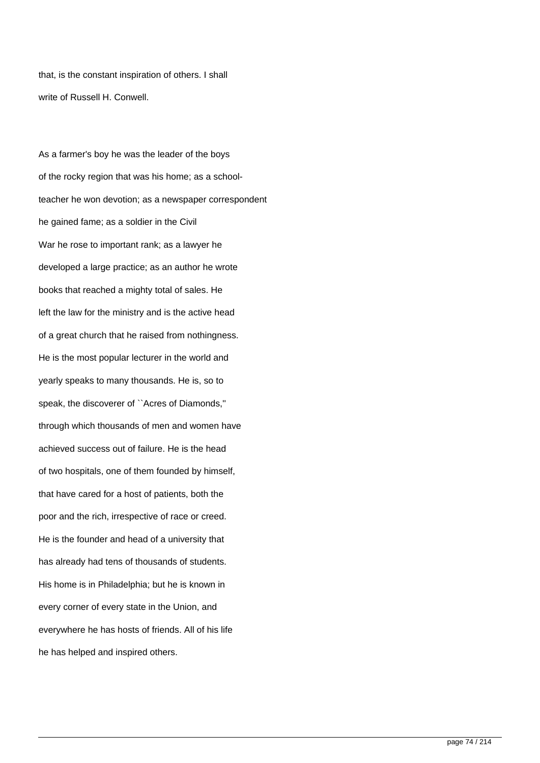that, is the constant inspiration of others. I shall write of Russell H. Conwell.

As a farmer's boy he was the leader of the boys of the rocky region that was his home; as a schoolteacher he won devotion; as a newspaper correspondent he gained fame; as a soldier in the Civil War he rose to important rank; as a lawyer he developed a large practice; as an author he wrote books that reached a mighty total of sales. He left the law for the ministry and is the active head of a great church that he raised from nothingness. He is the most popular lecturer in the world and yearly speaks to many thousands. He is, so to speak, the discoverer of ``Acres of Diamonds,'' through which thousands of men and women have achieved success out of failure. He is the head of two hospitals, one of them founded by himself, that have cared for a host of patients, both the poor and the rich, irrespective of race or creed. He is the founder and head of a university that has already had tens of thousands of students. His home is in Philadelphia; but he is known in every corner of every state in the Union, and everywhere he has hosts of friends. All of his life he has helped and inspired others.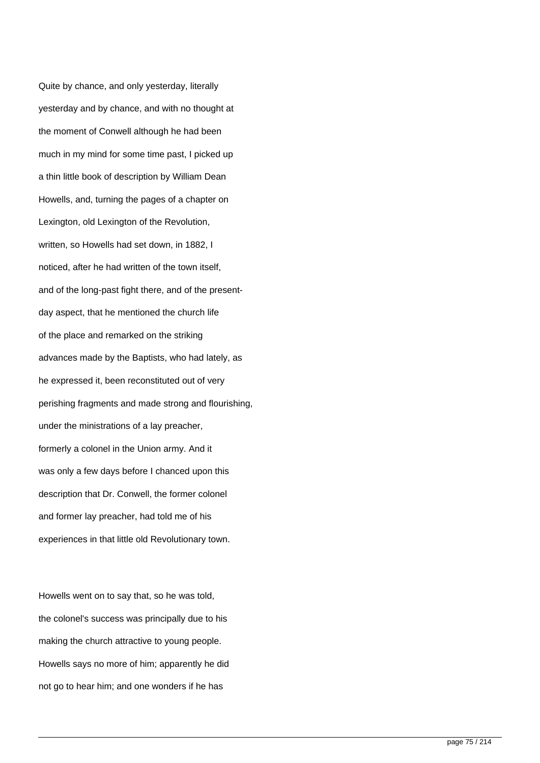Quite by chance, and only yesterday, literally yesterday and by chance, and with no thought at the moment of Conwell although he had been much in my mind for some time past, I picked up a thin little book of description by William Dean Howells, and, turning the pages of a chapter on Lexington, old Lexington of the Revolution, written, so Howells had set down, in 1882, I noticed, after he had written of the town itself, and of the long-past fight there, and of the presentday aspect, that he mentioned the church life of the place and remarked on the striking advances made by the Baptists, who had lately, as he expressed it, been reconstituted out of very perishing fragments and made strong and flourishing, under the ministrations of a lay preacher, formerly a colonel in the Union army. And it was only a few days before I chanced upon this description that Dr. Conwell, the former colonel and former lay preacher, had told me of his experiences in that little old Revolutionary town.

Howells went on to say that, so he was told, the colonel's success was principally due to his making the church attractive to young people. Howells says no more of him; apparently he did not go to hear him; and one wonders if he has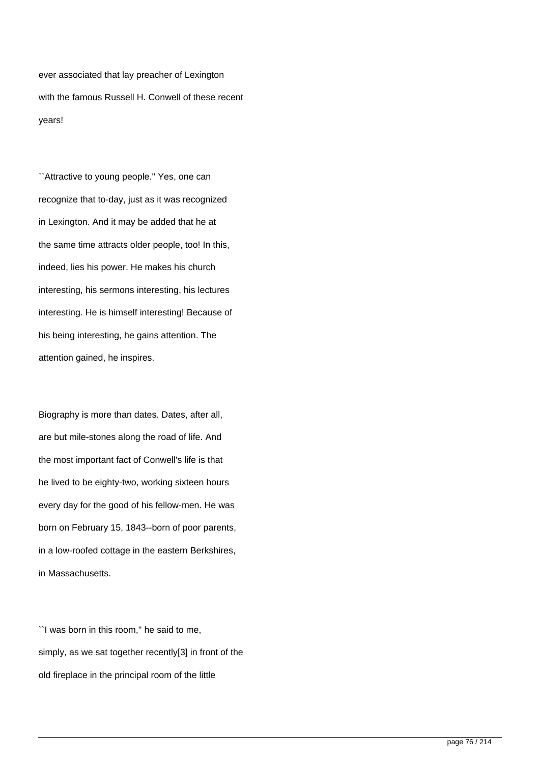ever associated that lay preacher of Lexington with the famous Russell H. Conwell of these recent years!

``Attractive to young people.'' Yes, one can recognize that to-day, just as it was recognized in Lexington. And it may be added that he at the same time attracts older people, too! In this, indeed, lies his power. He makes his church interesting, his sermons interesting, his lectures interesting. He is himself interesting! Because of his being interesting, he gains attention. The attention gained, he inspires.

Biography is more than dates. Dates, after all, are but mile-stones along the road of life. And the most important fact of Conwell's life is that he lived to be eighty-two, working sixteen hours every day for the good of his fellow-men. He was born on February 15, 1843--born of poor parents, in a low-roofed cottage in the eastern Berkshires, in Massachusetts.

``I was born in this room,'' he said to me, simply, as we sat together recently[3] in front of the old fireplace in the principal room of the little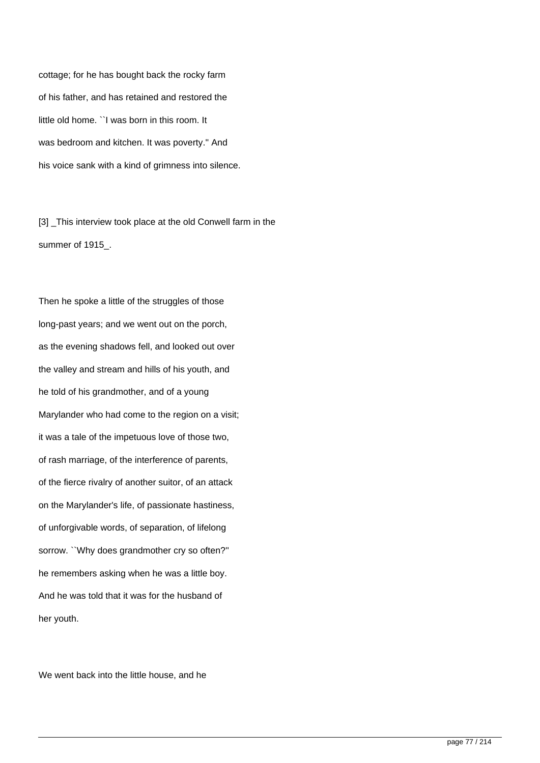cottage; for he has bought back the rocky farm of his father, and has retained and restored the little old home. ``I was born in this room. It was bedroom and kitchen. It was poverty.'' And his voice sank with a kind of grimness into silence.

[3] This interview took place at the old Conwell farm in the summer of 1915\_.

Then he spoke a little of the struggles of those long-past years; and we went out on the porch, as the evening shadows fell, and looked out over the valley and stream and hills of his youth, and he told of his grandmother, and of a young Marylander who had come to the region on a visit; it was a tale of the impetuous love of those two, of rash marriage, of the interference of parents, of the fierce rivalry of another suitor, of an attack on the Marylander's life, of passionate hastiness, of unforgivable words, of separation, of lifelong sorrow. ``Why does grandmother cry so often?'' he remembers asking when he was a little boy. And he was told that it was for the husband of her youth.

We went back into the little house, and he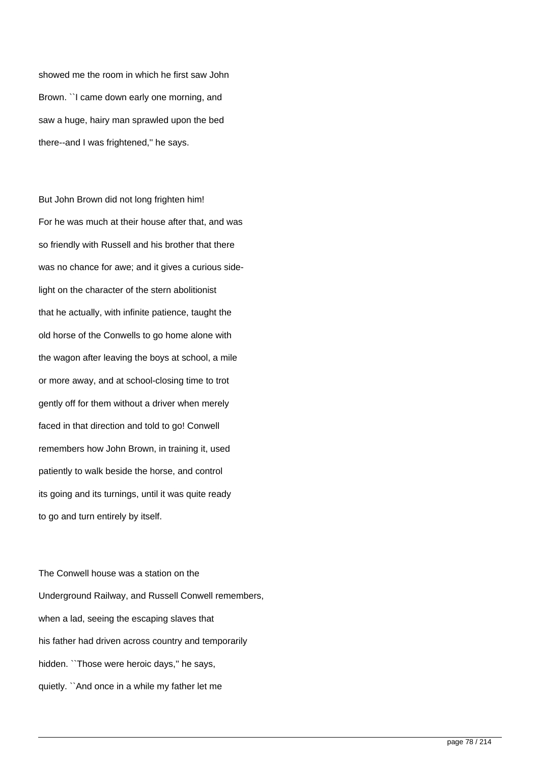showed me the room in which he first saw John Brown. ``I came down early one morning, and saw a huge, hairy man sprawled upon the bed there--and I was frightened,'' he says.

But John Brown did not long frighten him! For he was much at their house after that, and was so friendly with Russell and his brother that there was no chance for awe; and it gives a curious sidelight on the character of the stern abolitionist that he actually, with infinite patience, taught the old horse of the Conwells to go home alone with the wagon after leaving the boys at school, a mile or more away, and at school-closing time to trot gently off for them without a driver when merely faced in that direction and told to go! Conwell remembers how John Brown, in training it, used patiently to walk beside the horse, and control its going and its turnings, until it was quite ready to go and turn entirely by itself.

The Conwell house was a station on the Underground Railway, and Russell Conwell remembers, when a lad, seeing the escaping slaves that his father had driven across country and temporarily hidden. "Those were heroic days," he says, quietly. ``And once in a while my father let me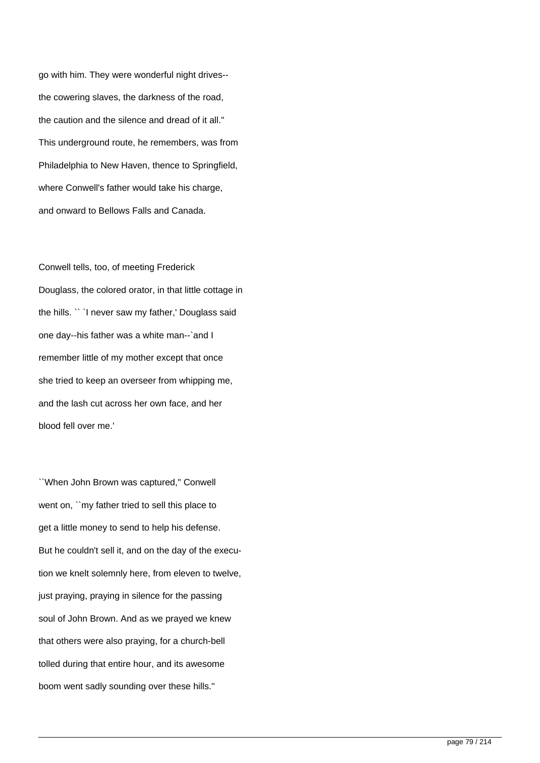go with him. They were wonderful night drives- the cowering slaves, the darkness of the road, the caution and the silence and dread of it all.'' This underground route, he remembers, was from Philadelphia to New Haven, thence to Springfield, where Conwell's father would take his charge, and onward to Bellows Falls and Canada.

Conwell tells, too, of meeting Frederick Douglass, the colored orator, in that little cottage in the hills. `` `I never saw my father,' Douglass said one day--his father was a white man--`and I remember little of my mother except that once she tried to keep an overseer from whipping me, and the lash cut across her own face, and her blood fell over me.'

``When John Brown was captured,'' Conwell went on, ``my father tried to sell this place to get a little money to send to help his defense. But he couldn't sell it, and on the day of the execution we knelt solemnly here, from eleven to twelve, just praying, praying in silence for the passing soul of John Brown. And as we prayed we knew that others were also praying, for a church-bell tolled during that entire hour, and its awesome boom went sadly sounding over these hills.''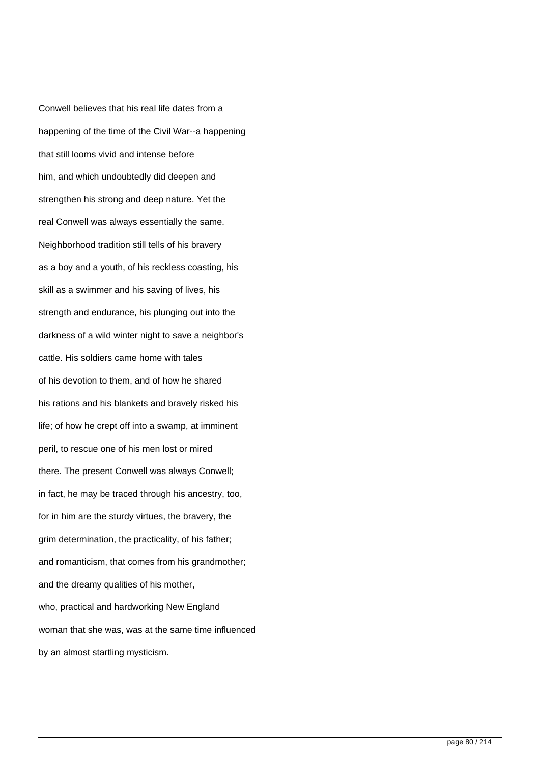Conwell believes that his real life dates from a happening of the time of the Civil War--a happening that still looms vivid and intense before him, and which undoubtedly did deepen and strengthen his strong and deep nature. Yet the real Conwell was always essentially the same. Neighborhood tradition still tells of his bravery as a boy and a youth, of his reckless coasting, his skill as a swimmer and his saving of lives, his strength and endurance, his plunging out into the darkness of a wild winter night to save a neighbor's cattle. His soldiers came home with tales of his devotion to them, and of how he shared his rations and his blankets and bravely risked his life; of how he crept off into a swamp, at imminent peril, to rescue one of his men lost or mired there. The present Conwell was always Conwell; in fact, he may be traced through his ancestry, too, for in him are the sturdy virtues, the bravery, the grim determination, the practicality, of his father; and romanticism, that comes from his grandmother; and the dreamy qualities of his mother, who, practical and hardworking New England woman that she was, was at the same time influenced by an almost startling mysticism.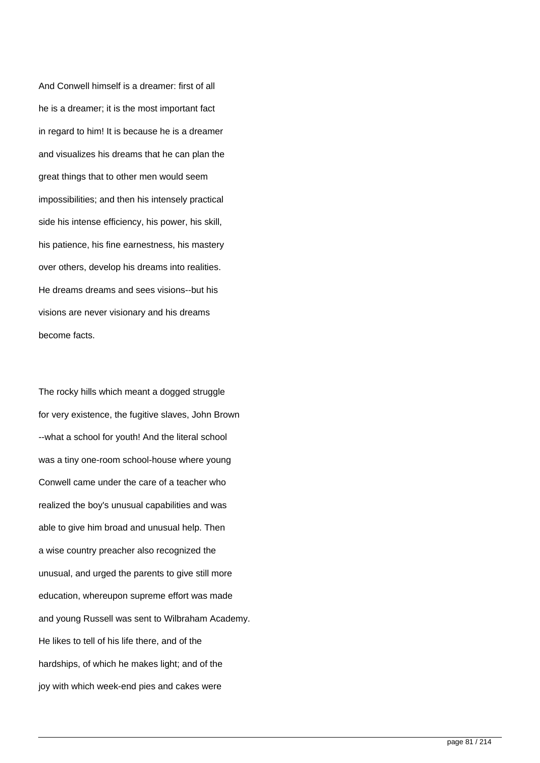And Conwell himself is a dreamer: first of all he is a dreamer; it is the most important fact in regard to him! It is because he is a dreamer and visualizes his dreams that he can plan the great things that to other men would seem impossibilities; and then his intensely practical side his intense efficiency, his power, his skill, his patience, his fine earnestness, his mastery over others, develop his dreams into realities. He dreams dreams and sees visions--but his visions are never visionary and his dreams become facts.

The rocky hills which meant a dogged struggle for very existence, the fugitive slaves, John Brown --what a school for youth! And the literal school was a tiny one-room school-house where young Conwell came under the care of a teacher who realized the boy's unusual capabilities and was able to give him broad and unusual help. Then a wise country preacher also recognized the unusual, and urged the parents to give still more education, whereupon supreme effort was made and young Russell was sent to Wilbraham Academy. He likes to tell of his life there, and of the hardships, of which he makes light; and of the joy with which week-end pies and cakes were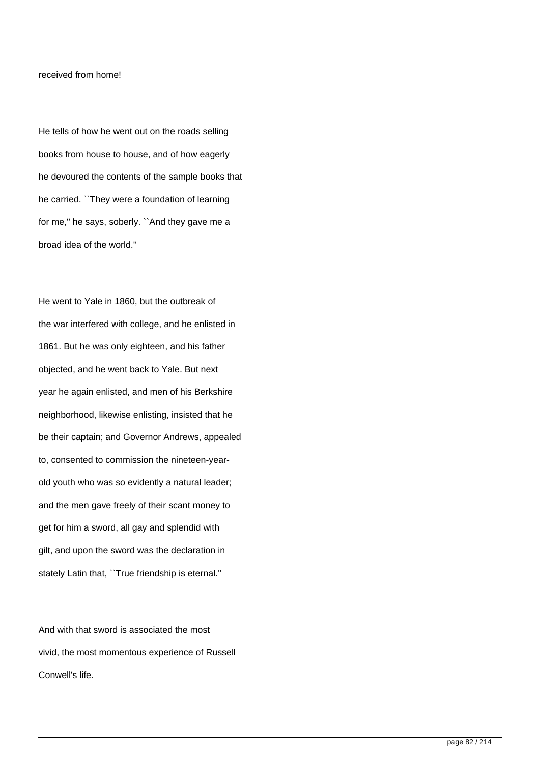### received from home!

He tells of how he went out on the roads selling books from house to house, and of how eagerly he devoured the contents of the sample books that he carried. ``They were a foundation of learning for me,'' he says, soberly. ``And they gave me a broad idea of the world.''

He went to Yale in 1860, but the outbreak of the war interfered with college, and he enlisted in 1861. But he was only eighteen, and his father objected, and he went back to Yale. But next year he again enlisted, and men of his Berkshire neighborhood, likewise enlisting, insisted that he be their captain; and Governor Andrews, appealed to, consented to commission the nineteen-yearold youth who was so evidently a natural leader; and the men gave freely of their scant money to get for him a sword, all gay and splendid with gilt, and upon the sword was the declaration in stately Latin that, ``True friendship is eternal.''

And with that sword is associated the most vivid, the most momentous experience of Russell Conwell's life.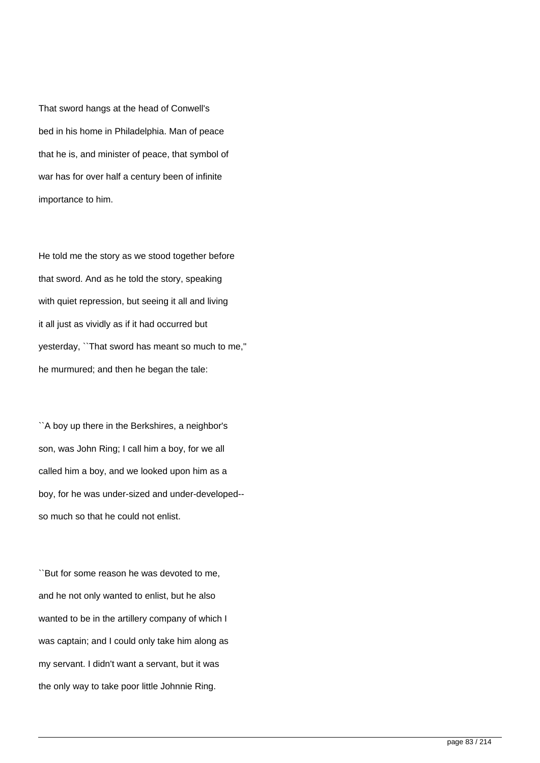That sword hangs at the head of Conwell's bed in his home in Philadelphia. Man of peace that he is, and minister of peace, that symbol of war has for over half a century been of infinite importance to him.

He told me the story as we stood together before that sword. And as he told the story, speaking with quiet repression, but seeing it all and living it all just as vividly as if it had occurred but yesterday, ``That sword has meant so much to me,'' he murmured; and then he began the tale:

``A boy up there in the Berkshires, a neighbor's son, was John Ring; I call him a boy, for we all called him a boy, and we looked upon him as a boy, for he was under-sized and under-developed- so much so that he could not enlist.

``But for some reason he was devoted to me, and he not only wanted to enlist, but he also wanted to be in the artillery company of which I was captain; and I could only take him along as my servant. I didn't want a servant, but it was the only way to take poor little Johnnie Ring.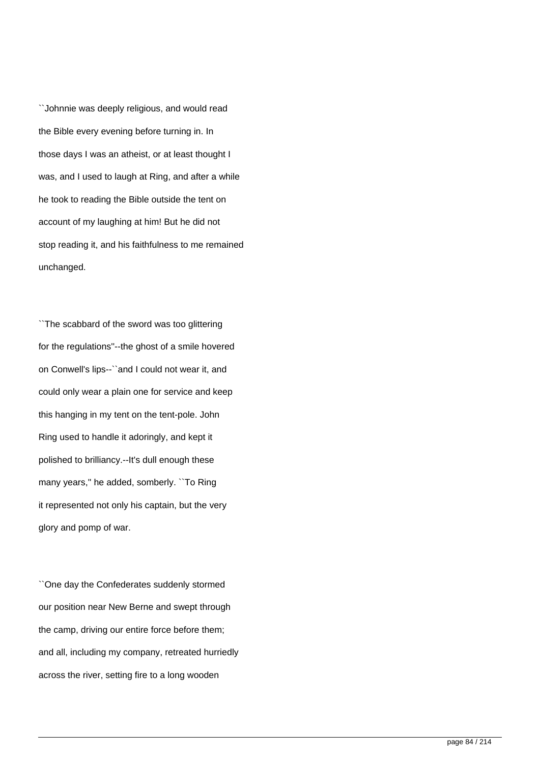``Johnnie was deeply religious, and would read the Bible every evening before turning in. In those days I was an atheist, or at least thought I was, and I used to laugh at Ring, and after a while he took to reading the Bible outside the tent on account of my laughing at him! But he did not stop reading it, and his faithfulness to me remained unchanged.

``The scabbard of the sword was too glittering for the regulations''--the ghost of a smile hovered on Conwell's lips--``and I could not wear it, and could only wear a plain one for service and keep this hanging in my tent on the tent-pole. John Ring used to handle it adoringly, and kept it polished to brilliancy.--It's dull enough these many years,'' he added, somberly. ``To Ring it represented not only his captain, but the very glory and pomp of war.

``One day the Confederates suddenly stormed our position near New Berne and swept through the camp, driving our entire force before them; and all, including my company, retreated hurriedly across the river, setting fire to a long wooden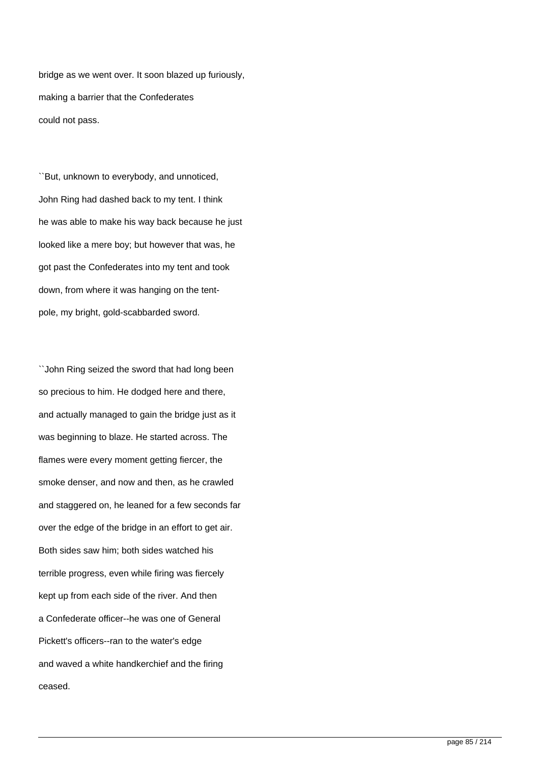bridge as we went over. It soon blazed up furiously, making a barrier that the Confederates could not pass.

``But, unknown to everybody, and unnoticed, John Ring had dashed back to my tent. I think he was able to make his way back because he just looked like a mere boy; but however that was, he got past the Confederates into my tent and took down, from where it was hanging on the tentpole, my bright, gold-scabbarded sword.

``John Ring seized the sword that had long been so precious to him. He dodged here and there, and actually managed to gain the bridge just as it was beginning to blaze. He started across. The flames were every moment getting fiercer, the smoke denser, and now and then, as he crawled and staggered on, he leaned for a few seconds far over the edge of the bridge in an effort to get air. Both sides saw him; both sides watched his terrible progress, even while firing was fiercely kept up from each side of the river. And then a Confederate officer--he was one of General Pickett's officers--ran to the water's edge and waved a white handkerchief and the firing ceased.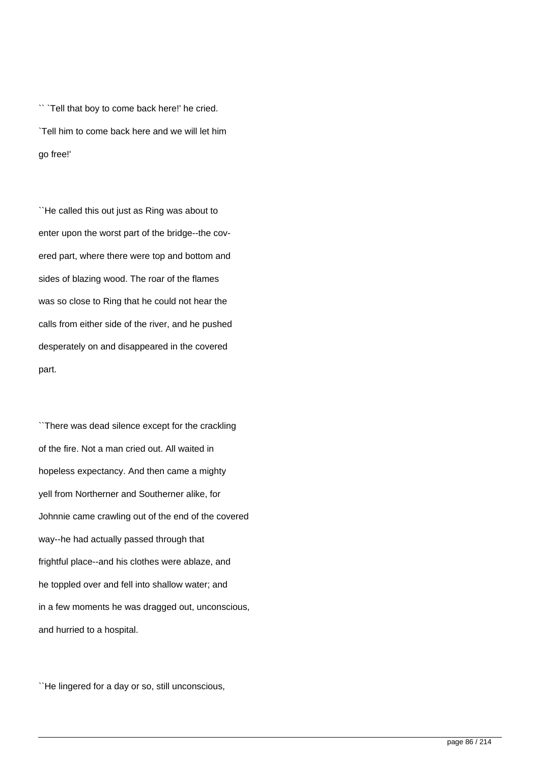`` `Tell that boy to come back here!' he cried. `Tell him to come back here and we will let him go free!'

``He called this out just as Ring was about to enter upon the worst part of the bridge--the covered part, where there were top and bottom and sides of blazing wood. The roar of the flames was so close to Ring that he could not hear the calls from either side of the river, and he pushed desperately on and disappeared in the covered part.

``There was dead silence except for the crackling of the fire. Not a man cried out. All waited in hopeless expectancy. And then came a mighty yell from Northerner and Southerner alike, for Johnnie came crawling out of the end of the covered way--he had actually passed through that frightful place--and his clothes were ablaze, and he toppled over and fell into shallow water; and in a few moments he was dragged out, unconscious, and hurried to a hospital.

``He lingered for a day or so, still unconscious,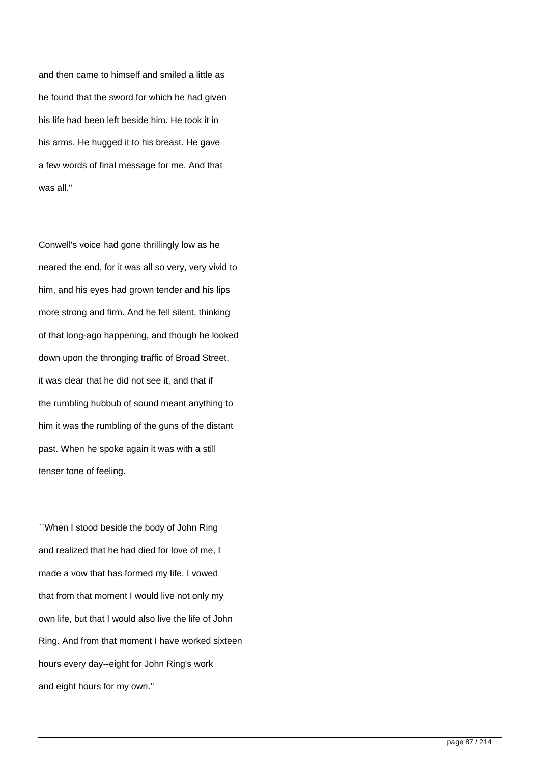and then came to himself and smiled a little as he found that the sword for which he had given his life had been left beside him. He took it in his arms. He hugged it to his breast. He gave a few words of final message for me. And that was all.''

Conwell's voice had gone thrillingly low as he neared the end, for it was all so very, very vivid to him, and his eyes had grown tender and his lips more strong and firm. And he fell silent, thinking of that long-ago happening, and though he looked down upon the thronging traffic of Broad Street, it was clear that he did not see it, and that if the rumbling hubbub of sound meant anything to him it was the rumbling of the guns of the distant past. When he spoke again it was with a still tenser tone of feeling.

``When I stood beside the body of John Ring and realized that he had died for love of me, I made a vow that has formed my life. I vowed that from that moment I would live not only my own life, but that I would also live the life of John Ring. And from that moment I have worked sixteen hours every day--eight for John Ring's work and eight hours for my own.''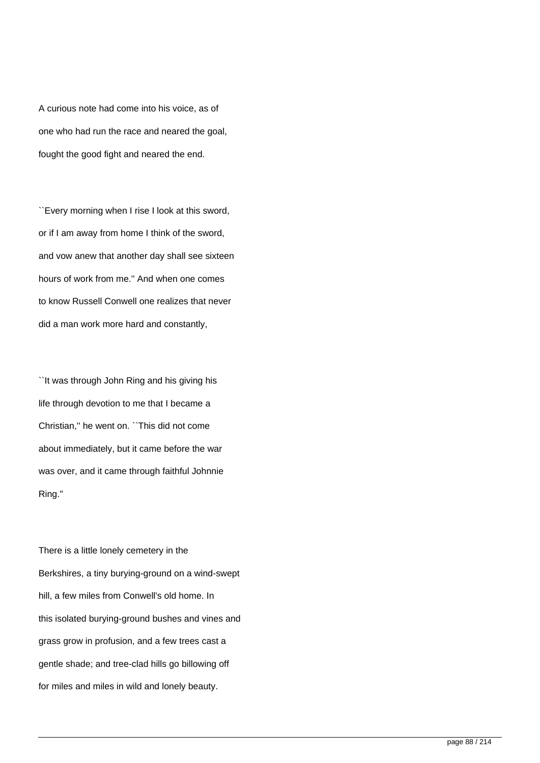A curious note had come into his voice, as of one who had run the race and neared the goal, fought the good fight and neared the end.

``Every morning when I rise I look at this sword, or if I am away from home I think of the sword, and vow anew that another day shall see sixteen hours of work from me.'' And when one comes to know Russell Conwell one realizes that never did a man work more hard and constantly,

``It was through John Ring and his giving his life through devotion to me that I became a Christian,'' he went on. ``This did not come about immediately, but it came before the war was over, and it came through faithful Johnnie Ring.''

There is a little lonely cemetery in the Berkshires, a tiny burying-ground on a wind-swept hill, a few miles from Conwell's old home. In this isolated burying-ground bushes and vines and grass grow in profusion, and a few trees cast a gentle shade; and tree-clad hills go billowing off for miles and miles in wild and lonely beauty.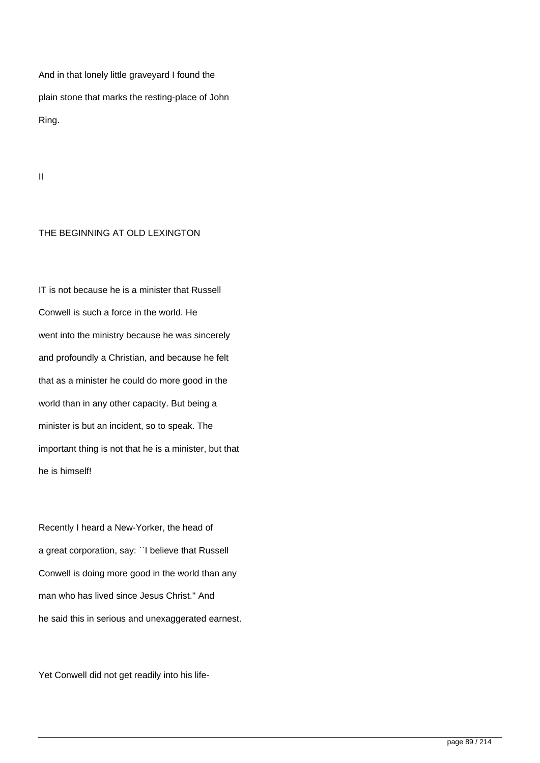And in that lonely little graveyard I found the plain stone that marks the resting-place of John Ring.

II

# THE BEGINNING AT OLD LEXINGTON

IT is not because he is a minister that Russell Conwell is such a force in the world. He went into the ministry because he was sincerely and profoundly a Christian, and because he felt that as a minister he could do more good in the world than in any other capacity. But being a minister is but an incident, so to speak. The important thing is not that he is a minister, but that he is himself!

Recently I heard a New-Yorker, the head of a great corporation, say: ``I believe that Russell Conwell is doing more good in the world than any man who has lived since Jesus Christ.'' And he said this in serious and unexaggerated earnest.

Yet Conwell did not get readily into his life-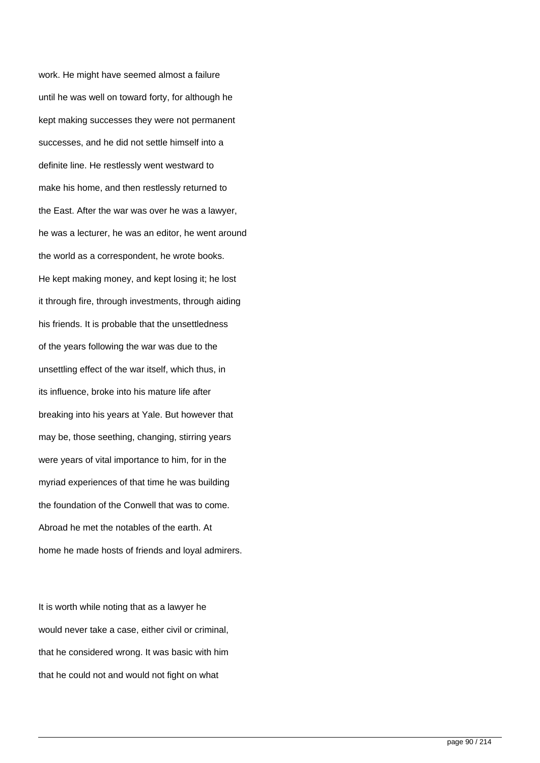work. He might have seemed almost a failure until he was well on toward forty, for although he kept making successes they were not permanent successes, and he did not settle himself into a definite line. He restlessly went westward to make his home, and then restlessly returned to the East. After the war was over he was a lawyer, he was a lecturer, he was an editor, he went around the world as a correspondent, he wrote books. He kept making money, and kept losing it; he lost it through fire, through investments, through aiding his friends. It is probable that the unsettledness of the years following the war was due to the unsettling effect of the war itself, which thus, in its influence, broke into his mature life after breaking into his years at Yale. But however that may be, those seething, changing, stirring years were years of vital importance to him, for in the myriad experiences of that time he was building the foundation of the Conwell that was to come. Abroad he met the notables of the earth. At home he made hosts of friends and loyal admirers.

It is worth while noting that as a lawyer he would never take a case, either civil or criminal, that he considered wrong. It was basic with him that he could not and would not fight on what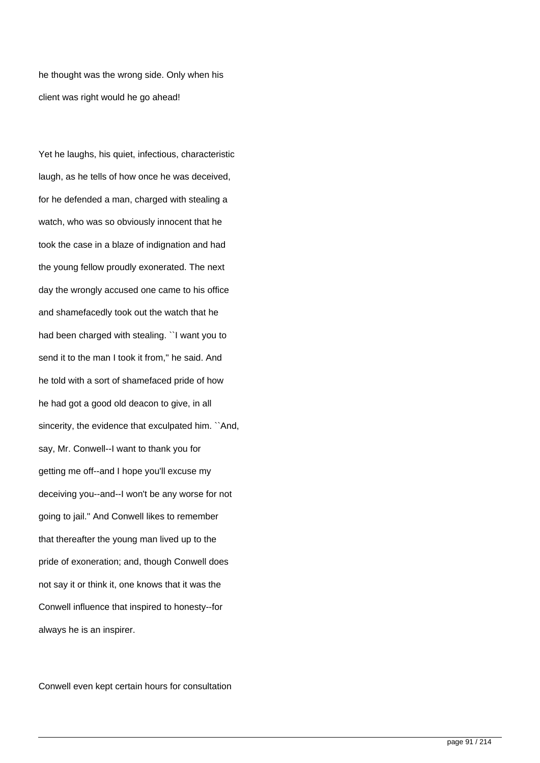he thought was the wrong side. Only when his client was right would he go ahead!

Yet he laughs, his quiet, infectious, characteristic laugh, as he tells of how once he was deceived, for he defended a man, charged with stealing a watch, who was so obviously innocent that he took the case in a blaze of indignation and had the young fellow proudly exonerated. The next day the wrongly accused one came to his office and shamefacedly took out the watch that he had been charged with stealing. ``I want you to send it to the man I took it from," he said. And he told with a sort of shamefaced pride of how he had got a good old deacon to give, in all sincerity, the evidence that exculpated him. ``And, say, Mr. Conwell--I want to thank you for getting me off--and I hope you'll excuse my deceiving you--and--I won't be any worse for not going to jail.'' And Conwell likes to remember that thereafter the young man lived up to the pride of exoneration; and, though Conwell does not say it or think it, one knows that it was the Conwell influence that inspired to honesty--for always he is an inspirer.

Conwell even kept certain hours for consultation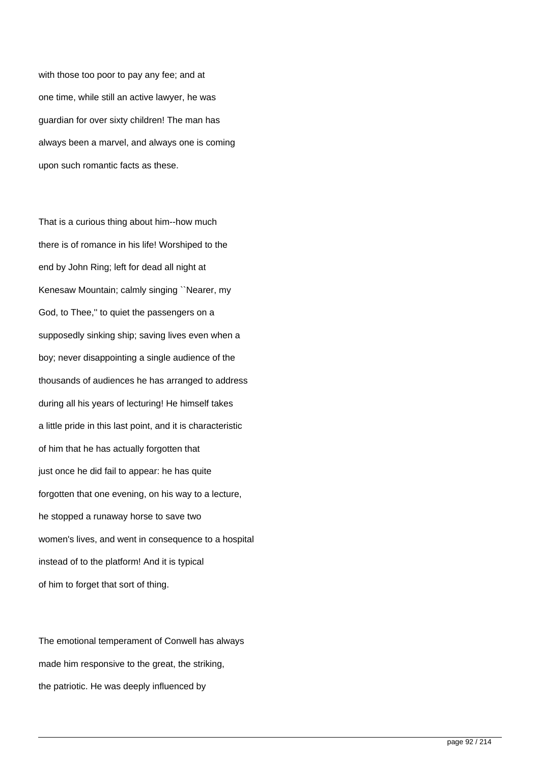with those too poor to pay any fee; and at one time, while still an active lawyer, he was guardian for over sixty children! The man has always been a marvel, and always one is coming upon such romantic facts as these.

That is a curious thing about him--how much there is of romance in his life! Worshiped to the end by John Ring; left for dead all night at Kenesaw Mountain; calmly singing ``Nearer, my God, to Thee,'' to quiet the passengers on a supposedly sinking ship; saving lives even when a boy; never disappointing a single audience of the thousands of audiences he has arranged to address during all his years of lecturing! He himself takes a little pride in this last point, and it is characteristic of him that he has actually forgotten that just once he did fail to appear: he has quite forgotten that one evening, on his way to a lecture, he stopped a runaway horse to save two women's lives, and went in consequence to a hospital instead of to the platform! And it is typical of him to forget that sort of thing.

The emotional temperament of Conwell has always made him responsive to the great, the striking, the patriotic. He was deeply influenced by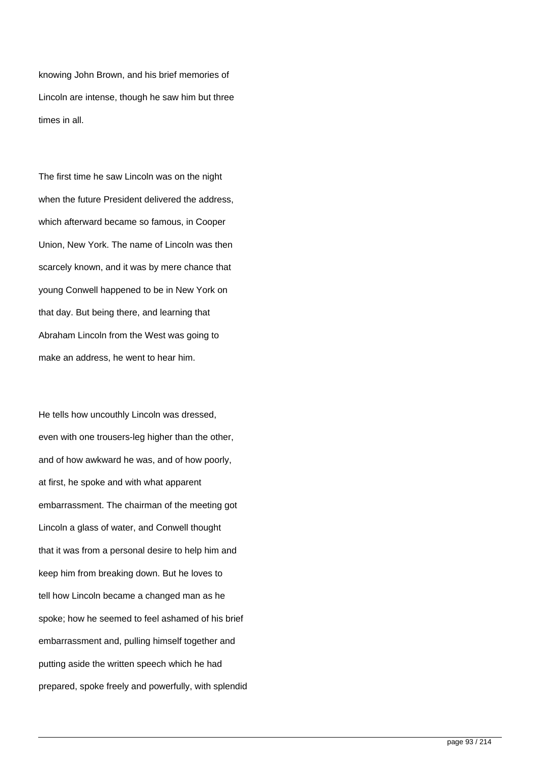knowing John Brown, and his brief memories of Lincoln are intense, though he saw him but three times in all.

The first time he saw Lincoln was on the night when the future President delivered the address, which afterward became so famous, in Cooper Union, New York. The name of Lincoln was then scarcely known, and it was by mere chance that young Conwell happened to be in New York on that day. But being there, and learning that Abraham Lincoln from the West was going to make an address, he went to hear him.

He tells how uncouthly Lincoln was dressed, even with one trousers-leg higher than the other, and of how awkward he was, and of how poorly, at first, he spoke and with what apparent embarrassment. The chairman of the meeting got Lincoln a glass of water, and Conwell thought that it was from a personal desire to help him and keep him from breaking down. But he loves to tell how Lincoln became a changed man as he spoke; how he seemed to feel ashamed of his brief embarrassment and, pulling himself together and putting aside the written speech which he had prepared, spoke freely and powerfully, with splendid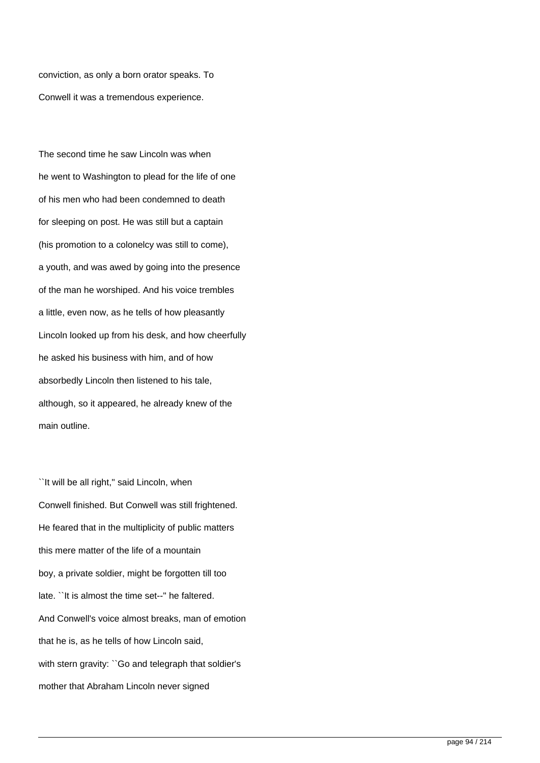conviction, as only a born orator speaks. To Conwell it was a tremendous experience.

The second time he saw Lincoln was when he went to Washington to plead for the life of one of his men who had been condemned to death for sleeping on post. He was still but a captain (his promotion to a colonelcy was still to come), a youth, and was awed by going into the presence of the man he worshiped. And his voice trembles a little, even now, as he tells of how pleasantly Lincoln looked up from his desk, and how cheerfully he asked his business with him, and of how absorbedly Lincoln then listened to his tale, although, so it appeared, he already knew of the main outline.

``It will be all right,'' said Lincoln, when Conwell finished. But Conwell was still frightened. He feared that in the multiplicity of public matters this mere matter of the life of a mountain boy, a private soldier, might be forgotten till too late. ``It is almost the time set--'' he faltered. And Conwell's voice almost breaks, man of emotion that he is, as he tells of how Lincoln said, with stern gravity: "Go and telegraph that soldier's mother that Abraham Lincoln never signed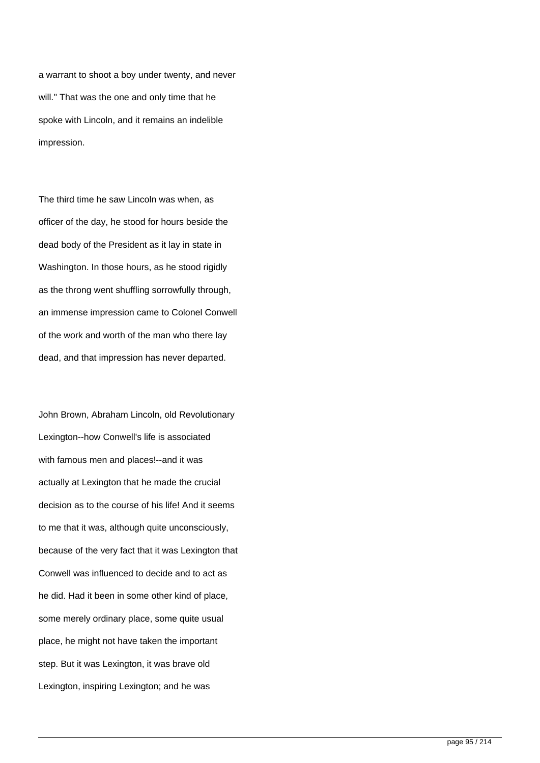a warrant to shoot a boy under twenty, and never will.'' That was the one and only time that he spoke with Lincoln, and it remains an indelible impression.

The third time he saw Lincoln was when, as officer of the day, he stood for hours beside the dead body of the President as it lay in state in Washington. In those hours, as he stood rigidly as the throng went shuffling sorrowfully through, an immense impression came to Colonel Conwell of the work and worth of the man who there lay dead, and that impression has never departed.

John Brown, Abraham Lincoln, old Revolutionary Lexington--how Conwell's life is associated with famous men and places!--and it was actually at Lexington that he made the crucial decision as to the course of his life! And it seems to me that it was, although quite unconsciously, because of the very fact that it was Lexington that Conwell was influenced to decide and to act as he did. Had it been in some other kind of place, some merely ordinary place, some quite usual place, he might not have taken the important step. But it was Lexington, it was brave old Lexington, inspiring Lexington; and he was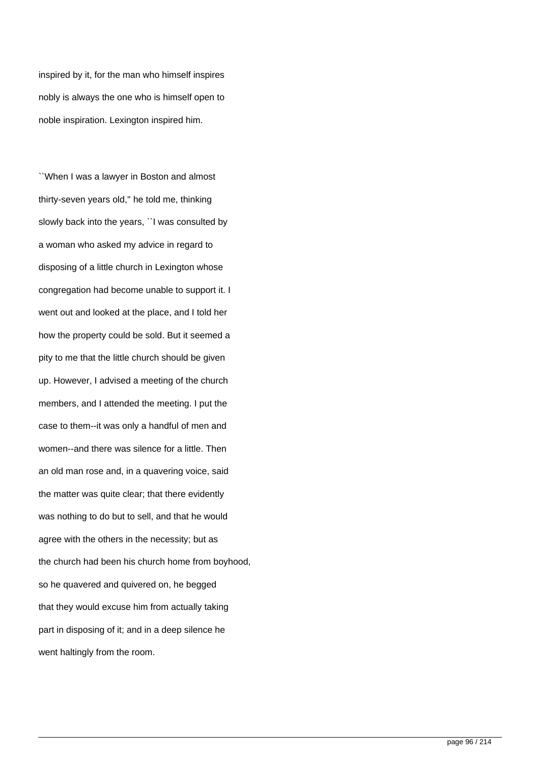inspired by it, for the man who himself inspires nobly is always the one who is himself open to noble inspiration. Lexington inspired him.

``When I was a lawyer in Boston and almost thirty-seven years old,'' he told me, thinking slowly back into the years, ``I was consulted by a woman who asked my advice in regard to disposing of a little church in Lexington whose congregation had become unable to support it. I went out and looked at the place, and I told her how the property could be sold. But it seemed a pity to me that the little church should be given up. However, I advised a meeting of the church members, and I attended the meeting. I put the case to them--it was only a handful of men and women--and there was silence for a little. Then an old man rose and, in a quavering voice, said the matter was quite clear; that there evidently was nothing to do but to sell, and that he would agree with the others in the necessity; but as the church had been his church home from boyhood, so he quavered and quivered on, he begged that they would excuse him from actually taking part in disposing of it; and in a deep silence he went haltingly from the room.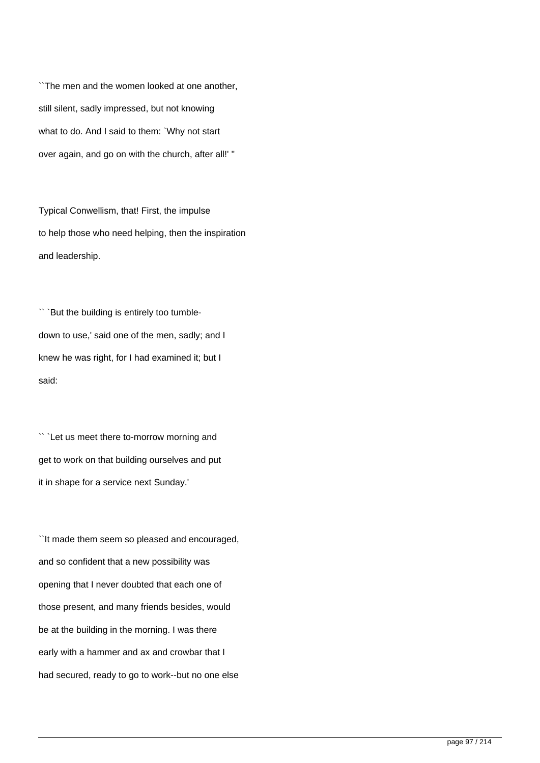``The men and the women looked at one another, still silent, sadly impressed, but not knowing what to do. And I said to them: `Why not start over again, and go on with the church, after all!' ''

Typical Conwellism, that! First, the impulse to help those who need helping, then the inspiration and leadership.

`` `But the building is entirely too tumbledown to use,' said one of the men, sadly; and I knew he was right, for I had examined it; but I said:

`` `Let us meet there to-morrow morning and get to work on that building ourselves and put it in shape for a service next Sunday.'

``It made them seem so pleased and encouraged, and so confident that a new possibility was opening that I never doubted that each one of those present, and many friends besides, would be at the building in the morning. I was there early with a hammer and ax and crowbar that I had secured, ready to go to work--but no one else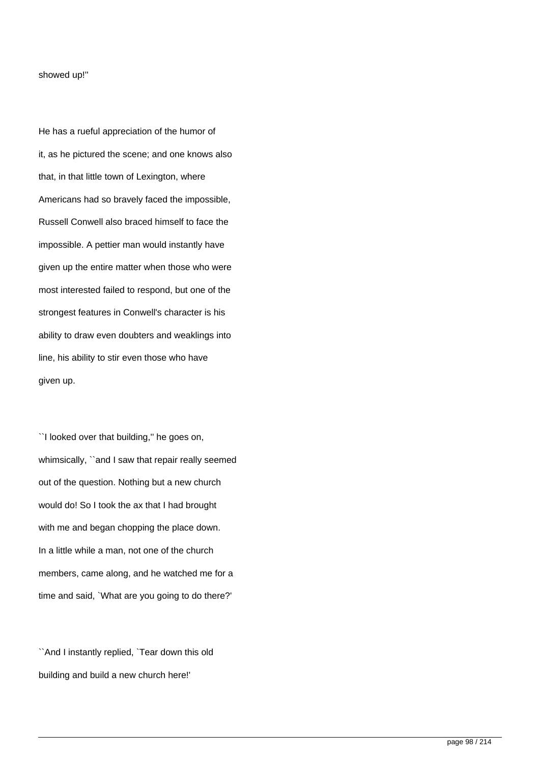### showed up!''

He has a rueful appreciation of the humor of it, as he pictured the scene; and one knows also that, in that little town of Lexington, where Americans had so bravely faced the impossible, Russell Conwell also braced himself to face the impossible. A pettier man would instantly have given up the entire matter when those who were most interested failed to respond, but one of the strongest features in Conwell's character is his ability to draw even doubters and weaklings into line, his ability to stir even those who have given up.

``I looked over that building,'' he goes on, whimsically, ``and I saw that repair really seemed out of the question. Nothing but a new church would do! So I took the ax that I had brought with me and began chopping the place down. In a little while a man, not one of the church members, came along, and he watched me for a time and said, `What are you going to do there?'

``And I instantly replied, `Tear down this old building and build a new church here!'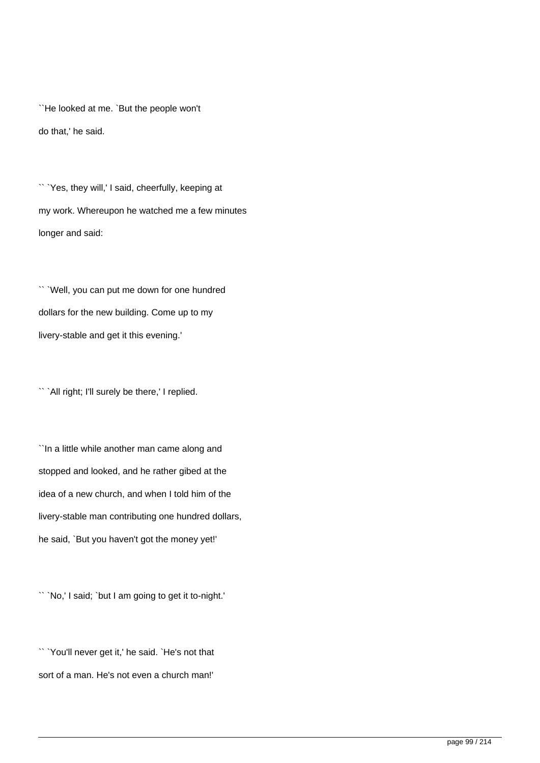``He looked at me. `But the people won't do that,' he said.

`` `Yes, they will,' I said, cheerfully, keeping at my work. Whereupon he watched me a few minutes longer and said:

`` `Well, you can put me down for one hundred dollars for the new building. Come up to my livery-stable and get it this evening.'

`` `All right; I'll surely be there,' I replied.

``In a little while another man came along and stopped and looked, and he rather gibed at the idea of a new church, and when I told him of the livery-stable man contributing one hundred dollars, he said, `But you haven't got the money yet!'

`` `No,' I said; `but I am going to get it to-night.'

`` `You'll never get it,' he said. `He's not that sort of a man. He's not even a church man!'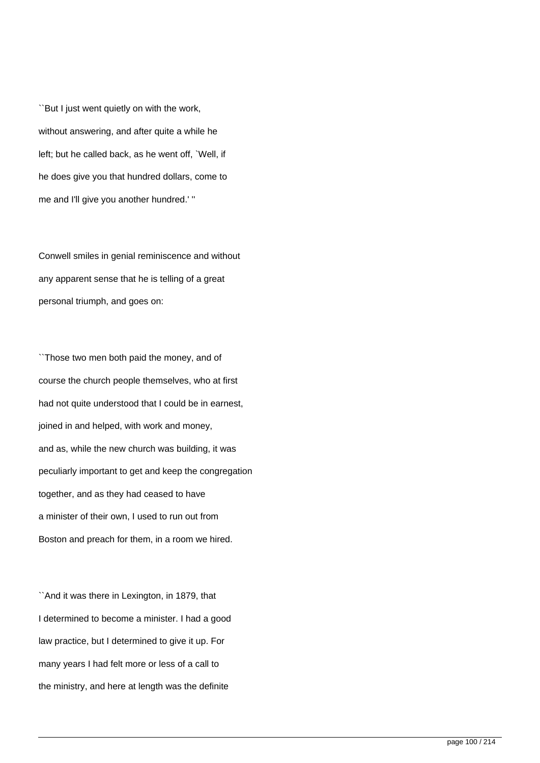``But I just went quietly on with the work, without answering, and after quite a while he left; but he called back, as he went off, `Well, if he does give you that hundred dollars, come to me and I'll give you another hundred.' ''

Conwell smiles in genial reminiscence and without any apparent sense that he is telling of a great personal triumph, and goes on:

``Those two men both paid the money, and of course the church people themselves, who at first had not quite understood that I could be in earnest, joined in and helped, with work and money, and as, while the new church was building, it was peculiarly important to get and keep the congregation together, and as they had ceased to have a minister of their own, I used to run out from Boston and preach for them, in a room we hired.

``And it was there in Lexington, in 1879, that I determined to become a minister. I had a good law practice, but I determined to give it up. For many years I had felt more or less of a call to the ministry, and here at length was the definite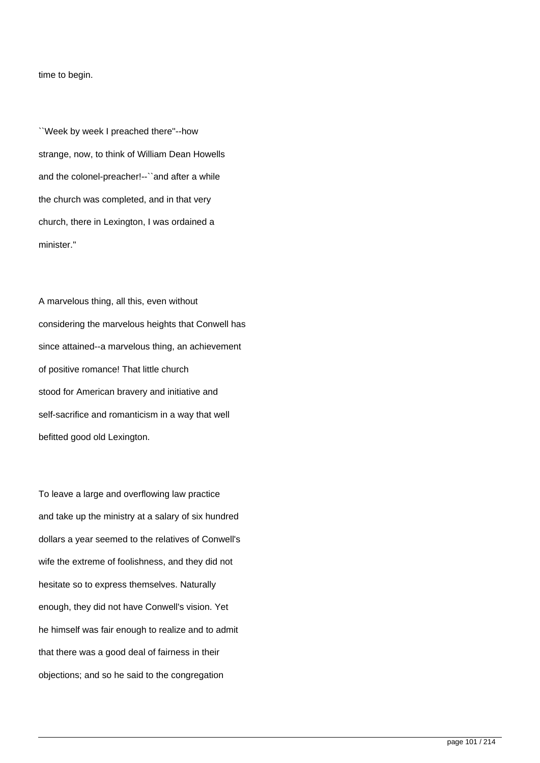time to begin.

``Week by week I preached there''--how strange, now, to think of William Dean Howells and the colonel-preacher!--``and after a while the church was completed, and in that very church, there in Lexington, I was ordained a minister."

A marvelous thing, all this, even without considering the marvelous heights that Conwell has since attained--a marvelous thing, an achievement of positive romance! That little church stood for American bravery and initiative and self-sacrifice and romanticism in a way that well befitted good old Lexington.

To leave a large and overflowing law practice and take up the ministry at a salary of six hundred dollars a year seemed to the relatives of Conwell's wife the extreme of foolishness, and they did not hesitate so to express themselves. Naturally enough, they did not have Conwell's vision. Yet he himself was fair enough to realize and to admit that there was a good deal of fairness in their objections; and so he said to the congregation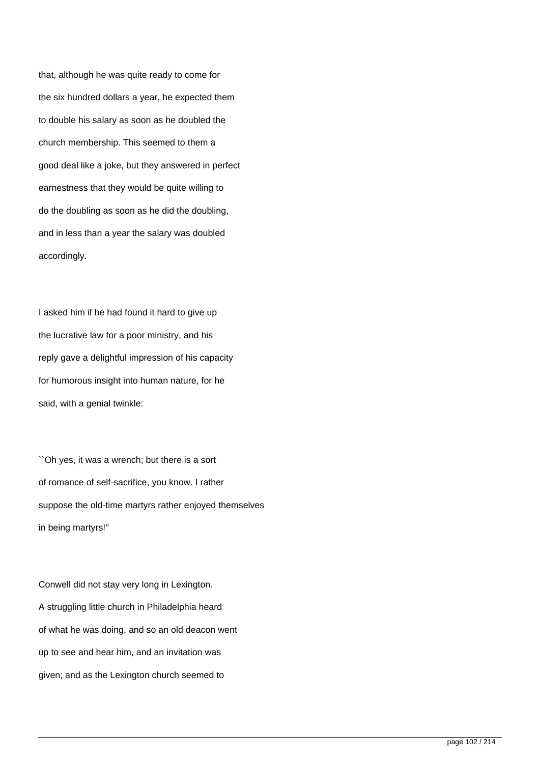that, although he was quite ready to come for the six hundred dollars a year, he expected them to double his salary as soon as he doubled the church membership. This seemed to them a good deal like a joke, but they answered in perfect earnestness that they would be quite willing to do the doubling as soon as he did the doubling, and in less than a year the salary was doubled accordingly.

I asked him if he had found it hard to give up the lucrative law for a poor ministry, and his reply gave a delightful impression of his capacity for humorous insight into human nature, for he said, with a genial twinkle:

``Oh yes, it was a wrench; but there is a sort of romance of self-sacrifice, you know. I rather suppose the old-time martyrs rather enjoyed themselves in being martyrs!''

Conwell did not stay very long in Lexington. A struggling little church in Philadelphia heard of what he was doing, and so an old deacon went up to see and hear him, and an invitation was given; and as the Lexington church seemed to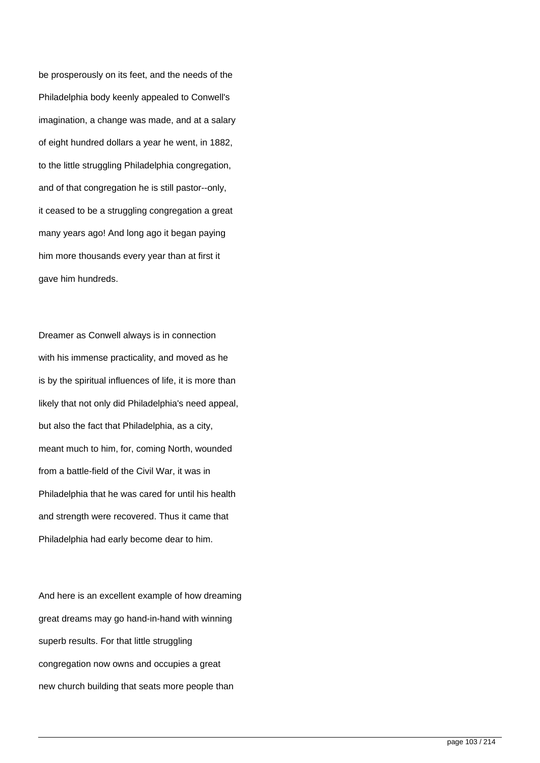be prosperously on its feet, and the needs of the Philadelphia body keenly appealed to Conwell's imagination, a change was made, and at a salary of eight hundred dollars a year he went, in 1882, to the little struggling Philadelphia congregation, and of that congregation he is still pastor--only, it ceased to be a struggling congregation a great many years ago! And long ago it began paying him more thousands every year than at first it gave him hundreds.

Dreamer as Conwell always is in connection with his immense practicality, and moved as he is by the spiritual influences of life, it is more than likely that not only did Philadelphia's need appeal, but also the fact that Philadelphia, as a city, meant much to him, for, coming North, wounded from a battle-field of the Civil War, it was in Philadelphia that he was cared for until his health and strength were recovered. Thus it came that Philadelphia had early become dear to him.

And here is an excellent example of how dreaming great dreams may go hand-in-hand with winning superb results. For that little struggling congregation now owns and occupies a great new church building that seats more people than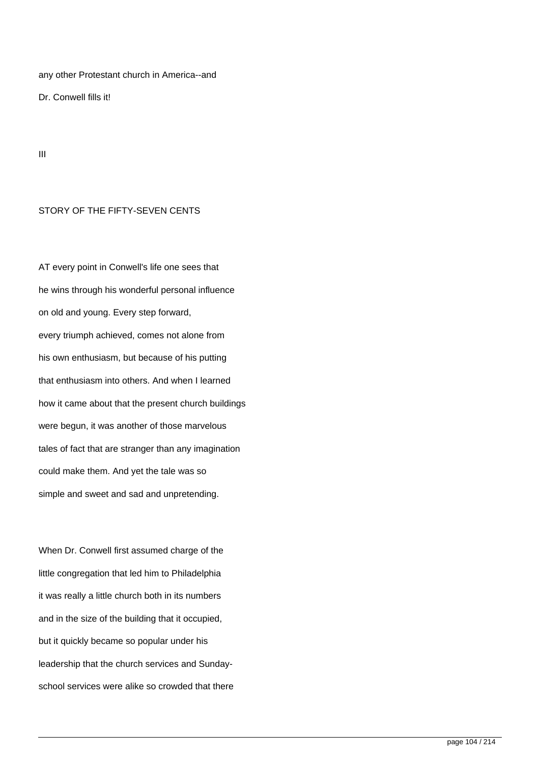any other Protestant church in America--and

Dr. Conwell fills it!

III

## STORY OF THE FIFTY-SEVEN CENTS

AT every point in Conwell's life one sees that he wins through his wonderful personal influence on old and young. Every step forward, every triumph achieved, comes not alone from his own enthusiasm, but because of his putting that enthusiasm into others. And when I learned how it came about that the present church buildings were begun, it was another of those marvelous tales of fact that are stranger than any imagination could make them. And yet the tale was so simple and sweet and sad and unpretending.

When Dr. Conwell first assumed charge of the little congregation that led him to Philadelphia it was really a little church both in its numbers and in the size of the building that it occupied, but it quickly became so popular under his leadership that the church services and Sundayschool services were alike so crowded that there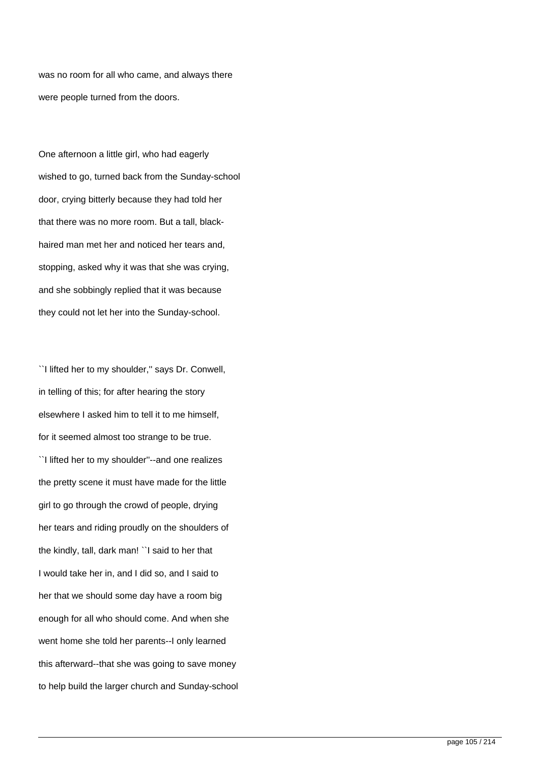was no room for all who came, and always there were people turned from the doors.

One afternoon a little girl, who had eagerly wished to go, turned back from the Sunday-school door, crying bitterly because they had told her that there was no more room. But a tall, blackhaired man met her and noticed her tears and, stopping, asked why it was that she was crying, and she sobbingly replied that it was because they could not let her into the Sunday-school.

``I lifted her to my shoulder,'' says Dr. Conwell, in telling of this; for after hearing the story elsewhere I asked him to tell it to me himself, for it seemed almost too strange to be true. ``I lifted her to my shoulder''--and one realizes the pretty scene it must have made for the little girl to go through the crowd of people, drying her tears and riding proudly on the shoulders of the kindly, tall, dark man! ``I said to her that I would take her in, and I did so, and I said to her that we should some day have a room big enough for all who should come. And when she went home she told her parents--I only learned this afterward--that she was going to save money to help build the larger church and Sunday-school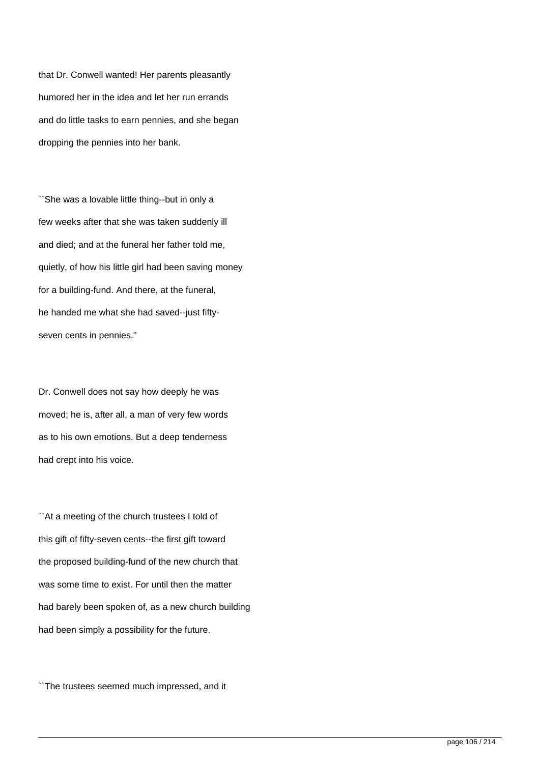that Dr. Conwell wanted! Her parents pleasantly humored her in the idea and let her run errands and do little tasks to earn pennies, and she began dropping the pennies into her bank.

``She was a lovable little thing--but in only a few weeks after that she was taken suddenly ill and died; and at the funeral her father told me, quietly, of how his little girl had been saving money for a building-fund. And there, at the funeral, he handed me what she had saved--just fiftyseven cents in pennies.''

Dr. Conwell does not say how deeply he was moved; he is, after all, a man of very few words as to his own emotions. But a deep tenderness had crept into his voice.

``At a meeting of the church trustees I told of this gift of fifty-seven cents--the first gift toward the proposed building-fund of the new church that was some time to exist. For until then the matter had barely been spoken of, as a new church building had been simply a possibility for the future.

``The trustees seemed much impressed, and it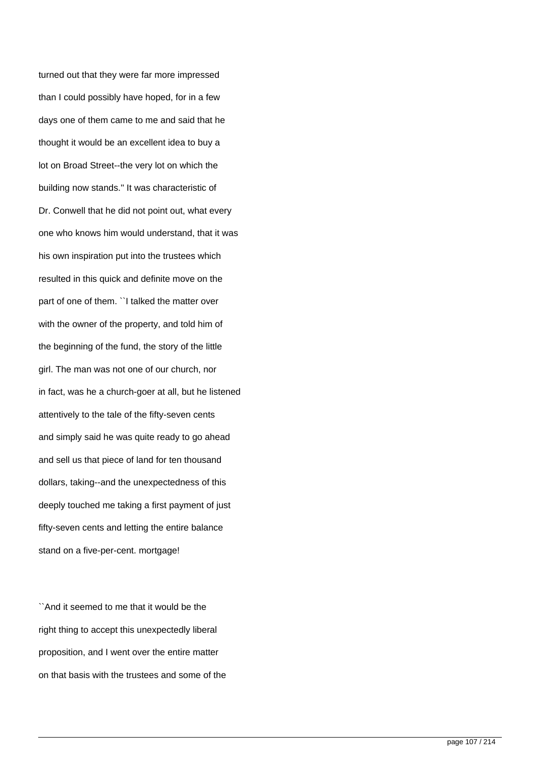turned out that they were far more impressed than I could possibly have hoped, for in a few days one of them came to me and said that he thought it would be an excellent idea to buy a lot on Broad Street--the very lot on which the building now stands.'' It was characteristic of Dr. Conwell that he did not point out, what every one who knows him would understand, that it was his own inspiration put into the trustees which resulted in this quick and definite move on the part of one of them. ``I talked the matter over with the owner of the property, and told him of the beginning of the fund, the story of the little girl. The man was not one of our church, nor in fact, was he a church-goer at all, but he listened attentively to the tale of the fifty-seven cents and simply said he was quite ready to go ahead and sell us that piece of land for ten thousand dollars, taking--and the unexpectedness of this deeply touched me taking a first payment of just fifty-seven cents and letting the entire balance stand on a five-per-cent. mortgage!

``And it seemed to me that it would be the right thing to accept this unexpectedly liberal proposition, and I went over the entire matter on that basis with the trustees and some of the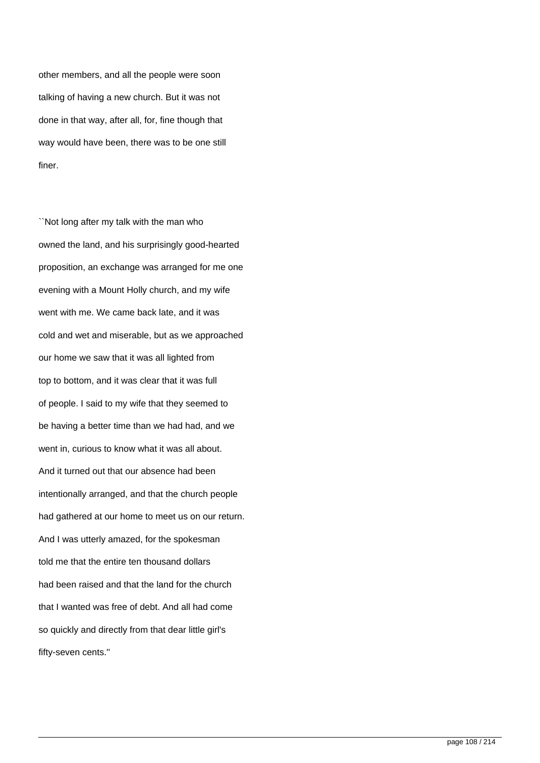other members, and all the people were soon talking of having a new church. But it was not done in that way, after all, for, fine though that way would have been, there was to be one still finer.

``Not long after my talk with the man who owned the land, and his surprisingly good-hearted proposition, an exchange was arranged for me one evening with a Mount Holly church, and my wife went with me. We came back late, and it was cold and wet and miserable, but as we approached our home we saw that it was all lighted from top to bottom, and it was clear that it was full of people. I said to my wife that they seemed to be having a better time than we had had, and we went in, curious to know what it was all about. And it turned out that our absence had been intentionally arranged, and that the church people had gathered at our home to meet us on our return. And I was utterly amazed, for the spokesman told me that the entire ten thousand dollars had been raised and that the land for the church that I wanted was free of debt. And all had come so quickly and directly from that dear little girl's fifty-seven cents.''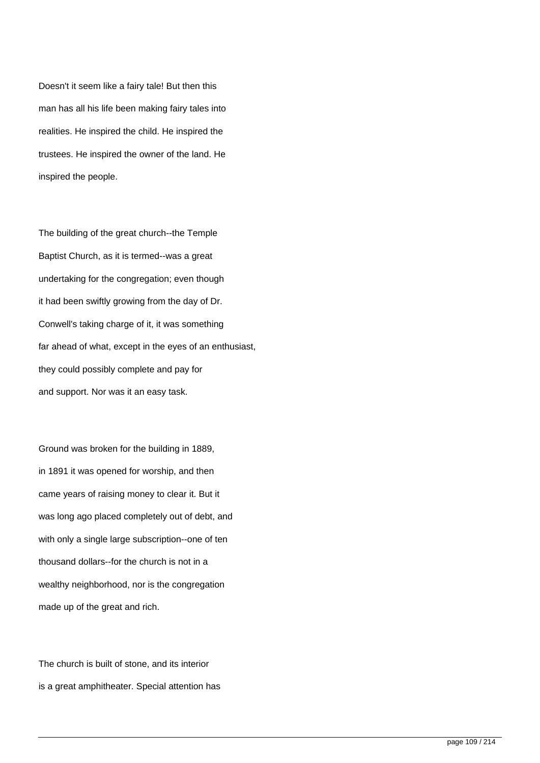Doesn't it seem like a fairy tale! But then this man has all his life been making fairy tales into realities. He inspired the child. He inspired the trustees. He inspired the owner of the land. He inspired the people.

The building of the great church--the Temple Baptist Church, as it is termed--was a great undertaking for the congregation; even though it had been swiftly growing from the day of Dr. Conwell's taking charge of it, it was something far ahead of what, except in the eyes of an enthusiast, they could possibly complete and pay for and support. Nor was it an easy task.

Ground was broken for the building in 1889, in 1891 it was opened for worship, and then came years of raising money to clear it. But it was long ago placed completely out of debt, and with only a single large subscription--one of ten thousand dollars--for the church is not in a wealthy neighborhood, nor is the congregation made up of the great and rich.

The church is built of stone, and its interior is a great amphitheater. Special attention has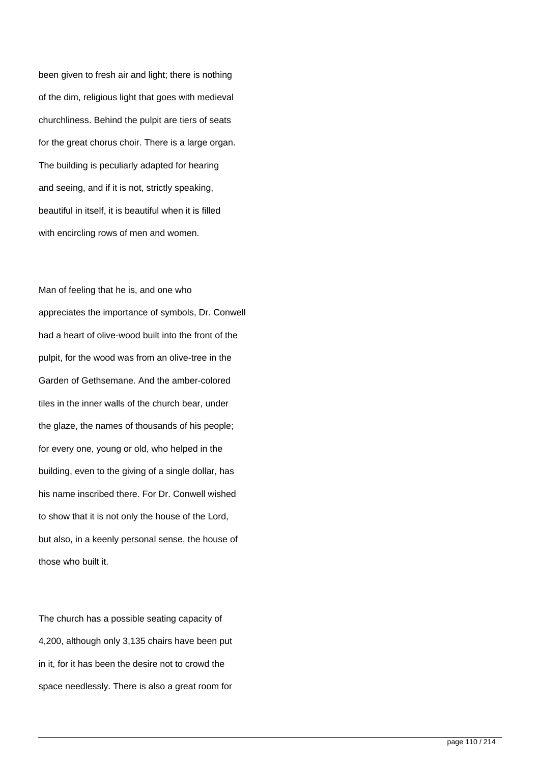been given to fresh air and light; there is nothing of the dim, religious light that goes with medieval churchliness. Behind the pulpit are tiers of seats for the great chorus choir. There is a large organ. The building is peculiarly adapted for hearing and seeing, and if it is not, strictly speaking, beautiful in itself, it is beautiful when it is filled with encircling rows of men and women.

Man of feeling that he is, and one who appreciates the importance of symbols, Dr. Conwell had a heart of olive-wood built into the front of the pulpit, for the wood was from an olive-tree in the Garden of Gethsemane. And the amber-colored tiles in the inner walls of the church bear, under the glaze, the names of thousands of his people; for every one, young or old, who helped in the building, even to the giving of a single dollar, has his name inscribed there. For Dr. Conwell wished to show that it is not only the house of the Lord, but also, in a keenly personal sense, the house of those who built it.

The church has a possible seating capacity of 4,200, although only 3,135 chairs have been put in it, for it has been the desire not to crowd the space needlessly. There is also a great room for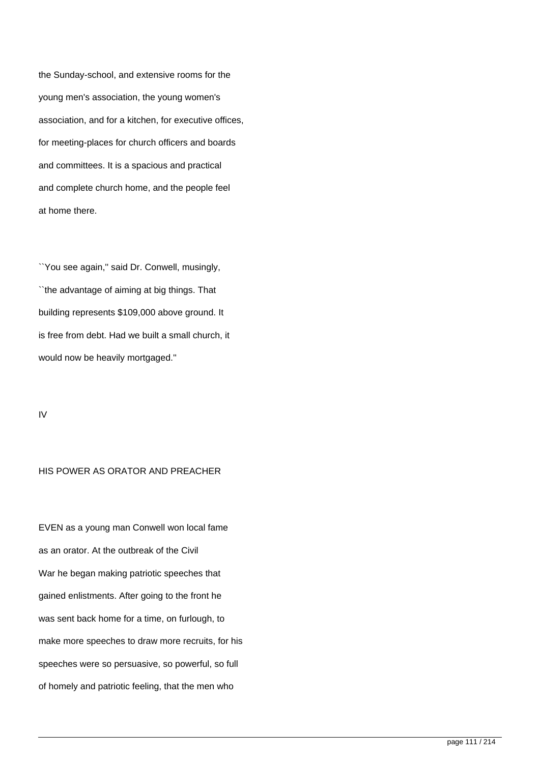the Sunday-school, and extensive rooms for the young men's association, the young women's association, and for a kitchen, for executive offices, for meeting-places for church officers and boards and committees. It is a spacious and practical and complete church home, and the people feel at home there.

``You see again,'' said Dr. Conwell, musingly, ``the advantage of aiming at big things. That building represents \$109,000 above ground. It is free from debt. Had we built a small church, it would now be heavily mortgaged.''

IV

## HIS POWER AS ORATOR AND PREACHER

EVEN as a young man Conwell won local fame as an orator. At the outbreak of the Civil War he began making patriotic speeches that gained enlistments. After going to the front he was sent back home for a time, on furlough, to make more speeches to draw more recruits, for his speeches were so persuasive, so powerful, so full of homely and patriotic feeling, that the men who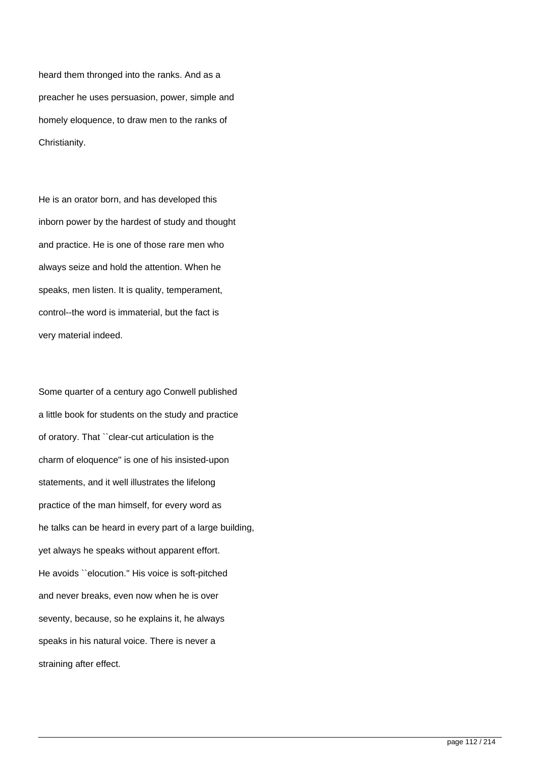heard them thronged into the ranks. And as a preacher he uses persuasion, power, simple and homely eloquence, to draw men to the ranks of Christianity.

He is an orator born, and has developed this inborn power by the hardest of study and thought and practice. He is one of those rare men who always seize and hold the attention. When he speaks, men listen. It is quality, temperament, control--the word is immaterial, but the fact is very material indeed.

Some quarter of a century ago Conwell published a little book for students on the study and practice of oratory. That ``clear-cut articulation is the charm of eloquence'' is one of his insisted-upon statements, and it well illustrates the lifelong practice of the man himself, for every word as he talks can be heard in every part of a large building, yet always he speaks without apparent effort. He avoids ``elocution.'' His voice is soft-pitched and never breaks, even now when he is over seventy, because, so he explains it, he always speaks in his natural voice. There is never a straining after effect.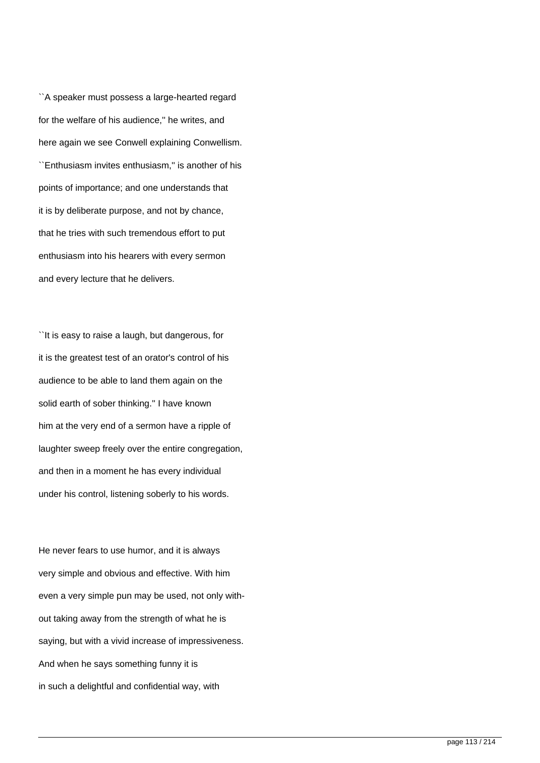``A speaker must possess a large-hearted regard for the welfare of his audience,'' he writes, and here again we see Conwell explaining Conwellism. ``Enthusiasm invites enthusiasm,'' is another of his points of importance; and one understands that it is by deliberate purpose, and not by chance, that he tries with such tremendous effort to put enthusiasm into his hearers with every sermon and every lecture that he delivers.

``It is easy to raise a laugh, but dangerous, for it is the greatest test of an orator's control of his audience to be able to land them again on the solid earth of sober thinking.'' I have known him at the very end of a sermon have a ripple of laughter sweep freely over the entire congregation, and then in a moment he has every individual under his control, listening soberly to his words.

He never fears to use humor, and it is always very simple and obvious and effective. With him even a very simple pun may be used, not only without taking away from the strength of what he is saying, but with a vivid increase of impressiveness. And when he says something funny it is in such a delightful and confidential way, with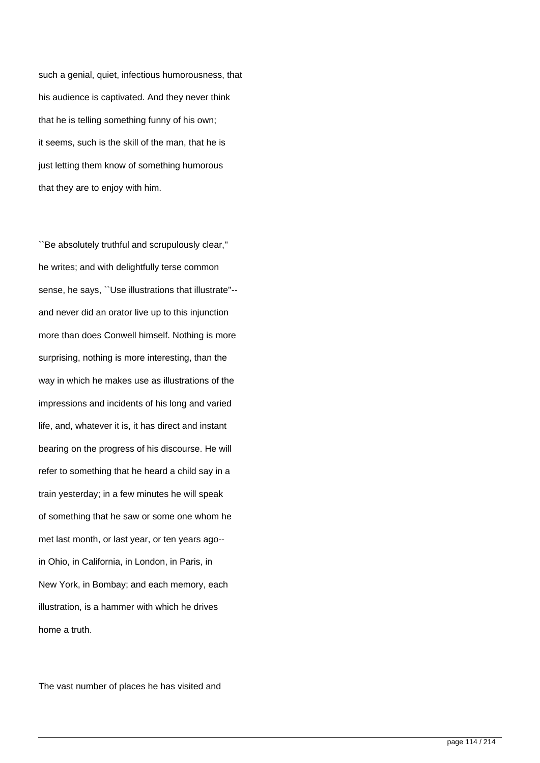such a genial, quiet, infectious humorousness, that his audience is captivated. And they never think that he is telling something funny of his own; it seems, such is the skill of the man, that he is just letting them know of something humorous that they are to enjoy with him.

``Be absolutely truthful and scrupulously clear,'' he writes; and with delightfully terse common sense, he says, ``Use illustrations that illustrate''- and never did an orator live up to this injunction more than does Conwell himself. Nothing is more surprising, nothing is more interesting, than the way in which he makes use as illustrations of the impressions and incidents of his long and varied life, and, whatever it is, it has direct and instant bearing on the progress of his discourse. He will refer to something that he heard a child say in a train yesterday; in a few minutes he will speak of something that he saw or some one whom he met last month, or last year, or ten years ago- in Ohio, in California, in London, in Paris, in New York, in Bombay; and each memory, each illustration, is a hammer with which he drives home a truth.

The vast number of places he has visited and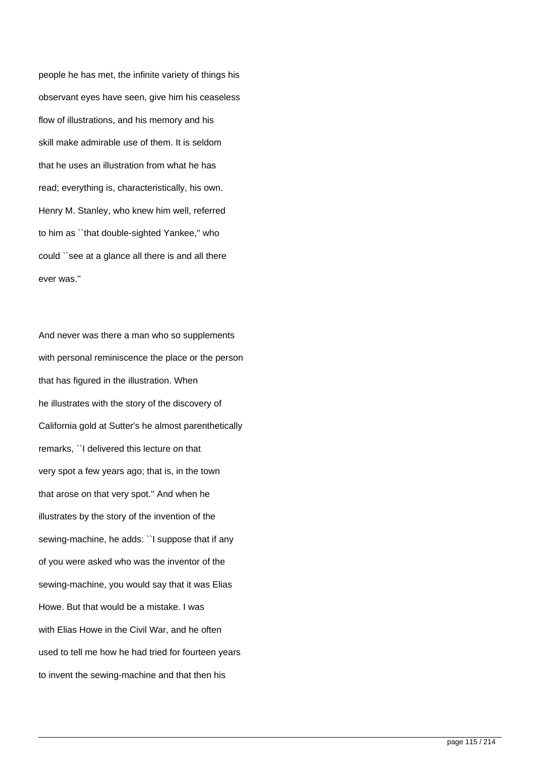people he has met, the infinite variety of things his observant eyes have seen, give him his ceaseless flow of illustrations, and his memory and his skill make admirable use of them. It is seldom that he uses an illustration from what he has read; everything is, characteristically, his own. Henry M. Stanley, who knew him well, referred to him as ``that double-sighted Yankee,'' who could ``see at a glance all there is and all there ever was.''

And never was there a man who so supplements with personal reminiscence the place or the person that has figured in the illustration. When he illustrates with the story of the discovery of California gold at Sutter's he almost parenthetically remarks, ``I delivered this lecture on that very spot a few years ago; that is, in the town that arose on that very spot.'' And when he illustrates by the story of the invention of the sewing-machine, he adds: ``I suppose that if any of you were asked who was the inventor of the sewing-machine, you would say that it was Elias Howe. But that would be a mistake. I was with Elias Howe in the Civil War, and he often used to tell me how he had tried for fourteen years to invent the sewing-machine and that then his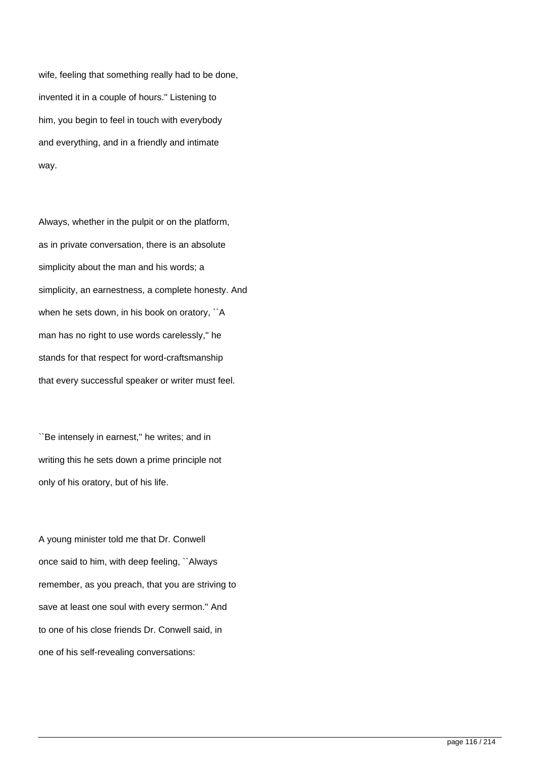wife, feeling that something really had to be done, invented it in a couple of hours.'' Listening to him, you begin to feel in touch with everybody and everything, and in a friendly and intimate way.

Always, whether in the pulpit or on the platform, as in private conversation, there is an absolute simplicity about the man and his words; a simplicity, an earnestness, a complete honesty. And when he sets down, in his book on oratory, ``A man has no right to use words carelessly,'' he stands for that respect for word-craftsmanship that every successful speaker or writer must feel.

``Be intensely in earnest,'' he writes; and in writing this he sets down a prime principle not only of his oratory, but of his life.

A young minister told me that Dr. Conwell once said to him, with deep feeling, ``Always remember, as you preach, that you are striving to save at least one soul with every sermon.'' And to one of his close friends Dr. Conwell said, in one of his self-revealing conversations: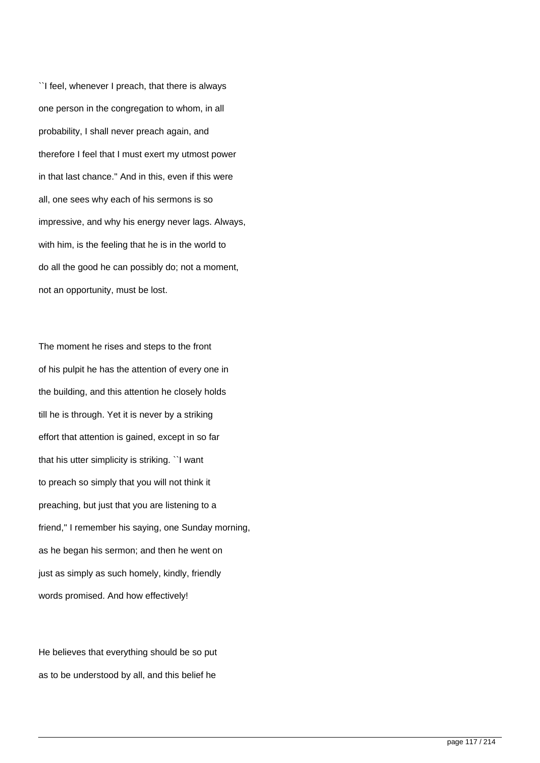``I feel, whenever I preach, that there is always one person in the congregation to whom, in all probability, I shall never preach again, and therefore I feel that I must exert my utmost power in that last chance.'' And in this, even if this were all, one sees why each of his sermons is so impressive, and why his energy never lags. Always, with him, is the feeling that he is in the world to do all the good he can possibly do; not a moment, not an opportunity, must be lost.

The moment he rises and steps to the front of his pulpit he has the attention of every one in the building, and this attention he closely holds till he is through. Yet it is never by a striking effort that attention is gained, except in so far that his utter simplicity is striking. ``I want to preach so simply that you will not think it preaching, but just that you are listening to a friend,'' I remember his saying, one Sunday morning, as he began his sermon; and then he went on just as simply as such homely, kindly, friendly words promised. And how effectively!

He believes that everything should be so put as to be understood by all, and this belief he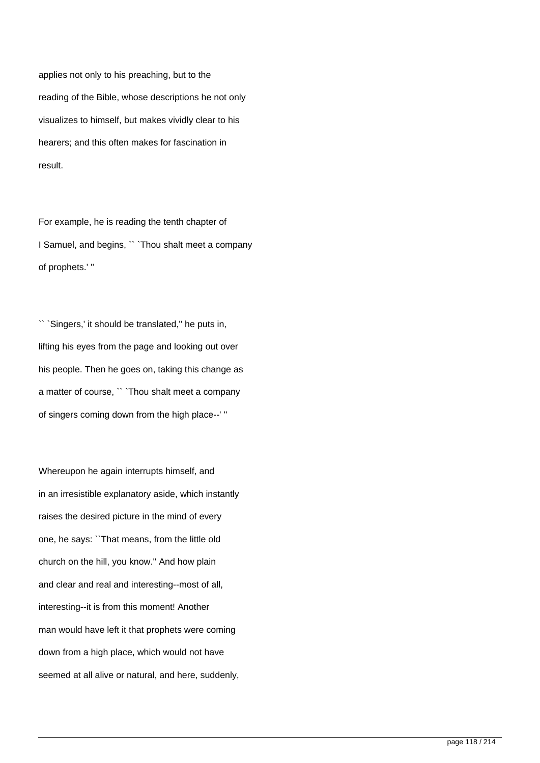applies not only to his preaching, but to the reading of the Bible, whose descriptions he not only visualizes to himself, but makes vividly clear to his hearers; and this often makes for fascination in result.

For example, he is reading the tenth chapter of I Samuel, and begins, `` `Thou shalt meet a company of prophets.' ''

`Singers,' it should be translated," he puts in, lifting his eyes from the page and looking out over his people. Then he goes on, taking this change as a matter of course, `` `Thou shalt meet a company of singers coming down from the high place--' ''

Whereupon he again interrupts himself, and in an irresistible explanatory aside, which instantly raises the desired picture in the mind of every one, he says: ``That means, from the little old church on the hill, you know.'' And how plain and clear and real and interesting--most of all, interesting--it is from this moment! Another man would have left it that prophets were coming down from a high place, which would not have seemed at all alive or natural, and here, suddenly,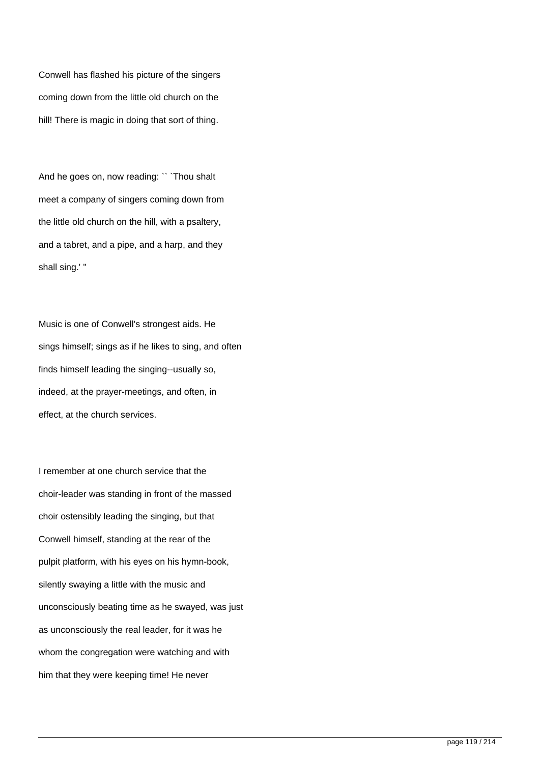Conwell has flashed his picture of the singers coming down from the little old church on the hill! There is magic in doing that sort of thing.

And he goes on, now reading: `` `Thou shalt meet a company of singers coming down from the little old church on the hill, with a psaltery, and a tabret, and a pipe, and a harp, and they shall sing.' ''

Music is one of Conwell's strongest aids. He sings himself; sings as if he likes to sing, and often finds himself leading the singing--usually so, indeed, at the prayer-meetings, and often, in effect, at the church services.

I remember at one church service that the choir-leader was standing in front of the massed choir ostensibly leading the singing, but that Conwell himself, standing at the rear of the pulpit platform, with his eyes on his hymn-book, silently swaying a little with the music and unconsciously beating time as he swayed, was just as unconsciously the real leader, for it was he whom the congregation were watching and with him that they were keeping time! He never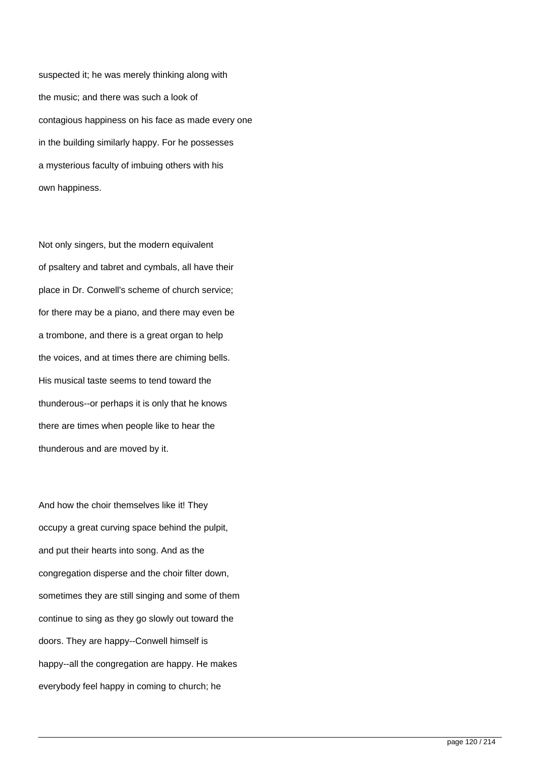suspected it; he was merely thinking along with the music; and there was such a look of contagious happiness on his face as made every one in the building similarly happy. For he possesses a mysterious faculty of imbuing others with his own happiness.

Not only singers, but the modern equivalent of psaltery and tabret and cymbals, all have their place in Dr. Conwell's scheme of church service; for there may be a piano, and there may even be a trombone, and there is a great organ to help the voices, and at times there are chiming bells. His musical taste seems to tend toward the thunderous--or perhaps it is only that he knows there are times when people like to hear the thunderous and are moved by it.

And how the choir themselves like it! They occupy a great curving space behind the pulpit, and put their hearts into song. And as the congregation disperse and the choir filter down, sometimes they are still singing and some of them continue to sing as they go slowly out toward the doors. They are happy--Conwell himself is happy--all the congregation are happy. He makes everybody feel happy in coming to church; he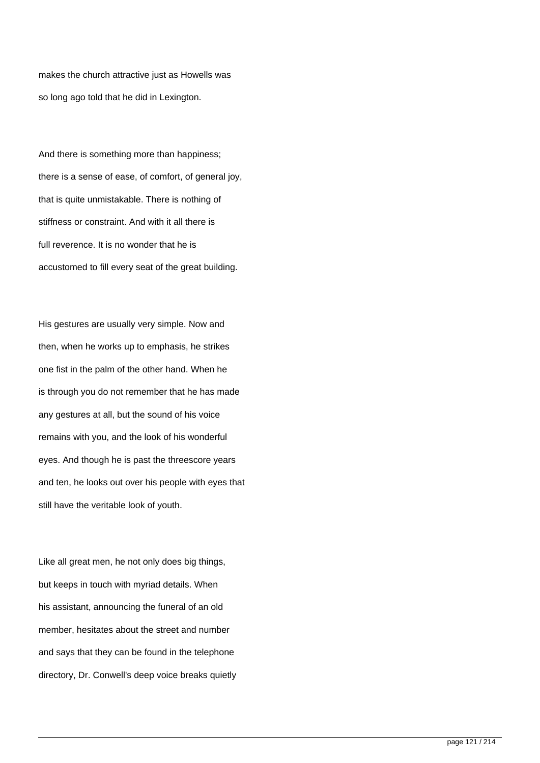makes the church attractive just as Howells was so long ago told that he did in Lexington.

And there is something more than happiness; there is a sense of ease, of comfort, of general joy, that is quite unmistakable. There is nothing of stiffness or constraint. And with it all there is full reverence. It is no wonder that he is accustomed to fill every seat of the great building.

His gestures are usually very simple. Now and then, when he works up to emphasis, he strikes one fist in the palm of the other hand. When he is through you do not remember that he has made any gestures at all, but the sound of his voice remains with you, and the look of his wonderful eyes. And though he is past the threescore years and ten, he looks out over his people with eyes that still have the veritable look of youth.

Like all great men, he not only does big things, but keeps in touch with myriad details. When his assistant, announcing the funeral of an old member, hesitates about the street and number and says that they can be found in the telephone directory, Dr. Conwell's deep voice breaks quietly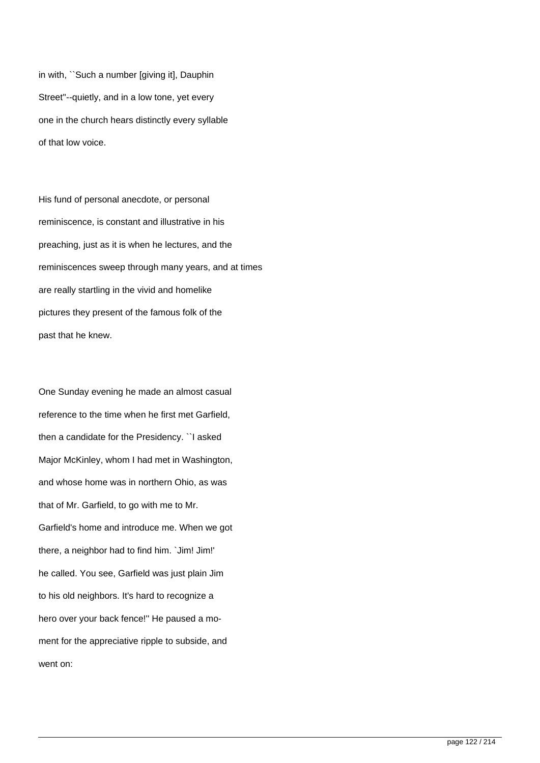in with, ``Such a number [giving it], Dauphin Street''--quietly, and in a low tone, yet every one in the church hears distinctly every syllable of that low voice.

His fund of personal anecdote, or personal reminiscence, is constant and illustrative in his preaching, just as it is when he lectures, and the reminiscences sweep through many years, and at times are really startling in the vivid and homelike pictures they present of the famous folk of the past that he knew.

One Sunday evening he made an almost casual reference to the time when he first met Garfield, then a candidate for the Presidency. ``I asked Major McKinley, whom I had met in Washington, and whose home was in northern Ohio, as was that of Mr. Garfield, to go with me to Mr. Garfield's home and introduce me. When we got there, a neighbor had to find him. `Jim! Jim!' he called. You see, Garfield was just plain Jim to his old neighbors. It's hard to recognize a hero over your back fence!'' He paused a moment for the appreciative ripple to subside, and went on: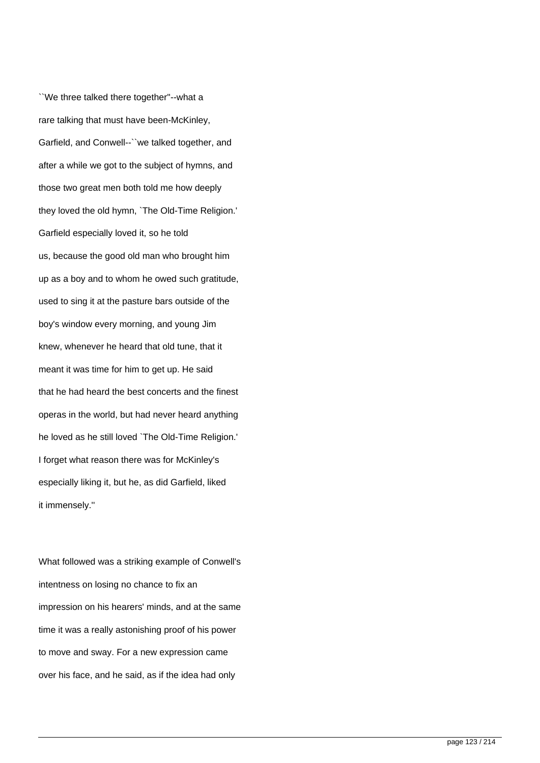``We three talked there together''--what a rare talking that must have been-McKinley, Garfield, and Conwell--``we talked together, and after a while we got to the subject of hymns, and those two great men both told me how deeply they loved the old hymn, `The Old-Time Religion.' Garfield especially loved it, so he told us, because the good old man who brought him up as a boy and to whom he owed such gratitude, used to sing it at the pasture bars outside of the boy's window every morning, and young Jim knew, whenever he heard that old tune, that it meant it was time for him to get up. He said that he had heard the best concerts and the finest operas in the world, but had never heard anything he loved as he still loved `The Old-Time Religion.' I forget what reason there was for McKinley's especially liking it, but he, as did Garfield, liked it immensely.''

What followed was a striking example of Conwell's intentness on losing no chance to fix an impression on his hearers' minds, and at the same time it was a really astonishing proof of his power to move and sway. For a new expression came over his face, and he said, as if the idea had only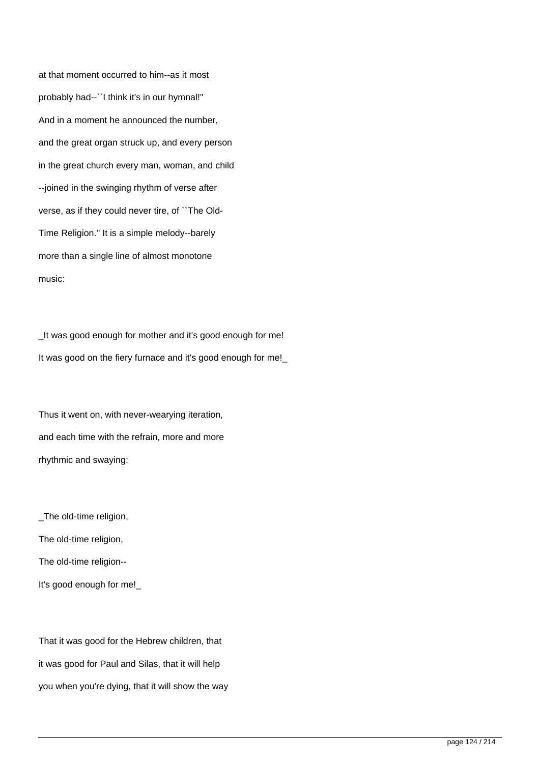at that moment occurred to him--as it most probably had--``I think it's in our hymnal!'' And in a moment he announced the number, and the great organ struck up, and every person in the great church every man, woman, and child --joined in the swinging rhythm of verse after verse, as if they could never tire, of ``The Old-Time Religion.'' It is a simple melody--barely more than a single line of almost monotone music:

\_It was good enough for mother and it's good enough for me! It was good on the fiery furnace and it's good enough for me!

Thus it went on, with never-wearying iteration, and each time with the refrain, more and more rhythmic and swaying:

\_The old-time religion, The old-time religion, The old-time religion--

It's good enough for me!\_

That it was good for the Hebrew children, that it was good for Paul and Silas, that it will help you when you're dying, that it will show the way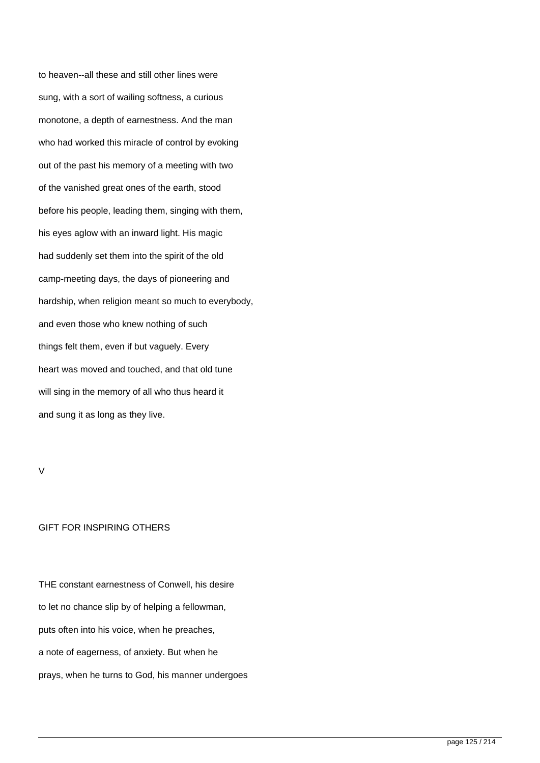to heaven--all these and still other lines were sung, with a sort of wailing softness, a curious monotone, a depth of earnestness. And the man who had worked this miracle of control by evoking out of the past his memory of a meeting with two of the vanished great ones of the earth, stood before his people, leading them, singing with them, his eyes aglow with an inward light. His magic had suddenly set them into the spirit of the old camp-meeting days, the days of pioneering and hardship, when religion meant so much to everybody, and even those who knew nothing of such things felt them, even if but vaguely. Every heart was moved and touched, and that old tune will sing in the memory of all who thus heard it and sung it as long as they live.

## V

## GIFT FOR INSPIRING OTHERS

THE constant earnestness of Conwell, his desire to let no chance slip by of helping a fellowman, puts often into his voice, when he preaches, a note of eagerness, of anxiety. But when he prays, when he turns to God, his manner undergoes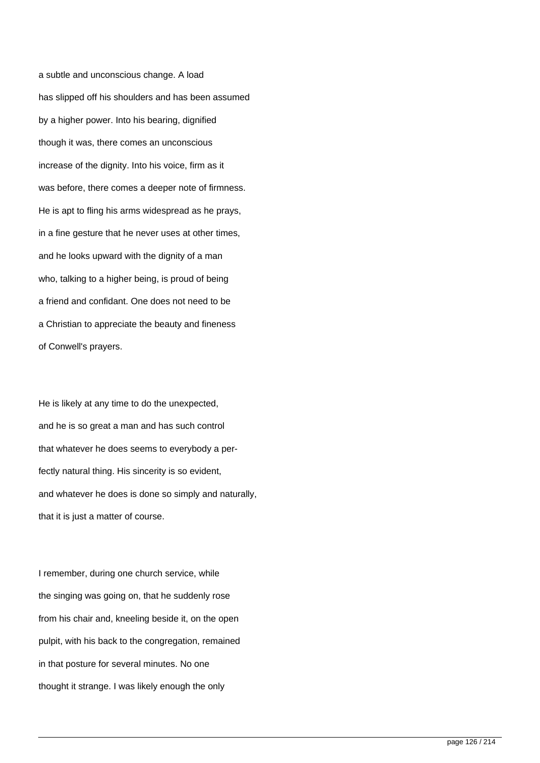a subtle and unconscious change. A load has slipped off his shoulders and has been assumed by a higher power. Into his bearing, dignified though it was, there comes an unconscious increase of the dignity. Into his voice, firm as it was before, there comes a deeper note of firmness. He is apt to fling his arms widespread as he prays, in a fine gesture that he never uses at other times, and he looks upward with the dignity of a man who, talking to a higher being, is proud of being a friend and confidant. One does not need to be a Christian to appreciate the beauty and fineness of Conwell's prayers.

He is likely at any time to do the unexpected, and he is so great a man and has such control that whatever he does seems to everybody a perfectly natural thing. His sincerity is so evident, and whatever he does is done so simply and naturally, that it is just a matter of course.

I remember, during one church service, while the singing was going on, that he suddenly rose from his chair and, kneeling beside it, on the open pulpit, with his back to the congregation, remained in that posture for several minutes. No one thought it strange. I was likely enough the only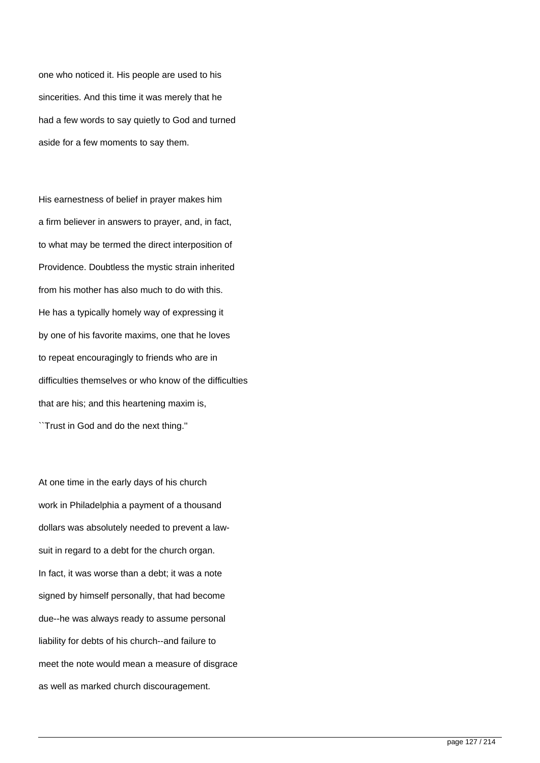one who noticed it. His people are used to his sincerities. And this time it was merely that he had a few words to say quietly to God and turned aside for a few moments to say them.

His earnestness of belief in prayer makes him a firm believer in answers to prayer, and, in fact, to what may be termed the direct interposition of Providence. Doubtless the mystic strain inherited from his mother has also much to do with this. He has a typically homely way of expressing it by one of his favorite maxims, one that he loves to repeat encouragingly to friends who are in difficulties themselves or who know of the difficulties that are his; and this heartening maxim is, ``Trust in God and do the next thing.''

At one time in the early days of his church work in Philadelphia a payment of a thousand dollars was absolutely needed to prevent a lawsuit in regard to a debt for the church organ. In fact, it was worse than a debt; it was a note signed by himself personally, that had become due--he was always ready to assume personal liability for debts of his church--and failure to meet the note would mean a measure of disgrace as well as marked church discouragement.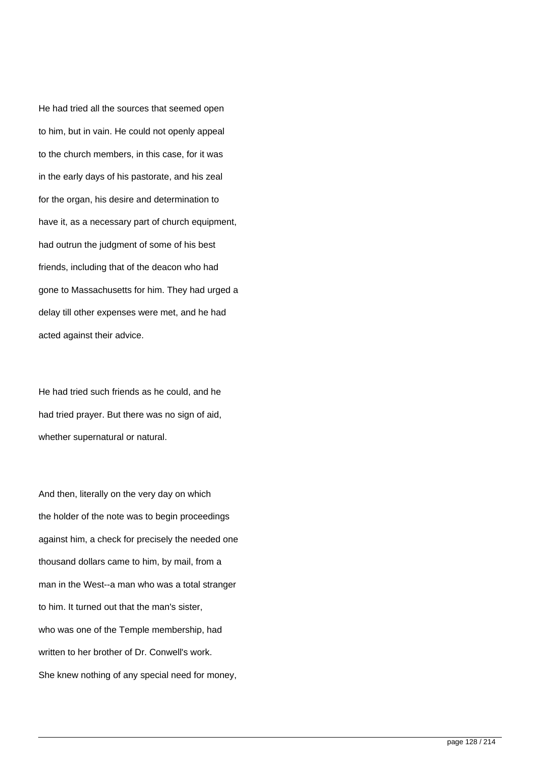He had tried all the sources that seemed open to him, but in vain. He could not openly appeal to the church members, in this case, for it was in the early days of his pastorate, and his zeal for the organ, his desire and determination to have it, as a necessary part of church equipment, had outrun the judgment of some of his best friends, including that of the deacon who had gone to Massachusetts for him. They had urged a delay till other expenses were met, and he had acted against their advice.

He had tried such friends as he could, and he had tried prayer. But there was no sign of aid, whether supernatural or natural.

And then, literally on the very day on which the holder of the note was to begin proceedings against him, a check for precisely the needed one thousand dollars came to him, by mail, from a man in the West--a man who was a total stranger to him. It turned out that the man's sister, who was one of the Temple membership, had written to her brother of Dr. Conwell's work. She knew nothing of any special need for money,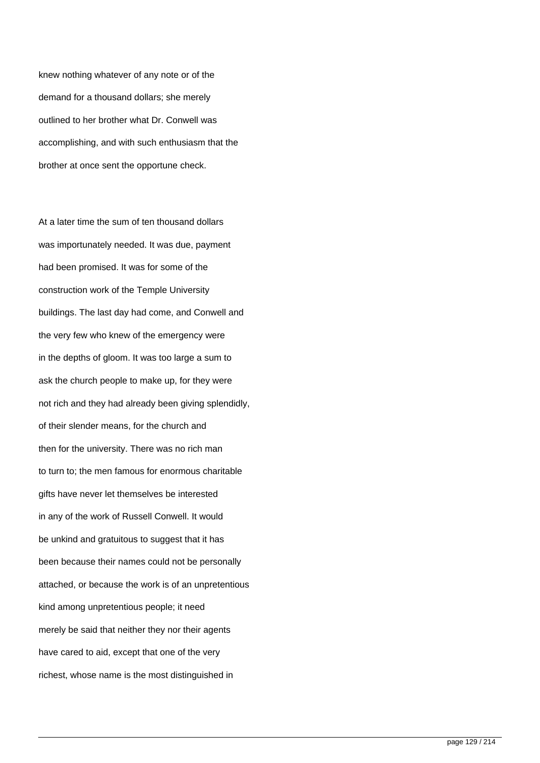knew nothing whatever of any note or of the demand for a thousand dollars; she merely outlined to her brother what Dr. Conwell was accomplishing, and with such enthusiasm that the brother at once sent the opportune check.

At a later time the sum of ten thousand dollars was importunately needed. It was due, payment had been promised. It was for some of the construction work of the Temple University buildings. The last day had come, and Conwell and the very few who knew of the emergency were in the depths of gloom. It was too large a sum to ask the church people to make up, for they were not rich and they had already been giving splendidly, of their slender means, for the church and then for the university. There was no rich man to turn to; the men famous for enormous charitable gifts have never let themselves be interested in any of the work of Russell Conwell. It would be unkind and gratuitous to suggest that it has been because their names could not be personally attached, or because the work is of an unpretentious kind among unpretentious people; it need merely be said that neither they nor their agents have cared to aid, except that one of the very richest, whose name is the most distinguished in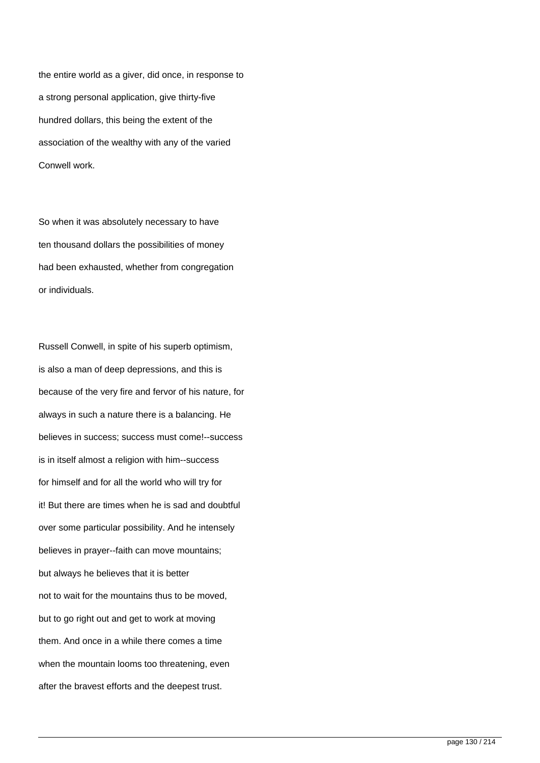the entire world as a giver, did once, in response to a strong personal application, give thirty-five hundred dollars, this being the extent of the association of the wealthy with any of the varied Conwell work.

So when it was absolutely necessary to have ten thousand dollars the possibilities of money had been exhausted, whether from congregation or individuals.

Russell Conwell, in spite of his superb optimism, is also a man of deep depressions, and this is because of the very fire and fervor of his nature, for always in such a nature there is a balancing. He believes in success; success must come!--success is in itself almost a religion with him--success for himself and for all the world who will try for it! But there are times when he is sad and doubtful over some particular possibility. And he intensely believes in prayer--faith can move mountains; but always he believes that it is better not to wait for the mountains thus to be moved, but to go right out and get to work at moving them. And once in a while there comes a time when the mountain looms too threatening, even after the bravest efforts and the deepest trust.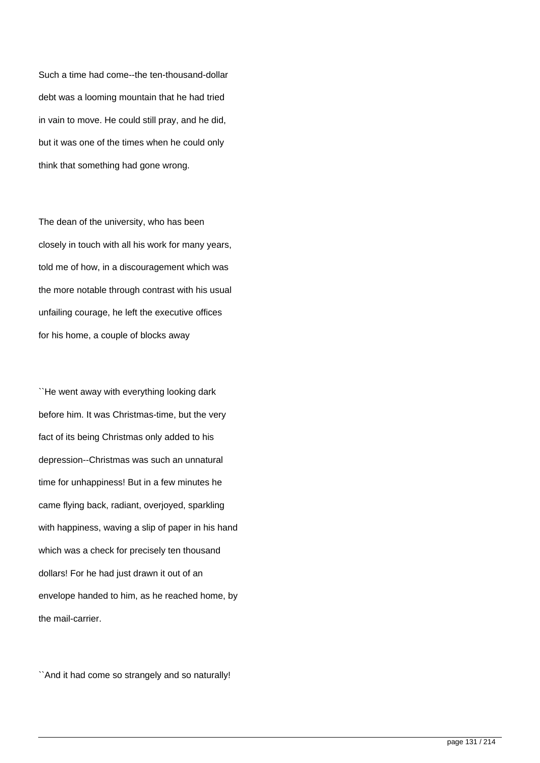Such a time had come--the ten-thousand-dollar debt was a looming mountain that he had tried in vain to move. He could still pray, and he did, but it was one of the times when he could only think that something had gone wrong.

The dean of the university, who has been closely in touch with all his work for many years, told me of how, in a discouragement which was the more notable through contrast with his usual unfailing courage, he left the executive offices for his home, a couple of blocks away

``He went away with everything looking dark before him. It was Christmas-time, but the very fact of its being Christmas only added to his depression--Christmas was such an unnatural time for unhappiness! But in a few minutes he came flying back, radiant, overjoyed, sparkling with happiness, waving a slip of paper in his hand which was a check for precisely ten thousand dollars! For he had just drawn it out of an envelope handed to him, as he reached home, by the mail-carrier.

``And it had come so strangely and so naturally!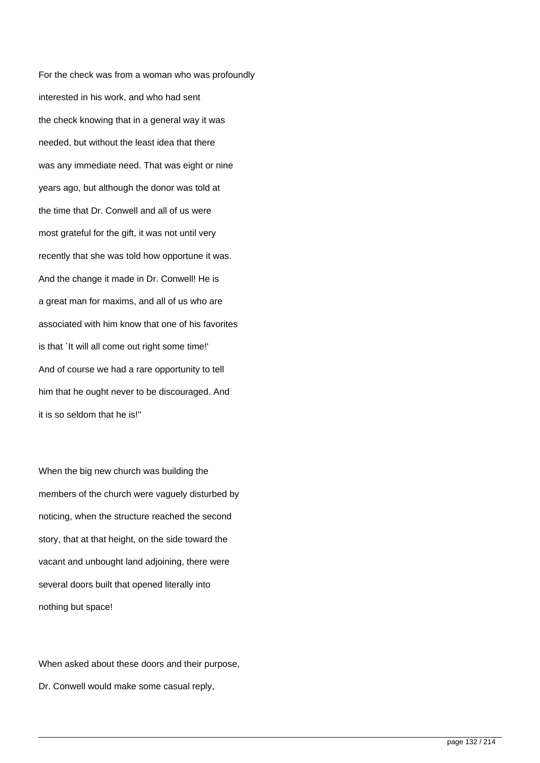For the check was from a woman who was profoundly interested in his work, and who had sent the check knowing that in a general way it was needed, but without the least idea that there was any immediate need. That was eight or nine years ago, but although the donor was told at the time that Dr. Conwell and all of us were most grateful for the gift, it was not until very recently that she was told how opportune it was. And the change it made in Dr. Conwell! He is a great man for maxims, and all of us who are associated with him know that one of his favorites is that `It will all come out right some time!' And of course we had a rare opportunity to tell him that he ought never to be discouraged. And it is so seldom that he is!''

When the big new church was building the members of the church were vaguely disturbed by noticing, when the structure reached the second story, that at that height, on the side toward the vacant and unbought land adjoining, there were several doors built that opened literally into nothing but space!

When asked about these doors and their purpose, Dr. Conwell would make some casual reply,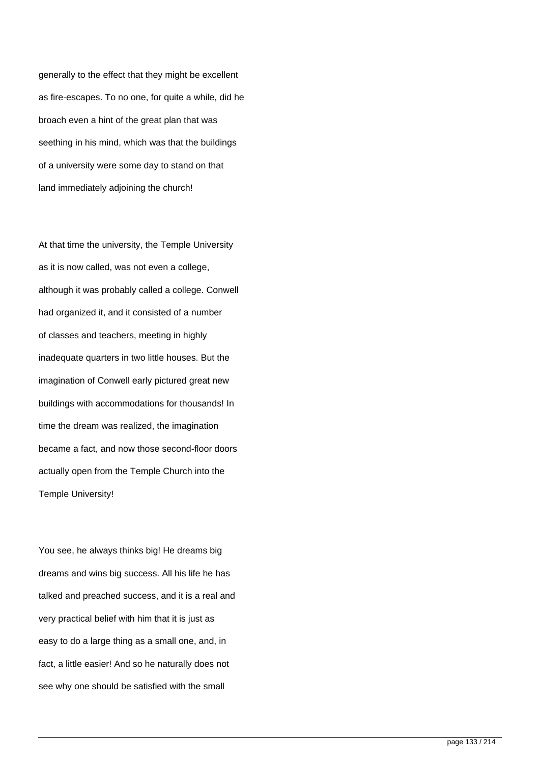generally to the effect that they might be excellent as fire-escapes. To no one, for quite a while, did he broach even a hint of the great plan that was seething in his mind, which was that the buildings of a university were some day to stand on that land immediately adjoining the church!

At that time the university, the Temple University as it is now called, was not even a college, although it was probably called a college. Conwell had organized it, and it consisted of a number of classes and teachers, meeting in highly inadequate quarters in two little houses. But the imagination of Conwell early pictured great new buildings with accommodations for thousands! In time the dream was realized, the imagination became a fact, and now those second-floor doors actually open from the Temple Church into the Temple University!

You see, he always thinks big! He dreams big dreams and wins big success. All his life he has talked and preached success, and it is a real and very practical belief with him that it is just as easy to do a large thing as a small one, and, in fact, a little easier! And so he naturally does not see why one should be satisfied with the small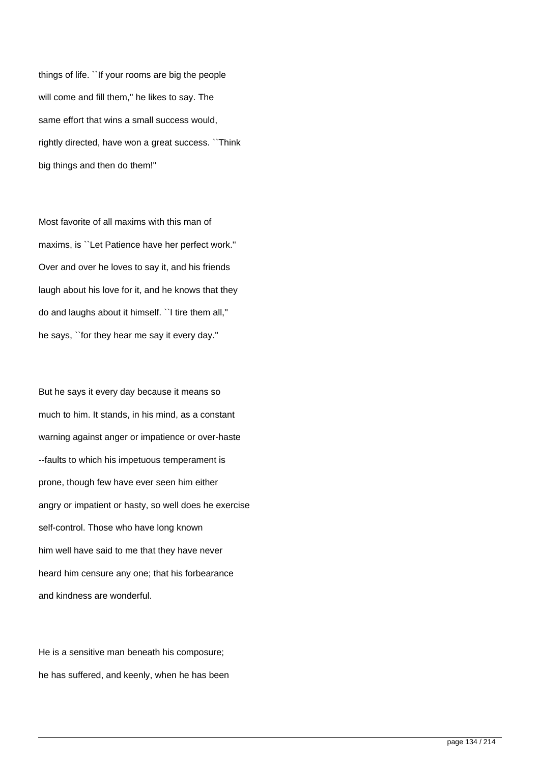things of life. ``If your rooms are big the people will come and fill them," he likes to say. The same effort that wins a small success would, rightly directed, have won a great success. ``Think big things and then do them!''

Most favorite of all maxims with this man of maxims, is ``Let Patience have her perfect work.'' Over and over he loves to say it, and his friends laugh about his love for it, and he knows that they do and laughs about it himself. ``I tire them all,'' he says, ``for they hear me say it every day.''

But he says it every day because it means so much to him. It stands, in his mind, as a constant warning against anger or impatience or over-haste --faults to which his impetuous temperament is prone, though few have ever seen him either angry or impatient or hasty, so well does he exercise self-control. Those who have long known him well have said to me that they have never heard him censure any one; that his forbearance and kindness are wonderful.

He is a sensitive man beneath his composure; he has suffered, and keenly, when he has been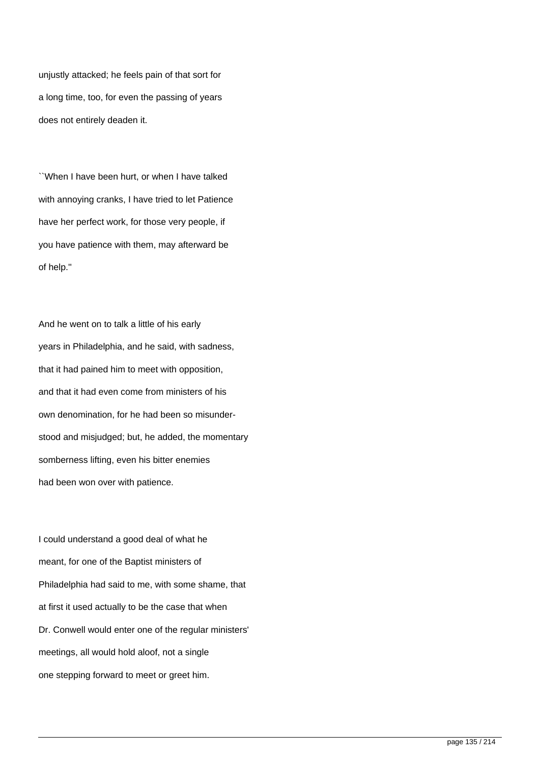unjustly attacked; he feels pain of that sort for a long time, too, for even the passing of years does not entirely deaden it.

``When I have been hurt, or when I have talked with annoying cranks, I have tried to let Patience have her perfect work, for those very people, if you have patience with them, may afterward be of help.''

And he went on to talk a little of his early years in Philadelphia, and he said, with sadness, that it had pained him to meet with opposition, and that it had even come from ministers of his own denomination, for he had been so misunderstood and misjudged; but, he added, the momentary somberness lifting, even his bitter enemies had been won over with patience.

I could understand a good deal of what he meant, for one of the Baptist ministers of Philadelphia had said to me, with some shame, that at first it used actually to be the case that when Dr. Conwell would enter one of the regular ministers' meetings, all would hold aloof, not a single one stepping forward to meet or greet him.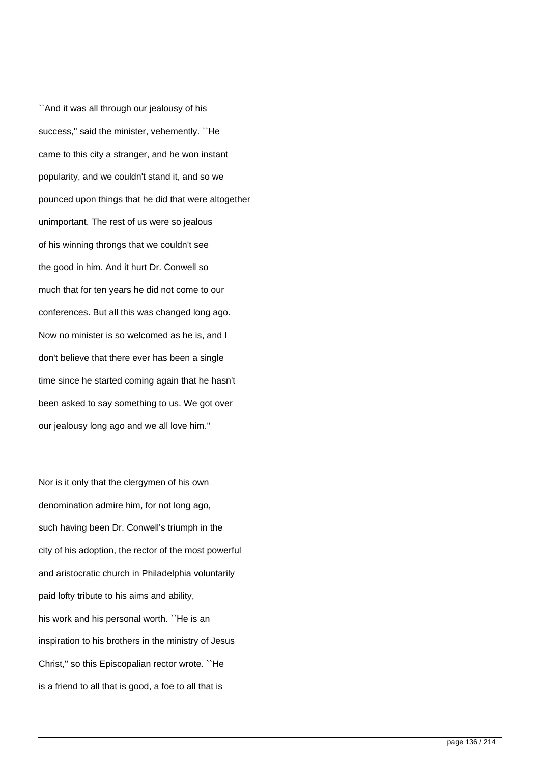``And it was all through our jealousy of his success,'' said the minister, vehemently. ``He came to this city a stranger, and he won instant popularity, and we couldn't stand it, and so we pounced upon things that he did that were altogether unimportant. The rest of us were so jealous of his winning throngs that we couldn't see the good in him. And it hurt Dr. Conwell so much that for ten years he did not come to our conferences. But all this was changed long ago. Now no minister is so welcomed as he is, and I don't believe that there ever has been a single time since he started coming again that he hasn't been asked to say something to us. We got over our jealousy long ago and we all love him.''

Nor is it only that the clergymen of his own denomination admire him, for not long ago, such having been Dr. Conwell's triumph in the city of his adoption, the rector of the most powerful and aristocratic church in Philadelphia voluntarily paid lofty tribute to his aims and ability, his work and his personal worth. ``He is an inspiration to his brothers in the ministry of Jesus Christ,'' so this Episcopalian rector wrote. ``He is a friend to all that is good, a foe to all that is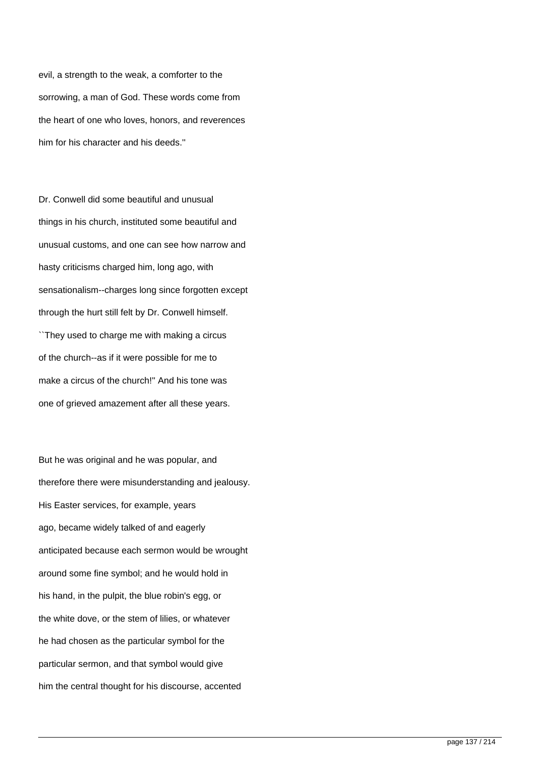evil, a strength to the weak, a comforter to the sorrowing, a man of God. These words come from the heart of one who loves, honors, and reverences him for his character and his deeds.''

Dr. Conwell did some beautiful and unusual things in his church, instituted some beautiful and unusual customs, and one can see how narrow and hasty criticisms charged him, long ago, with sensationalism--charges long since forgotten except through the hurt still felt by Dr. Conwell himself.

``They used to charge me with making a circus of the church--as if it were possible for me to make a circus of the church!'' And his tone was one of grieved amazement after all these years.

But he was original and he was popular, and therefore there were misunderstanding and jealousy. His Easter services, for example, years ago, became widely talked of and eagerly anticipated because each sermon would be wrought around some fine symbol; and he would hold in his hand, in the pulpit, the blue robin's egg, or the white dove, or the stem of lilies, or whatever he had chosen as the particular symbol for the particular sermon, and that symbol would give him the central thought for his discourse, accented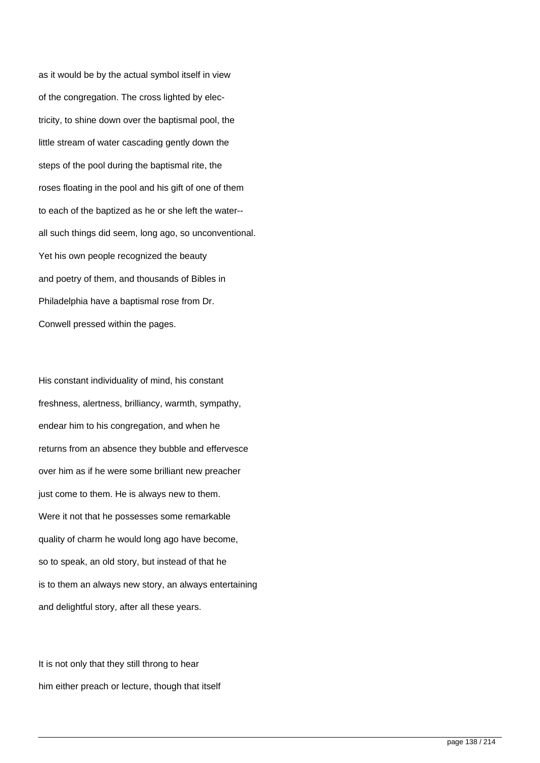as it would be by the actual symbol itself in view of the congregation. The cross lighted by electricity, to shine down over the baptismal pool, the little stream of water cascading gently down the steps of the pool during the baptismal rite, the roses floating in the pool and his gift of one of them to each of the baptized as he or she left the water- all such things did seem, long ago, so unconventional. Yet his own people recognized the beauty and poetry of them, and thousands of Bibles in Philadelphia have a baptismal rose from Dr. Conwell pressed within the pages.

His constant individuality of mind, his constant freshness, alertness, brilliancy, warmth, sympathy, endear him to his congregation, and when he returns from an absence they bubble and effervesce over him as if he were some brilliant new preacher just come to them. He is always new to them. Were it not that he possesses some remarkable quality of charm he would long ago have become, so to speak, an old story, but instead of that he is to them an always new story, an always entertaining and delightful story, after all these years.

It is not only that they still throng to hear him either preach or lecture, though that itself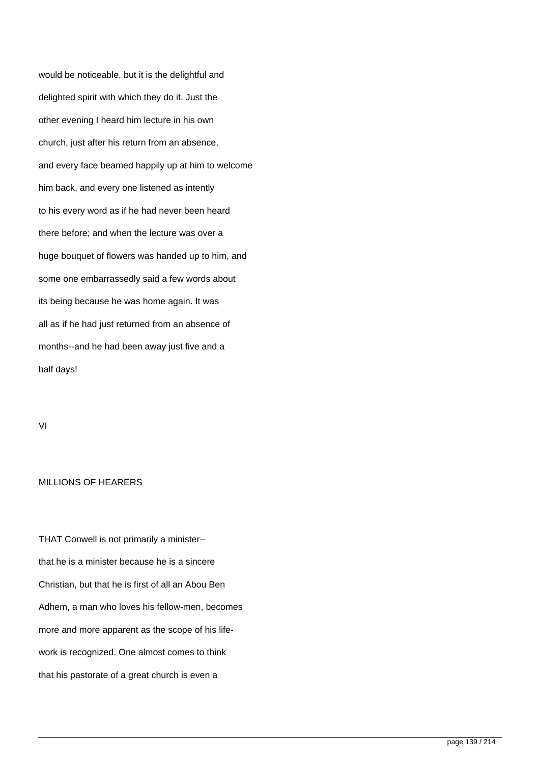would be noticeable, but it is the delightful and delighted spirit with which they do it. Just the other evening I heard him lecture in his own church, just after his return from an absence, and every face beamed happily up at him to welcome him back, and every one listened as intently to his every word as if he had never been heard there before; and when the lecture was over a huge bouquet of flowers was handed up to him, and some one embarrassedly said a few words about its being because he was home again. It was all as if he had just returned from an absence of months--and he had been away just five and a half days!

VI

## MILLIONS OF HEARERS

THAT Conwell is not primarily a minister- that he is a minister because he is a sincere Christian, but that he is first of all an Abou Ben Adhem, a man who loves his fellow-men, becomes more and more apparent as the scope of his lifework is recognized. One almost comes to think that his pastorate of a great church is even a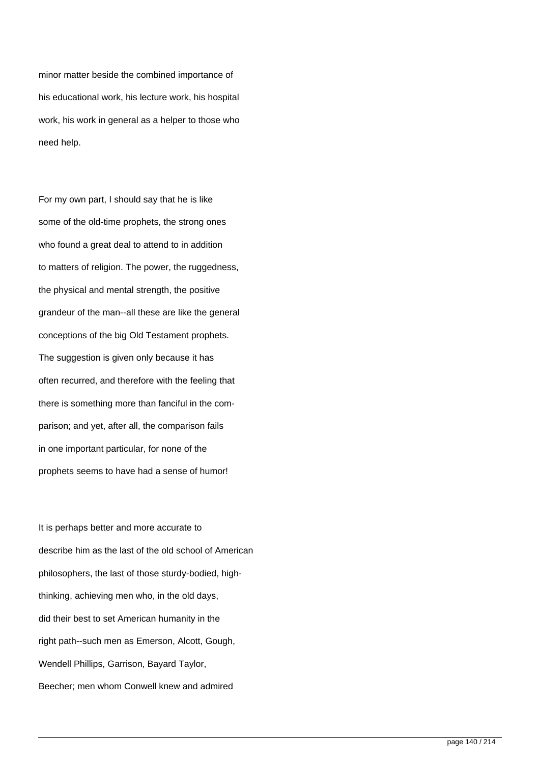minor matter beside the combined importance of his educational work, his lecture work, his hospital work, his work in general as a helper to those who need help.

For my own part, I should say that he is like some of the old-time prophets, the strong ones who found a great deal to attend to in addition to matters of religion. The power, the ruggedness, the physical and mental strength, the positive grandeur of the man--all these are like the general conceptions of the big Old Testament prophets. The suggestion is given only because it has often recurred, and therefore with the feeling that there is something more than fanciful in the comparison; and yet, after all, the comparison fails in one important particular, for none of the prophets seems to have had a sense of humor!

It is perhaps better and more accurate to describe him as the last of the old school of American philosophers, the last of those sturdy-bodied, highthinking, achieving men who, in the old days, did their best to set American humanity in the right path--such men as Emerson, Alcott, Gough, Wendell Phillips, Garrison, Bayard Taylor, Beecher; men whom Conwell knew and admired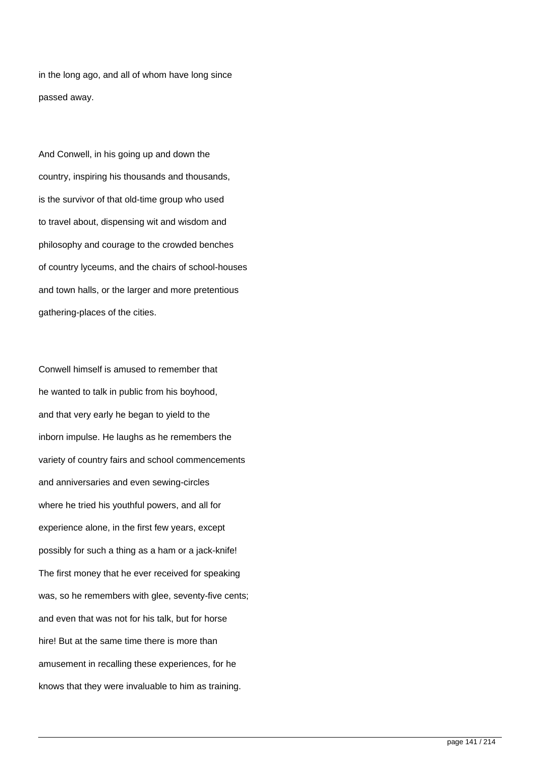in the long ago, and all of whom have long since passed away.

And Conwell, in his going up and down the country, inspiring his thousands and thousands, is the survivor of that old-time group who used to travel about, dispensing wit and wisdom and philosophy and courage to the crowded benches of country lyceums, and the chairs of school-houses and town halls, or the larger and more pretentious gathering-places of the cities.

Conwell himself is amused to remember that he wanted to talk in public from his boyhood, and that very early he began to yield to the inborn impulse. He laughs as he remembers the variety of country fairs and school commencements and anniversaries and even sewing-circles where he tried his youthful powers, and all for experience alone, in the first few years, except possibly for such a thing as a ham or a jack-knife! The first money that he ever received for speaking was, so he remembers with glee, seventy-five cents; and even that was not for his talk, but for horse hire! But at the same time there is more than amusement in recalling these experiences, for he knows that they were invaluable to him as training.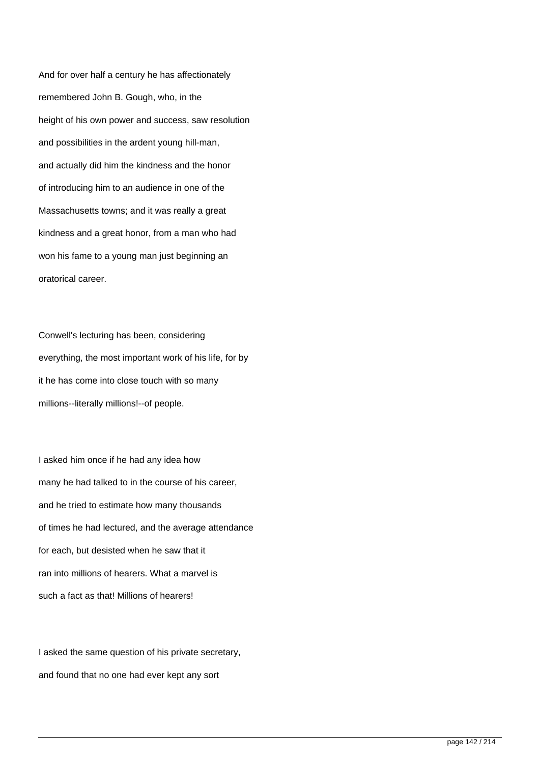And for over half a century he has affectionately remembered John B. Gough, who, in the height of his own power and success, saw resolution and possibilities in the ardent young hill-man, and actually did him the kindness and the honor of introducing him to an audience in one of the Massachusetts towns; and it was really a great kindness and a great honor, from a man who had won his fame to a young man just beginning an oratorical career.

Conwell's lecturing has been, considering everything, the most important work of his life, for by it he has come into close touch with so many millions--literally millions!--of people.

I asked him once if he had any idea how many he had talked to in the course of his career, and he tried to estimate how many thousands of times he had lectured, and the average attendance for each, but desisted when he saw that it ran into millions of hearers. What a marvel is such a fact as that! Millions of hearers!

I asked the same question of his private secretary, and found that no one had ever kept any sort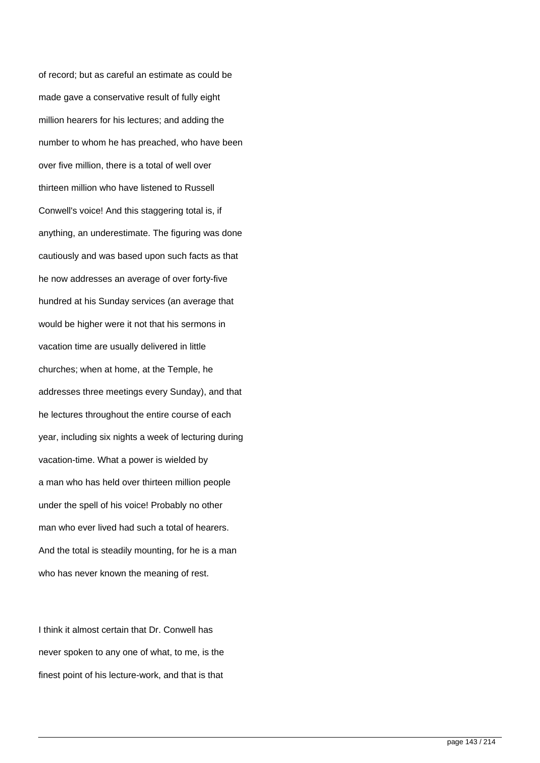of record; but as careful an estimate as could be made gave a conservative result of fully eight million hearers for his lectures; and adding the number to whom he has preached, who have been over five million, there is a total of well over thirteen million who have listened to Russell Conwell's voice! And this staggering total is, if anything, an underestimate. The figuring was done cautiously and was based upon such facts as that he now addresses an average of over forty-five hundred at his Sunday services (an average that would be higher were it not that his sermons in vacation time are usually delivered in little churches; when at home, at the Temple, he addresses three meetings every Sunday), and that he lectures throughout the entire course of each year, including six nights a week of lecturing during vacation-time. What a power is wielded by a man who has held over thirteen million people under the spell of his voice! Probably no other man who ever lived had such a total of hearers. And the total is steadily mounting, for he is a man who has never known the meaning of rest.

I think it almost certain that Dr. Conwell has never spoken to any one of what, to me, is the finest point of his lecture-work, and that is that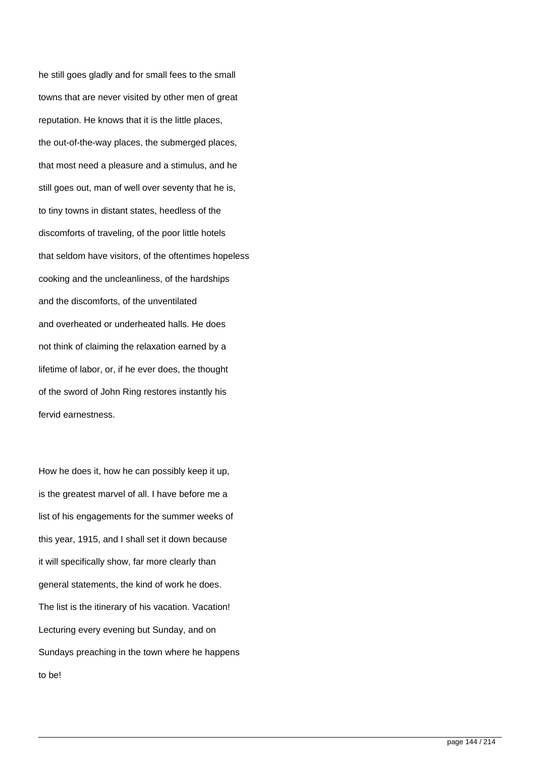he still goes gladly and for small fees to the small towns that are never visited by other men of great reputation. He knows that it is the little places, the out-of-the-way places, the submerged places, that most need a pleasure and a stimulus, and he still goes out, man of well over seventy that he is, to tiny towns in distant states, heedless of the discomforts of traveling, of the poor little hotels that seldom have visitors, of the oftentimes hopeless cooking and the uncleanliness, of the hardships and the discomforts, of the unventilated and overheated or underheated halls. He does not think of claiming the relaxation earned by a lifetime of labor, or, if he ever does, the thought of the sword of John Ring restores instantly his fervid earnestness.

How he does it, how he can possibly keep it up, is the greatest marvel of all. I have before me a list of his engagements for the summer weeks of this year, 1915, and I shall set it down because it will specifically show, far more clearly than general statements, the kind of work he does. The list is the itinerary of his vacation. Vacation! Lecturing every evening but Sunday, and on Sundays preaching in the town where he happens to be!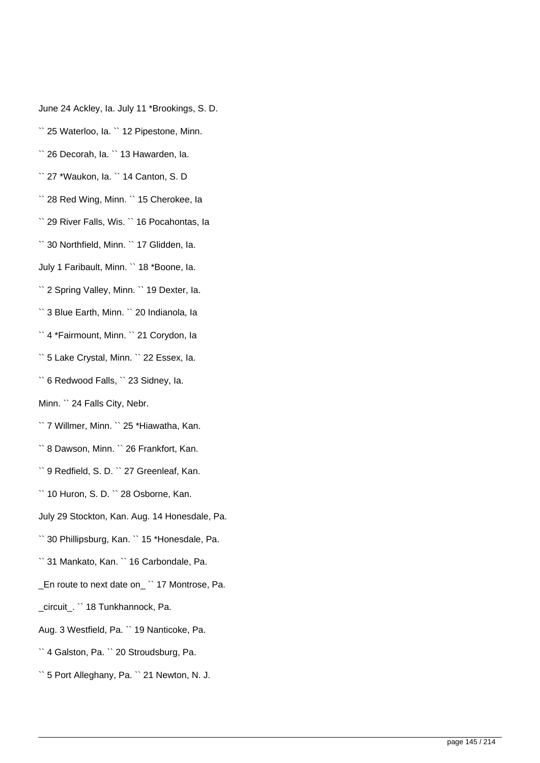June 24 Ackley, Ia. July 11 \*Brookings, S. D.

`` 25 Waterloo, Ia. `` 12 Pipestone, Minn.

`` 26 Decorah, Ia. `` 13 Hawarden, Ia.

`` 27 \*Waukon, Ia. `` 14 Canton, S. D

`` 28 Red Wing, Minn. `` 15 Cherokee, Ia

`` 29 River Falls, Wis. `` 16 Pocahontas, Ia

`` 30 Northfield, Minn. `` 17 Glidden, Ia.

July 1 Faribault, Minn. `` 18 \*Boone, Ia.

`` 2 Spring Valley, Minn. `` 19 Dexter, Ia.

`` 3 Blue Earth, Minn. `` 20 Indianola, Ia

`` 4 \*Fairmount, Minn. `` 21 Corydon, Ia

`` 5 Lake Crystal, Minn. `` 22 Essex, Ia.

`` 6 Redwood Falls, `` 23 Sidney, Ia.

Minn. `` 24 Falls City, Nebr.

`` 7 Willmer, Minn. `` 25 \*Hiawatha, Kan.

`` 8 Dawson, Minn. `` 26 Frankfort, Kan.

`` 9 Redfield, S. D. `` 27 Greenleaf, Kan.

`` 10 Huron, S. D. `` 28 Osborne, Kan.

July 29 Stockton, Kan. Aug. 14 Honesdale, Pa.

`` 30 Phillipsburg, Kan. `` 15 \*Honesdale, Pa.

`` 31 Mankato, Kan. `` 16 Carbondale, Pa.

\_En route to next date on\_ `` 17 Montrose, Pa.

\_circuit\_. `` 18 Tunkhannock, Pa.

Aug. 3 Westfield, Pa. `` 19 Nanticoke, Pa.

`` 4 Galston, Pa. `` 20 Stroudsburg, Pa.

`` 5 Port Alleghany, Pa. `` 21 Newton, N. J.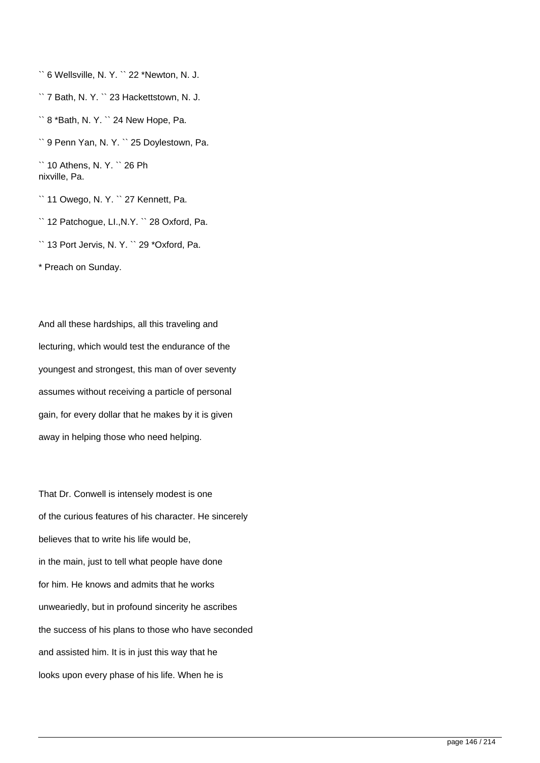`` 6 Wellsville, N. Y. `` 22 \*Newton, N. J.

`` 7 Bath, N. Y. `` 23 Hackettstown, N. J.

`` 8 \*Bath, N. Y. `` 24 New Hope, Pa.

`` 9 Penn Yan, N. Y. `` 25 Doylestown, Pa.

`` 10 Athens, N. Y. `` 26 Ph nixville, Pa.

`` 11 Owego, N. Y. `` 27 Kennett, Pa.

`` 12 Patchogue, LI.,N.Y. `` 28 Oxford, Pa.

`` 13 Port Jervis, N. Y. `` 29 \*Oxford, Pa.

\* Preach on Sunday.

And all these hardships, all this traveling and lecturing, which would test the endurance of the youngest and strongest, this man of over seventy assumes without receiving a particle of personal gain, for every dollar that he makes by it is given away in helping those who need helping.

That Dr. Conwell is intensely modest is one of the curious features of his character. He sincerely believes that to write his life would be, in the main, just to tell what people have done for him. He knows and admits that he works unweariedly, but in profound sincerity he ascribes the success of his plans to those who have seconded and assisted him. It is in just this way that he looks upon every phase of his life. When he is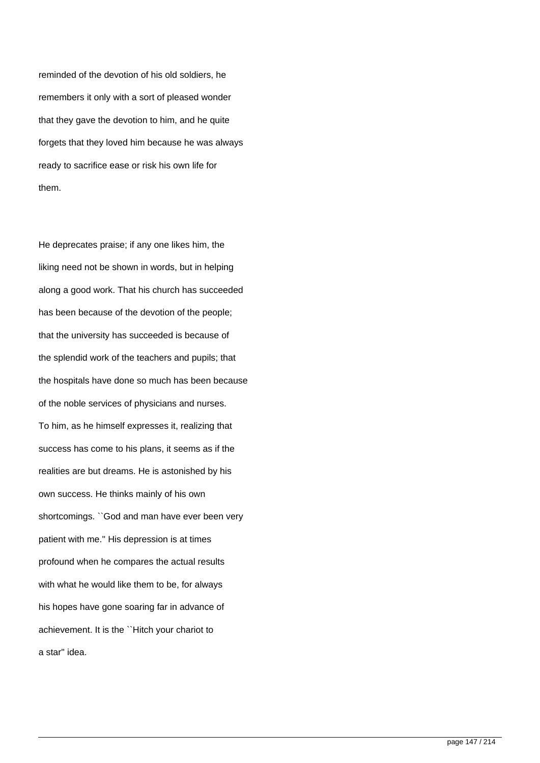reminded of the devotion of his old soldiers, he remembers it only with a sort of pleased wonder that they gave the devotion to him, and he quite forgets that they loved him because he was always ready to sacrifice ease or risk his own life for them.

He deprecates praise; if any one likes him, the liking need not be shown in words, but in helping along a good work. That his church has succeeded has been because of the devotion of the people; that the university has succeeded is because of the splendid work of the teachers and pupils; that the hospitals have done so much has been because of the noble services of physicians and nurses. To him, as he himself expresses it, realizing that success has come to his plans, it seems as if the realities are but dreams. He is astonished by his own success. He thinks mainly of his own shortcomings. ``God and man have ever been very patient with me.'' His depression is at times profound when he compares the actual results with what he would like them to be, for always his hopes have gone soaring far in advance of achievement. It is the ``Hitch your chariot to a star'' idea.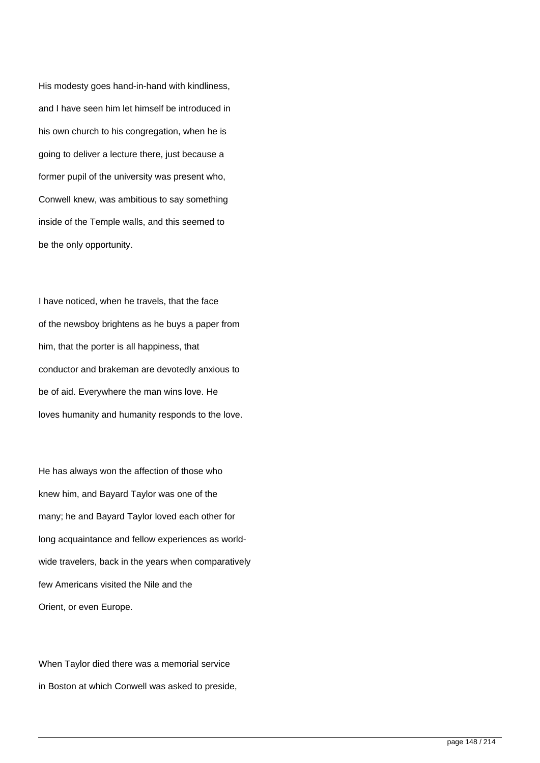His modesty goes hand-in-hand with kindliness, and I have seen him let himself be introduced in his own church to his congregation, when he is going to deliver a lecture there, just because a former pupil of the university was present who, Conwell knew, was ambitious to say something inside of the Temple walls, and this seemed to be the only opportunity.

I have noticed, when he travels, that the face of the newsboy brightens as he buys a paper from him, that the porter is all happiness, that conductor and brakeman are devotedly anxious to be of aid. Everywhere the man wins love. He loves humanity and humanity responds to the love.

He has always won the affection of those who knew him, and Bayard Taylor was one of the many; he and Bayard Taylor loved each other for long acquaintance and fellow experiences as worldwide travelers, back in the years when comparatively few Americans visited the Nile and the Orient, or even Europe.

When Taylor died there was a memorial service in Boston at which Conwell was asked to preside,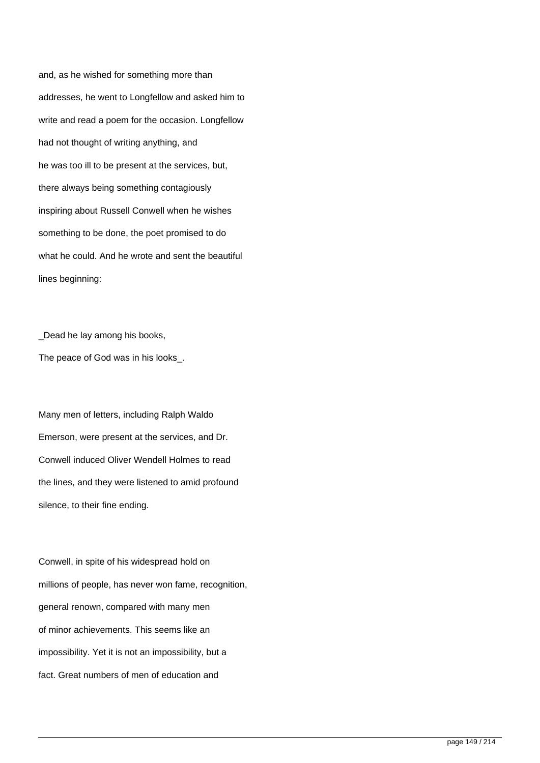and, as he wished for something more than addresses, he went to Longfellow and asked him to write and read a poem for the occasion. Longfellow had not thought of writing anything, and he was too ill to be present at the services, but, there always being something contagiously inspiring about Russell Conwell when he wishes something to be done, the poet promised to do what he could. And he wrote and sent the beautiful lines beginning:

\_Dead he lay among his books, The peace of God was in his looks.

Many men of letters, including Ralph Waldo Emerson, were present at the services, and Dr. Conwell induced Oliver Wendell Holmes to read the lines, and they were listened to amid profound silence, to their fine ending.

Conwell, in spite of his widespread hold on millions of people, has never won fame, recognition, general renown, compared with many men of minor achievements. This seems like an impossibility. Yet it is not an impossibility, but a fact. Great numbers of men of education and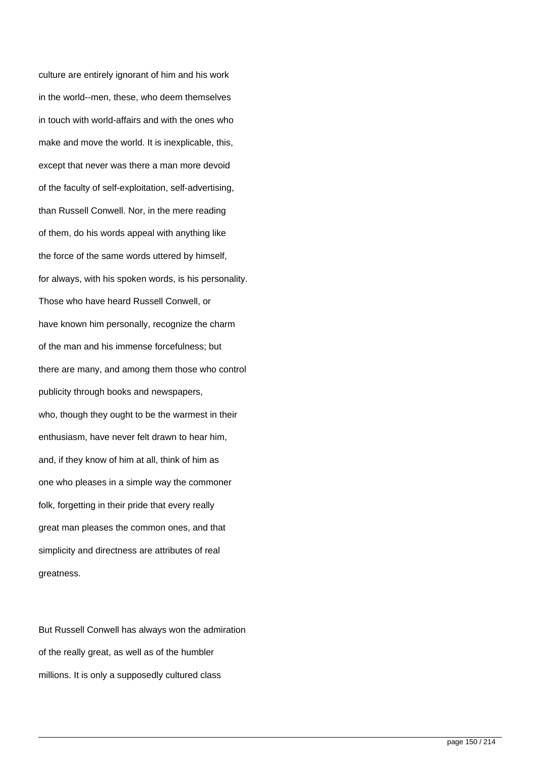culture are entirely ignorant of him and his work in the world--men, these, who deem themselves in touch with world-affairs and with the ones who make and move the world. It is inexplicable, this, except that never was there a man more devoid of the faculty of self-exploitation, self-advertising, than Russell Conwell. Nor, in the mere reading of them, do his words appeal with anything like the force of the same words uttered by himself, for always, with his spoken words, is his personality. Those who have heard Russell Conwell, or have known him personally, recognize the charm of the man and his immense forcefulness; but there are many, and among them those who control publicity through books and newspapers, who, though they ought to be the warmest in their enthusiasm, have never felt drawn to hear him, and, if they know of him at all, think of him as one who pleases in a simple way the commoner folk, forgetting in their pride that every really great man pleases the common ones, and that simplicity and directness are attributes of real greatness.

But Russell Conwell has always won the admiration of the really great, as well as of the humbler millions. It is only a supposedly cultured class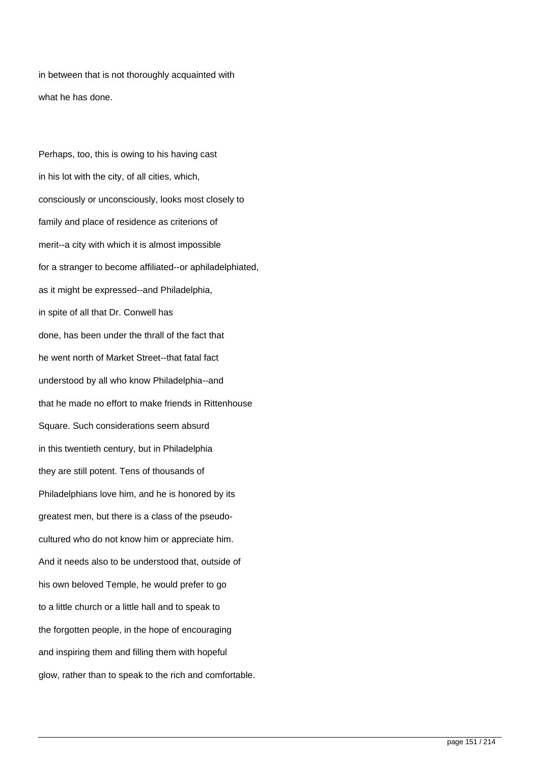in between that is not thoroughly acquainted with what he has done.

Perhaps, too, this is owing to his having cast in his lot with the city, of all cities, which, consciously or unconsciously, looks most closely to family and place of residence as criterions of merit--a city with which it is almost impossible for a stranger to become affiliated--or aphiladelphiated, as it might be expressed--and Philadelphia, in spite of all that Dr. Conwell has done, has been under the thrall of the fact that he went north of Market Street--that fatal fact understood by all who know Philadelphia--and that he made no effort to make friends in Rittenhouse Square. Such considerations seem absurd in this twentieth century, but in Philadelphia they are still potent. Tens of thousands of Philadelphians love him, and he is honored by its greatest men, but there is a class of the pseudocultured who do not know him or appreciate him. And it needs also to be understood that, outside of his own beloved Temple, he would prefer to go to a little church or a little hall and to speak to the forgotten people, in the hope of encouraging and inspiring them and filling them with hopeful glow, rather than to speak to the rich and comfortable.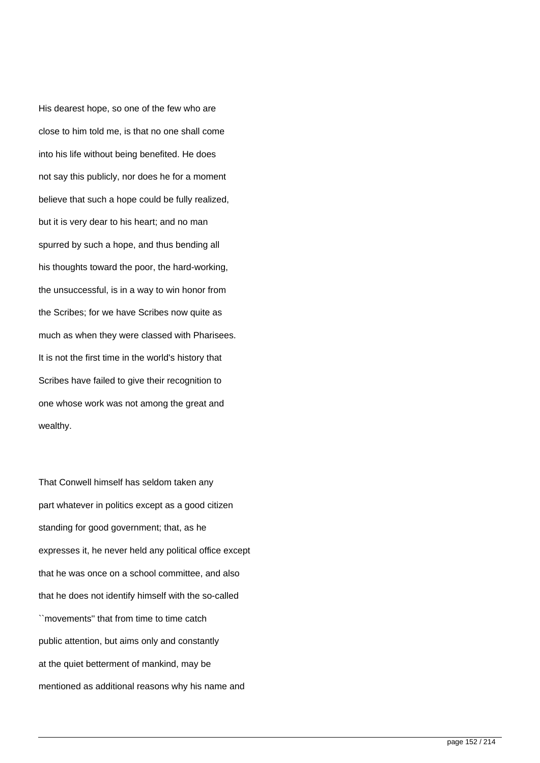His dearest hope, so one of the few who are close to him told me, is that no one shall come into his life without being benefited. He does not say this publicly, nor does he for a moment believe that such a hope could be fully realized, but it is very dear to his heart; and no man spurred by such a hope, and thus bending all his thoughts toward the poor, the hard-working, the unsuccessful, is in a way to win honor from the Scribes; for we have Scribes now quite as much as when they were classed with Pharisees. It is not the first time in the world's history that Scribes have failed to give their recognition to one whose work was not among the great and wealthy.

That Conwell himself has seldom taken any part whatever in politics except as a good citizen standing for good government; that, as he expresses it, he never held any political office except that he was once on a school committee, and also that he does not identify himself with the so-called ``movements'' that from time to time catch public attention, but aims only and constantly at the quiet betterment of mankind, may be mentioned as additional reasons why his name and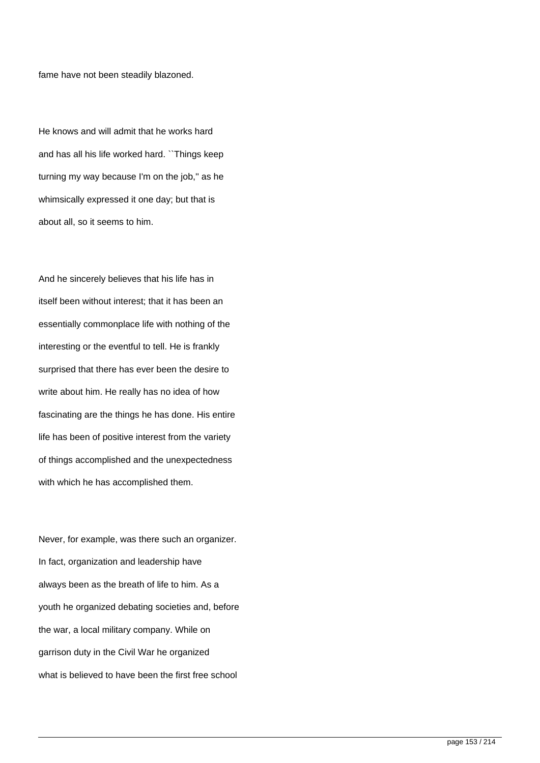fame have not been steadily blazoned.

He knows and will admit that he works hard and has all his life worked hard. ``Things keep turning my way because I'm on the job,'' as he whimsically expressed it one day; but that is about all, so it seems to him.

And he sincerely believes that his life has in itself been without interest; that it has been an essentially commonplace life with nothing of the interesting or the eventful to tell. He is frankly surprised that there has ever been the desire to write about him. He really has no idea of how fascinating are the things he has done. His entire life has been of positive interest from the variety of things accomplished and the unexpectedness with which he has accomplished them.

Never, for example, was there such an organizer. In fact, organization and leadership have always been as the breath of life to him. As a youth he organized debating societies and, before the war, a local military company. While on garrison duty in the Civil War he organized what is believed to have been the first free school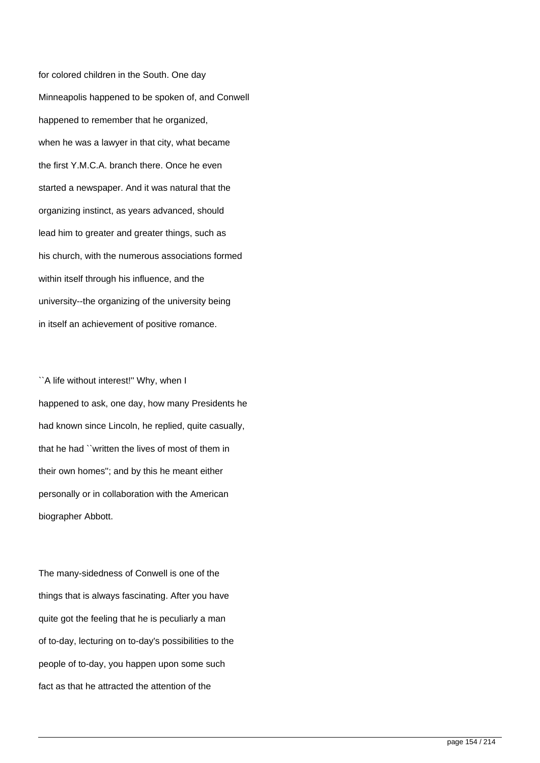for colored children in the South. One day Minneapolis happened to be spoken of, and Conwell happened to remember that he organized, when he was a lawyer in that city, what became the first Y.M.C.A. branch there. Once he even started a newspaper. And it was natural that the organizing instinct, as years advanced, should lead him to greater and greater things, such as his church, with the numerous associations formed within itself through his influence, and the university--the organizing of the university being in itself an achievement of positive romance.

``A life without interest!'' Why, when I happened to ask, one day, how many Presidents he had known since Lincoln, he replied, quite casually, that he had ``written the lives of most of them in their own homes''; and by this he meant either personally or in collaboration with the American biographer Abbott.

The many-sidedness of Conwell is one of the things that is always fascinating. After you have quite got the feeling that he is peculiarly a man of to-day, lecturing on to-day's possibilities to the people of to-day, you happen upon some such fact as that he attracted the attention of the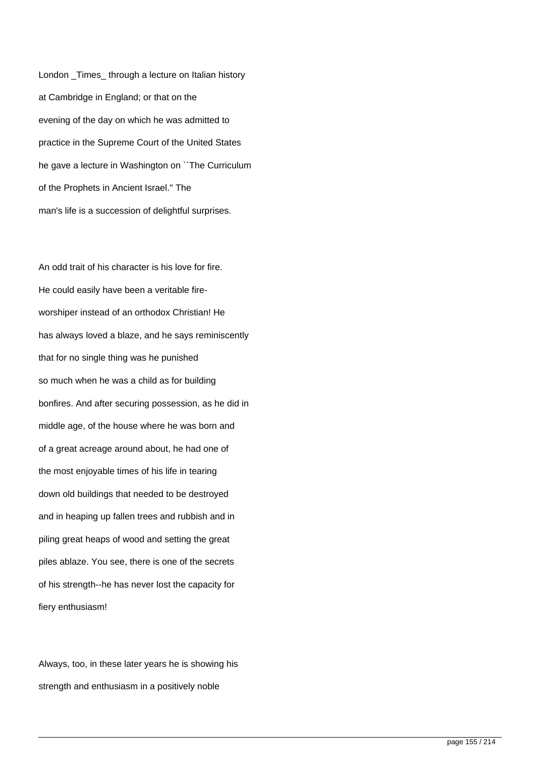London \_Times\_ through a lecture on Italian history at Cambridge in England; or that on the evening of the day on which he was admitted to practice in the Supreme Court of the United States he gave a lecture in Washington on ``The Curriculum of the Prophets in Ancient Israel.'' The man's life is a succession of delightful surprises.

An odd trait of his character is his love for fire. He could easily have been a veritable fireworshiper instead of an orthodox Christian! He has always loved a blaze, and he says reminiscently that for no single thing was he punished so much when he was a child as for building bonfires. And after securing possession, as he did in middle age, of the house where he was born and of a great acreage around about, he had one of the most enjoyable times of his life in tearing down old buildings that needed to be destroyed and in heaping up fallen trees and rubbish and in piling great heaps of wood and setting the great piles ablaze. You see, there is one of the secrets of his strength--he has never lost the capacity for fiery enthusiasm!

Always, too, in these later years he is showing his strength and enthusiasm in a positively noble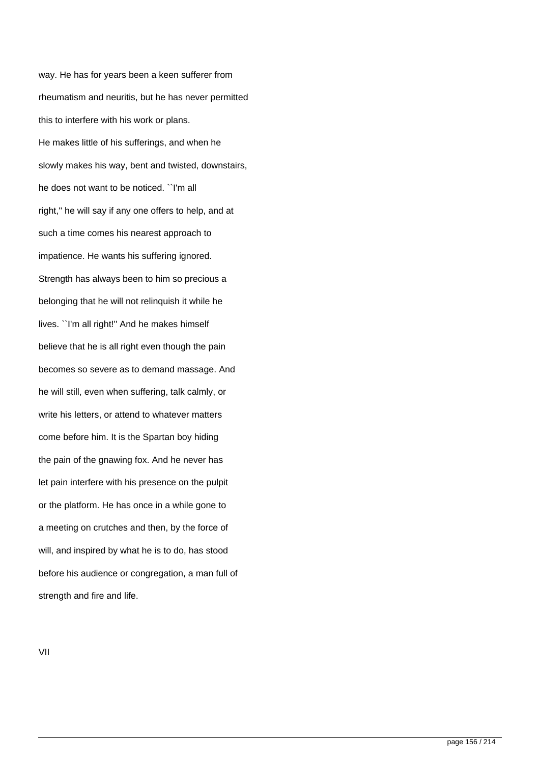way. He has for years been a keen sufferer from rheumatism and neuritis, but he has never permitted this to interfere with his work or plans. He makes little of his sufferings, and when he slowly makes his way, bent and twisted, downstairs, he does not want to be noticed. ``I'm all right,'' he will say if any one offers to help, and at such a time comes his nearest approach to impatience. He wants his suffering ignored. Strength has always been to him so precious a belonging that he will not relinquish it while he lives. ``I'm all right!'' And he makes himself believe that he is all right even though the pain becomes so severe as to demand massage. And he will still, even when suffering, talk calmly, or write his letters, or attend to whatever matters come before him. It is the Spartan boy hiding the pain of the gnawing fox. And he never has let pain interfere with his presence on the pulpit or the platform. He has once in a while gone to a meeting on crutches and then, by the force of will, and inspired by what he is to do, has stood before his audience or congregation, a man full of strength and fire and life.

VII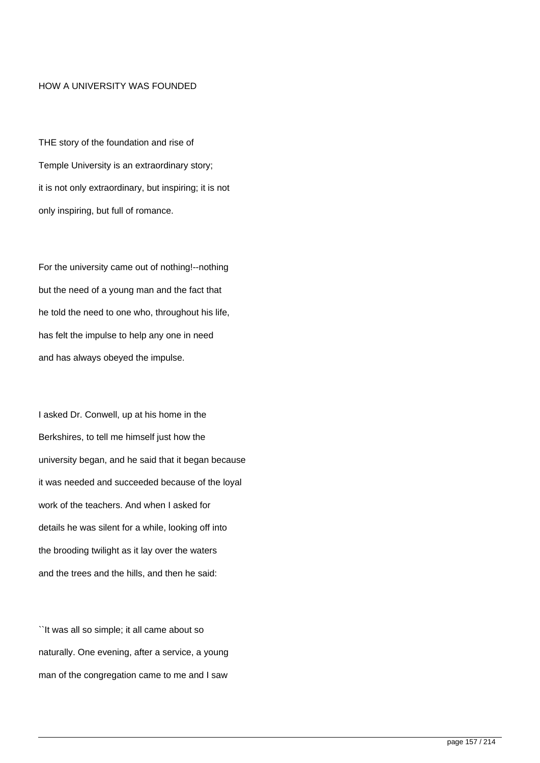## HOW A UNIVERSITY WAS FOUNDED

THE story of the foundation and rise of Temple University is an extraordinary story; it is not only extraordinary, but inspiring; it is not only inspiring, but full of romance.

For the university came out of nothing!--nothing but the need of a young man and the fact that he told the need to one who, throughout his life, has felt the impulse to help any one in need and has always obeyed the impulse.

I asked Dr. Conwell, up at his home in the Berkshires, to tell me himself just how the university began, and he said that it began because it was needed and succeeded because of the loyal work of the teachers. And when I asked for details he was silent for a while, looking off into the brooding twilight as it lay over the waters and the trees and the hills, and then he said:

``It was all so simple; it all came about so naturally. One evening, after a service, a young man of the congregation came to me and I saw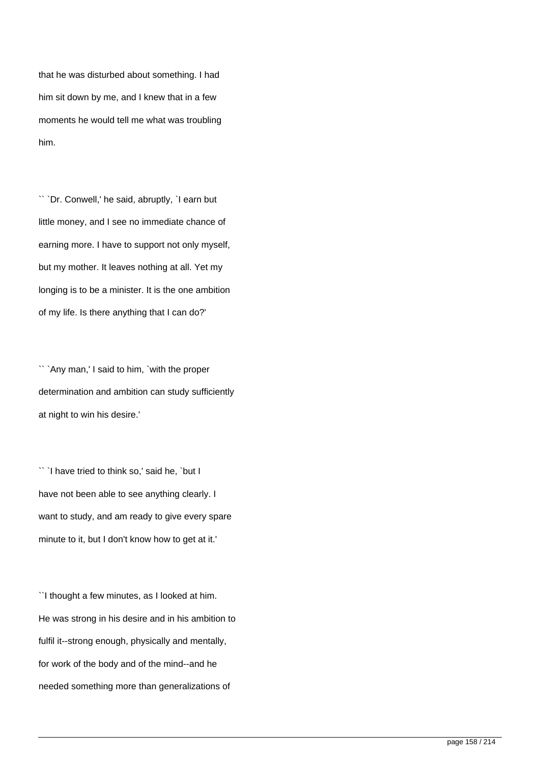that he was disturbed about something. I had him sit down by me, and I knew that in a few moments he would tell me what was troubling him.

`` `Dr. Conwell,' he said, abruptly, `I earn but little money, and I see no immediate chance of earning more. I have to support not only myself, but my mother. It leaves nothing at all. Yet my longing is to be a minister. It is the one ambition of my life. Is there anything that I can do?'

`` `Any man,' I said to him, `with the proper determination and ambition can study sufficiently at night to win his desire.'

`` `I have tried to think so,' said he, `but I have not been able to see anything clearly. I want to study, and am ready to give every spare minute to it, but I don't know how to get at it.'

``I thought a few minutes, as I looked at him. He was strong in his desire and in his ambition to fulfil it--strong enough, physically and mentally, for work of the body and of the mind--and he needed something more than generalizations of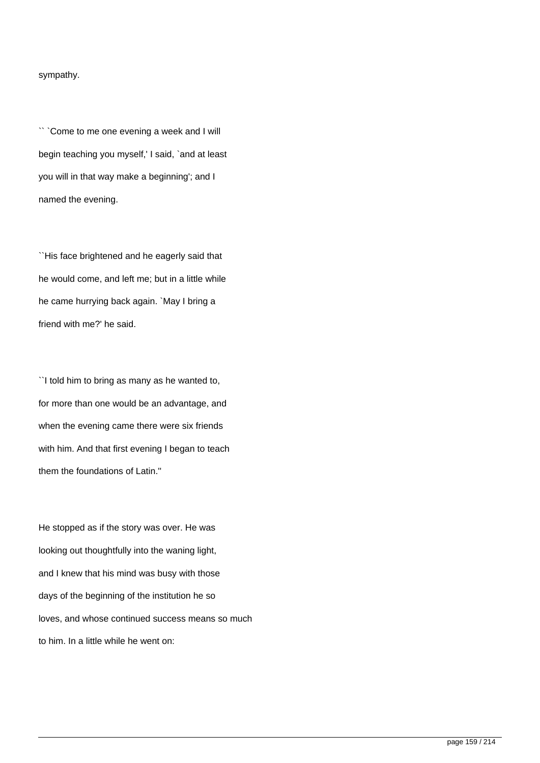## sympathy.

`` `Come to me one evening a week and I will begin teaching you myself,' I said, `and at least you will in that way make a beginning'; and I named the evening.

``His face brightened and he eagerly said that he would come, and left me; but in a little while he came hurrying back again. `May I bring a friend with me?' he said.

``I told him to bring as many as he wanted to, for more than one would be an advantage, and when the evening came there were six friends with him. And that first evening I began to teach them the foundations of Latin.''

He stopped as if the story was over. He was looking out thoughtfully into the waning light, and I knew that his mind was busy with those days of the beginning of the institution he so loves, and whose continued success means so much to him. In a little while he went on: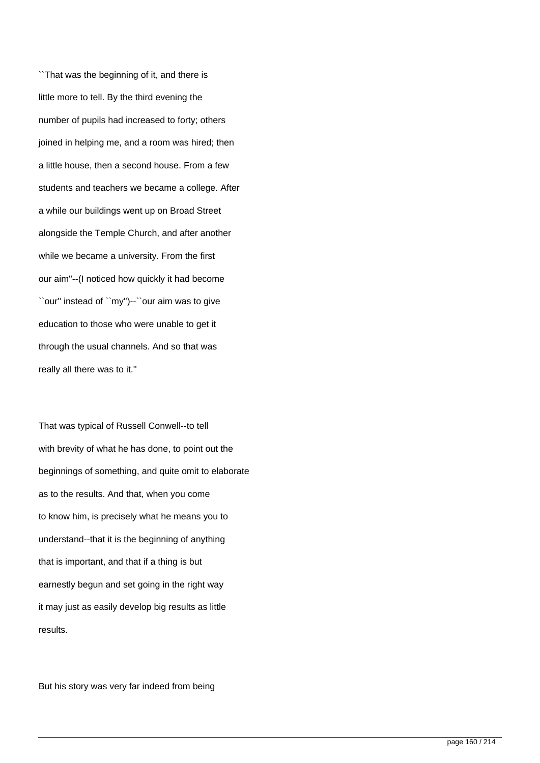``That was the beginning of it, and there is little more to tell. By the third evening the number of pupils had increased to forty; others joined in helping me, and a room was hired; then a little house, then a second house. From a few students and teachers we became a college. After a while our buildings went up on Broad Street alongside the Temple Church, and after another while we became a university. From the first our aim''--(I noticed how quickly it had become ``our'' instead of ``my'')--``our aim was to give education to those who were unable to get it through the usual channels. And so that was really all there was to it.''

That was typical of Russell Conwell--to tell with brevity of what he has done, to point out the beginnings of something, and quite omit to elaborate as to the results. And that, when you come to know him, is precisely what he means you to understand--that it is the beginning of anything that is important, and that if a thing is but earnestly begun and set going in the right way it may just as easily develop big results as little results.

But his story was very far indeed from being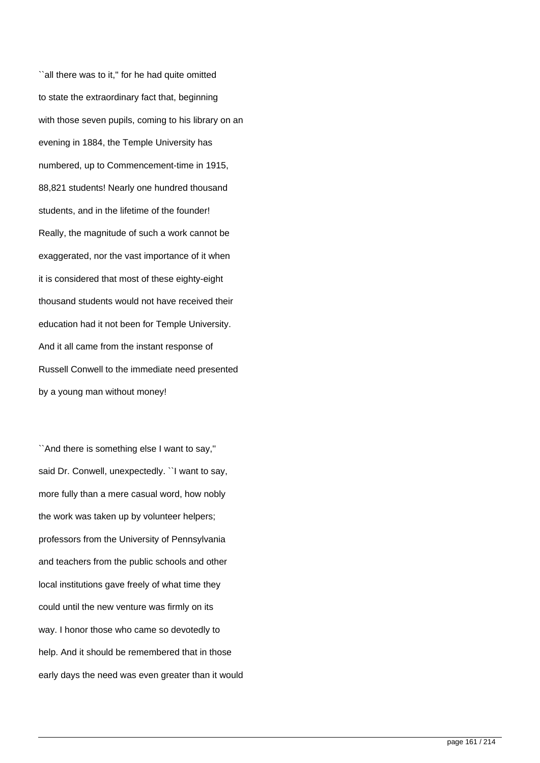``all there was to it,'' for he had quite omitted to state the extraordinary fact that, beginning with those seven pupils, coming to his library on an evening in 1884, the Temple University has numbered, up to Commencement-time in 1915, 88,821 students! Nearly one hundred thousand students, and in the lifetime of the founder! Really, the magnitude of such a work cannot be exaggerated, nor the vast importance of it when it is considered that most of these eighty-eight thousand students would not have received their education had it not been for Temple University. And it all came from the instant response of Russell Conwell to the immediate need presented by a young man without money!

``And there is something else I want to say,'' said Dr. Conwell, unexpectedly. ``I want to say, more fully than a mere casual word, how nobly the work was taken up by volunteer helpers; professors from the University of Pennsylvania and teachers from the public schools and other local institutions gave freely of what time they could until the new venture was firmly on its way. I honor those who came so devotedly to help. And it should be remembered that in those early days the need was even greater than it would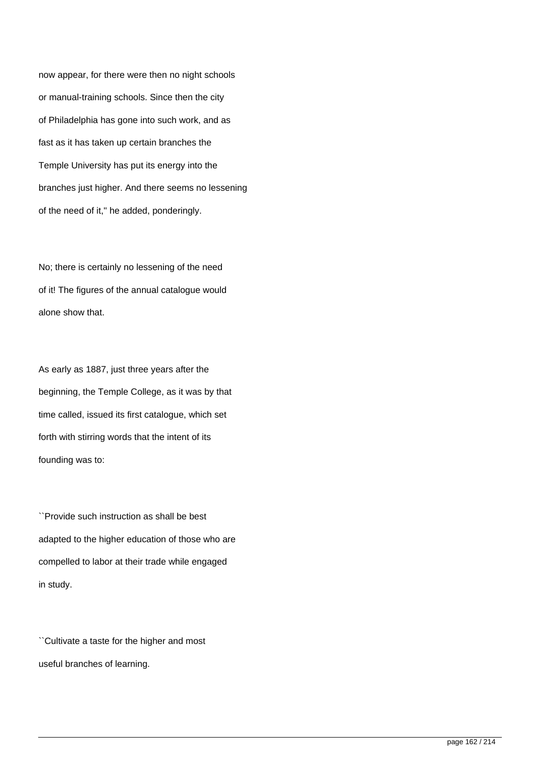now appear, for there were then no night schools or manual-training schools. Since then the city of Philadelphia has gone into such work, and as fast as it has taken up certain branches the Temple University has put its energy into the branches just higher. And there seems no lessening of the need of it,'' he added, ponderingly.

No; there is certainly no lessening of the need of it! The figures of the annual catalogue would alone show that.

As early as 1887, just three years after the beginning, the Temple College, as it was by that time called, issued its first catalogue, which set forth with stirring words that the intent of its founding was to:

``Provide such instruction as shall be best adapted to the higher education of those who are compelled to labor at their trade while engaged in study.

``Cultivate a taste for the higher and most useful branches of learning.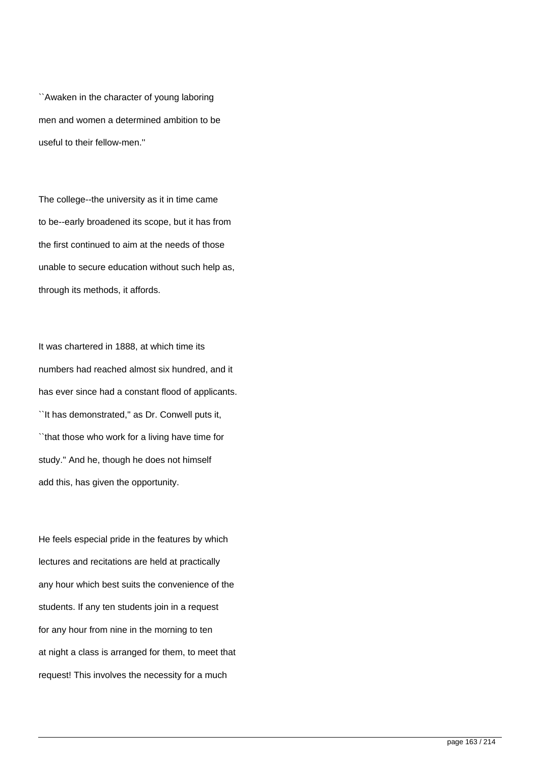``Awaken in the character of young laboring men and women a determined ambition to be useful to their fellow-men.''

The college--the university as it in time came to be--early broadened its scope, but it has from the first continued to aim at the needs of those unable to secure education without such help as, through its methods, it affords.

It was chartered in 1888, at which time its numbers had reached almost six hundred, and it has ever since had a constant flood of applicants. ``It has demonstrated,'' as Dr. Conwell puts it, ``that those who work for a living have time for study.'' And he, though he does not himself add this, has given the opportunity.

He feels especial pride in the features by which lectures and recitations are held at practically any hour which best suits the convenience of the students. If any ten students join in a request for any hour from nine in the morning to ten at night a class is arranged for them, to meet that request! This involves the necessity for a much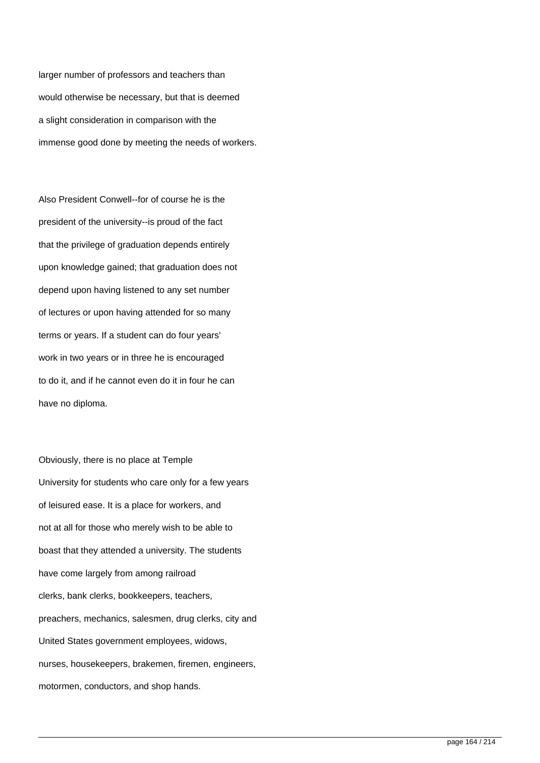larger number of professors and teachers than would otherwise be necessary, but that is deemed a slight consideration in comparison with the immense good done by meeting the needs of workers.

Also President Conwell--for of course he is the president of the university--is proud of the fact that the privilege of graduation depends entirely upon knowledge gained; that graduation does not depend upon having listened to any set number of lectures or upon having attended for so many terms or years. If a student can do four years' work in two years or in three he is encouraged to do it, and if he cannot even do it in four he can have no diploma.

Obviously, there is no place at Temple University for students who care only for a few years of leisured ease. It is a place for workers, and not at all for those who merely wish to be able to boast that they attended a university. The students have come largely from among railroad clerks, bank clerks, bookkeepers, teachers, preachers, mechanics, salesmen, drug clerks, city and United States government employees, widows, nurses, housekeepers, brakemen, firemen, engineers, motormen, conductors, and shop hands.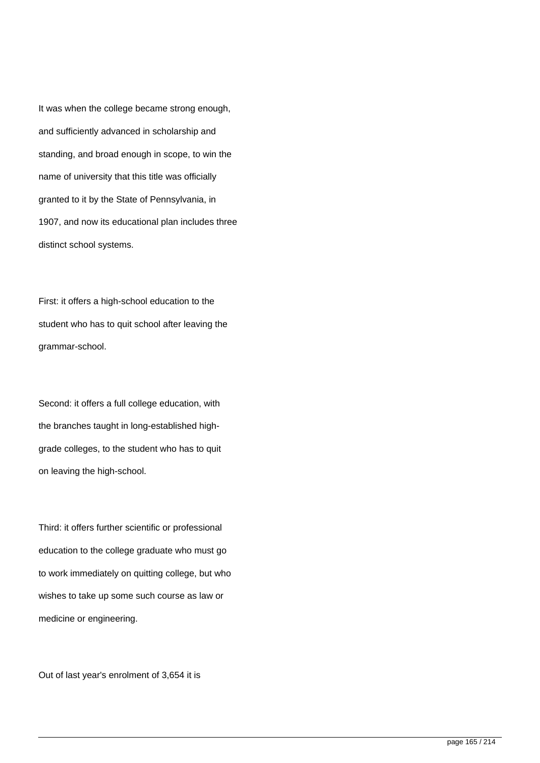It was when the college became strong enough, and sufficiently advanced in scholarship and standing, and broad enough in scope, to win the name of university that this title was officially granted to it by the State of Pennsylvania, in 1907, and now its educational plan includes three distinct school systems.

First: it offers a high-school education to the student who has to quit school after leaving the grammar-school.

Second: it offers a full college education, with the branches taught in long-established highgrade colleges, to the student who has to quit on leaving the high-school.

Third: it offers further scientific or professional education to the college graduate who must go to work immediately on quitting college, but who wishes to take up some such course as law or medicine or engineering.

Out of last year's enrolment of 3,654 it is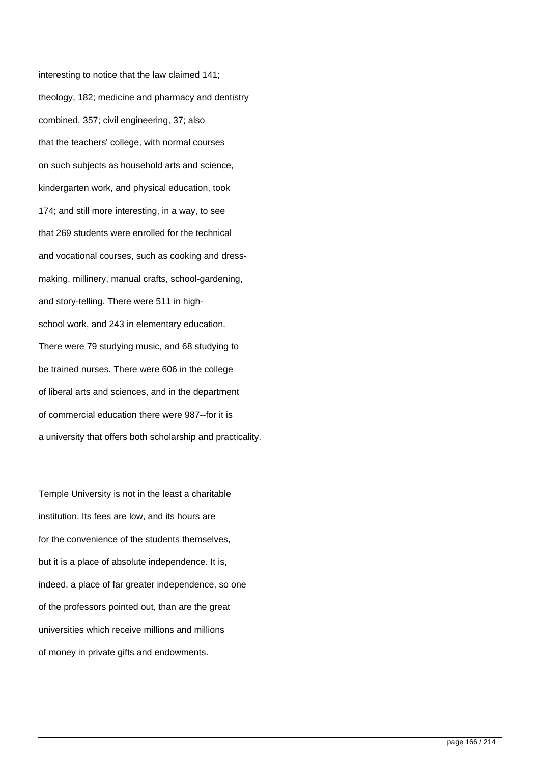interesting to notice that the law claimed 141; theology, 182; medicine and pharmacy and dentistry combined, 357; civil engineering, 37; also that the teachers' college, with normal courses on such subjects as household arts and science, kindergarten work, and physical education, took 174; and still more interesting, in a way, to see that 269 students were enrolled for the technical and vocational courses, such as cooking and dressmaking, millinery, manual crafts, school-gardening, and story-telling. There were 511 in highschool work, and 243 in elementary education. There were 79 studying music, and 68 studying to be trained nurses. There were 606 in the college of liberal arts and sciences, and in the department of commercial education there were 987--for it is a university that offers both scholarship and practicality.

Temple University is not in the least a charitable institution. Its fees are low, and its hours are for the convenience of the students themselves, but it is a place of absolute independence. It is, indeed, a place of far greater independence, so one of the professors pointed out, than are the great universities which receive millions and millions of money in private gifts and endowments.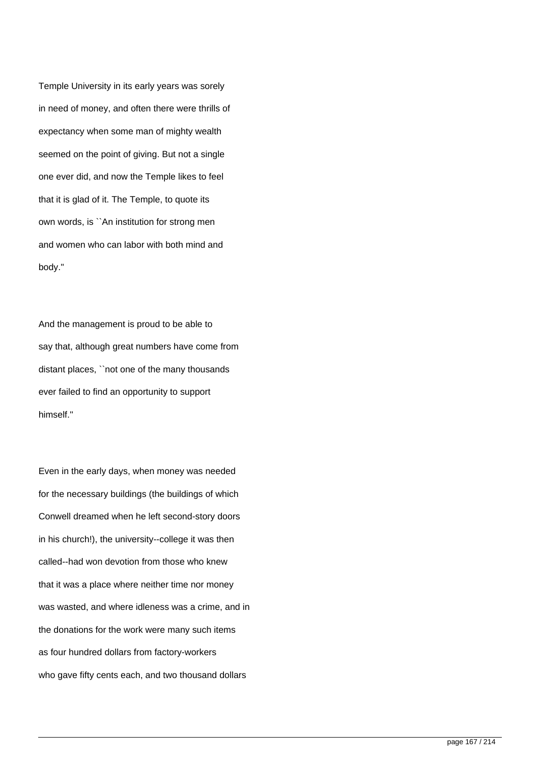Temple University in its early years was sorely in need of money, and often there were thrills of expectancy when some man of mighty wealth seemed on the point of giving. But not a single one ever did, and now the Temple likes to feel that it is glad of it. The Temple, to quote its own words, is ``An institution for strong men and women who can labor with both mind and body.''

And the management is proud to be able to say that, although great numbers have come from distant places, ``not one of the many thousands ever failed to find an opportunity to support himself.''

Even in the early days, when money was needed for the necessary buildings (the buildings of which Conwell dreamed when he left second-story doors in his church!), the university--college it was then called--had won devotion from those who knew that it was a place where neither time nor money was wasted, and where idleness was a crime, and in the donations for the work were many such items as four hundred dollars from factory-workers who gave fifty cents each, and two thousand dollars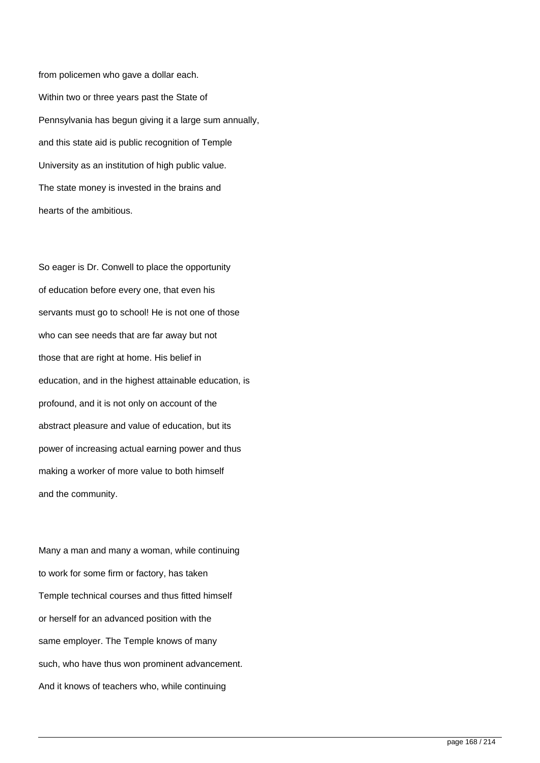from policemen who gave a dollar each. Within two or three years past the State of Pennsylvania has begun giving it a large sum annually, and this state aid is public recognition of Temple University as an institution of high public value. The state money is invested in the brains and hearts of the ambitious.

So eager is Dr. Conwell to place the opportunity of education before every one, that even his servants must go to school! He is not one of those who can see needs that are far away but not those that are right at home. His belief in education, and in the highest attainable education, is profound, and it is not only on account of the abstract pleasure and value of education, but its power of increasing actual earning power and thus making a worker of more value to both himself and the community.

Many a man and many a woman, while continuing to work for some firm or factory, has taken Temple technical courses and thus fitted himself or herself for an advanced position with the same employer. The Temple knows of many such, who have thus won prominent advancement. And it knows of teachers who, while continuing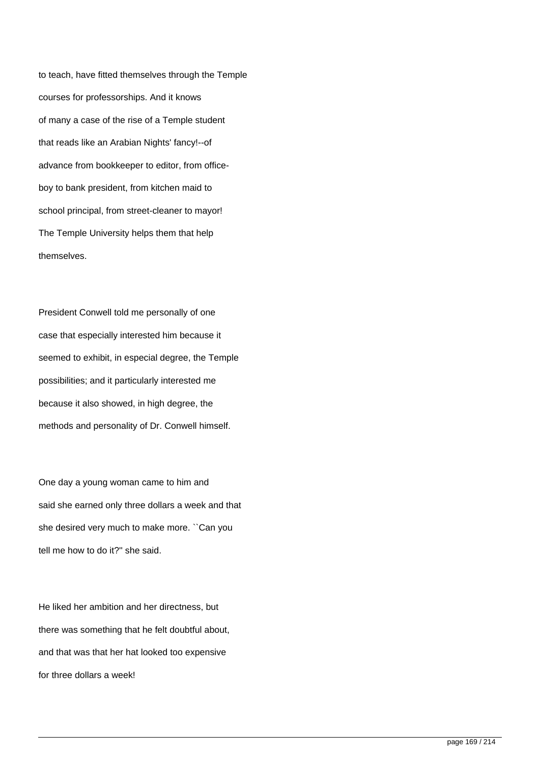to teach, have fitted themselves through the Temple courses for professorships. And it knows of many a case of the rise of a Temple student that reads like an Arabian Nights' fancy!--of advance from bookkeeper to editor, from officeboy to bank president, from kitchen maid to school principal, from street-cleaner to mayor! The Temple University helps them that help themselves.

President Conwell told me personally of one case that especially interested him because it seemed to exhibit, in especial degree, the Temple possibilities; and it particularly interested me because it also showed, in high degree, the methods and personality of Dr. Conwell himself.

One day a young woman came to him and said she earned only three dollars a week and that she desired very much to make more. ``Can you tell me how to do it?'' she said.

He liked her ambition and her directness, but there was something that he felt doubtful about, and that was that her hat looked too expensive for three dollars a week!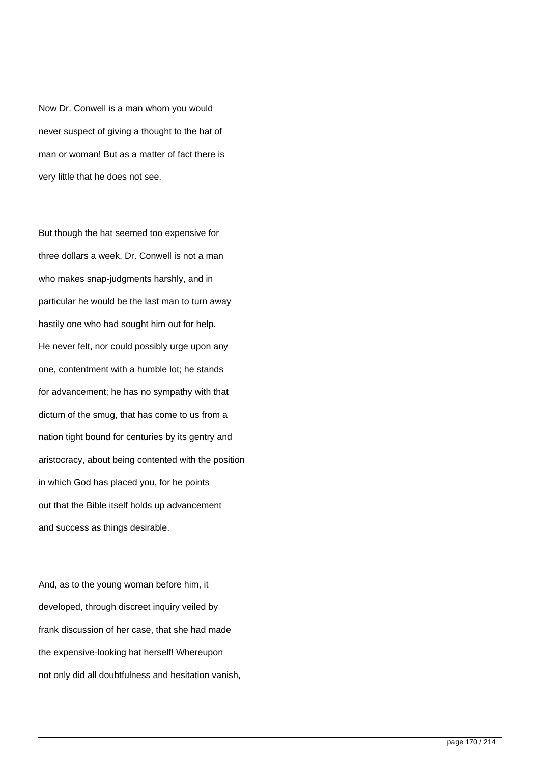Now Dr. Conwell is a man whom you would never suspect of giving a thought to the hat of man or woman! But as a matter of fact there is very little that he does not see.

But though the hat seemed too expensive for three dollars a week, Dr. Conwell is not a man who makes snap-judgments harshly, and in particular he would be the last man to turn away hastily one who had sought him out for help. He never felt, nor could possibly urge upon any one, contentment with a humble lot; he stands for advancement; he has no sympathy with that dictum of the smug, that has come to us from a nation tight bound for centuries by its gentry and aristocracy, about being contented with the position in which God has placed you, for he points out that the Bible itself holds up advancement and success as things desirable.

And, as to the young woman before him, it developed, through discreet inquiry veiled by frank discussion of her case, that she had made the expensive-looking hat herself! Whereupon not only did all doubtfulness and hesitation vanish,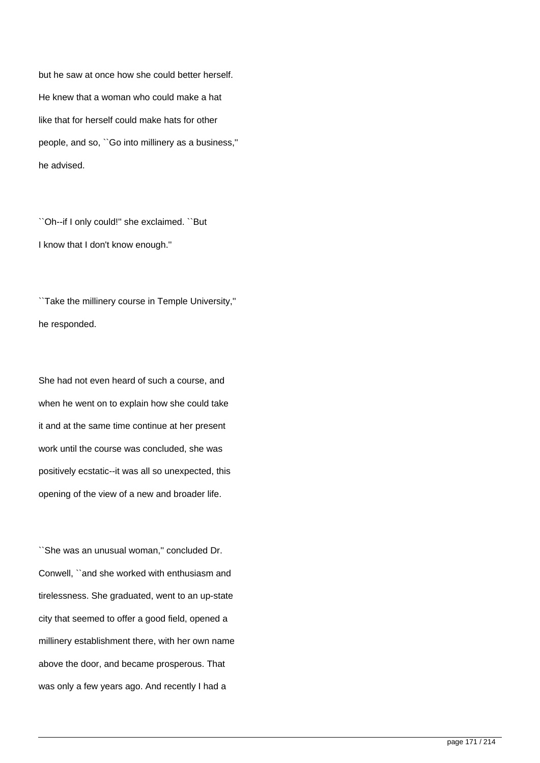but he saw at once how she could better herself. He knew that a woman who could make a hat like that for herself could make hats for other people, and so, ``Go into millinery as a business,'' he advised.

``Oh--if I only could!'' she exclaimed. ``But I know that I don't know enough.''

``Take the millinery course in Temple University,'' he responded.

She had not even heard of such a course, and when he went on to explain how she could take it and at the same time continue at her present work until the course was concluded, she was positively ecstatic--it was all so unexpected, this opening of the view of a new and broader life.

``She was an unusual woman,'' concluded Dr. Conwell, ``and she worked with enthusiasm and tirelessness. She graduated, went to an up-state city that seemed to offer a good field, opened a millinery establishment there, with her own name above the door, and became prosperous. That was only a few years ago. And recently I had a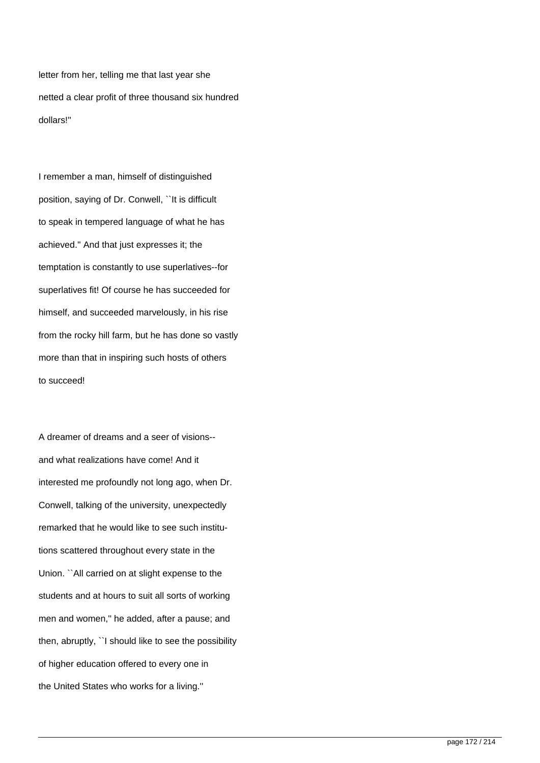letter from her, telling me that last year she netted a clear profit of three thousand six hundred dollars!''

I remember a man, himself of distinguished position, saying of Dr. Conwell, "It is difficult to speak in tempered language of what he has achieved.'' And that just expresses it; the temptation is constantly to use superlatives--for superlatives fit! Of course he has succeeded for himself, and succeeded marvelously, in his rise from the rocky hill farm, but he has done so vastly more than that in inspiring such hosts of others to succeed!

A dreamer of dreams and a seer of visions- and what realizations have come! And it interested me profoundly not long ago, when Dr. Conwell, talking of the university, unexpectedly remarked that he would like to see such institutions scattered throughout every state in the Union. ``All carried on at slight expense to the students and at hours to suit all sorts of working men and women,'' he added, after a pause; and then, abruptly, ``I should like to see the possibility of higher education offered to every one in the United States who works for a living.''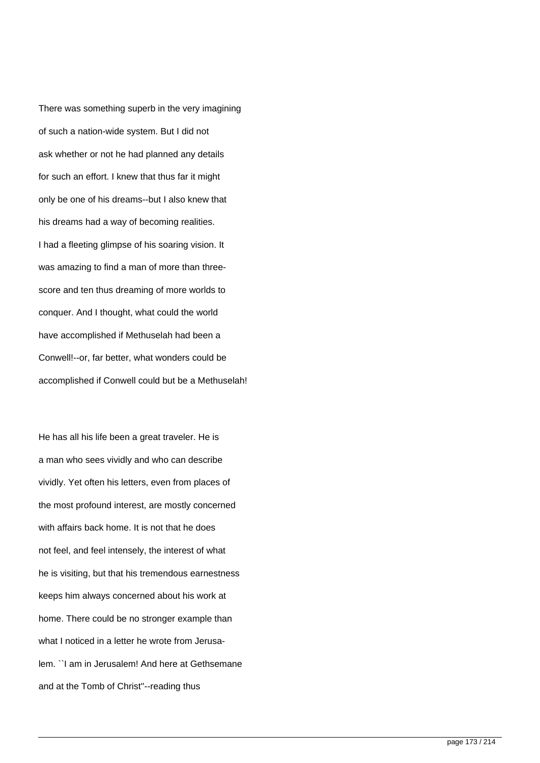There was something superb in the very imagining of such a nation-wide system. But I did not ask whether or not he had planned any details for such an effort. I knew that thus far it might only be one of his dreams--but I also knew that his dreams had a way of becoming realities. I had a fleeting glimpse of his soaring vision. It was amazing to find a man of more than threescore and ten thus dreaming of more worlds to conquer. And I thought, what could the world have accomplished if Methuselah had been a Conwell!--or, far better, what wonders could be accomplished if Conwell could but be a Methuselah!

He has all his life been a great traveler. He is a man who sees vividly and who can describe vividly. Yet often his letters, even from places of the most profound interest, are mostly concerned with affairs back home. It is not that he does not feel, and feel intensely, the interest of what he is visiting, but that his tremendous earnestness keeps him always concerned about his work at home. There could be no stronger example than what I noticed in a letter he wrote from Jerusalem. ``I am in Jerusalem! And here at Gethsemane and at the Tomb of Christ''--reading thus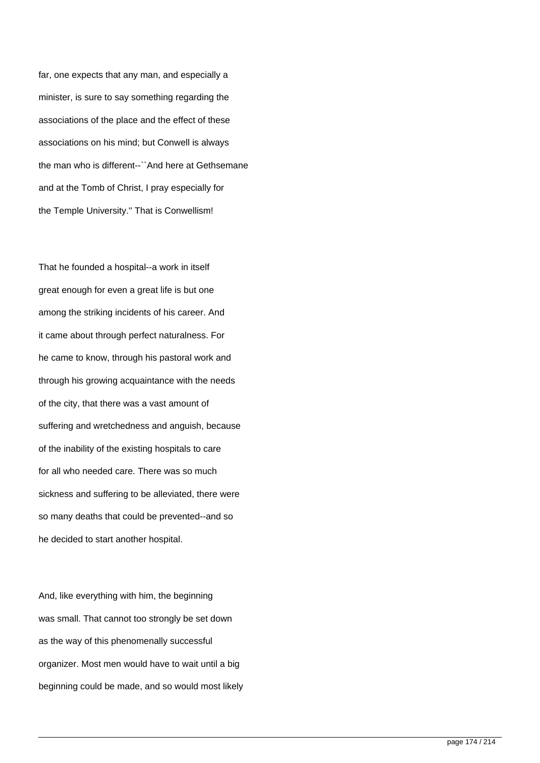far, one expects that any man, and especially a minister, is sure to say something regarding the associations of the place and the effect of these associations on his mind; but Conwell is always the man who is different--``And here at Gethsemane and at the Tomb of Christ, I pray especially for the Temple University.'' That is Conwellism!

That he founded a hospital--a work in itself great enough for even a great life is but one among the striking incidents of his career. And it came about through perfect naturalness. For he came to know, through his pastoral work and through his growing acquaintance with the needs of the city, that there was a vast amount of suffering and wretchedness and anguish, because of the inability of the existing hospitals to care for all who needed care. There was so much sickness and suffering to be alleviated, there were so many deaths that could be prevented--and so he decided to start another hospital.

And, like everything with him, the beginning was small. That cannot too strongly be set down as the way of this phenomenally successful organizer. Most men would have to wait until a big beginning could be made, and so would most likely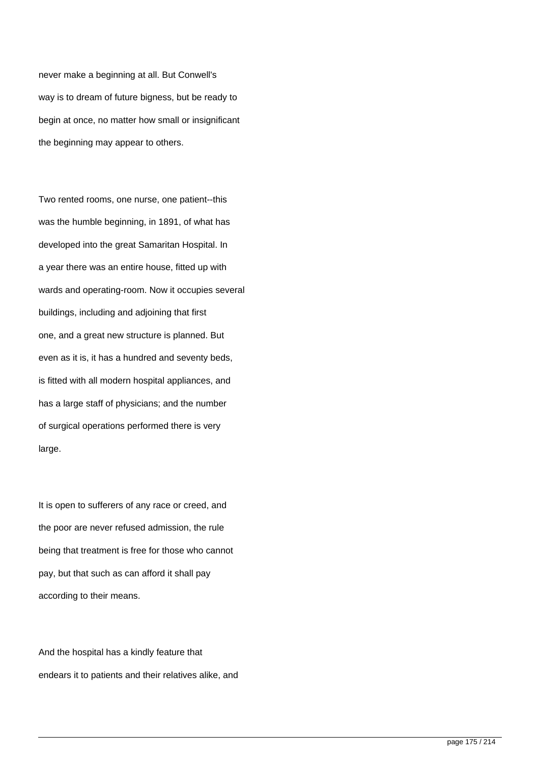never make a beginning at all. But Conwell's way is to dream of future bigness, but be ready to begin at once, no matter how small or insignificant the beginning may appear to others.

Two rented rooms, one nurse, one patient--this was the humble beginning, in 1891, of what has developed into the great Samaritan Hospital. In a year there was an entire house, fitted up with wards and operating-room. Now it occupies several buildings, including and adjoining that first one, and a great new structure is planned. But even as it is, it has a hundred and seventy beds, is fitted with all modern hospital appliances, and has a large staff of physicians; and the number of surgical operations performed there is very large.

It is open to sufferers of any race or creed, and the poor are never refused admission, the rule being that treatment is free for those who cannot pay, but that such as can afford it shall pay according to their means.

And the hospital has a kindly feature that endears it to patients and their relatives alike, and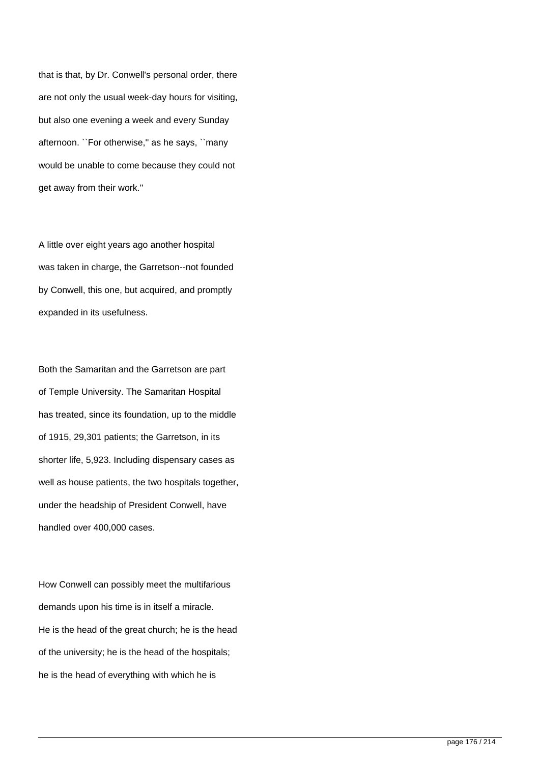that is that, by Dr. Conwell's personal order, there are not only the usual week-day hours for visiting, but also one evening a week and every Sunday afternoon. ``For otherwise,'' as he says, ``many would be unable to come because they could not get away from their work.''

A little over eight years ago another hospital was taken in charge, the Garretson--not founded by Conwell, this one, but acquired, and promptly expanded in its usefulness.

Both the Samaritan and the Garretson are part of Temple University. The Samaritan Hospital has treated, since its foundation, up to the middle of 1915, 29,301 patients; the Garretson, in its shorter life, 5,923. Including dispensary cases as well as house patients, the two hospitals together, under the headship of President Conwell, have handled over 400,000 cases.

How Conwell can possibly meet the multifarious demands upon his time is in itself a miracle. He is the head of the great church; he is the head of the university; he is the head of the hospitals; he is the head of everything with which he is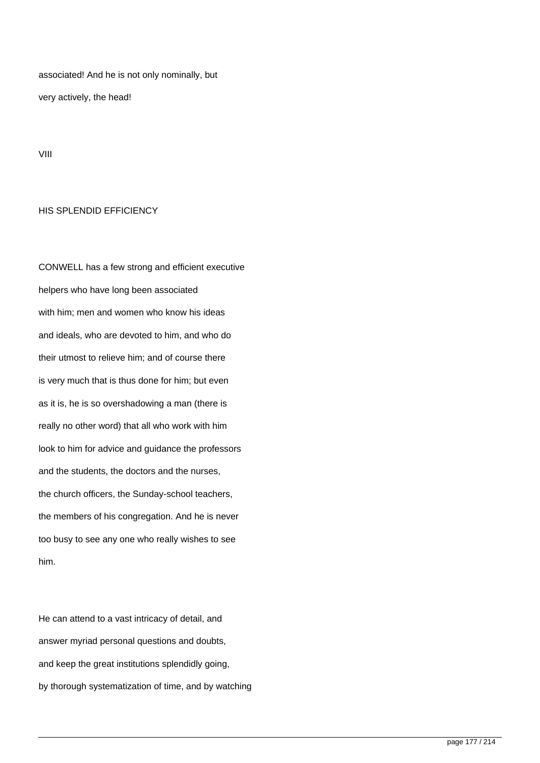associated! And he is not only nominally, but very actively, the head!

VIII

## HIS SPLENDID EFFICIENCY

CONWELL has a few strong and efficient executive helpers who have long been associated with him; men and women who know his ideas and ideals, who are devoted to him, and who do their utmost to relieve him; and of course there is very much that is thus done for him; but even as it is, he is so overshadowing a man (there is really no other word) that all who work with him look to him for advice and guidance the professors and the students, the doctors and the nurses, the church officers, the Sunday-school teachers, the members of his congregation. And he is never too busy to see any one who really wishes to see him.

He can attend to a vast intricacy of detail, and answer myriad personal questions and doubts, and keep the great institutions splendidly going, by thorough systematization of time, and by watching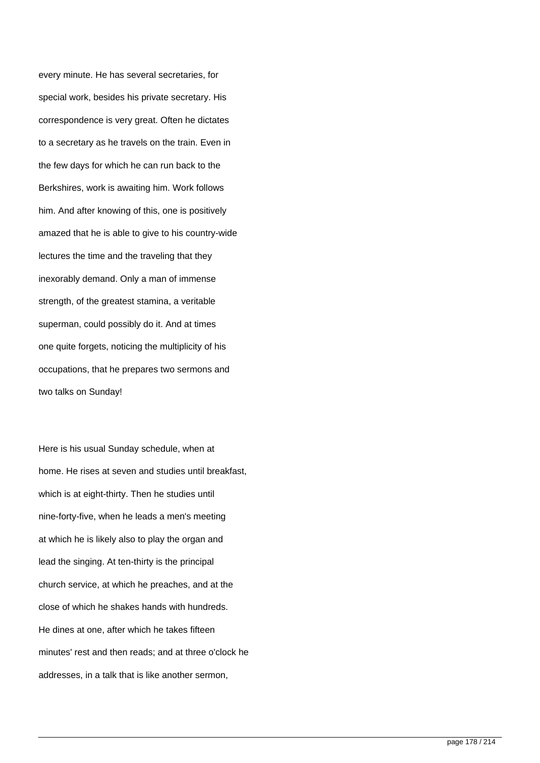every minute. He has several secretaries, for special work, besides his private secretary. His correspondence is very great. Often he dictates to a secretary as he travels on the train. Even in the few days for which he can run back to the Berkshires, work is awaiting him. Work follows him. And after knowing of this, one is positively amazed that he is able to give to his country-wide lectures the time and the traveling that they inexorably demand. Only a man of immense strength, of the greatest stamina, a veritable superman, could possibly do it. And at times one quite forgets, noticing the multiplicity of his occupations, that he prepares two sermons and two talks on Sunday!

Here is his usual Sunday schedule, when at home. He rises at seven and studies until breakfast, which is at eight-thirty. Then he studies until nine-forty-five, when he leads a men's meeting at which he is likely also to play the organ and lead the singing. At ten-thirty is the principal church service, at which he preaches, and at the close of which he shakes hands with hundreds. He dines at one, after which he takes fifteen minutes' rest and then reads; and at three o'clock he addresses, in a talk that is like another sermon,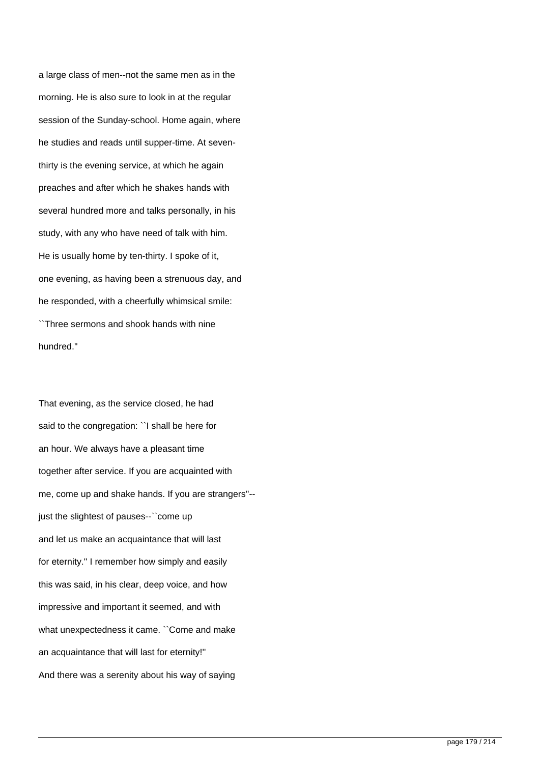a large class of men--not the same men as in the morning. He is also sure to look in at the regular session of the Sunday-school. Home again, where he studies and reads until supper-time. At seventhirty is the evening service, at which he again preaches and after which he shakes hands with several hundred more and talks personally, in his study, with any who have need of talk with him. He is usually home by ten-thirty. I spoke of it, one evening, as having been a strenuous day, and he responded, with a cheerfully whimsical smile: ``Three sermons and shook hands with nine hundred.''

That evening, as the service closed, he had said to the congregation: "I shall be here for an hour. We always have a pleasant time together after service. If you are acquainted with me, come up and shake hands. If you are strangers''- just the slightest of pauses--"come up and let us make an acquaintance that will last for eternity.'' I remember how simply and easily this was said, in his clear, deep voice, and how impressive and important it seemed, and with what unexpectedness it came. ``Come and make an acquaintance that will last for eternity!'' And there was a serenity about his way of saying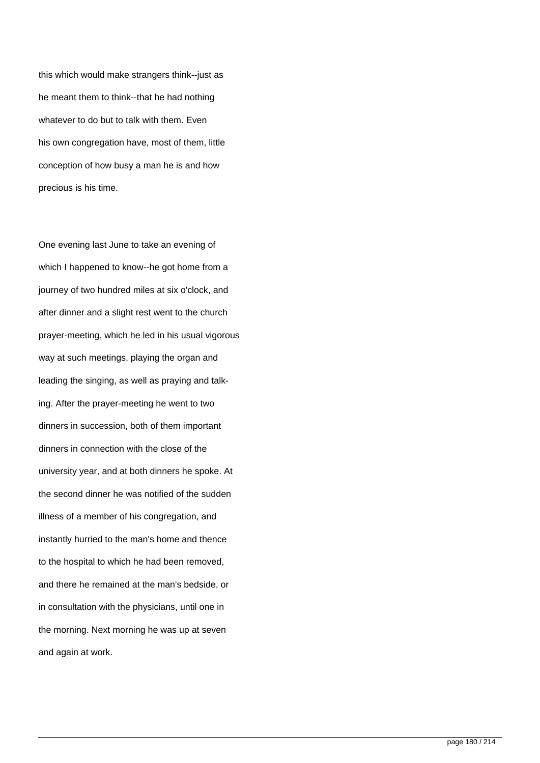this which would make strangers think--just as he meant them to think--that he had nothing whatever to do but to talk with them. Even his own congregation have, most of them, little conception of how busy a man he is and how precious is his time.

One evening last June to take an evening of which I happened to know--he got home from a journey of two hundred miles at six o'clock, and after dinner and a slight rest went to the church prayer-meeting, which he led in his usual vigorous way at such meetings, playing the organ and leading the singing, as well as praying and talking. After the prayer-meeting he went to two dinners in succession, both of them important dinners in connection with the close of the university year, and at both dinners he spoke. At the second dinner he was notified of the sudden illness of a member of his congregation, and instantly hurried to the man's home and thence to the hospital to which he had been removed, and there he remained at the man's bedside, or in consultation with the physicians, until one in the morning. Next morning he was up at seven and again at work.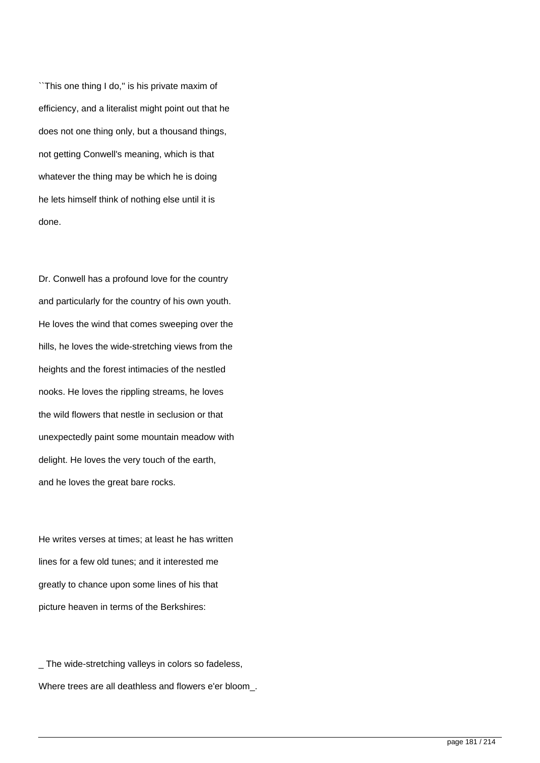``This one thing I do,'' is his private maxim of efficiency, and a literalist might point out that he does not one thing only, but a thousand things, not getting Conwell's meaning, which is that whatever the thing may be which he is doing he lets himself think of nothing else until it is done.

Dr. Conwell has a profound love for the country and particularly for the country of his own youth. He loves the wind that comes sweeping over the hills, he loves the wide-stretching views from the heights and the forest intimacies of the nestled nooks. He loves the rippling streams, he loves the wild flowers that nestle in seclusion or that unexpectedly paint some mountain meadow with delight. He loves the very touch of the earth, and he loves the great bare rocks.

He writes verses at times; at least he has written lines for a few old tunes; and it interested me greatly to chance upon some lines of his that picture heaven in terms of the Berkshires:

\_ The wide-stretching valleys in colors so fadeless, Where trees are all deathless and flowers e'er bloom\_.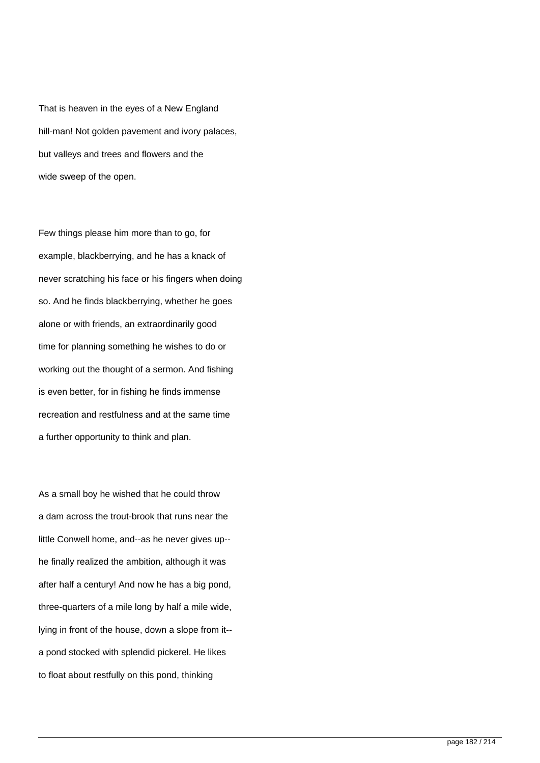That is heaven in the eyes of a New England hill-man! Not golden pavement and ivory palaces, but valleys and trees and flowers and the wide sweep of the open.

Few things please him more than to go, for example, blackberrying, and he has a knack of never scratching his face or his fingers when doing so. And he finds blackberrying, whether he goes alone or with friends, an extraordinarily good time for planning something he wishes to do or working out the thought of a sermon. And fishing is even better, for in fishing he finds immense recreation and restfulness and at the same time a further opportunity to think and plan.

As a small boy he wished that he could throw a dam across the trout-brook that runs near the little Conwell home, and--as he never gives up- he finally realized the ambition, although it was after half a century! And now he has a big pond, three-quarters of a mile long by half a mile wide, lying in front of the house, down a slope from it- a pond stocked with splendid pickerel. He likes to float about restfully on this pond, thinking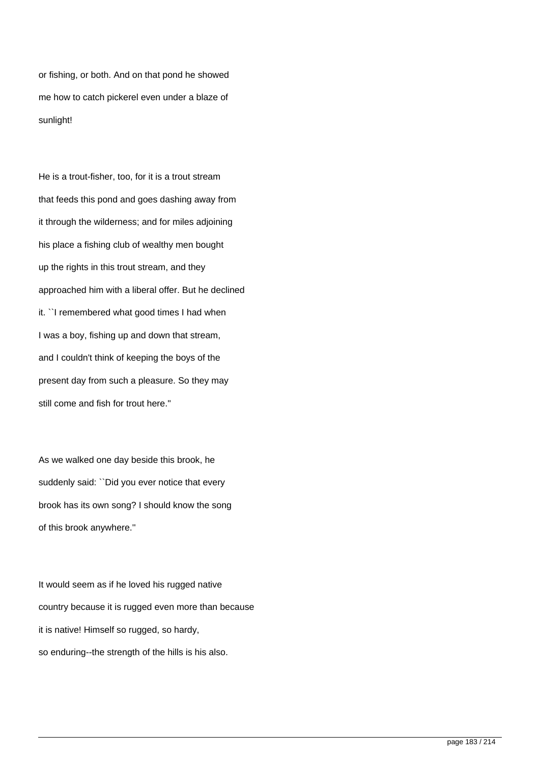or fishing, or both. And on that pond he showed me how to catch pickerel even under a blaze of sunlight!

He is a trout-fisher, too, for it is a trout stream that feeds this pond and goes dashing away from it through the wilderness; and for miles adjoining his place a fishing club of wealthy men bought up the rights in this trout stream, and they approached him with a liberal offer. But he declined it. ``I remembered what good times I had when I was a boy, fishing up and down that stream, and I couldn't think of keeping the boys of the present day from such a pleasure. So they may still come and fish for trout here.''

As we walked one day beside this brook, he suddenly said: "Did you ever notice that every brook has its own song? I should know the song of this brook anywhere.''

It would seem as if he loved his rugged native country because it is rugged even more than because it is native! Himself so rugged, so hardy, so enduring--the strength of the hills is his also.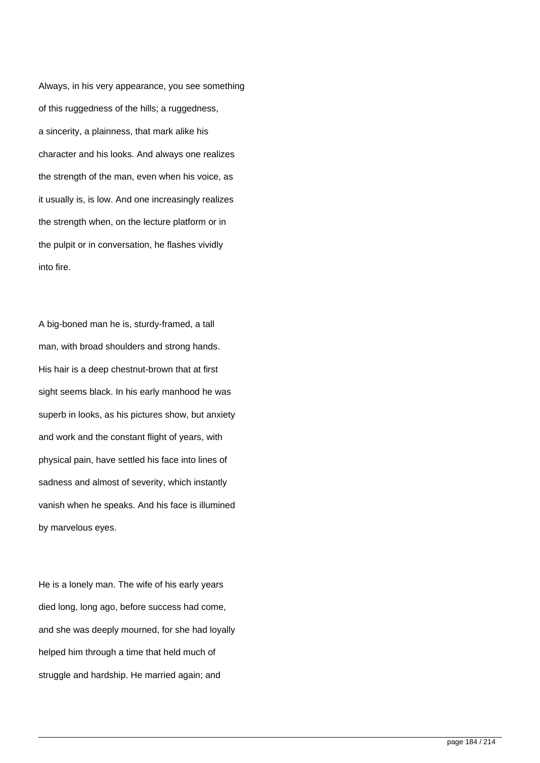Always, in his very appearance, you see something of this ruggedness of the hills; a ruggedness, a sincerity, a plainness, that mark alike his character and his looks. And always one realizes the strength of the man, even when his voice, as it usually is, is low. And one increasingly realizes the strength when, on the lecture platform or in the pulpit or in conversation, he flashes vividly into fire.

A big-boned man he is, sturdy-framed, a tall man, with broad shoulders and strong hands. His hair is a deep chestnut-brown that at first sight seems black. In his early manhood he was superb in looks, as his pictures show, but anxiety and work and the constant flight of years, with physical pain, have settled his face into lines of sadness and almost of severity, which instantly vanish when he speaks. And his face is illumined by marvelous eyes.

He is a lonely man. The wife of his early years died long, long ago, before success had come, and she was deeply mourned, for she had loyally helped him through a time that held much of struggle and hardship. He married again; and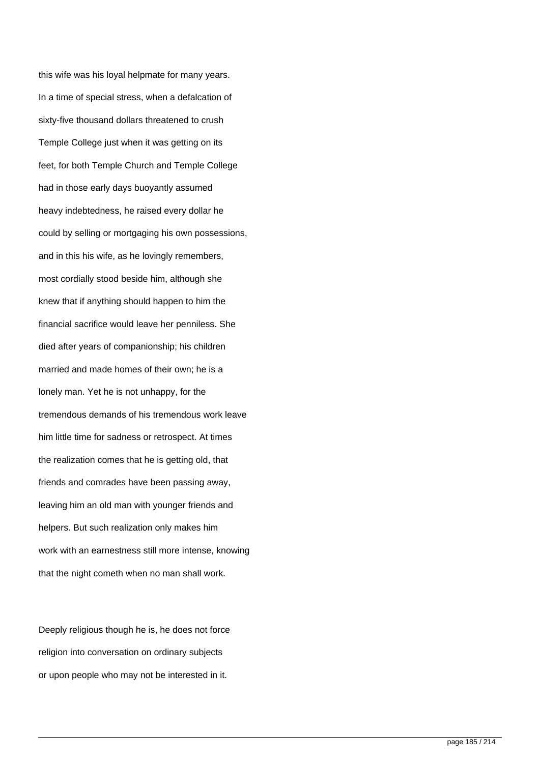this wife was his loyal helpmate for many years. In a time of special stress, when a defalcation of sixty-five thousand dollars threatened to crush Temple College just when it was getting on its feet, for both Temple Church and Temple College had in those early days buoyantly assumed heavy indebtedness, he raised every dollar he could by selling or mortgaging his own possessions, and in this his wife, as he lovingly remembers, most cordially stood beside him, although she knew that if anything should happen to him the financial sacrifice would leave her penniless. She died after years of companionship; his children married and made homes of their own; he is a lonely man. Yet he is not unhappy, for the tremendous demands of his tremendous work leave him little time for sadness or retrospect. At times the realization comes that he is getting old, that friends and comrades have been passing away, leaving him an old man with younger friends and helpers. But such realization only makes him work with an earnestness still more intense, knowing that the night cometh when no man shall work.

Deeply religious though he is, he does not force religion into conversation on ordinary subjects or upon people who may not be interested in it.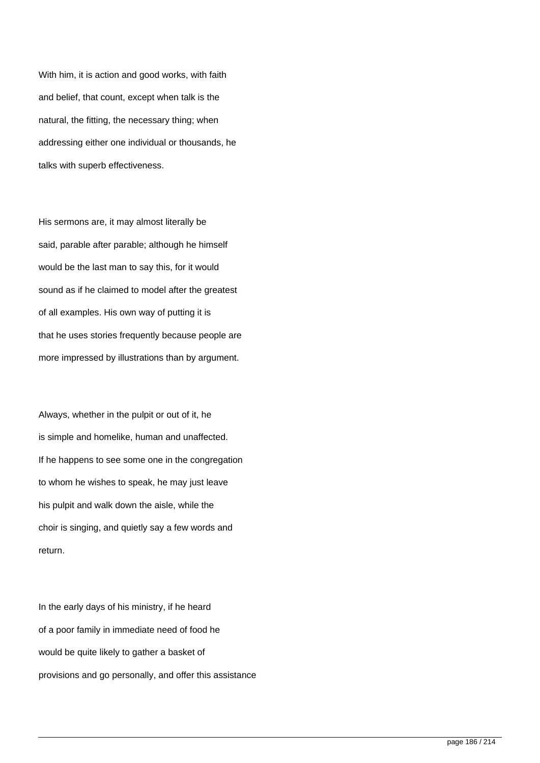With him, it is action and good works, with faith and belief, that count, except when talk is the natural, the fitting, the necessary thing; when addressing either one individual or thousands, he talks with superb effectiveness.

His sermons are, it may almost literally be said, parable after parable; although he himself would be the last man to say this, for it would sound as if he claimed to model after the greatest of all examples. His own way of putting it is that he uses stories frequently because people are more impressed by illustrations than by argument.

Always, whether in the pulpit or out of it, he is simple and homelike, human and unaffected. If he happens to see some one in the congregation to whom he wishes to speak, he may just leave his pulpit and walk down the aisle, while the choir is singing, and quietly say a few words and return.

In the early days of his ministry, if he heard of a poor family in immediate need of food he would be quite likely to gather a basket of provisions and go personally, and offer this assistance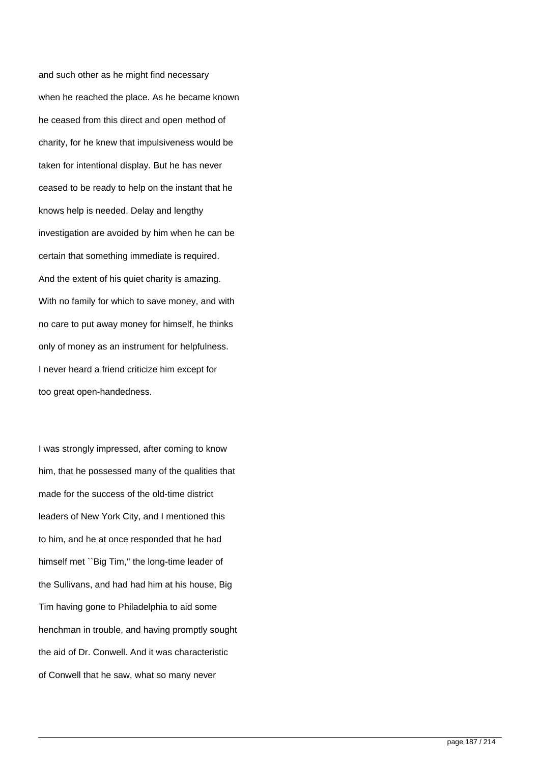and such other as he might find necessary when he reached the place. As he became known he ceased from this direct and open method of charity, for he knew that impulsiveness would be taken for intentional display. But he has never ceased to be ready to help on the instant that he knows help is needed. Delay and lengthy investigation are avoided by him when he can be certain that something immediate is required. And the extent of his quiet charity is amazing. With no family for which to save money, and with no care to put away money for himself, he thinks only of money as an instrument for helpfulness. I never heard a friend criticize him except for too great open-handedness.

I was strongly impressed, after coming to know him, that he possessed many of the qualities that made for the success of the old-time district leaders of New York City, and I mentioned this to him, and he at once responded that he had himself met "Big Tim," the long-time leader of the Sullivans, and had had him at his house, Big Tim having gone to Philadelphia to aid some henchman in trouble, and having promptly sought the aid of Dr. Conwell. And it was characteristic of Conwell that he saw, what so many never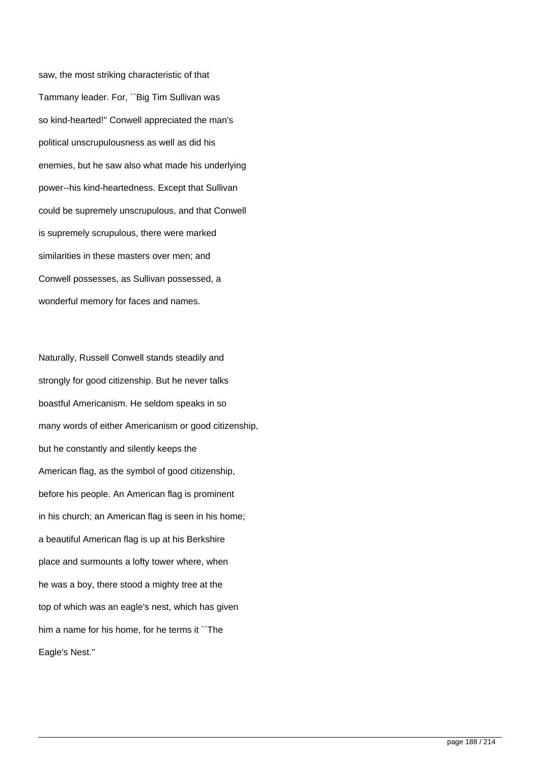saw, the most striking characteristic of that Tammany leader. For, ``Big Tim Sullivan was so kind-hearted!'' Conwell appreciated the man's political unscrupulousness as well as did his enemies, but he saw also what made his underlying power--his kind-heartedness. Except that Sullivan could be supremely unscrupulous, and that Conwell is supremely scrupulous, there were marked similarities in these masters over men; and Conwell possesses, as Sullivan possessed, a wonderful memory for faces and names.

Naturally, Russell Conwell stands steadily and strongly for good citizenship. But he never talks boastful Americanism. He seldom speaks in so many words of either Americanism or good citizenship, but he constantly and silently keeps the American flag, as the symbol of good citizenship, before his people. An American flag is prominent in his church; an American flag is seen in his home; a beautiful American flag is up at his Berkshire place and surmounts a lofty tower where, when he was a boy, there stood a mighty tree at the top of which was an eagle's nest, which has given him a name for his home, for he terms it ``The Eagle's Nest.''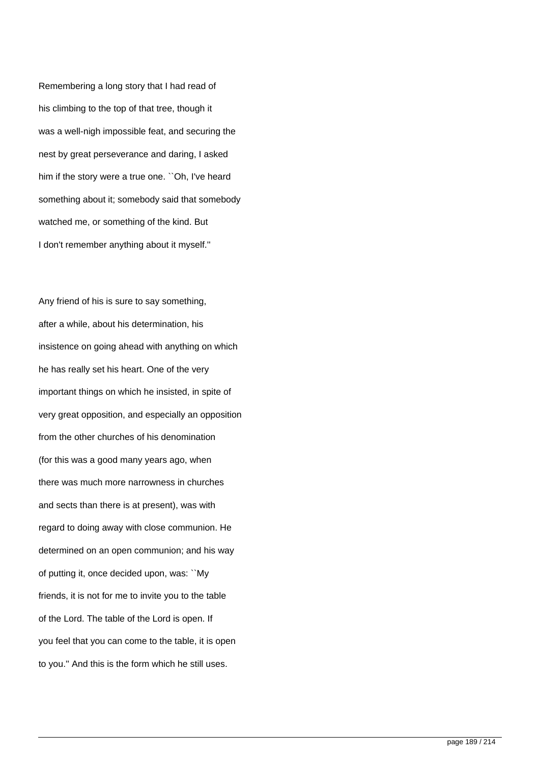Remembering a long story that I had read of his climbing to the top of that tree, though it was a well-nigh impossible feat, and securing the nest by great perseverance and daring, I asked him if the story were a true one. ``Oh, I've heard something about it; somebody said that somebody watched me, or something of the kind. But I don't remember anything about it myself.''

Any friend of his is sure to say something, after a while, about his determination, his insistence on going ahead with anything on which he has really set his heart. One of the very important things on which he insisted, in spite of very great opposition, and especially an opposition from the other churches of his denomination (for this was a good many years ago, when there was much more narrowness in churches and sects than there is at present), was with regard to doing away with close communion. He determined on an open communion; and his way of putting it, once decided upon, was: ``My friends, it is not for me to invite you to the table of the Lord. The table of the Lord is open. If you feel that you can come to the table, it is open to you.'' And this is the form which he still uses.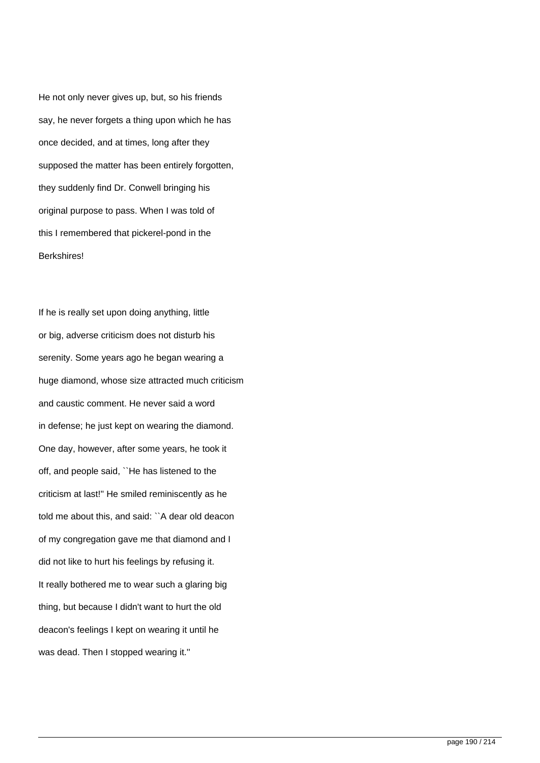He not only never gives up, but, so his friends say, he never forgets a thing upon which he has once decided, and at times, long after they supposed the matter has been entirely forgotten, they suddenly find Dr. Conwell bringing his original purpose to pass. When I was told of this I remembered that pickerel-pond in the **Berkshires!** 

If he is really set upon doing anything, little or big, adverse criticism does not disturb his serenity. Some years ago he began wearing a huge diamond, whose size attracted much criticism and caustic comment. He never said a word in defense; he just kept on wearing the diamond. One day, however, after some years, he took it off, and people said, ``He has listened to the criticism at last!'' He smiled reminiscently as he told me about this, and said: ``A dear old deacon of my congregation gave me that diamond and I did not like to hurt his feelings by refusing it. It really bothered me to wear such a glaring big thing, but because I didn't want to hurt the old deacon's feelings I kept on wearing it until he was dead. Then I stopped wearing it."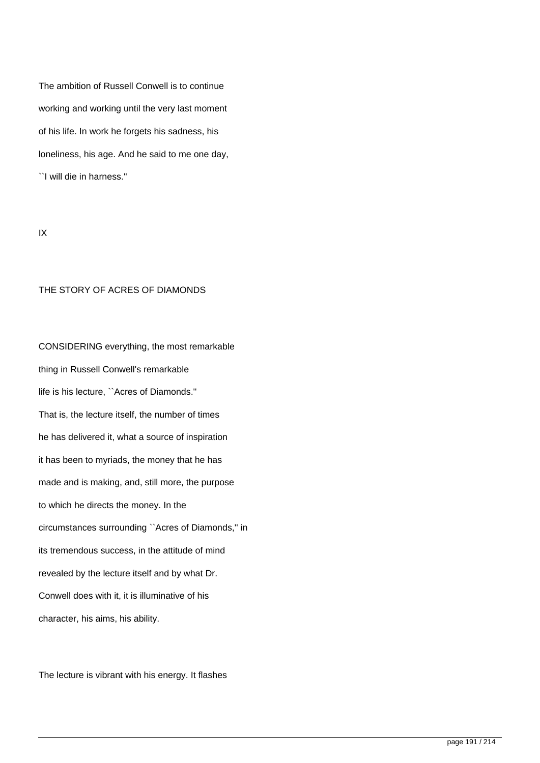The ambition of Russell Conwell is to continue working and working until the very last moment of his life. In work he forgets his sadness, his loneliness, his age. And he said to me one day,

``I will die in harness.''

IX

### THE STORY OF ACRES OF DIAMONDS

CONSIDERING everything, the most remarkable thing in Russell Conwell's remarkable life is his lecture, ``Acres of Diamonds.'' That is, the lecture itself, the number of times he has delivered it, what a source of inspiration it has been to myriads, the money that he has made and is making, and, still more, the purpose to which he directs the money. In the circumstances surrounding ``Acres of Diamonds,'' in its tremendous success, in the attitude of mind revealed by the lecture itself and by what Dr. Conwell does with it, it is illuminative of his character, his aims, his ability.

The lecture is vibrant with his energy. It flashes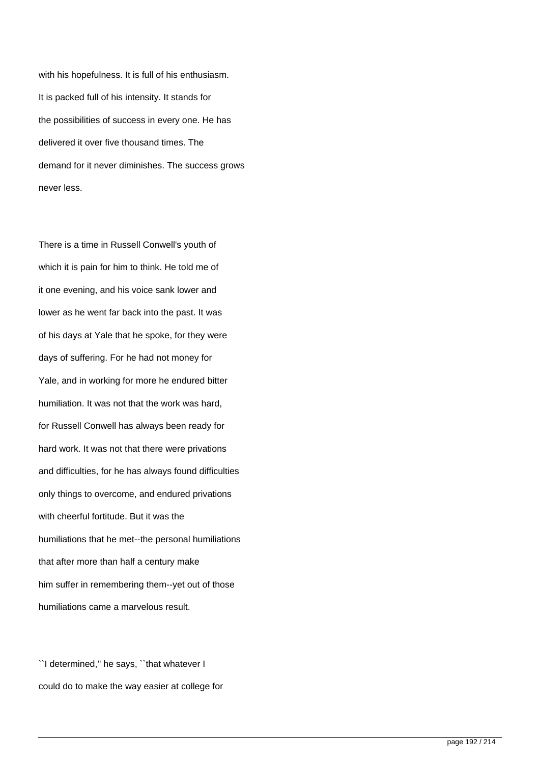with his hopefulness. It is full of his enthusiasm. It is packed full of his intensity. It stands for the possibilities of success in every one. He has delivered it over five thousand times. The demand for it never diminishes. The success grows never less.

There is a time in Russell Conwell's youth of which it is pain for him to think. He told me of it one evening, and his voice sank lower and lower as he went far back into the past. It was of his days at Yale that he spoke, for they were days of suffering. For he had not money for Yale, and in working for more he endured bitter humiliation. It was not that the work was hard, for Russell Conwell has always been ready for hard work. It was not that there were privations and difficulties, for he has always found difficulties only things to overcome, and endured privations with cheerful fortitude. But it was the humiliations that he met--the personal humiliations that after more than half a century make him suffer in remembering them--yet out of those humiliations came a marvelous result.

``I determined,'' he says, ``that whatever I could do to make the way easier at college for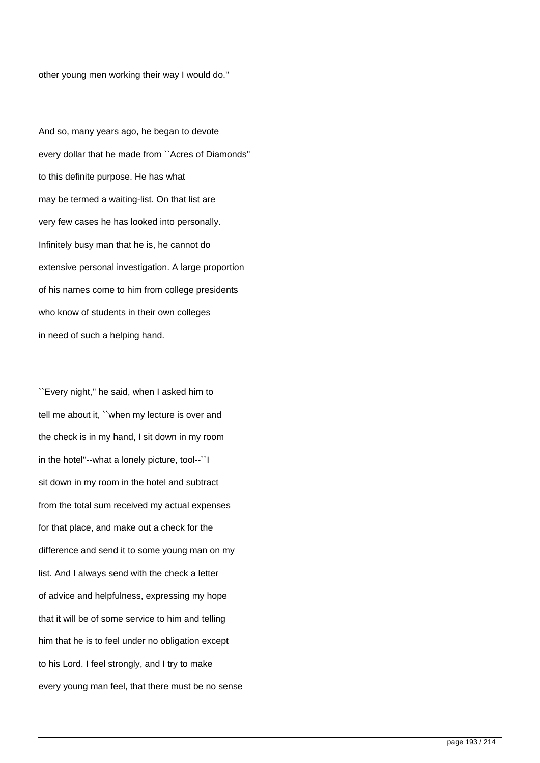other young men working their way I would do.''

And so, many years ago, he began to devote every dollar that he made from ``Acres of Diamonds'' to this definite purpose. He has what may be termed a waiting-list. On that list are very few cases he has looked into personally. Infinitely busy man that he is, he cannot do extensive personal investigation. A large proportion of his names come to him from college presidents who know of students in their own colleges in need of such a helping hand.

``Every night,'' he said, when I asked him to tell me about it, ``when my lecture is over and the check is in my hand, I sit down in my room in the hotel''--what a lonely picture, tool--``I sit down in my room in the hotel and subtract from the total sum received my actual expenses for that place, and make out a check for the difference and send it to some young man on my list. And I always send with the check a letter of advice and helpfulness, expressing my hope that it will be of some service to him and telling him that he is to feel under no obligation except to his Lord. I feel strongly, and I try to make every young man feel, that there must be no sense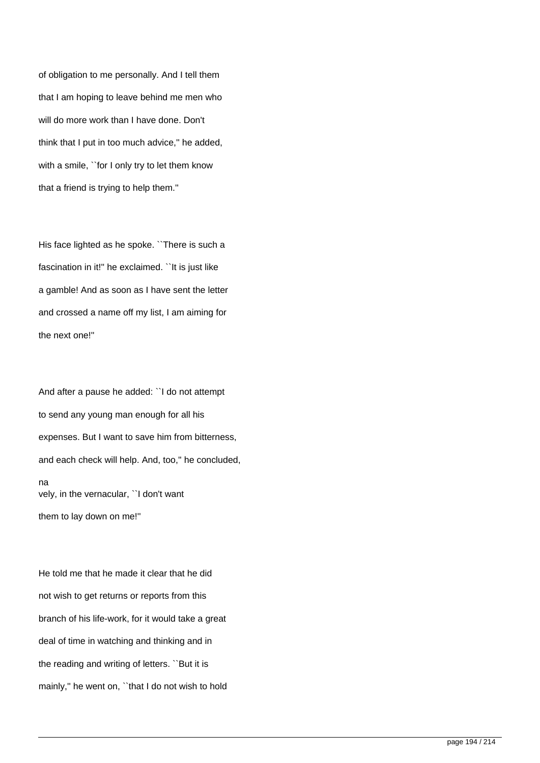of obligation to me personally. And I tell them that I am hoping to leave behind me men who will do more work than I have done. Don't think that I put in too much advice,'' he added, with a smile, "for I only try to let them know that a friend is trying to help them.''

His face lighted as he spoke. ``There is such a fascination in it!'' he exclaimed. ``It is just like a gamble! And as soon as I have sent the letter and crossed a name off my list, I am aiming for the next one!''

And after a pause he added: ``I do not attempt to send any young man enough for all his expenses. But I want to save him from bitterness, and each check will help. And, too,'' he concluded, na vely, in the vernacular, ``I don't want them to lay down on me!''

He told me that he made it clear that he did not wish to get returns or reports from this branch of his life-work, for it would take a great deal of time in watching and thinking and in the reading and writing of letters. ``But it is mainly," he went on, "that I do not wish to hold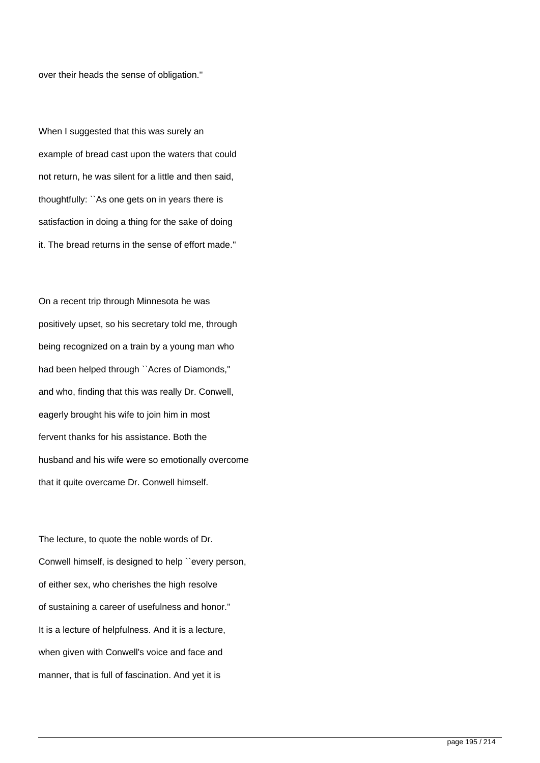over their heads the sense of obligation.''

When I suggested that this was surely an example of bread cast upon the waters that could not return, he was silent for a little and then said, thoughtfully: ``As one gets on in years there is satisfaction in doing a thing for the sake of doing it. The bread returns in the sense of effort made.''

On a recent trip through Minnesota he was positively upset, so his secretary told me, through being recognized on a train by a young man who had been helped through ``Acres of Diamonds,'' and who, finding that this was really Dr. Conwell, eagerly brought his wife to join him in most fervent thanks for his assistance. Both the husband and his wife were so emotionally overcome that it quite overcame Dr. Conwell himself.

The lecture, to quote the noble words of Dr. Conwell himself, is designed to help ``every person, of either sex, who cherishes the high resolve of sustaining a career of usefulness and honor.'' It is a lecture of helpfulness. And it is a lecture, when given with Conwell's voice and face and manner, that is full of fascination. And yet it is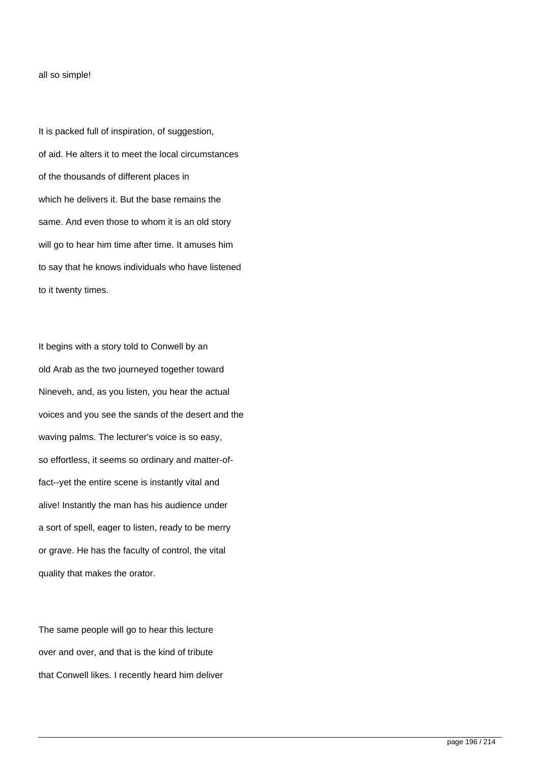#### all so simple!

It is packed full of inspiration, of suggestion, of aid. He alters it to meet the local circumstances of the thousands of different places in which he delivers it. But the base remains the same. And even those to whom it is an old story will go to hear him time after time. It amuses him to say that he knows individuals who have listened to it twenty times.

It begins with a story told to Conwell by an old Arab as the two journeyed together toward Nineveh, and, as you listen, you hear the actual voices and you see the sands of the desert and the waving palms. The lecturer's voice is so easy, so effortless, it seems so ordinary and matter-offact--yet the entire scene is instantly vital and alive! Instantly the man has his audience under a sort of spell, eager to listen, ready to be merry or grave. He has the faculty of control, the vital quality that makes the orator.

The same people will go to hear this lecture over and over, and that is the kind of tribute that Conwell likes. I recently heard him deliver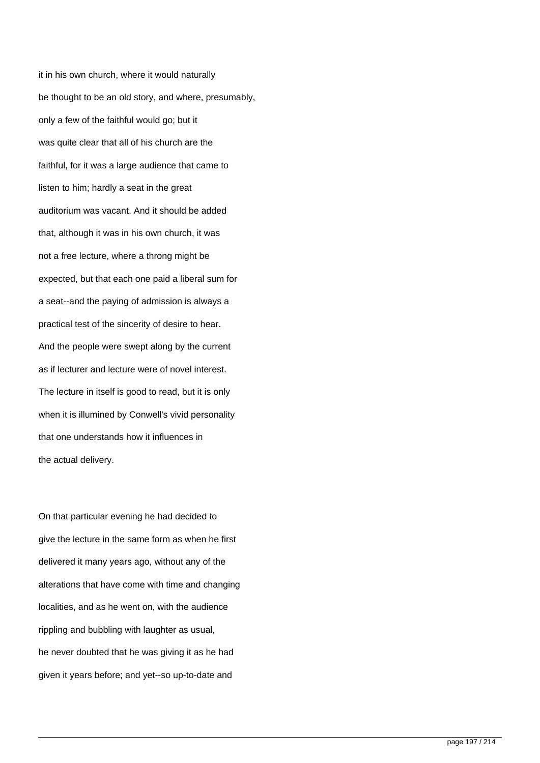it in his own church, where it would naturally be thought to be an old story, and where, presumably, only a few of the faithful would go; but it was quite clear that all of his church are the faithful, for it was a large audience that came to listen to him; hardly a seat in the great auditorium was vacant. And it should be added that, although it was in his own church, it was not a free lecture, where a throng might be expected, but that each one paid a liberal sum for a seat--and the paying of admission is always a practical test of the sincerity of desire to hear. And the people were swept along by the current as if lecturer and lecture were of novel interest. The lecture in itself is good to read, but it is only when it is illumined by Conwell's vivid personality that one understands how it influences in the actual delivery.

On that particular evening he had decided to give the lecture in the same form as when he first delivered it many years ago, without any of the alterations that have come with time and changing localities, and as he went on, with the audience rippling and bubbling with laughter as usual, he never doubted that he was giving it as he had given it years before; and yet--so up-to-date and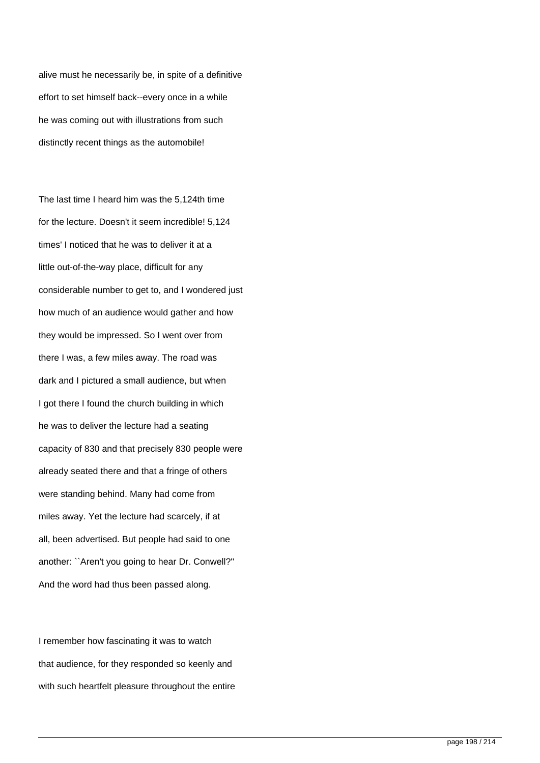alive must he necessarily be, in spite of a definitive effort to set himself back--every once in a while he was coming out with illustrations from such distinctly recent things as the automobile!

The last time I heard him was the 5,124th time for the lecture. Doesn't it seem incredible! 5,124 times' I noticed that he was to deliver it at a little out-of-the-way place, difficult for any considerable number to get to, and I wondered just how much of an audience would gather and how they would be impressed. So I went over from there I was, a few miles away. The road was dark and I pictured a small audience, but when I got there I found the church building in which he was to deliver the lecture had a seating capacity of 830 and that precisely 830 people were already seated there and that a fringe of others were standing behind. Many had come from miles away. Yet the lecture had scarcely, if at all, been advertised. But people had said to one another: ``Aren't you going to hear Dr. Conwell?'' And the word had thus been passed along.

I remember how fascinating it was to watch that audience, for they responded so keenly and with such heartfelt pleasure throughout the entire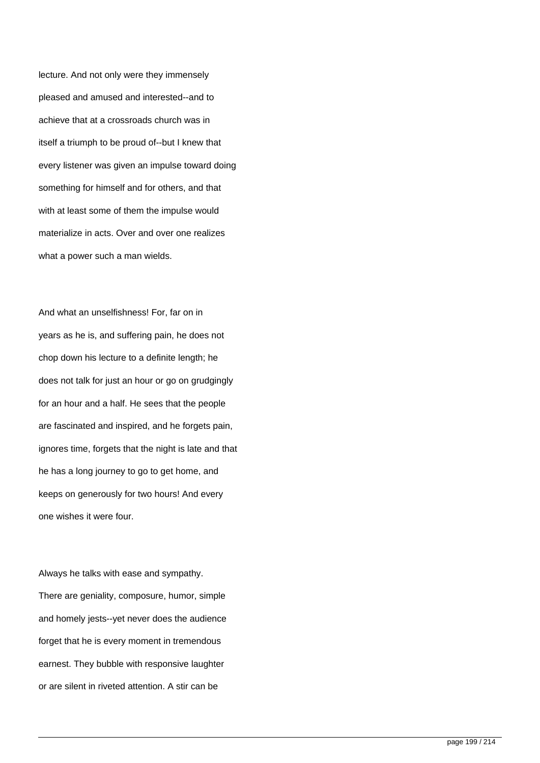lecture. And not only were they immensely pleased and amused and interested--and to achieve that at a crossroads church was in itself a triumph to be proud of--but I knew that every listener was given an impulse toward doing something for himself and for others, and that with at least some of them the impulse would materialize in acts. Over and over one realizes what a power such a man wields.

And what an unselfishness! For, far on in years as he is, and suffering pain, he does not chop down his lecture to a definite length; he does not talk for just an hour or go on grudgingly for an hour and a half. He sees that the people are fascinated and inspired, and he forgets pain, ignores time, forgets that the night is late and that he has a long journey to go to get home, and keeps on generously for two hours! And every one wishes it were four.

Always he talks with ease and sympathy. There are geniality, composure, humor, simple and homely jests--yet never does the audience forget that he is every moment in tremendous earnest. They bubble with responsive laughter or are silent in riveted attention. A stir can be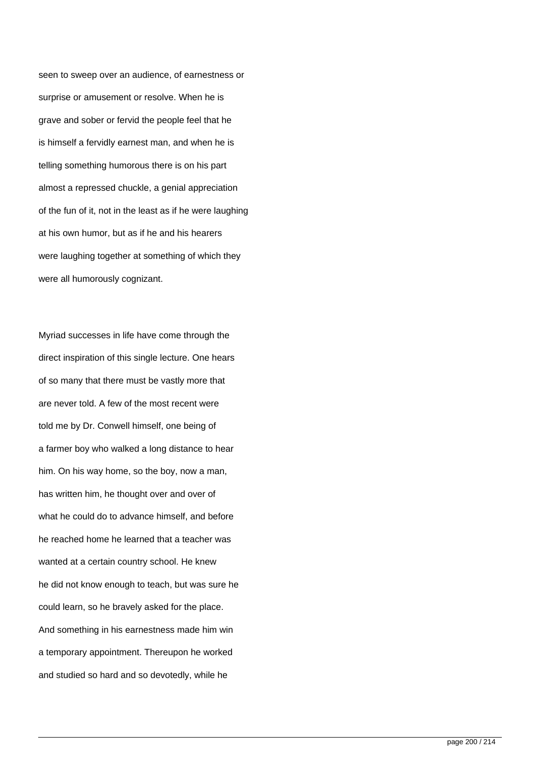seen to sweep over an audience, of earnestness or surprise or amusement or resolve. When he is grave and sober or fervid the people feel that he is himself a fervidly earnest man, and when he is telling something humorous there is on his part almost a repressed chuckle, a genial appreciation of the fun of it, not in the least as if he were laughing at his own humor, but as if he and his hearers were laughing together at something of which they were all humorously cognizant.

Myriad successes in life have come through the direct inspiration of this single lecture. One hears of so many that there must be vastly more that are never told. A few of the most recent were told me by Dr. Conwell himself, one being of a farmer boy who walked a long distance to hear him. On his way home, so the boy, now a man, has written him, he thought over and over of what he could do to advance himself, and before he reached home he learned that a teacher was wanted at a certain country school. He knew he did not know enough to teach, but was sure he could learn, so he bravely asked for the place. And something in his earnestness made him win a temporary appointment. Thereupon he worked and studied so hard and so devotedly, while he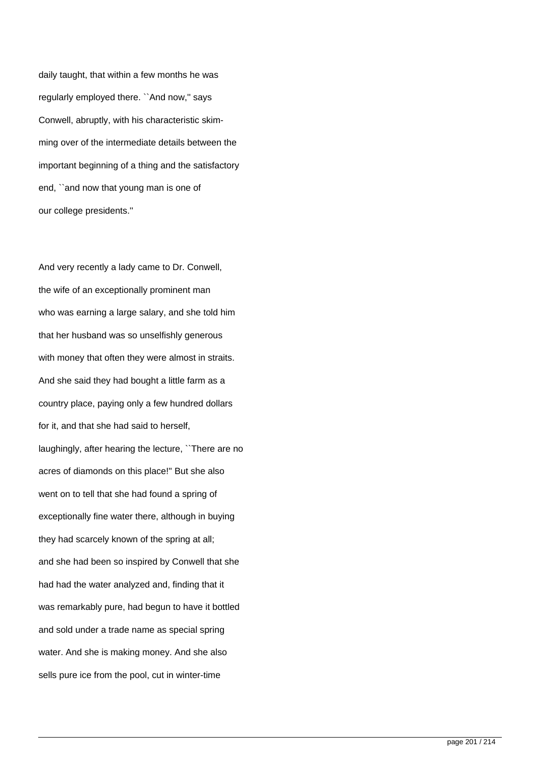daily taught, that within a few months he was regularly employed there. ``And now,'' says Conwell, abruptly, with his characteristic skimming over of the intermediate details between the important beginning of a thing and the satisfactory end, ``and now that young man is one of our college presidents.''

And very recently a lady came to Dr. Conwell, the wife of an exceptionally prominent man who was earning a large salary, and she told him that her husband was so unselfishly generous with money that often they were almost in straits. And she said they had bought a little farm as a country place, paying only a few hundred dollars for it, and that she had said to herself, laughingly, after hearing the lecture, ``There are no acres of diamonds on this place!'' But she also went on to tell that she had found a spring of exceptionally fine water there, although in buying they had scarcely known of the spring at all; and she had been so inspired by Conwell that she had had the water analyzed and, finding that it was remarkably pure, had begun to have it bottled and sold under a trade name as special spring water. And she is making money. And she also sells pure ice from the pool, cut in winter-time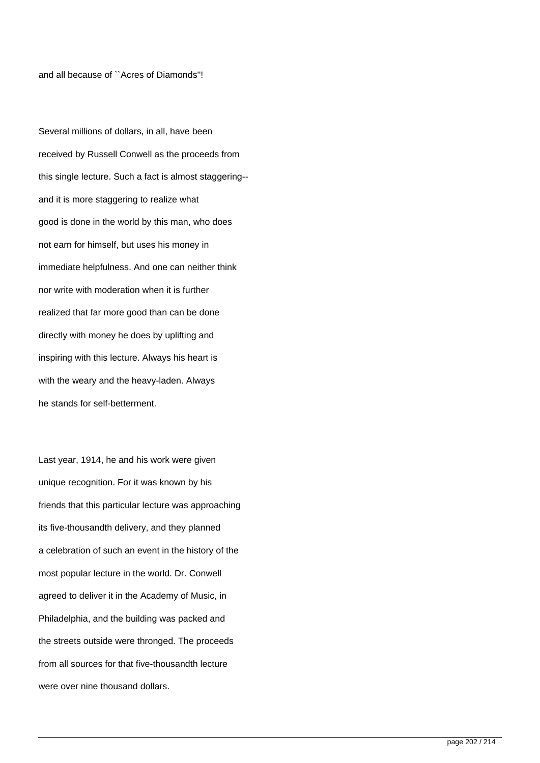and all because of ``Acres of Diamonds''!

Several millions of dollars, in all, have been received by Russell Conwell as the proceeds from this single lecture. Such a fact is almost staggering- and it is more staggering to realize what good is done in the world by this man, who does not earn for himself, but uses his money in immediate helpfulness. And one can neither think nor write with moderation when it is further realized that far more good than can be done directly with money he does by uplifting and inspiring with this lecture. Always his heart is with the weary and the heavy-laden. Always he stands for self-betterment.

Last year, 1914, he and his work were given unique recognition. For it was known by his friends that this particular lecture was approaching its five-thousandth delivery, and they planned a celebration of such an event in the history of the most popular lecture in the world. Dr. Conwell agreed to deliver it in the Academy of Music, in Philadelphia, and the building was packed and the streets outside were thronged. The proceeds from all sources for that five-thousandth lecture were over nine thousand dollars.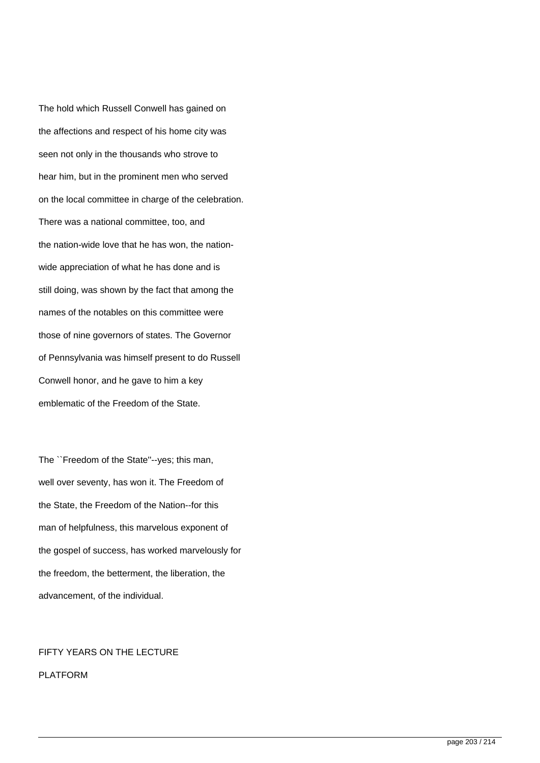The hold which Russell Conwell has gained on the affections and respect of his home city was seen not only in the thousands who strove to hear him, but in the prominent men who served on the local committee in charge of the celebration. There was a national committee, too, and the nation-wide love that he has won, the nationwide appreciation of what he has done and is still doing, was shown by the fact that among the names of the notables on this committee were those of nine governors of states. The Governor of Pennsylvania was himself present to do Russell Conwell honor, and he gave to him a key emblematic of the Freedom of the State.

The ``Freedom of the State''--yes; this man, well over seventy, has won it. The Freedom of the State, the Freedom of the Nation--for this man of helpfulness, this marvelous exponent of the gospel of success, has worked marvelously for the freedom, the betterment, the liberation, the advancement, of the individual.

## FIFTY YEARS ON THE LECTURE

PLATFORM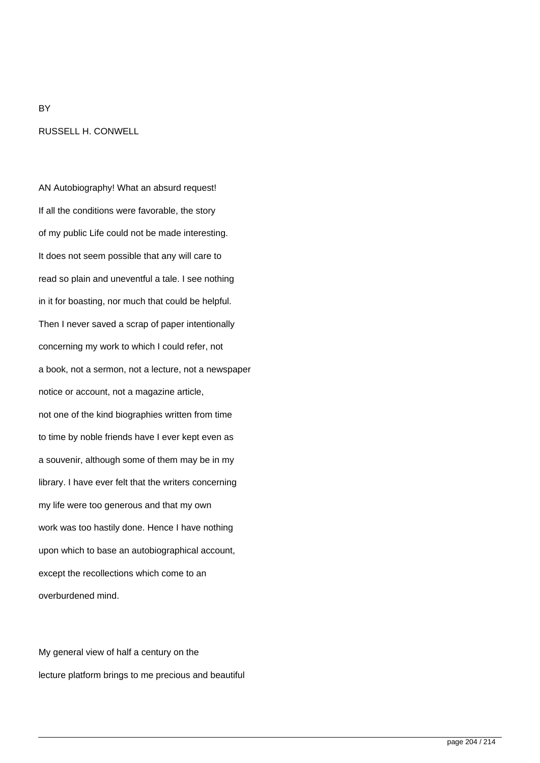# RUSSELL H. CONWELL

**BY** 

AN Autobiography! What an absurd request! If all the conditions were favorable, the story of my public Life could not be made interesting. It does not seem possible that any will care to read so plain and uneventful a tale. I see nothing in it for boasting, nor much that could be helpful. Then I never saved a scrap of paper intentionally concerning my work to which I could refer, not a book, not a sermon, not a lecture, not a newspaper notice or account, not a magazine article, not one of the kind biographies written from time to time by noble friends have I ever kept even as a souvenir, although some of them may be in my library. I have ever felt that the writers concerning my life were too generous and that my own work was too hastily done. Hence I have nothing upon which to base an autobiographical account, except the recollections which come to an overburdened mind.

My general view of half a century on the lecture platform brings to me precious and beautiful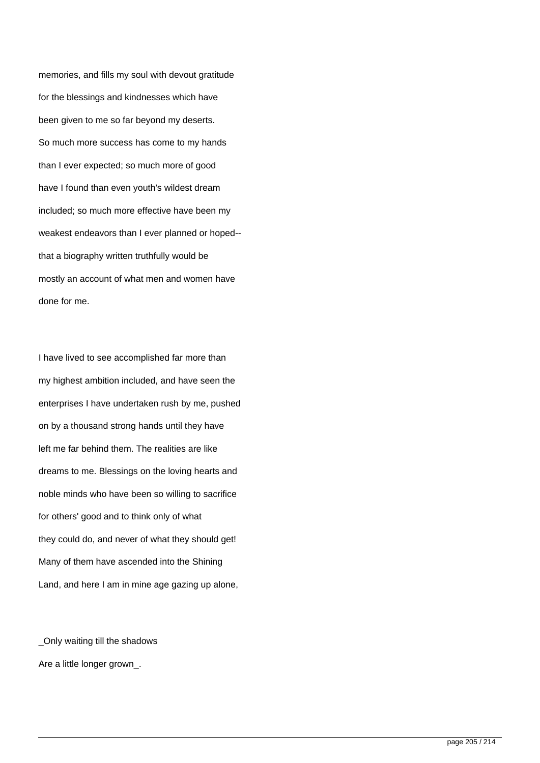memories, and fills my soul with devout gratitude for the blessings and kindnesses which have been given to me so far beyond my deserts. So much more success has come to my hands than I ever expected; so much more of good have I found than even youth's wildest dream included; so much more effective have been my weakest endeavors than I ever planned or hoped- that a biography written truthfully would be mostly an account of what men and women have done for me.

I have lived to see accomplished far more than my highest ambition included, and have seen the enterprises I have undertaken rush by me, pushed on by a thousand strong hands until they have left me far behind them. The realities are like dreams to me. Blessings on the loving hearts and noble minds who have been so willing to sacrifice for others' good and to think only of what they could do, and never of what they should get! Many of them have ascended into the Shining Land, and here I am in mine age gazing up alone,

\_Only waiting till the shadows Are a little longer grown\_.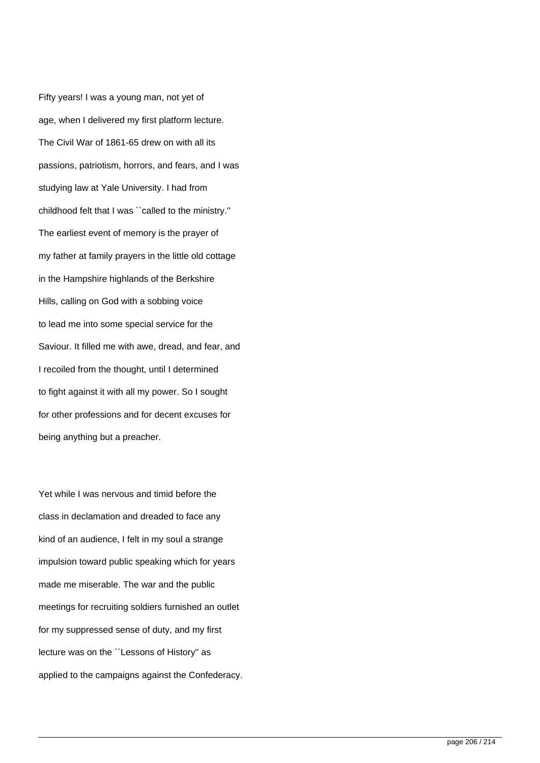Fifty years! I was a young man, not yet of age, when I delivered my first platform lecture. The Civil War of 1861-65 drew on with all its passions, patriotism, horrors, and fears, and I was studying law at Yale University. I had from childhood felt that I was ``called to the ministry.'' The earliest event of memory is the prayer of my father at family prayers in the little old cottage in the Hampshire highlands of the Berkshire Hills, calling on God with a sobbing voice to lead me into some special service for the Saviour. It filled me with awe, dread, and fear, and I recoiled from the thought, until I determined to fight against it with all my power. So I sought for other professions and for decent excuses for being anything but a preacher.

Yet while I was nervous and timid before the class in declamation and dreaded to face any kind of an audience, I felt in my soul a strange impulsion toward public speaking which for years made me miserable. The war and the public meetings for recruiting soldiers furnished an outlet for my suppressed sense of duty, and my first lecture was on the ``Lessons of History'' as applied to the campaigns against the Confederacy.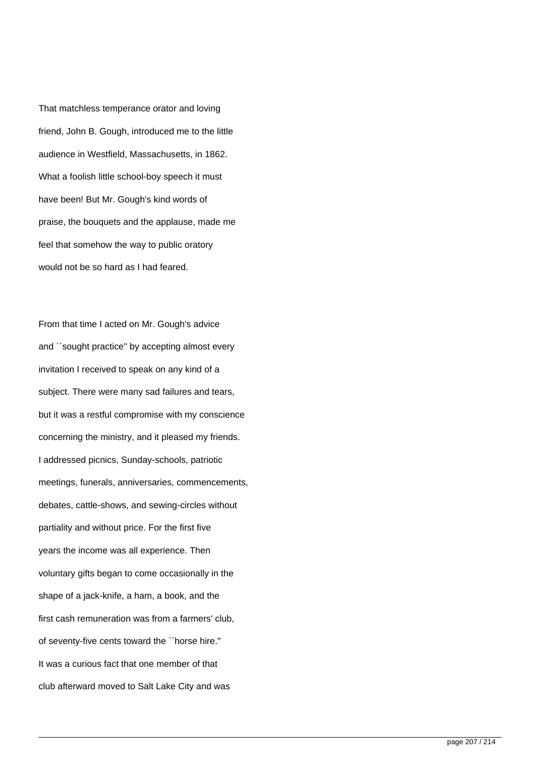That matchless temperance orator and loving friend, John B. Gough, introduced me to the little audience in Westfield, Massachusetts, in 1862. What a foolish little school-boy speech it must have been! But Mr. Gough's kind words of praise, the bouquets and the applause, made me feel that somehow the way to public oratory would not be so hard as I had feared.

From that time I acted on Mr. Gough's advice and ``sought practice'' by accepting almost every invitation I received to speak on any kind of a subject. There were many sad failures and tears, but it was a restful compromise with my conscience concerning the ministry, and it pleased my friends. I addressed picnics, Sunday-schools, patriotic meetings, funerals, anniversaries, commencements, debates, cattle-shows, and sewing-circles without partiality and without price. For the first five years the income was all experience. Then voluntary gifts began to come occasionally in the shape of a jack-knife, a ham, a book, and the first cash remuneration was from a farmers' club, of seventy-five cents toward the ``horse hire.'' It was a curious fact that one member of that club afterward moved to Salt Lake City and was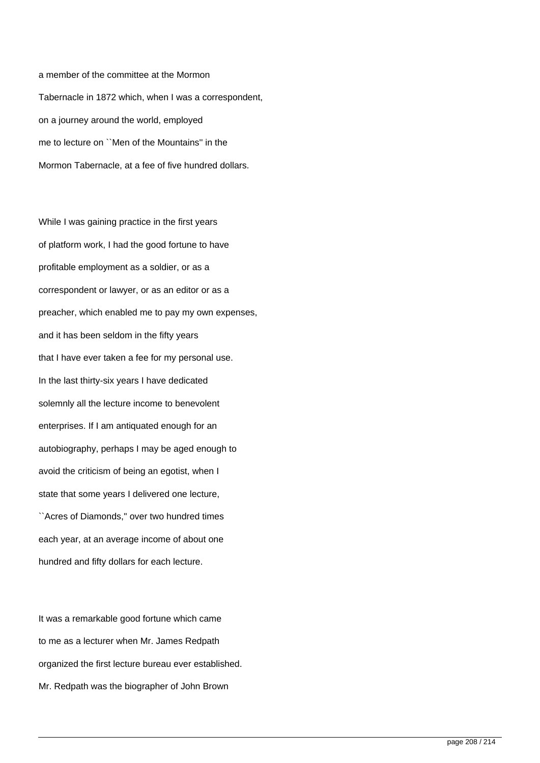a member of the committee at the Mormon Tabernacle in 1872 which, when I was a correspondent, on a journey around the world, employed me to lecture on ``Men of the Mountains'' in the Mormon Tabernacle, at a fee of five hundred dollars.

While I was gaining practice in the first years of platform work, I had the good fortune to have profitable employment as a soldier, or as a correspondent or lawyer, or as an editor or as a preacher, which enabled me to pay my own expenses, and it has been seldom in the fifty years that I have ever taken a fee for my personal use. In the last thirty-six years I have dedicated solemnly all the lecture income to benevolent enterprises. If I am antiquated enough for an autobiography, perhaps I may be aged enough to avoid the criticism of being an egotist, when I state that some years I delivered one lecture, ``Acres of Diamonds,'' over two hundred times each year, at an average income of about one hundred and fifty dollars for each lecture.

It was a remarkable good fortune which came to me as a lecturer when Mr. James Redpath organized the first lecture bureau ever established. Mr. Redpath was the biographer of John Brown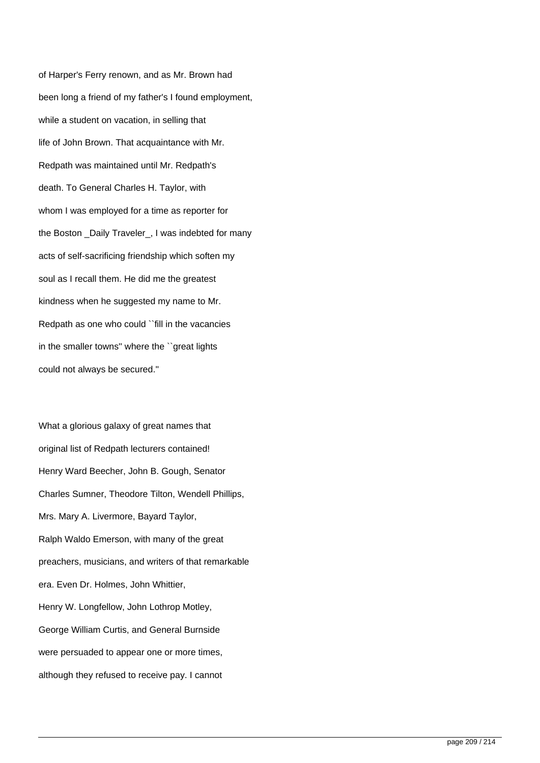of Harper's Ferry renown, and as Mr. Brown had been long a friend of my father's I found employment, while a student on vacation, in selling that life of John Brown. That acquaintance with Mr. Redpath was maintained until Mr. Redpath's death. To General Charles H. Taylor, with whom I was employed for a time as reporter for the Boston \_Daily Traveler\_, I was indebted for many acts of self-sacrificing friendship which soften my soul as I recall them. He did me the greatest kindness when he suggested my name to Mr. Redpath as one who could ``fill in the vacancies in the smaller towns'' where the ``great lights could not always be secured.''

What a glorious galaxy of great names that original list of Redpath lecturers contained! Henry Ward Beecher, John B. Gough, Senator Charles Sumner, Theodore Tilton, Wendell Phillips, Mrs. Mary A. Livermore, Bayard Taylor, Ralph Waldo Emerson, with many of the great preachers, musicians, and writers of that remarkable era. Even Dr. Holmes, John Whittier, Henry W. Longfellow, John Lothrop Motley, George William Curtis, and General Burnside were persuaded to appear one or more times, although they refused to receive pay. I cannot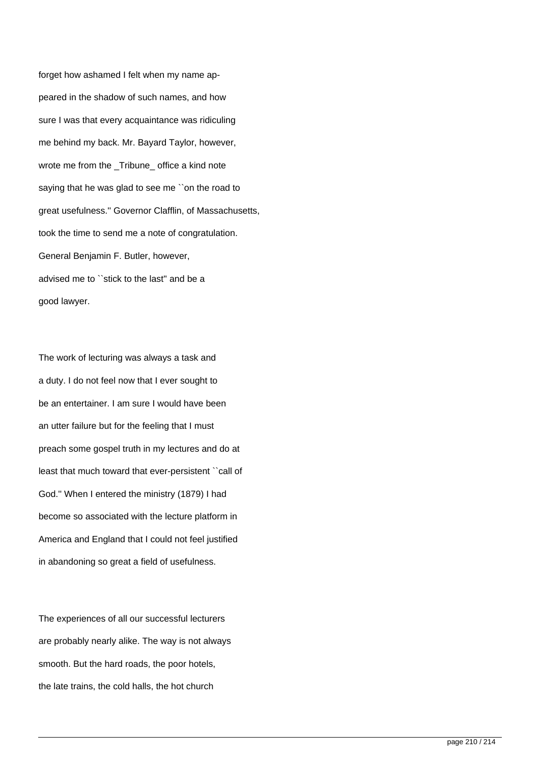forget how ashamed I felt when my name appeared in the shadow of such names, and how sure I was that every acquaintance was ridiculing me behind my back. Mr. Bayard Taylor, however, wrote me from the Tribune office a kind note saying that he was glad to see me "on the road to great usefulness.'' Governor Clafflin, of Massachusetts, took the time to send me a note of congratulation. General Benjamin F. Butler, however, advised me to ``stick to the last'' and be a good lawyer.

The work of lecturing was always a task and a duty. I do not feel now that I ever sought to be an entertainer. I am sure I would have been an utter failure but for the feeling that I must preach some gospel truth in my lectures and do at least that much toward that ever-persistent ``call of God.'' When I entered the ministry (1879) I had become so associated with the lecture platform in America and England that I could not feel justified in abandoning so great a field of usefulness.

The experiences of all our successful lecturers are probably nearly alike. The way is not always smooth. But the hard roads, the poor hotels, the late trains, the cold halls, the hot church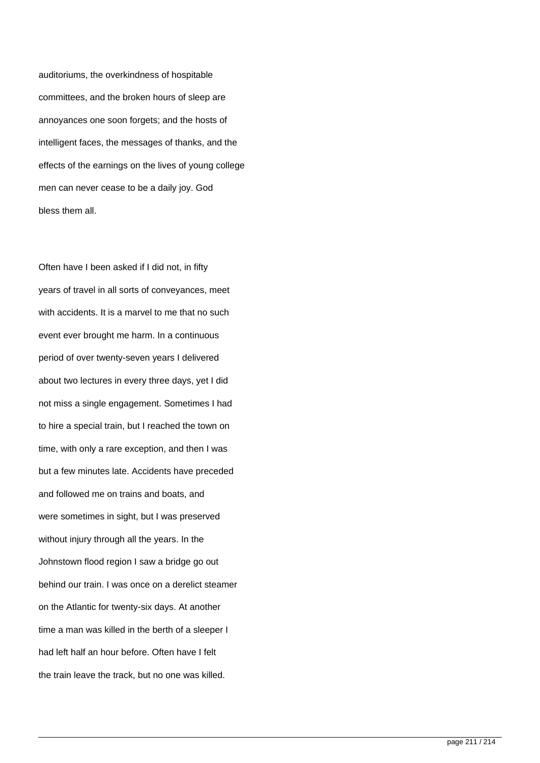auditoriums, the overkindness of hospitable committees, and the broken hours of sleep are annoyances one soon forgets; and the hosts of intelligent faces, the messages of thanks, and the effects of the earnings on the lives of young college men can never cease to be a daily joy. God bless them all.

Often have I been asked if I did not, in fifty years of travel in all sorts of conveyances, meet with accidents. It is a marvel to me that no such event ever brought me harm. In a continuous period of over twenty-seven years I delivered about two lectures in every three days, yet I did not miss a single engagement. Sometimes I had to hire a special train, but I reached the town on time, with only a rare exception, and then I was but a few minutes late. Accidents have preceded and followed me on trains and boats, and were sometimes in sight, but I was preserved without injury through all the years. In the Johnstown flood region I saw a bridge go out behind our train. I was once on a derelict steamer on the Atlantic for twenty-six days. At another time a man was killed in the berth of a sleeper I had left half an hour before. Often have I felt the train leave the track, but no one was killed.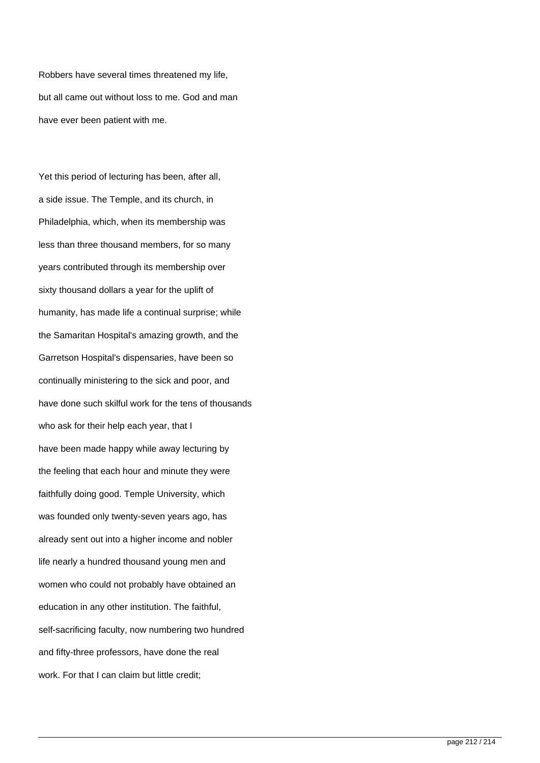Robbers have several times threatened my life, but all came out without loss to me. God and man have ever been patient with me.

Yet this period of lecturing has been, after all, a side issue. The Temple, and its church, in Philadelphia, which, when its membership was less than three thousand members, for so many years contributed through its membership over sixty thousand dollars a year for the uplift of humanity, has made life a continual surprise; while the Samaritan Hospital's amazing growth, and the Garretson Hospital's dispensaries, have been so continually ministering to the sick and poor, and have done such skilful work for the tens of thousands who ask for their help each year, that I have been made happy while away lecturing by the feeling that each hour and minute they were faithfully doing good. Temple University, which was founded only twenty-seven years ago, has already sent out into a higher income and nobler life nearly a hundred thousand young men and women who could not probably have obtained an education in any other institution. The faithful, self-sacrificing faculty, now numbering two hundred and fifty-three professors, have done the real work. For that I can claim but little credit;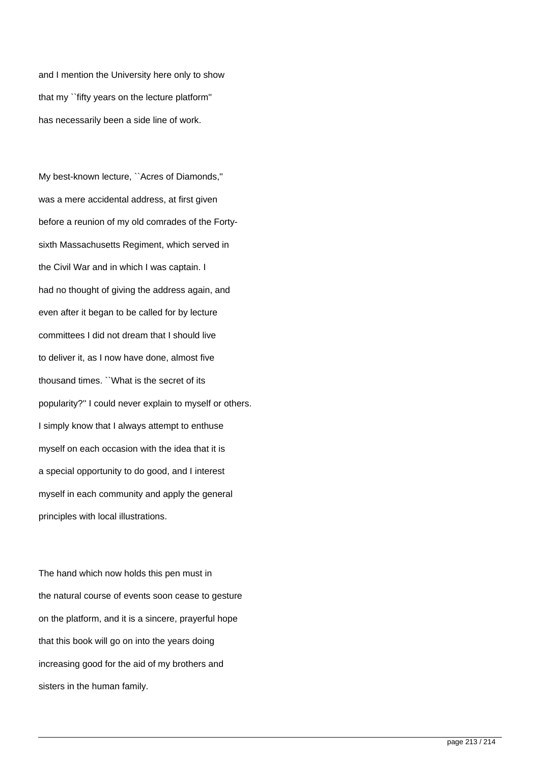and I mention the University here only to show that my ``fifty years on the lecture platform'' has necessarily been a side line of work.

My best-known lecture, ``Acres of Diamonds,'' was a mere accidental address, at first given before a reunion of my old comrades of the Fortysixth Massachusetts Regiment, which served in the Civil War and in which I was captain. I had no thought of giving the address again, and even after it began to be called for by lecture committees I did not dream that I should live to deliver it, as I now have done, almost five thousand times. ``What is the secret of its popularity?'' I could never explain to myself or others. I simply know that I always attempt to enthuse myself on each occasion with the idea that it is a special opportunity to do good, and I interest myself in each community and apply the general principles with local illustrations.

The hand which now holds this pen must in the natural course of events soon cease to gesture on the platform, and it is a sincere, prayerful hope that this book will go on into the years doing increasing good for the aid of my brothers and sisters in the human family.